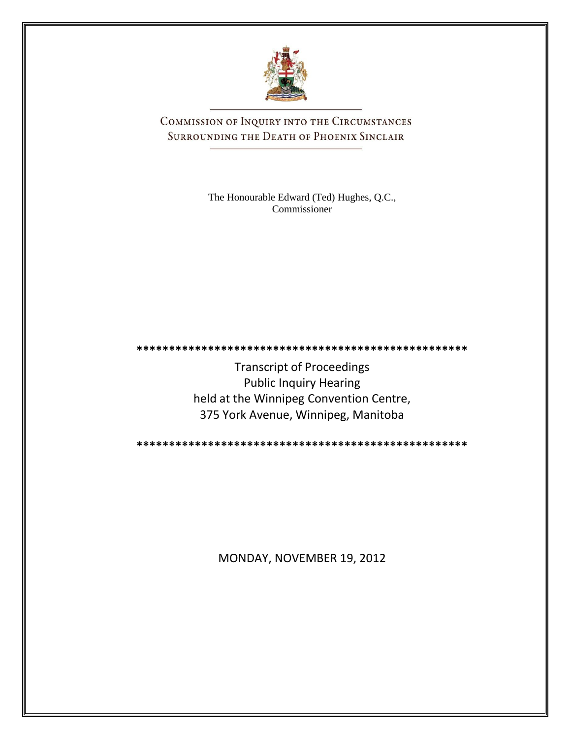

COMMISSION OF INQUIRY INTO THE CIRCUMSTANCES SURROUNDING THE DEATH OF PHOENIX SINCLAIR

> The Honourable Edward (Ted) Hughes, Q.C., Commissioner

**\*\*\*\*\*\*\*\*\*\*\*\*\*\*\*\*\*\*\*\*\*\*\*\*\*\*\*\*\*\*\*\*\*\*\*\*\*\*\*\*\*\*\*\*\*\*\*\*\*\*\***

Transcript of Proceedings Public Inquiry Hearing held at the Winnipeg Convention Centre, 375 York Avenue, Winnipeg, Manitoba

**\*\*\*\*\*\*\*\*\*\*\*\*\*\*\*\*\*\*\*\*\*\*\*\*\*\*\*\*\*\*\*\*\*\*\*\*\*\*\*\*\*\*\*\*\*\*\*\*\*\*\***

MONDAY, NOVEMBER 19, 2012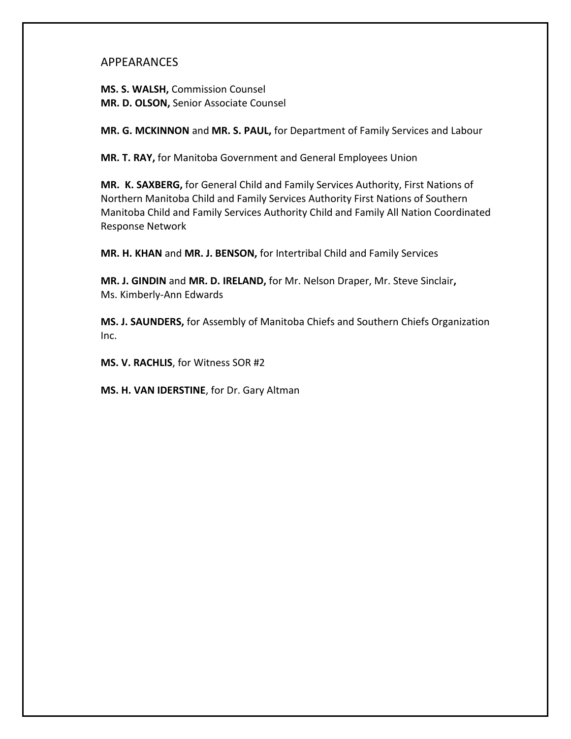### APPEARANCES

**MS. S. WALSH,** Commission Counsel **MR. D. OLSON,** Senior Associate Counsel

**MR. G. MCKINNON** and **MR. S. PAUL,** for Department of Family Services and Labour

**MR. T. RAY,** for Manitoba Government and General Employees Union

**MR. K. SAXBERG,** for General Child and Family Services Authority, First Nations of Northern Manitoba Child and Family Services Authority First Nations of Southern Manitoba Child and Family Services Authority Child and Family All Nation Coordinated Response Network

**MR. H. KHAN** and **MR. J. BENSON,** for Intertribal Child and Family Services

**MR. J. GINDIN** and **MR. D. IRELAND,** for Mr. Nelson Draper, Mr. Steve Sinclair**,** Ms. Kimberly-Ann Edwards

**MS. J. SAUNDERS,** for Assembly of Manitoba Chiefs and Southern Chiefs Organization Inc.

**MS. V. RACHLIS**, for Witness SOR #2

**MS. H. VAN IDERSTINE**, for Dr. Gary Altman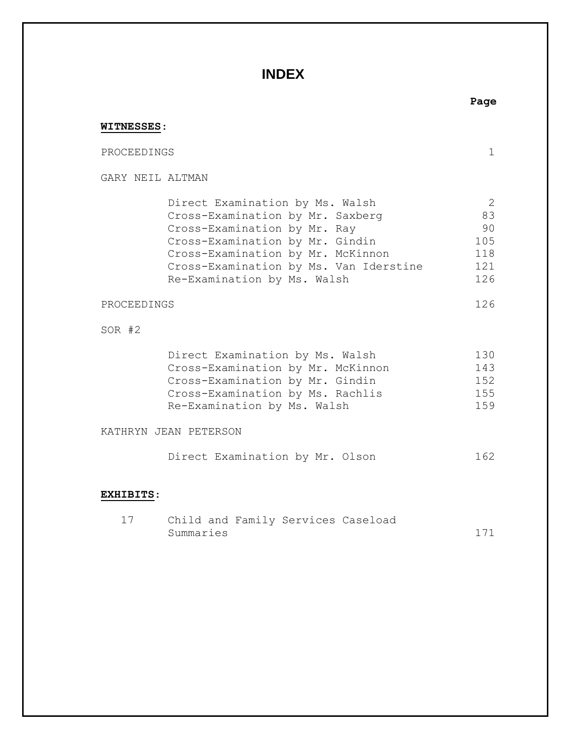## **INDEX**

# **Page WITNESSES**: PROCEEDINGS 1 GARY NEIL ALTMAN Direct Examination by Ms. Walsh 2 Cross-Examination by Mr. Saxberg 83 Cross-Examination by Mr. Ray 90 Cross-Examination by Mr. Gindin 105 Cross-Examination by Mr. McKinnon 118 Cross-Examination by Ms. Van Iderstine 121 Re-Examination by Ms. Walsh 126 PROCEEDINGS 126 SOR #2 Direct Examination by Ms. Walsh 130 Cross-Examination by Mr. McKinnon 143 Cross-Examination by Mr. Gindin 152 Cross-Examination by Ms. Rachlis 155 Re-Examination by Ms. Walsh 159 KATHRYN JEAN PETERSON Direct Examination by Mr. Olson 162

### **EXHIBITS**:

|           |  | Child and Family Services Caseload |  |  |
|-----------|--|------------------------------------|--|--|
| Summaries |  |                                    |  |  |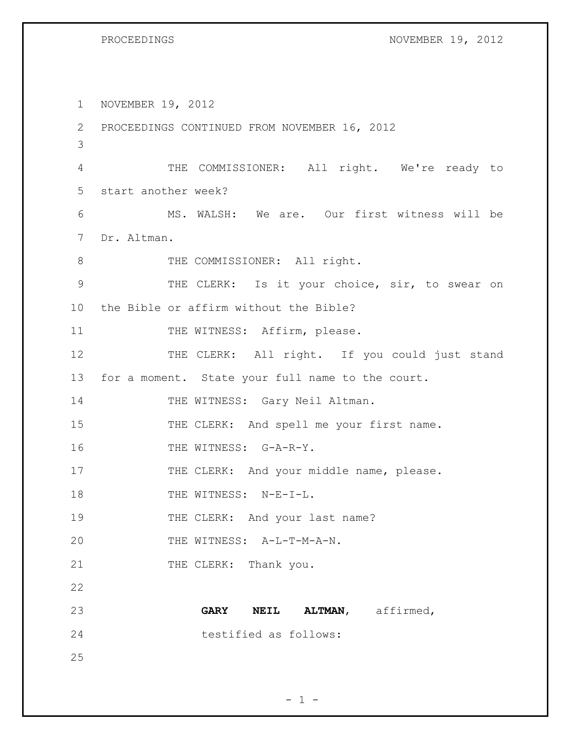```
PROCEEDINGS NOVEMBER 19, 2012
```
1 NOVEMBER 19, 2012 2 PROCEEDINGS CONTINUED FROM NOVEMBER 16, 2012 3 4 THE COMMISSIONER: All right. We're ready to 5 start another week? 6 MS. WALSH: We are. Our first witness will be 7 Dr. Altman. 8 THE COMMISSIONER: All right. 9 THE CLERK: Is it your choice, sir, to swear on 10 the Bible or affirm without the Bible? 11 THE WITNESS: Affirm, please. 12 THE CLERK: All right. If you could just stand 13 for a moment. State your full name to the court. 14 THE WITNESS: Gary Neil Altman. 15 THE CLERK: And spell me your first name. 16 THE WITNESS: G-A-R-Y. 17 THE CLERK: And your middle name, please. 18 THE WITNESS: N-E-I-L. 19 THE CLERK: And your last name? 20 THE WITNESS: A-L-T-M-A-N. 21 THE CLERK: Thank you. 22 23 **GARY NEIL ALTMAN**, affirmed, 24 testified as follows: 25

 $- 1 -$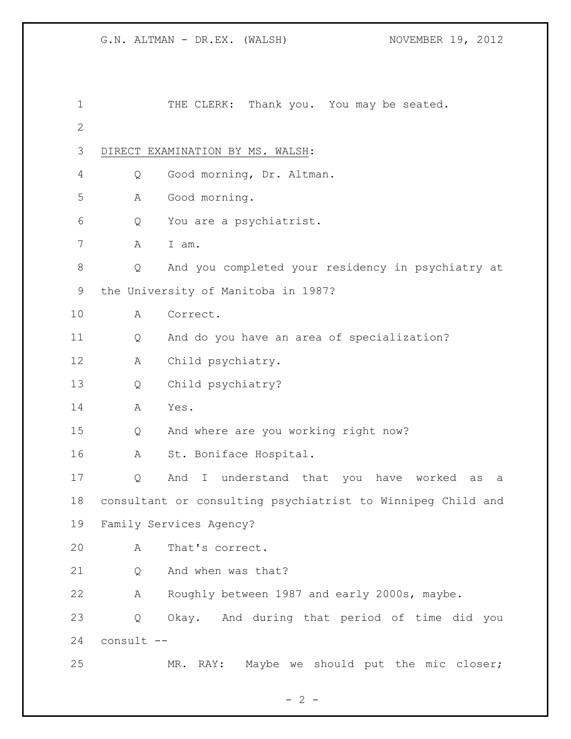| $\mathbf 1$  |            | THE CLERK: Thank you. You may be seated.                    |
|--------------|------------|-------------------------------------------------------------|
| $\mathbf{2}$ |            |                                                             |
| 3            |            | DIRECT EXAMINATION BY MS. WALSH:                            |
| 4            | Q          | Good morning, Dr. Altman.                                   |
| 5            | Α          | Good morning.                                               |
| 6            | Q          | You are a psychiatrist.                                     |
| 7            | A          | I am.                                                       |
| 8            | Q          | And you completed your residency in psychiatry at           |
| 9            |            | the University of Manitoba in 1987?                         |
| 10           | Α          | Correct.                                                    |
| 11           | Q          | And do you have an area of specialization?                  |
| 12           | A          | Child psychiatry.                                           |
| 13           | Q          | Child psychiatry?                                           |
| 14           | А          | Yes.                                                        |
| 15           | Q          | And where are you working right now?                        |
| 16           | Α          | St. Boniface Hospital.                                      |
| 17           | Q          | And I understand that you have worked<br>as<br>а            |
| 18           |            | consultant or consulting psychiatrist to Winnipeg Child and |
| 19           |            | Family Services Agency?                                     |
| 20           | Α          | That's correct.                                             |
| 21           | Q          | And when was that?                                          |
| 22           | А          | Roughly between 1987 and early 2000s, maybe.                |
| 23           | Q          | Okay. And during that period of time did you                |
| 24           | consult -- |                                                             |
| 25           |            | RAY: Maybe we should put the mic closer;<br>MR.             |

 $- 2 -$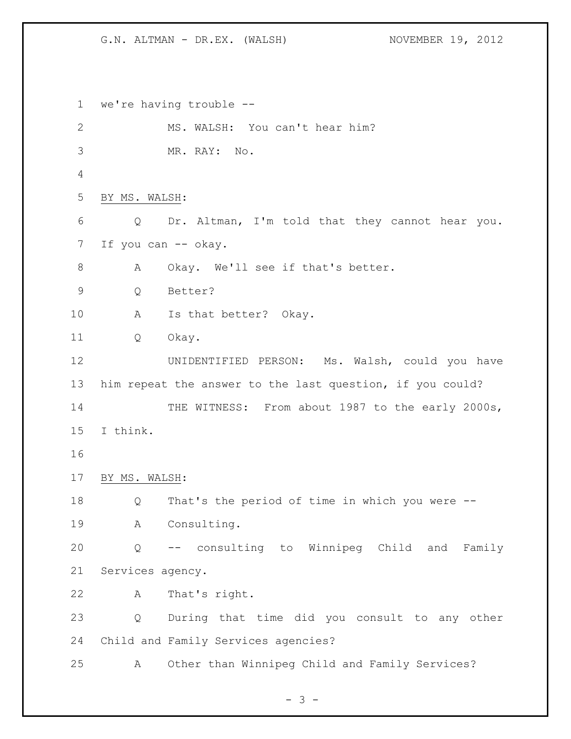we're having trouble -- 2 MS. WALSH: You can't hear him? MR. RAY: No. BY MS. WALSH: Q Dr. Altman, I'm told that they cannot hear you. 7 If you can -- okay. A Okay. We'll see if that's better. Q Better? A Is that better? Okay. Q Okay. UNIDENTIFIED PERSON: Ms. Walsh, could you have him repeat the answer to the last question, if you could? 14 THE WITNESS: From about 1987 to the early 2000s, I think. BY MS. WALSH: Q That's the period of time in which you were -- A Consulting. Q -- consulting to Winnipeg Child and Family Services agency. A That's right. Q During that time did you consult to any other Child and Family Services agencies? A Other than Winnipeg Child and Family Services?

- 3 -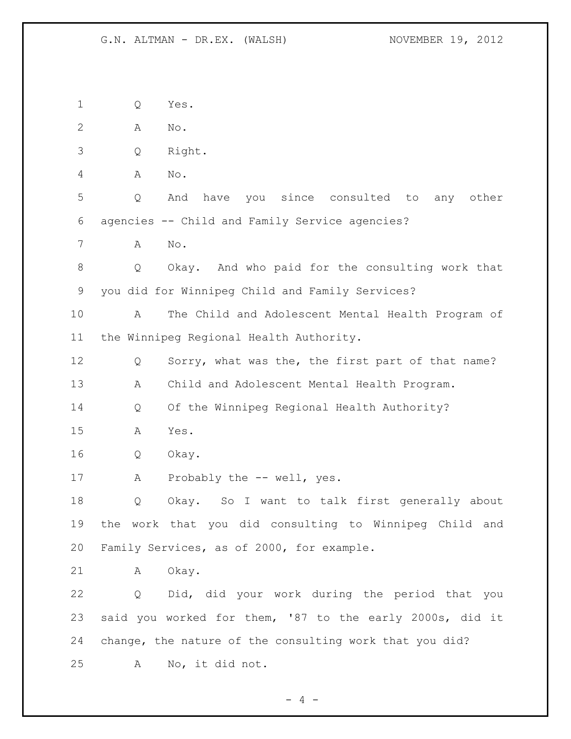Q Yes. A No. Q Right. A No. Q And have you since consulted to any other agencies -- Child and Family Service agencies? A No. Q Okay. And who paid for the consulting work that you did for Winnipeg Child and Family Services? A The Child and Adolescent Mental Health Program of the Winnipeg Regional Health Authority. Q Sorry, what was the, the first part of that name? A Child and Adolescent Mental Health Program. Q Of the Winnipeg Regional Health Authority? A Yes. Q Okay. 17 A Probably the -- well, yes. Q Okay. So I want to talk first generally about the work that you did consulting to Winnipeg Child and Family Services, as of 2000, for example. A Okay. Q Did, did your work during the period that you said you worked for them, '87 to the early 2000s, did it change, the nature of the consulting work that you did? A No, it did not.

 $- 4 -$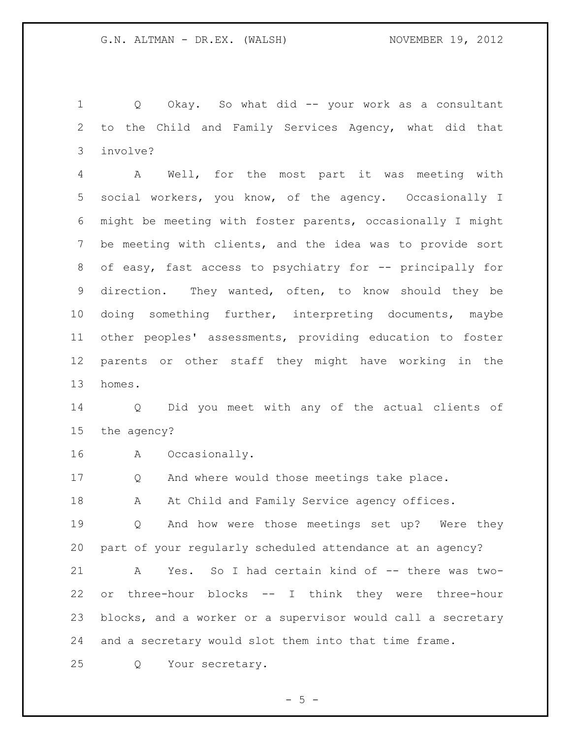Q Okay. So what did -- your work as a consultant to the Child and Family Services Agency, what did that involve?

 A Well, for the most part it was meeting with social workers, you know, of the agency. Occasionally I might be meeting with foster parents, occasionally I might be meeting with clients, and the idea was to provide sort 8 of easy, fast access to psychiatry for -- principally for direction. They wanted, often, to know should they be doing something further, interpreting documents, maybe other peoples' assessments, providing education to foster parents or other staff they might have working in the homes.

 Q Did you meet with any of the actual clients of the agency?

A Occasionally.

Q And where would those meetings take place.

18 A At Child and Family Service agency offices.

 Q And how were those meetings set up? Were they part of your regularly scheduled attendance at an agency?

21 A Yes. So I had certain kind of -- there was two- or three-hour blocks -- I think they were three-hour blocks, and a worker or a supervisor would call a secretary and a secretary would slot them into that time frame.

Q Your secretary.

 $-5 -$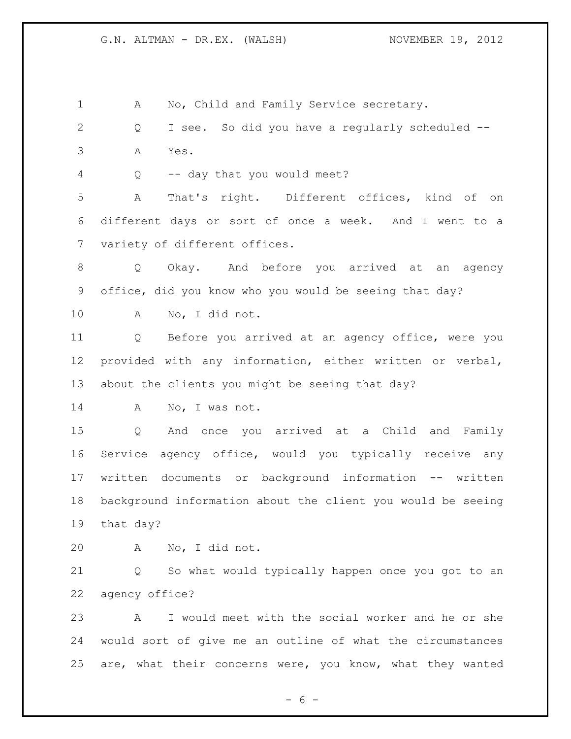1 A No, Child and Family Service secretary. Q I see. So did you have a regularly scheduled -- A Yes. Q -- day that you would meet? A That's right. Different offices, kind of on different days or sort of once a week. And I went to a variety of different offices. Q Okay. And before you arrived at an agency office, did you know who you would be seeing that day? A No, I did not. Q Before you arrived at an agency office, were you provided with any information, either written or verbal, about the clients you might be seeing that day? 14 A No, I was not. Q And once you arrived at a Child and Family Service agency office, would you typically receive any written documents or background information -- written background information about the client you would be seeing that day? A No, I did not. Q So what would typically happen once you got to an agency office? A I would meet with the social worker and he or she would sort of give me an outline of what the circumstances are, what their concerns were, you know, what they wanted

 $- 6 -$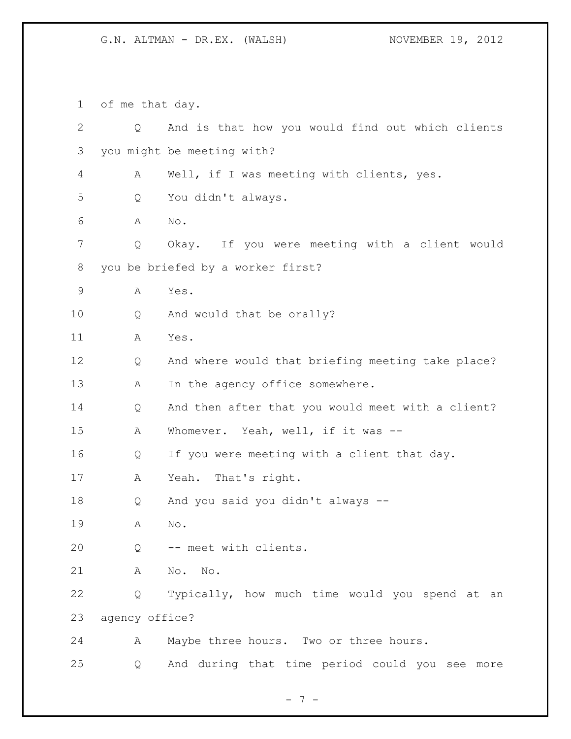of me that day.

 Q And is that how you would find out which clients you might be meeting with? A Well, if I was meeting with clients, yes. Q You didn't always. A No. Q Okay. If you were meeting with a client would you be briefed by a worker first? A Yes. 10 Q And would that be orally? A Yes. Q And where would that briefing meeting take place? 13 A In the agency office somewhere. Q And then after that you would meet with a client? A Whomever. Yeah, well, if it was -- Q If you were meeting with a client that day. A Yeah. That's right. Q And you said you didn't always -- A No. Q -- meet with clients. A No. No. Q Typically, how much time would you spend at an agency office? A Maybe three hours. Two or three hours. Q And during that time period could you see more

- 7 -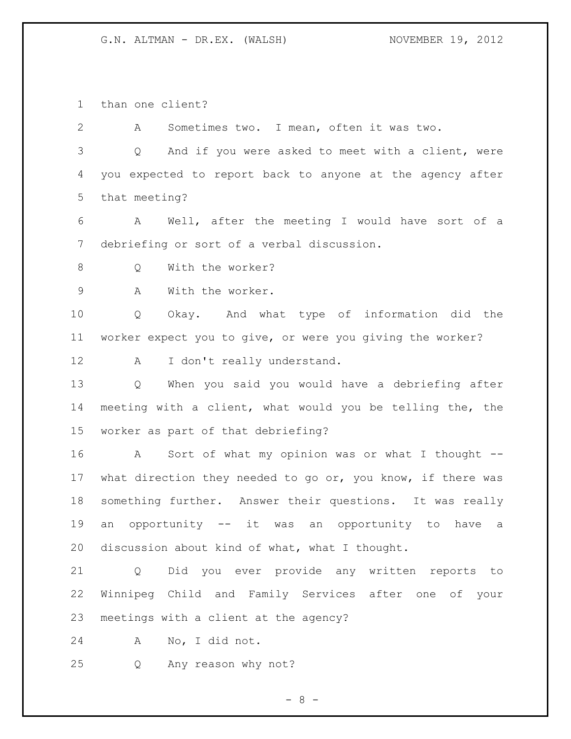than one client?

 A Sometimes two. I mean, often it was two. Q And if you were asked to meet with a client, were you expected to report back to anyone at the agency after that meeting? A Well, after the meeting I would have sort of a debriefing or sort of a verbal discussion. 8 O With the worker? A With the worker. Q Okay. And what type of information did the worker expect you to give, or were you giving the worker? 12 A I don't really understand. Q When you said you would have a debriefing after meeting with a client, what would you be telling the, the worker as part of that debriefing? A Sort of what my opinion was or what I thought -- what direction they needed to go or, you know, if there was something further. Answer their questions. It was really an opportunity -- it was an opportunity to have a discussion about kind of what, what I thought. Q Did you ever provide any written reports to

 Winnipeg Child and Family Services after one of your meetings with a client at the agency?

A No, I did not.

Q Any reason why not?

- 8 -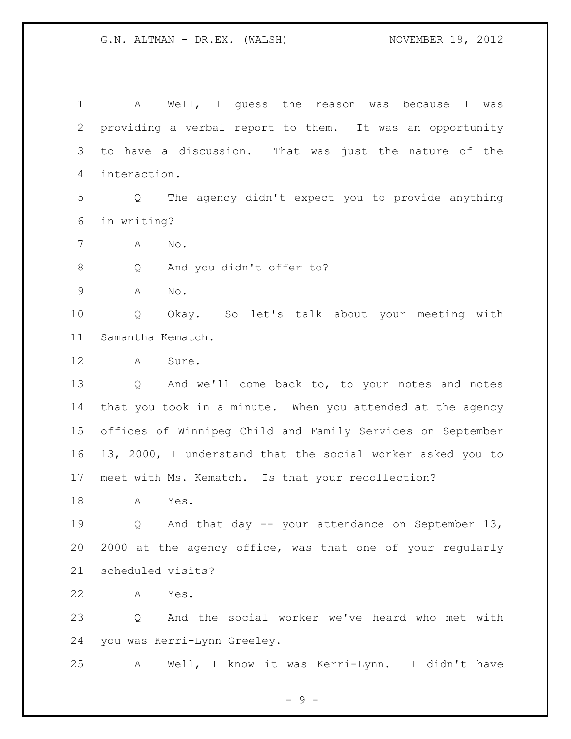| $\mathbf 1$     | A Well, I quess the reason was because I was                          |
|-----------------|-----------------------------------------------------------------------|
| 2               | providing a verbal report to them. It was an opportunity              |
| 3               | to have a discussion. That was just the nature of the                 |
| 4               | interaction.                                                          |
| 5               | The agency didn't expect you to provide anything<br>$Q \qquad \qquad$ |
| 6               | in writing?                                                           |
| 7               | Α<br>No.                                                              |
| 8               | And you didn't offer to?<br>Q                                         |
| $\mathsf 9$     | Α<br>No.                                                              |
| 10              | Q<br>Okay. So let's talk about your meeting with                      |
| 11              | Samantha Kematch.                                                     |
| 12              | Sure.<br>A                                                            |
| 13              | Q<br>And we'll come back to, to your notes and notes                  |
| 14              | that you took in a minute. When you attended at the agency            |
| 15 <sub>1</sub> | offices of Winnipeg Child and Family Services on September            |
| 16              | 13, 2000, I understand that the social worker asked you to            |
| 17              | meet with Ms. Kematch. Is that your recollection?                     |
| 18              | Α<br>Yes.                                                             |
| 19              | Q And that day -- your attendance on September 13,                    |
| 20              | 2000 at the agency office, was that one of your regularly             |
| 21              | scheduled visits?                                                     |
| 22              | A<br>Yes.                                                             |
| 23              | And the social worker we've heard who met with<br>Q                   |
| 24              | you was Kerri-Lynn Greeley.                                           |
| 25              | Well, I know it was Kerri-Lynn. I didn't have<br>A                    |

- 9 -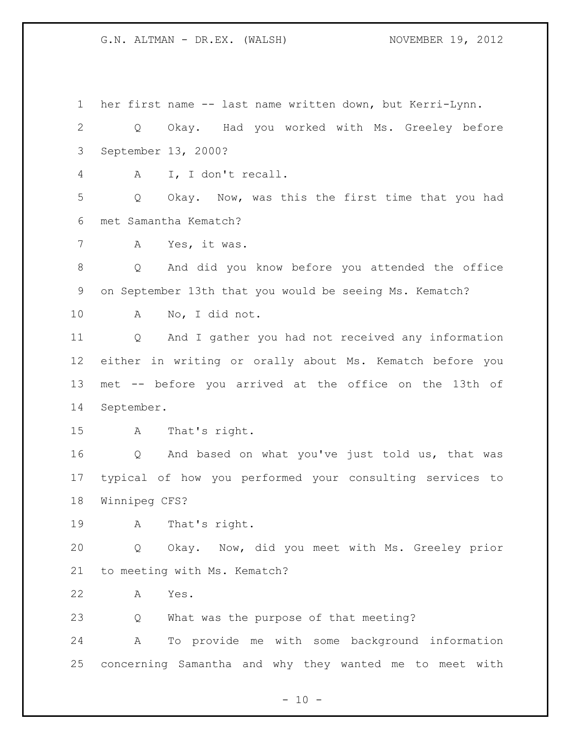her first name -- last name written down, but Kerri-Lynn. Q Okay. Had you worked with Ms. Greeley before September 13, 2000? A I, I don't recall. Q Okay. Now, was this the first time that you had met Samantha Kematch? A Yes, it was. Q And did you know before you attended the office on September 13th that you would be seeing Ms. Kematch? A No, I did not. Q And I gather you had not received any information either in writing or orally about Ms. Kematch before you met -- before you arrived at the office on the 13th of September. A That's right. Q And based on what you've just told us, that was typical of how you performed your consulting services to Winnipeg CFS? A That's right. Q Okay. Now, did you meet with Ms. Greeley prior to meeting with Ms. Kematch? A Yes. Q What was the purpose of that meeting? A To provide me with some background information concerning Samantha and why they wanted me to meet with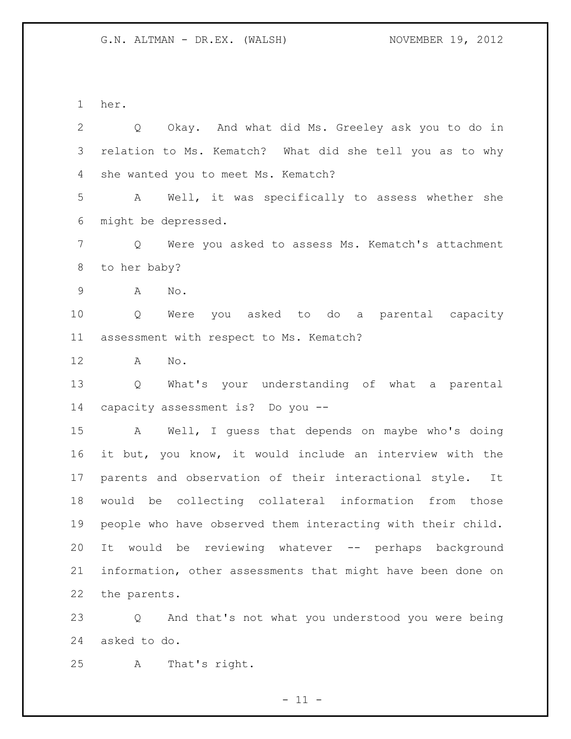her.

| $\mathbf{2}$   | Q Okay. And what did Ms. Greeley ask you to do in           |
|----------------|-------------------------------------------------------------|
| 3              | relation to Ms. Kematch? What did she tell you as to why    |
| $\overline{4}$ | she wanted you to meet Ms. Kematch?                         |
| 5              | A Well, it was specifically to assess whether she           |
| 6              | might be depressed.                                         |
| 7              | Q Were you asked to assess Ms. Kematch's attachment         |
| $8\,$          | to her baby?                                                |
| $\mathsf 9$    | $\mathrm{No}$ .<br>A                                        |
| 10             | Were you asked to do a parental capacity<br>Q               |
| 11             | assessment with respect to Ms. Kematch?                     |
| 12             | A<br>No.                                                    |
| 13             | Q What's your understanding of what a parental              |
| 14             | capacity assessment is? Do you --                           |
| 15             | A Well, I guess that depends on maybe who's doing           |
| 16             | it but, you know, it would include an interview with the    |
| 17             | parents and observation of their interactional style. It    |
| 18             | would be collecting collateral information from those       |
| 19             | people who have observed them interacting with their child. |
| 20             | It would be reviewing whatever -- perhaps background        |
| 21             | information, other assessments that might have been done on |
| 22             | the parents.                                                |
| 23             | And that's not what you understood you were being<br>Q      |

asked to do.

A That's right.

 $- 11 -$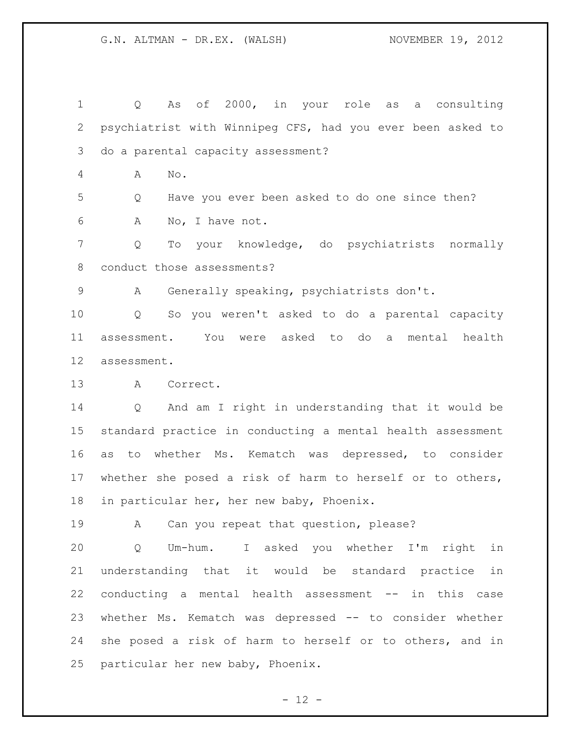Q As of 2000, in your role as a consulting psychiatrist with Winnipeg CFS, had you ever been asked to do a parental capacity assessment? A No. Q Have you ever been asked to do one since then? A No, I have not. Q To your knowledge, do psychiatrists normally conduct those assessments? A Generally speaking, psychiatrists don't. Q So you weren't asked to do a parental capacity assessment. You were asked to do a mental health assessment. A Correct. Q And am I right in understanding that it would be standard practice in conducting a mental health assessment as to whether Ms. Kematch was depressed, to consider whether she posed a risk of harm to herself or to others, in particular her, her new baby, Phoenix. A Can you repeat that question, please? Q Um-hum. I asked you whether I'm right in understanding that it would be standard practice in conducting a mental health assessment -- in this case whether Ms. Kematch was depressed -- to consider whether

 she posed a risk of harm to herself or to others, and in particular her new baby, Phoenix.

 $- 12 -$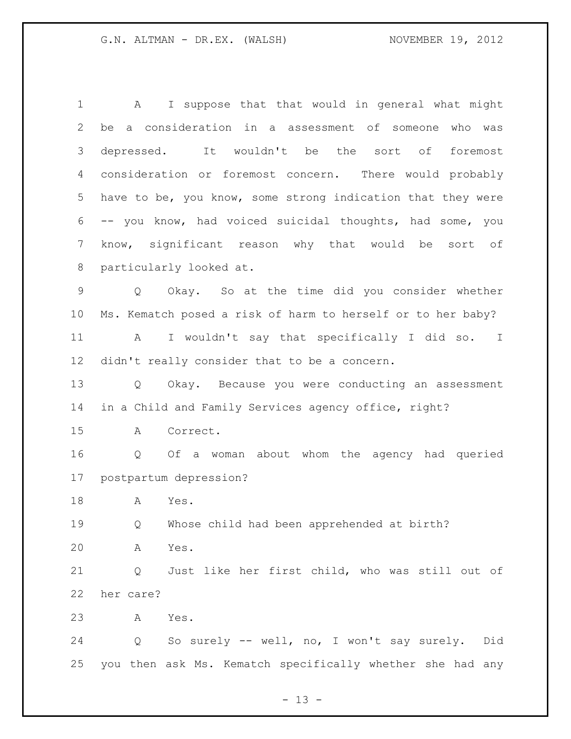A I suppose that that would in general what might be a consideration in a assessment of someone who was depressed. It wouldn't be the sort of foremost consideration or foremost concern. There would probably have to be, you know, some strong indication that they were -- you know, had voiced suicidal thoughts, had some, you know, significant reason why that would be sort of particularly looked at. Q Okay. So at the time did you consider whether Ms. Kematch posed a risk of harm to herself or to her baby? A I wouldn't say that specifically I did so. I didn't really consider that to be a concern. Q Okay. Because you were conducting an assessment in a Child and Family Services agency office, right? A Correct. Q Of a woman about whom the agency had queried postpartum depression? A Yes. Q Whose child had been apprehended at birth? A Yes. Q Just like her first child, who was still out of her care? A Yes. Q So surely -- well, no, I won't say surely. Did you then ask Ms. Kematch specifically whether she had any

 $- 13 -$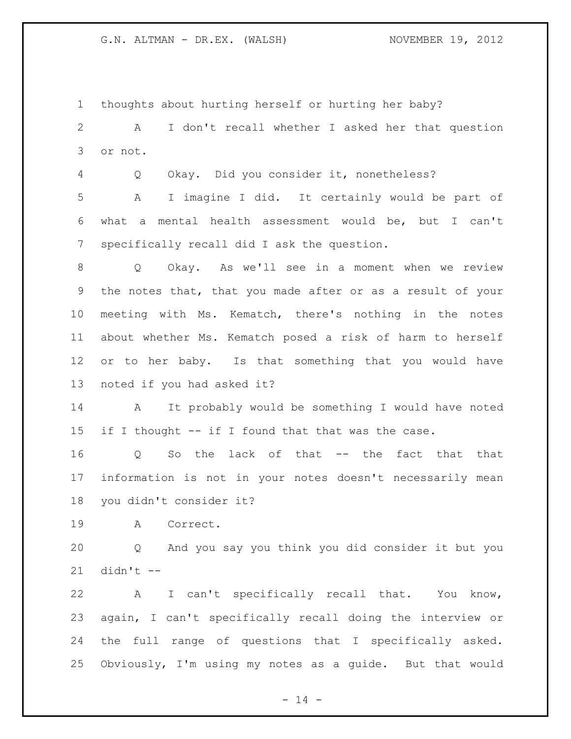thoughts about hurting herself or hurting her baby?

 A I don't recall whether I asked her that question or not.

Q Okay. Did you consider it, nonetheless?

 A I imagine I did. It certainly would be part of what a mental health assessment would be, but I can't specifically recall did I ask the question.

 Q Okay. As we'll see in a moment when we review the notes that, that you made after or as a result of your meeting with Ms. Kematch, there's nothing in the notes about whether Ms. Kematch posed a risk of harm to herself 12 or to her baby. Is that something that you would have noted if you had asked it?

 A It probably would be something I would have noted if I thought -- if I found that that was the case.

 Q So the lack of that -- the fact that that information is not in your notes doesn't necessarily mean you didn't consider it?

A Correct.

 Q And you say you think you did consider it but you didn't --

 A I can't specifically recall that. You know, again, I can't specifically recall doing the interview or the full range of questions that I specifically asked. Obviously, I'm using my notes as a guide. But that would

 $- 14 -$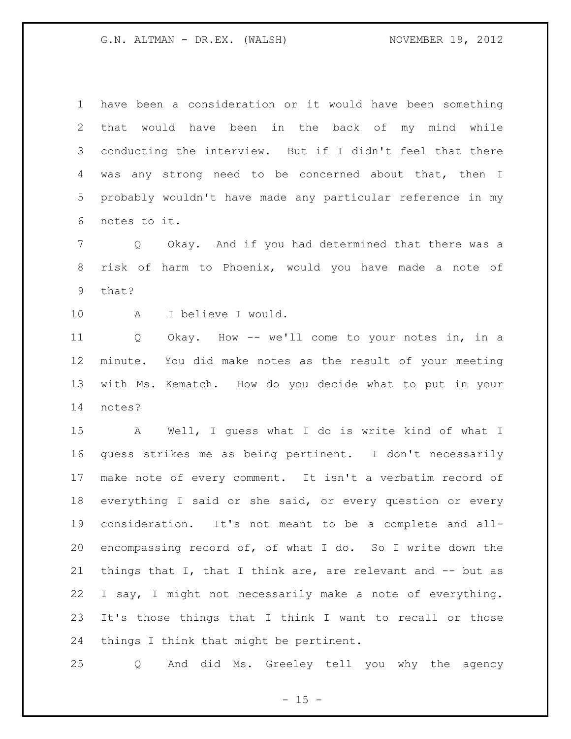have been a consideration or it would have been something that would have been in the back of my mind while conducting the interview. But if I didn't feel that there was any strong need to be concerned about that, then I probably wouldn't have made any particular reference in my notes to it.

 Q Okay. And if you had determined that there was a risk of harm to Phoenix, would you have made a note of that?

A I believe I would.

 Q Okay. How -- we'll come to your notes in, in a minute. You did make notes as the result of your meeting with Ms. Kematch. How do you decide what to put in your notes?

 A Well, I guess what I do is write kind of what I guess strikes me as being pertinent. I don't necessarily make note of every comment. It isn't a verbatim record of everything I said or she said, or every question or every consideration. It's not meant to be a complete and all- encompassing record of, of what I do. So I write down the things that I, that I think are, are relevant and -- but as I say, I might not necessarily make a note of everything. It's those things that I think I want to recall or those things I think that might be pertinent.

Q And did Ms. Greeley tell you why the agency

 $- 15 -$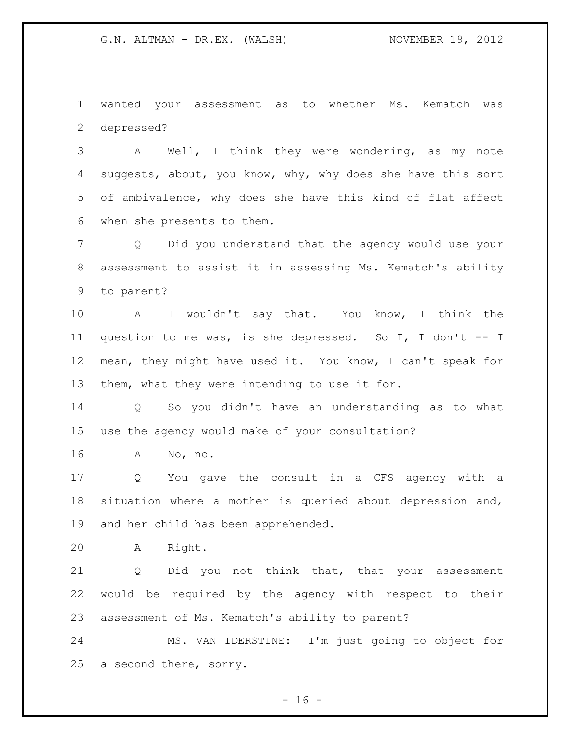wanted your assessment as to whether Ms. Kematch was depressed?

 A Well, I think they were wondering, as my note 4 suggests, about, you know, why, why does she have this sort of ambivalence, why does she have this kind of flat affect when she presents to them.

 Q Did you understand that the agency would use your assessment to assist it in assessing Ms. Kematch's ability to parent?

 A I wouldn't say that. You know, I think the question to me was, is she depressed. So I, I don't -- I mean, they might have used it. You know, I can't speak for them, what they were intending to use it for.

 Q So you didn't have an understanding as to what use the agency would make of your consultation?

A No, no.

 Q You gave the consult in a CFS agency with a situation where a mother is queried about depression and, and her child has been apprehended.

A Right.

 Q Did you not think that, that your assessment would be required by the agency with respect to their assessment of Ms. Kematch's ability to parent?

 MS. VAN IDERSTINE: I'm just going to object for a second there, sorry.

 $- 16 -$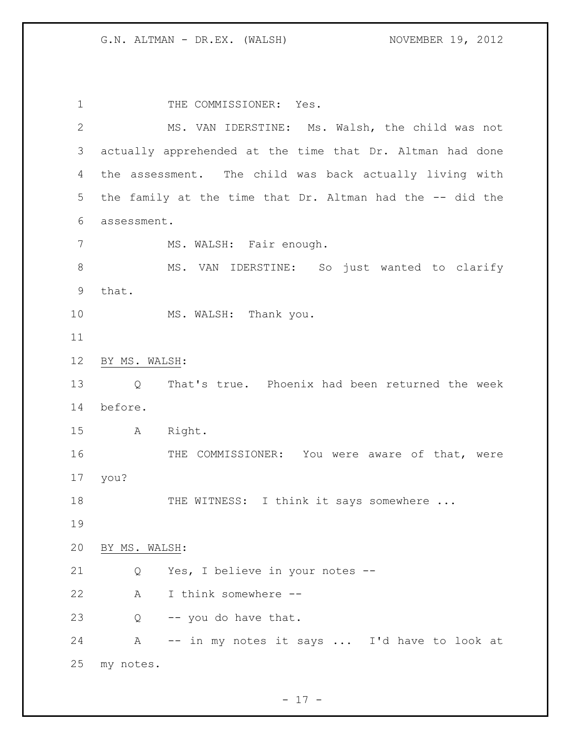1 THE COMMISSIONER: Yes. MS. VAN IDERSTINE: Ms. Walsh, the child was not actually apprehended at the time that Dr. Altman had done the assessment. The child was back actually living with the family at the time that Dr. Altman had the -- did the assessment. 7 MS. WALSH: Fair enough. 8 MS. VAN IDERSTINE: So just wanted to clarify that. 10 MS. WALSH: Thank you. BY MS. WALSH: Q That's true. Phoenix had been returned the week before. A Right. 16 THE COMMISSIONER: You were aware of that, were you? 18 THE WITNESS: I think it says somewhere ... BY MS. WALSH: Q Yes, I believe in your notes -- A I think somewhere -- Q -- you do have that. A -- in my notes it says ... I'd have to look at my notes.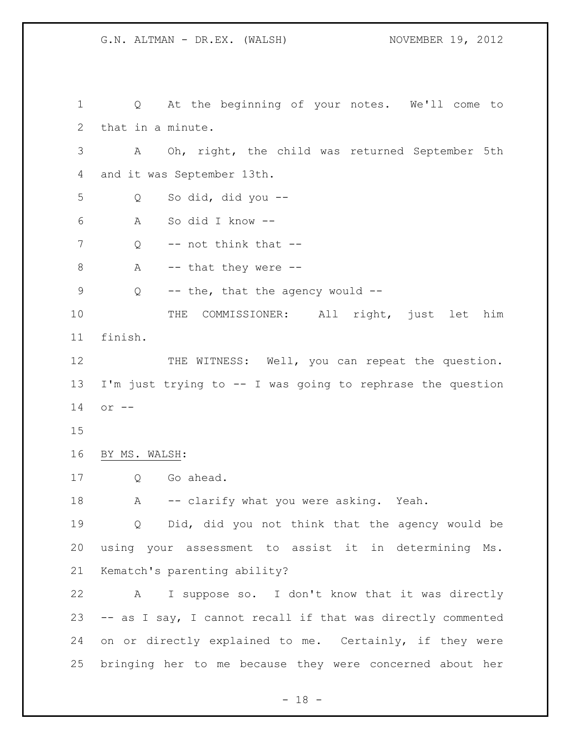Q At the beginning of your notes. We'll come to that in a minute. A Oh, right, the child was returned September 5th and it was September 13th. Q So did, did you -- A So did I know -- 7 Q -- not think that -- $A$  -- that they were  $-$  Q -- the, that the agency would -- THE COMMISSIONER: All right, just let him finish. 12 THE WITNESS: Well, you can repeat the question. I'm just trying to -- I was going to rephrase the question or -- BY MS. WALSH: Q Go ahead. 18 A -- clarify what you were asking. Yeah. Q Did, did you not think that the agency would be using your assessment to assist it in determining Ms. Kematch's parenting ability? A I suppose so. I don't know that it was directly -- as I say, I cannot recall if that was directly commented on or directly explained to me. Certainly, if they were bringing her to me because they were concerned about her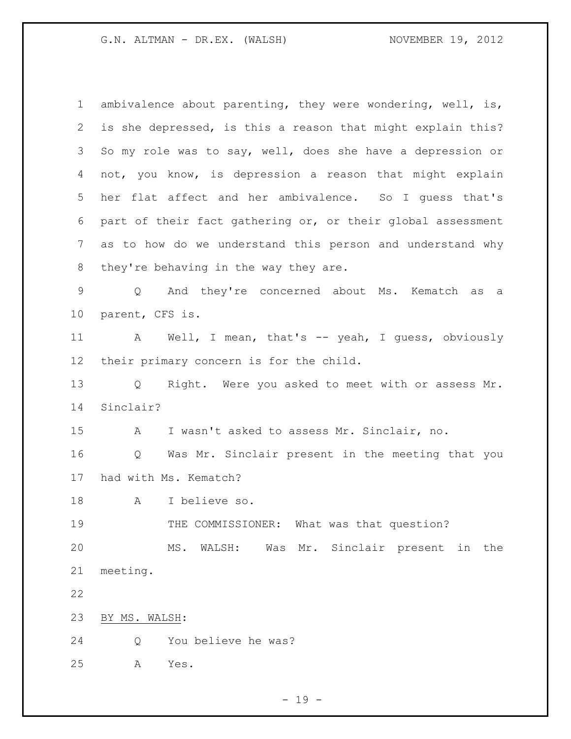ambivalence about parenting, they were wondering, well, is, is she depressed, is this a reason that might explain this? So my role was to say, well, does she have a depression or not, you know, is depression a reason that might explain her flat affect and her ambivalence. So I guess that's part of their fact gathering or, or their global assessment as to how do we understand this person and understand why they're behaving in the way they are. Q And they're concerned about Ms. Kematch as a parent, CFS is. 11 A Well, I mean, that's -- yeah, I guess, obviously their primary concern is for the child. Q Right. Were you asked to meet with or assess Mr. Sinclair? A I wasn't asked to assess Mr. Sinclair, no. Q Was Mr. Sinclair present in the meeting that you had with Ms. Kematch? A I believe so. 19 THE COMMISSIONER: What was that question? MS. WALSH: Was Mr. Sinclair present in the meeting. BY MS. WALSH: Q You believe he was? A Yes.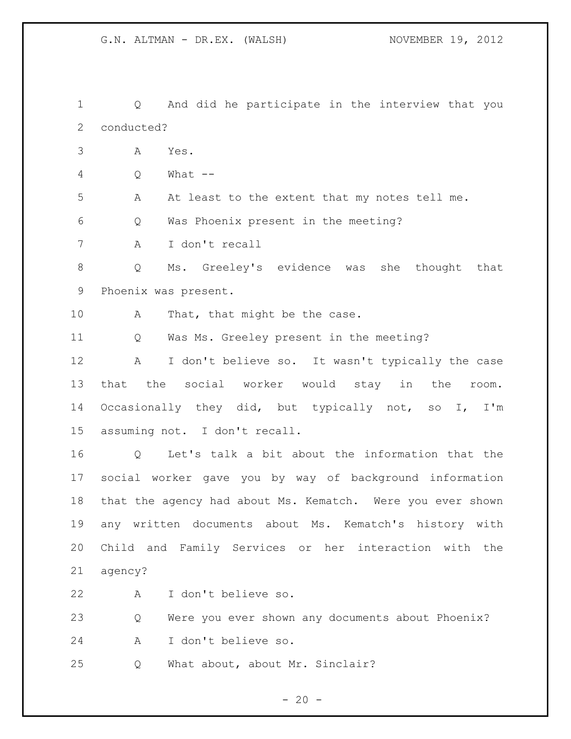Q And did he participate in the interview that you conducted? A Yes. Q What -- A At least to the extent that my notes tell me. Q Was Phoenix present in the meeting? A I don't recall Q Ms. Greeley's evidence was she thought that Phoenix was present. 10 A That, that might be the case. Q Was Ms. Greeley present in the meeting? A I don't believe so. It wasn't typically the case that the social worker would stay in the room. Occasionally they did, but typically not, so I, I'm assuming not. I don't recall. Q Let's talk a bit about the information that the social worker gave you by way of background information that the agency had about Ms. Kematch. Were you ever shown any written documents about Ms. Kematch's history with Child and Family Services or her interaction with the agency? A I don't believe so. Q Were you ever shown any documents about Phoenix? A I don't believe so. Q What about, about Mr. Sinclair?

 $- 20 -$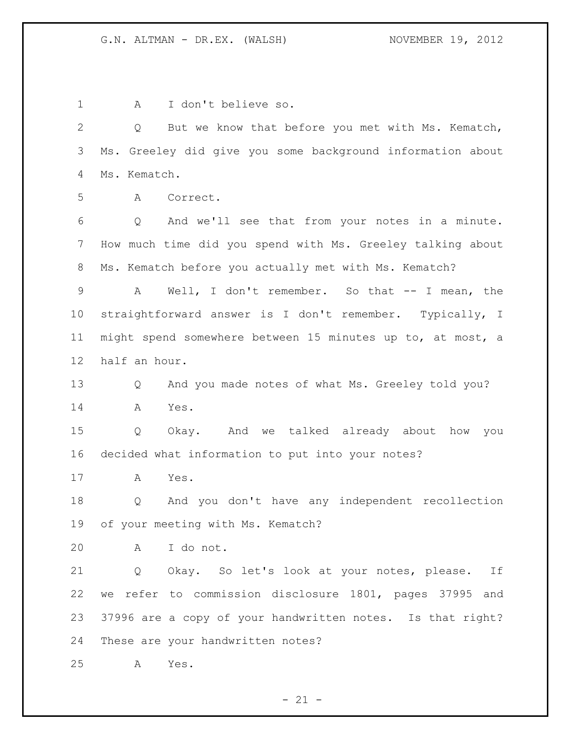A I don't believe so. Q But we know that before you met with Ms. Kematch, Ms. Greeley did give you some background information about Ms. Kematch. A Correct. Q And we'll see that from your notes in a minute. How much time did you spend with Ms. Greeley talking about Ms. Kematch before you actually met with Ms. Kematch? A Well, I don't remember. So that -- I mean, the straightforward answer is I don't remember. Typically, I might spend somewhere between 15 minutes up to, at most, a half an hour. Q And you made notes of what Ms. Greeley told you? A Yes. Q Okay. And we talked already about how you decided what information to put into your notes? A Yes. Q And you don't have any independent recollection of your meeting with Ms. Kematch? A I do not. Q Okay. So let's look at your notes, please. If we refer to commission disclosure 1801, pages 37995 and 37996 are a copy of your handwritten notes. Is that right? These are your handwritten notes? A Yes.

 $- 21 -$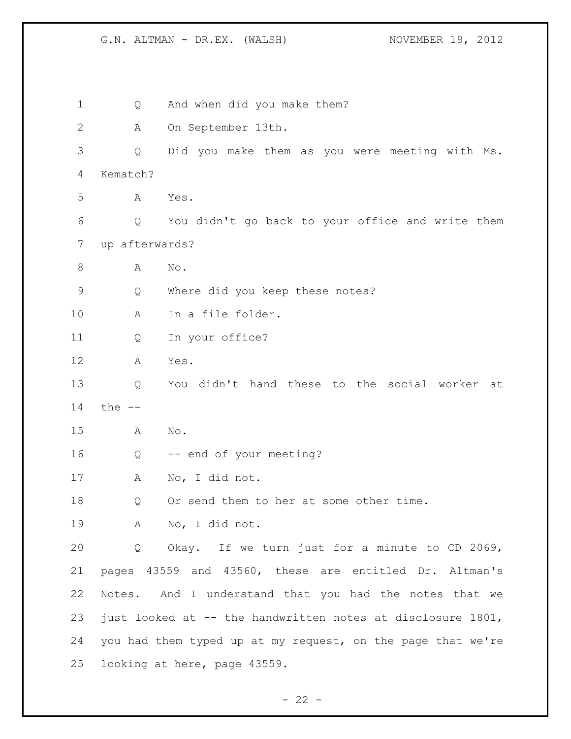Q And when did you make them? A On September 13th. Q Did you make them as you were meeting with Ms. Kematch? A Yes. Q You didn't go back to your office and write them up afterwards? 8 A No. Q Where did you keep these notes? A In a file folder. Q In your office? A Yes. Q You didn't hand these to the social worker at the -- A No. Q -- end of your meeting? A No, I did not. 18 Q Or send them to her at some other time. A No, I did not. Q Okay. If we turn just for a minute to CD 2069, pages 43559 and 43560, these are entitled Dr. Altman's Notes. And I understand that you had the notes that we just looked at -- the handwritten notes at disclosure 1801, you had them typed up at my request, on the page that we're looking at here, page 43559.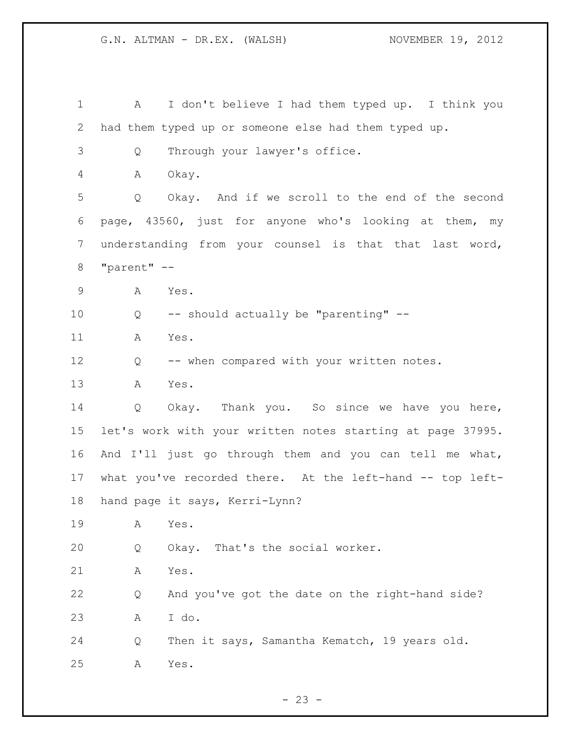1 A I don't believe I had them typed up. I think you had them typed up or someone else had them typed up. Q Through your lawyer's office. A Okay. Q Okay. And if we scroll to the end of the second page, 43560, just for anyone who's looking at them, my understanding from your counsel is that that last word, "parent" -- A Yes. Q -- should actually be "parenting" -- A Yes. 12 Q -- when compared with your written notes. A Yes. Q Okay. Thank you. So since we have you here, let's work with your written notes starting at page 37995. And I'll just go through them and you can tell me what, what you've recorded there. At the left-hand -- top left- hand page it says, Kerri-Lynn? A Yes. Q Okay. That's the social worker. A Yes. Q And you've got the date on the right-hand side? A I do. Q Then it says, Samantha Kematch, 19 years old. A Yes.

 $- 23 -$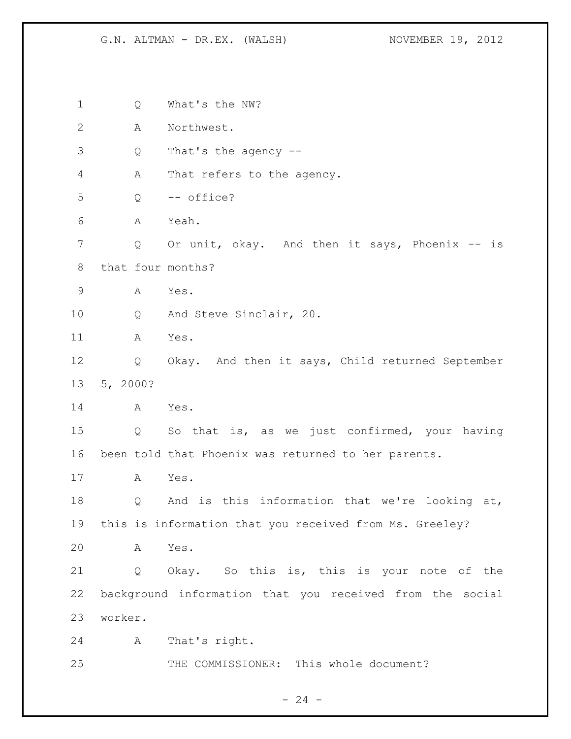| 1            |          | Q | What's the NW?                                           |
|--------------|----------|---|----------------------------------------------------------|
| $\mathbf{2}$ |          | Α | Northwest.                                               |
| 3            |          | Q | That's the agency --                                     |
| 4            |          | Α | That refers to the agency.                               |
| 5            |          | Q | -- office?                                               |
| 6            |          | А | Yeah.                                                    |
| 7            |          | Q | Or unit, okay. And then it says, Phoenix --<br>is        |
| 8            |          |   | that four months?                                        |
| $\mathsf 9$  |          | Α | Yes.                                                     |
| 10           |          | Q | And Steve Sinclair, 20.                                  |
| 11           |          | A | Yes.                                                     |
| 12           |          | Q | Okay. And then it says, Child returned September         |
| 13           | 5, 2000? |   |                                                          |
| 14           |          | Α | Yes.                                                     |
| 15           |          | Q | So that is, as we just confirmed, your having            |
| 16           |          |   | been told that Phoenix was returned to her parents.      |
| 17           |          | A | Yes.                                                     |
| 18           |          | Q | And is this information that we're looking at,           |
| 19           |          |   | this is information that you received from Ms. Greeley?  |
| 20           |          | A | Yes.                                                     |
| 21           |          | Q | Okay. So this is, this is your note of the               |
| 22           |          |   | background information that you received from the social |
| 23           | worker.  |   |                                                          |
| 24           |          | Α | That's right.                                            |
| 25           |          |   | THE COMMISSIONER: This whole document?                   |

- 24 -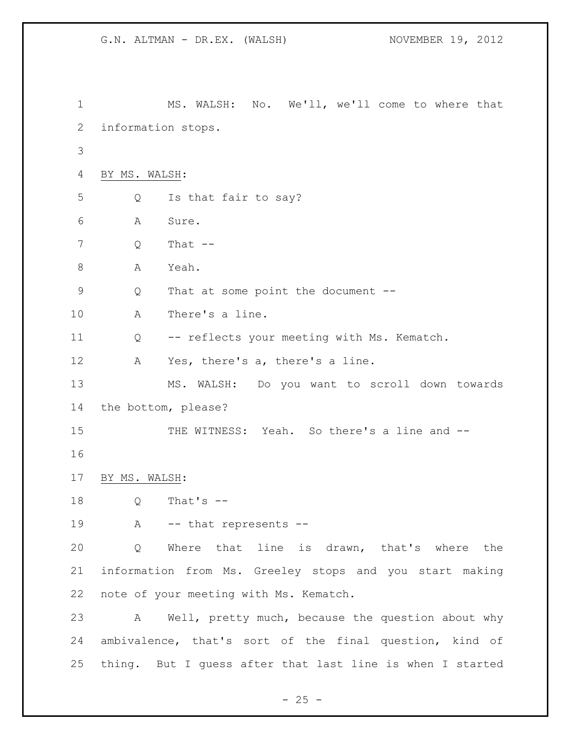```
1 MS. WALSH: No. We'll, we'll come to where that 
2 information stops. 
3
 4 BY MS. WALSH: 
5 Q Is that fair to say? 
 6 A Sure. 
7 Q That -8 A Yeah.
9 Q That at some point the document --
10 A There's a line.
11 Q -- reflects your meeting with Ms. Kematch. 
12 A Yes, there's a, there's a line.
13 MS. WALSH: Do you want to scroll down towards 
14 the bottom, please? 
15 THE WITNESS: Yeah. So there's a line and --
16
17 BY MS. WALSH:
18 Q That's --
19 A -- that represents --
20 Q Where that line is drawn, that's where the 
21 information from Ms. Greeley stops and you start making 
22 note of your meeting with Ms. Kematch. 
23 A Well, pretty much, because the question about why 
24 ambivalence, that's sort of the final question, kind of 
25 thing. But I guess after that last line is when I started
```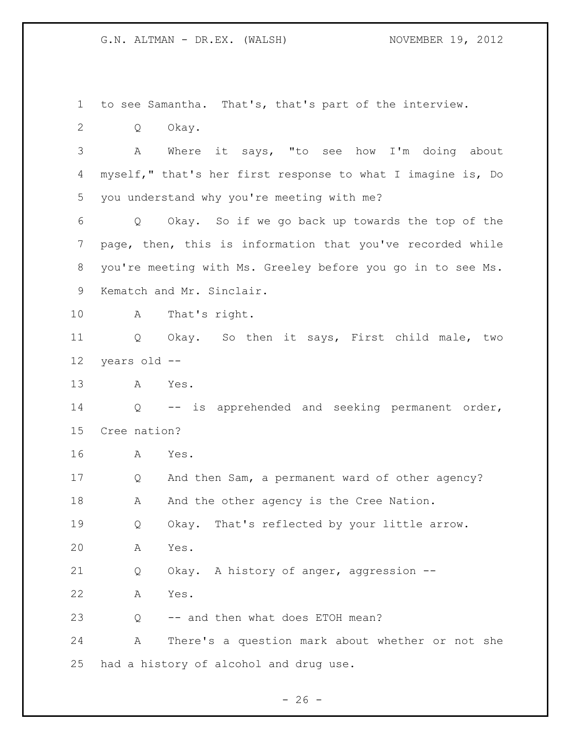to see Samantha. That's, that's part of the interview.

Q Okay.

 A Where it says, "to see how I'm doing about myself," that's her first response to what I imagine is, Do you understand why you're meeting with me?

 Q Okay. So if we go back up towards the top of the page, then, this is information that you've recorded while you're meeting with Ms. Greeley before you go in to see Ms. Kematch and Mr. Sinclair.

A That's right.

 Q Okay. So then it says, First child male, two years old --

A Yes.

 Q -- is apprehended and seeking permanent order, Cree nation?

A Yes.

 Q And then Sam, a permanent ward of other agency? 18 A And the other agency is the Cree Nation. Q Okay. That's reflected by your little arrow.

A Yes.

Q Okay. A history of anger, aggression --

A Yes.

Q -- and then what does ETOH mean?

 A There's a question mark about whether or not she had a history of alcohol and drug use.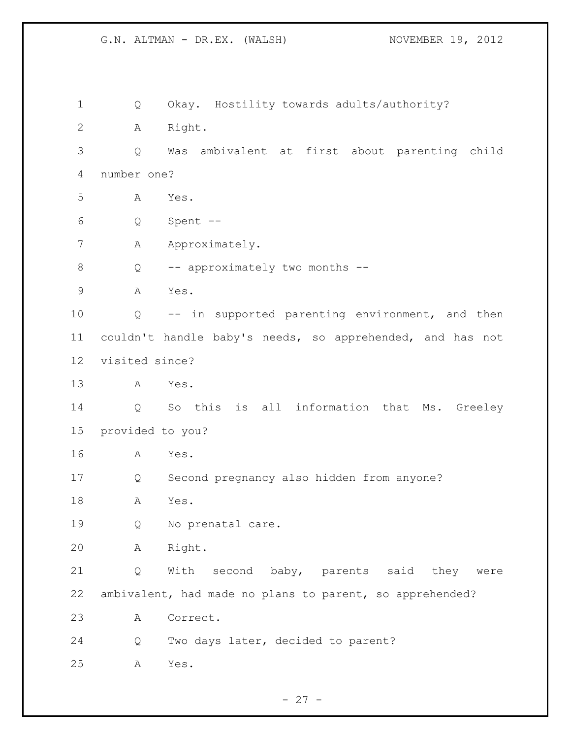Q Okay. Hostility towards adults/authority? A Right. Q Was ambivalent at first about parenting child number one? A Yes. Q Spent -- 7 A Approximately. Q -- approximately two months -- A Yes. Q -- in supported parenting environment, and then couldn't handle baby's needs, so apprehended, and has not visited since? A Yes. Q So this is all information that Ms. Greeley provided to you? A Yes. Q Second pregnancy also hidden from anyone? A Yes. Q No prenatal care. A Right. Q With second baby, parents said they were ambivalent, had made no plans to parent, so apprehended? A Correct. Q Two days later, decided to parent? A Yes.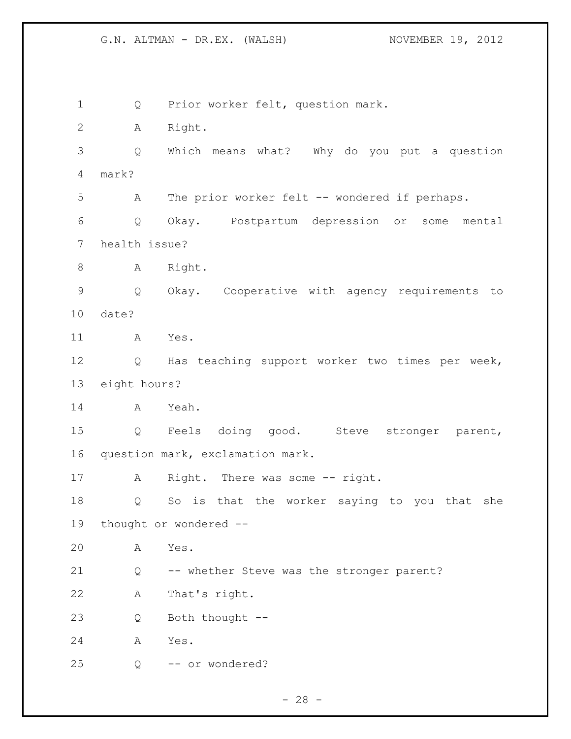Q Prior worker felt, question mark. A Right. Q Which means what? Why do you put a question mark? A The prior worker felt -- wondered if perhaps. Q Okay. Postpartum depression or some mental health issue? 8 A Right. Q Okay. Cooperative with agency requirements to date? A Yes. Q Has teaching support worker two times per week, eight hours? A Yeah. Q Feels doing good. Steve stronger parent, question mark, exclamation mark. 17 A Right. There was some -- right. Q So is that the worker saying to you that she thought or wondered -- A Yes. Q -- whether Steve was the stronger parent? A That's right. Q Both thought -- A Yes. Q -- or wondered?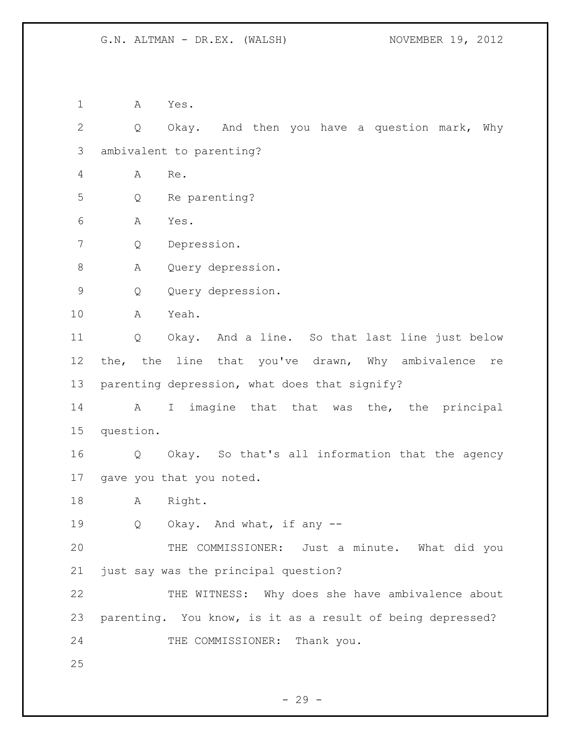A Yes. Q Okay. And then you have a question mark, Why ambivalent to parenting? A Re. Q Re parenting? A Yes. Q Depression. A Query depression. Q Query depression. A Yeah. Q Okay. And a line. So that last line just below 12 the, the line that you've drawn, Why ambivalence re parenting depression, what does that signify? A I imagine that that was the, the principal question. Q Okay. So that's all information that the agency gave you that you noted. A Right. 19 Q Okay. And what, if any -- THE COMMISSIONER: Just a minute. What did you just say was the principal question? THE WITNESS: Why does she have ambivalence about parenting. You know, is it as a result of being depressed? 24 THE COMMISSIONER: Thank you.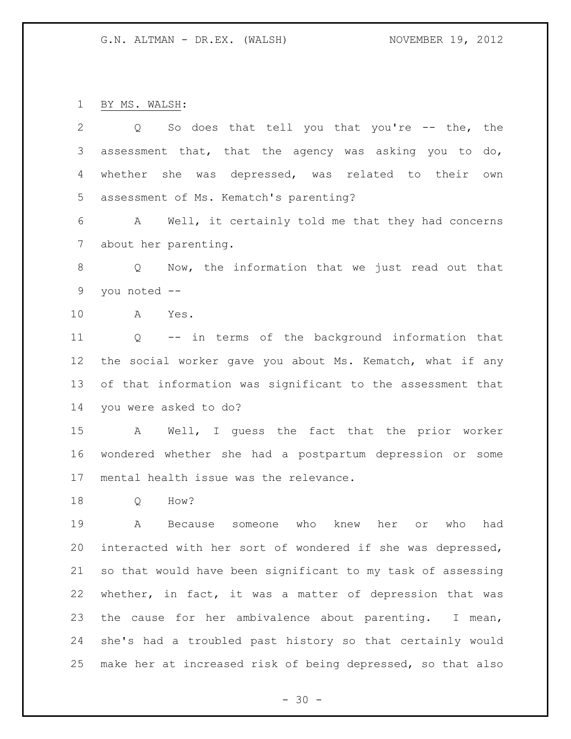BY MS. WALSH:

| $\overline{2}$ | So does that tell you that you're -- the, the<br>Q                |
|----------------|-------------------------------------------------------------------|
| 3              | assessment that, that the agency was asking you to do,            |
| 4              | she was depressed, was related to their<br>whether<br>own         |
| 5              | assessment of Ms. Kematch's parenting?                            |
| 6              | A Well, it certainly told me that they had concerns               |
| $7\phantom{.}$ | about her parenting.                                              |
| $8\,$          | Now, the information that we just read out that<br>Q              |
| $\mathsf 9$    | you noted --                                                      |
| 10             | Yes.<br>A                                                         |
| 11             | -- in terms of the background information that<br>Q               |
| 12             | the social worker gave you about Ms. Kematch, what if any         |
| 13             | of that information was significant to the assessment that        |
| 14             | you were asked to do?                                             |
| 15             | Well, I guess the fact that the prior worker<br>A                 |
| 16             | wondered whether she had a postpartum depression or some          |
| 17             | mental health issue was the relevance.                            |
| 18             | How?<br>Q                                                         |
| 19             | who<br>knew<br>her<br>who<br>had<br>А<br>Because<br>someone<br>or |
| 20             | interacted with her sort of wondered if she was depressed,        |
| 21             | so that would have been significant to my task of assessing       |
| 22             | whether, in fact, it was a matter of depression that was          |
| 23             | the cause for her ambivalence about parenting. I mean,            |
| 24             | she's had a troubled past history so that certainly would         |
| 25             | make her at increased risk of being depressed, so that also       |

- 30 -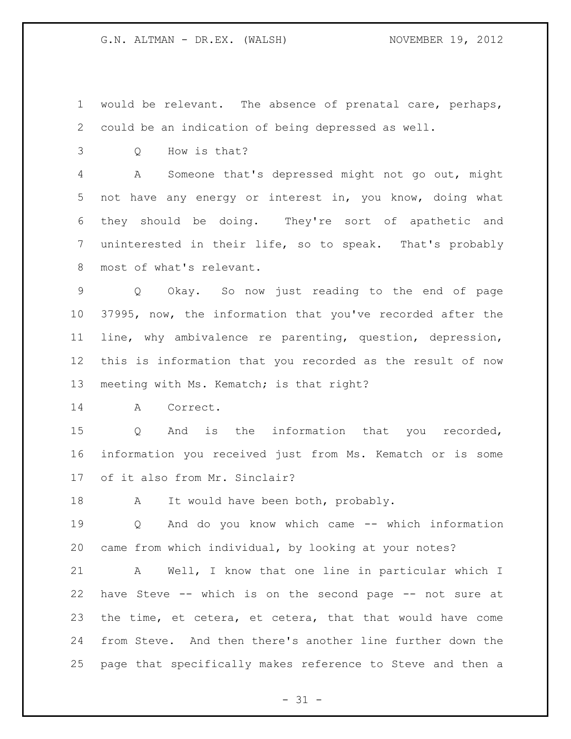would be relevant. The absence of prenatal care, perhaps, could be an indication of being depressed as well.

Q How is that?

 A Someone that's depressed might not go out, might not have any energy or interest in, you know, doing what they should be doing. They're sort of apathetic and uninterested in their life, so to speak. That's probably most of what's relevant.

 Q Okay. So now just reading to the end of page 37995, now, the information that you've recorded after the line, why ambivalence re parenting, question, depression, this is information that you recorded as the result of now meeting with Ms. Kematch; is that right?

A Correct.

 Q And is the information that you recorded, information you received just from Ms. Kematch or is some of it also from Mr. Sinclair?

18 A It would have been both, probably.

 Q And do you know which came -- which information came from which individual, by looking at your notes?

 A Well, I know that one line in particular which I have Steve -- which is on the second page -- not sure at the time, et cetera, et cetera, that that would have come from Steve. And then there's another line further down the page that specifically makes reference to Steve and then a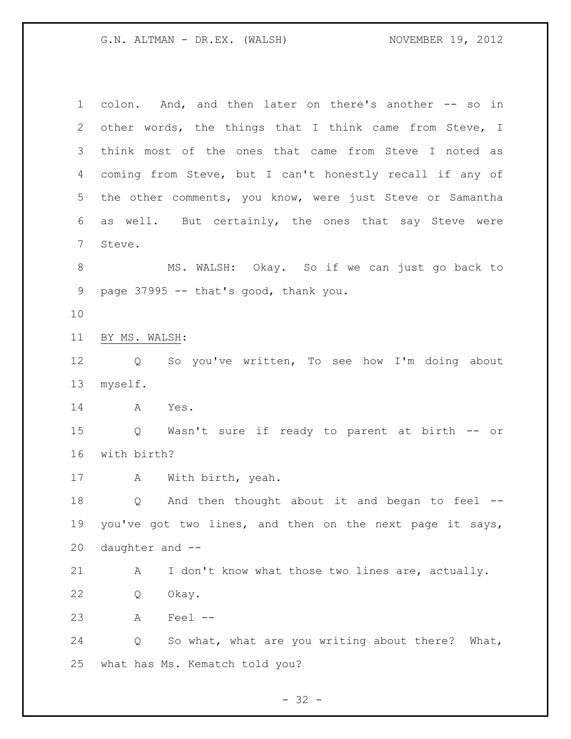colon. And, and then later on there's another -- so in other words, the things that I think came from Steve, I think most of the ones that came from Steve I noted as coming from Steve, but I can't honestly recall if any of the other comments, you know, were just Steve or Samantha as well. But certainly, the ones that say Steve were Steve. MS. WALSH: Okay. So if we can just go back to page 37995 -- that's good, thank you. BY MS. WALSH: Q So you've written, To see how I'm doing about myself. A Yes. Q Wasn't sure if ready to parent at birth -- or with birth? A With birth, yeah. Q And then thought about it and began to feel -- you've got two lines, and then on the next page it says, daughter and -- 21 A I don't know what those two lines are, actually. Q Okay. A Feel -- Q So what, what are you writing about there? What, what has Ms. Kematch told you?

 $- 32 -$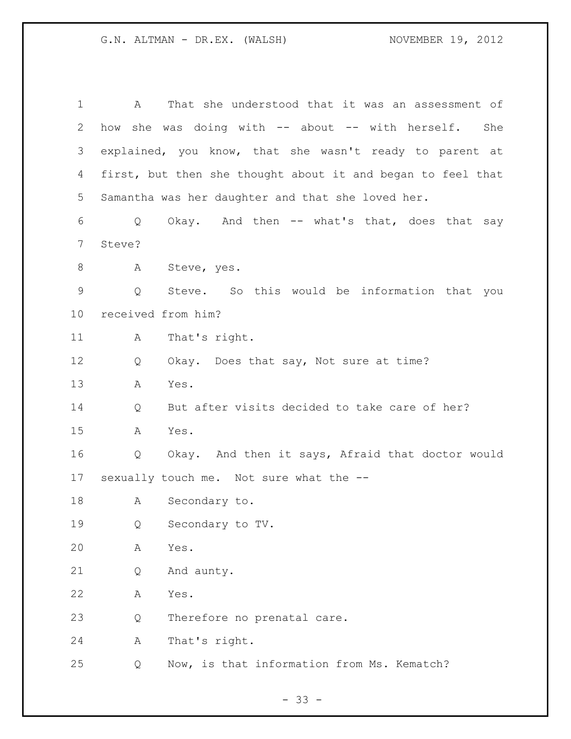| $\mathbf 1$ | A                  | That she understood that it was an assessment of            |
|-------------|--------------------|-------------------------------------------------------------|
| 2           | how                | she was doing with -- about -- with herself.<br>She         |
| 3           |                    | explained, you know, that she wasn't ready to parent at     |
| 4           |                    | first, but then she thought about it and began to feel that |
| 5           |                    | Samantha was her daughter and that she loved her.           |
| 6           | Q                  | Okay. And then -- what's that, does that say                |
| 7           | Steve?             |                                                             |
| 8           | A                  | Steve, yes.                                                 |
| $\mathsf 9$ | Q                  | Steve. So this would be information that you                |
| 10          | received from him? |                                                             |
| 11          | A                  | That's right.                                               |
| 12          | Q                  | Okay. Does that say, Not sure at time?                      |
| 13          | Α                  | Yes.                                                        |
| 14          | Q                  | But after visits decided to take care of her?               |
| 15          | A                  | Yes.                                                        |
| 16          | Q                  | Okay. And then it says, Afraid that doctor would            |
| 17          |                    | sexually touch me. Not sure what the --                     |
| 18          |                    | A Secondary to.                                             |
| 19          | Q                  | Secondary to TV.                                            |
| 20          | Α                  | Yes.                                                        |
| 21          | Q                  | And aunty.                                                  |
| 22          | Α                  | Yes.                                                        |
| 23          | Q                  | Therefore no prenatal care.                                 |
| 24          | Α                  | That's right.                                               |
| 25          | Q                  | Now, is that information from Ms. Kematch?                  |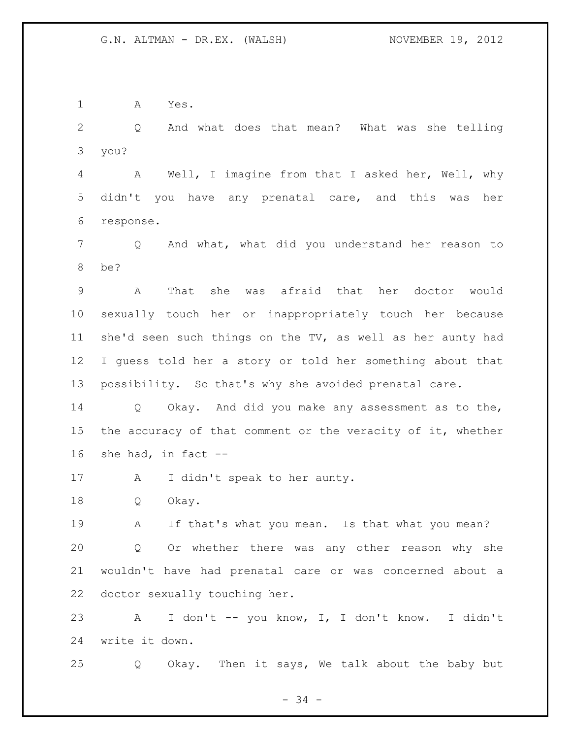A Yes.

 Q And what does that mean? What was she telling you?

 A Well, I imagine from that I asked her, Well, why didn't you have any prenatal care, and this was her response.

 Q And what, what did you understand her reason to be?

 A That she was afraid that her doctor would sexually touch her or inappropriately touch her because she'd seen such things on the TV, as well as her aunty had I guess told her a story or told her something about that possibility. So that's why she avoided prenatal care.

 Q Okay. And did you make any assessment as to the, the accuracy of that comment or the veracity of it, whether she had, in fact --

17 A I didn't speak to her aunty.

Q Okay.

 A If that's what you mean. Is that what you mean? Q Or whether there was any other reason why she wouldn't have had prenatal care or was concerned about a doctor sexually touching her.

 A I don't -- you know, I, I don't know. I didn't write it down.

Q Okay. Then it says, We talk about the baby but

 $- 34 -$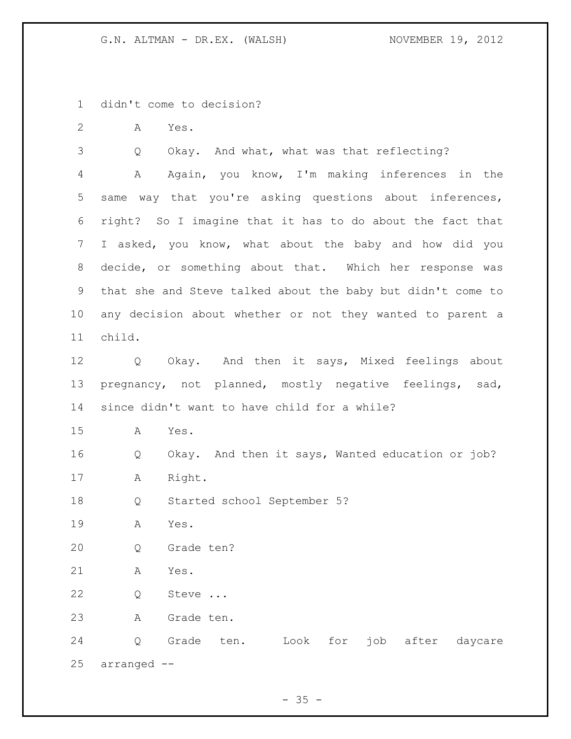didn't come to decision?

A Yes.

Q Okay. And what, what was that reflecting?

 A Again, you know, I'm making inferences in the same way that you're asking questions about inferences, right? So I imagine that it has to do about the fact that I asked, you know, what about the baby and how did you decide, or something about that. Which her response was that she and Steve talked about the baby but didn't come to any decision about whether or not they wanted to parent a child.

 Q Okay. And then it says, Mixed feelings about pregnancy, not planned, mostly negative feelings, sad, since didn't want to have child for a while?

A Yes.

Q Okay. And then it says, Wanted education or job?

A Right.

Q Started school September 5?

A Yes.

Q Grade ten?

A Yes.

Q Steve ...

A Grade ten.

 Q Grade ten. Look for job after daycare arranged --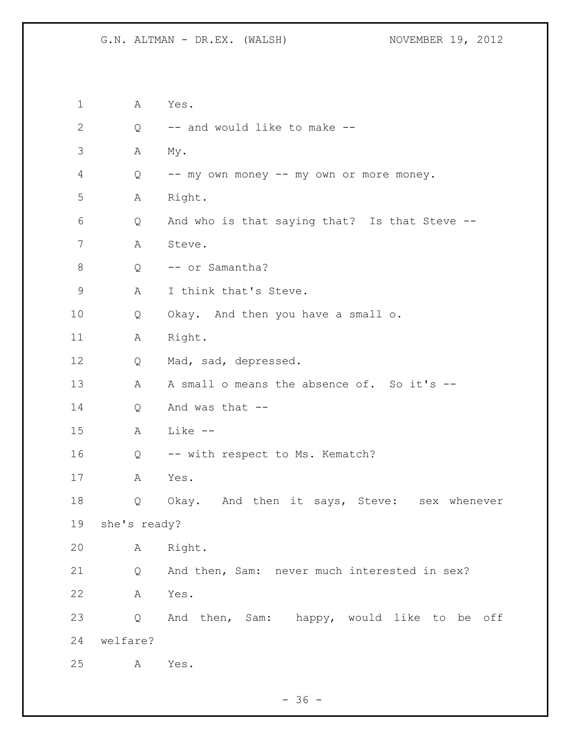A Yes. Q -- and would like to make -- A My. Q -- my own money -- my own or more money. A Right. Q And who is that saying that? Is that Steve -- A Steve. 8 Q -- or Samantha? 9 A I think that's Steve. Q Okay. And then you have a small o. 11 A Right. Q Mad, sad, depressed. 13 A A small o means the absence of. So it's -- Q And was that -- A Like -- 16 Q -- with respect to Ms. Kematch? A Yes. Q Okay. And then it says, Steve: sex whenever she's ready? A Right. Q And then, Sam: never much interested in sex? A Yes. Q And then, Sam: happy, would like to be off welfare? A Yes.

- 36 -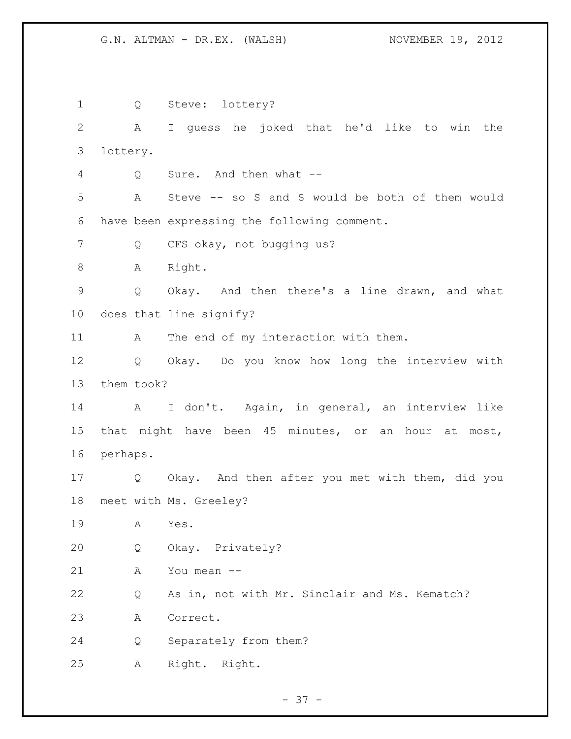Q Steve: lottery? A I guess he joked that he'd like to win the lottery. Q Sure. And then what -- A Steve -- so S and S would be both of them would have been expressing the following comment. Q CFS okay, not bugging us? 8 A Right. Q Okay. And then there's a line drawn, and what does that line signify? 11 A The end of my interaction with them. Q Okay. Do you know how long the interview with them took? 14 A I don't. Again, in general, an interview like that might have been 45 minutes, or an hour at most, perhaps. Q Okay. And then after you met with them, did you meet with Ms. Greeley? A Yes. Q Okay. Privately? A You mean -- Q As in, not with Mr. Sinclair and Ms. Kematch? A Correct. Q Separately from them? A Right. Right.

- 37 -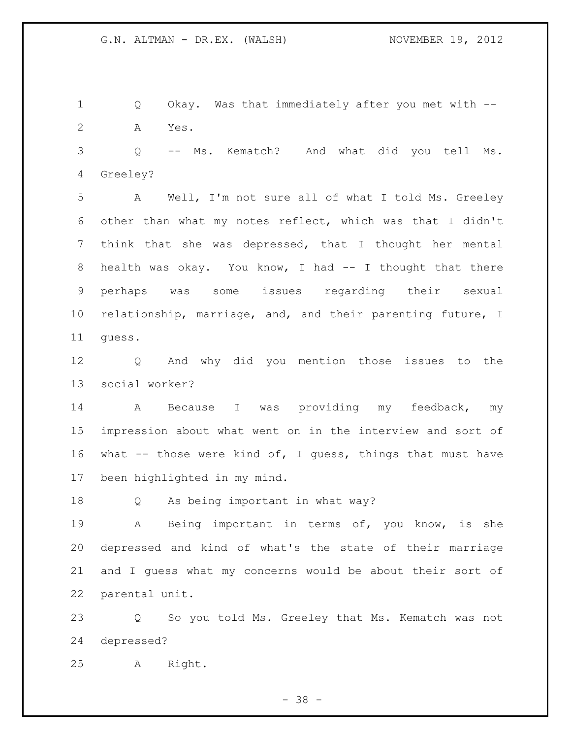Q Okay. Was that immediately after you met with -- A Yes.

 Q -- Ms. Kematch? And what did you tell Ms. Greeley?

 A Well, I'm not sure all of what I told Ms. Greeley other than what my notes reflect, which was that I didn't think that she was depressed, that I thought her mental 8 health was okay. You know, I had -- I thought that there perhaps was some issues regarding their sexual relationship, marriage, and, and their parenting future, I guess.

 Q And why did you mention those issues to the social worker?

 A Because I was providing my feedback, my impression about what went on in the interview and sort of what -- those were kind of, I guess, things that must have been highlighted in my mind.

Q As being important in what way?

 A Being important in terms of, you know, is she depressed and kind of what's the state of their marriage and I guess what my concerns would be about their sort of parental unit.

 Q So you told Ms. Greeley that Ms. Kematch was not depressed?

A Right.

- 38 -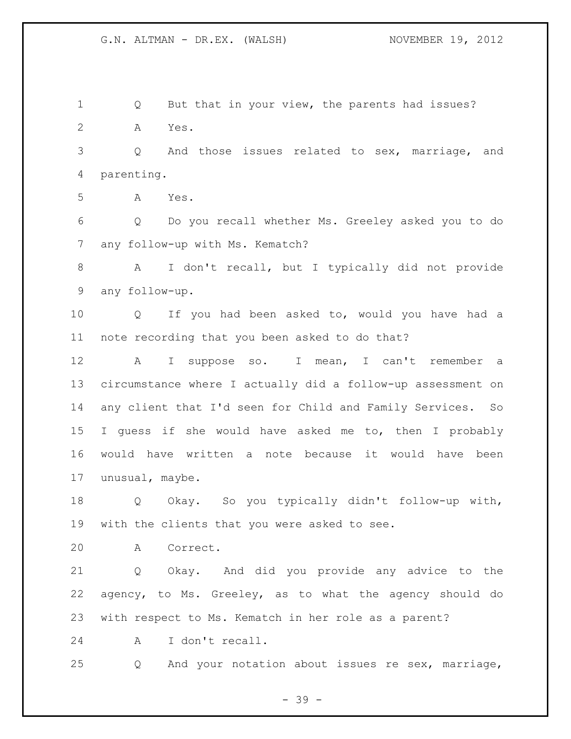Q But that in your view, the parents had issues? A Yes. Q And those issues related to sex, marriage, and parenting. A Yes. Q Do you recall whether Ms. Greeley asked you to do any follow-up with Ms. Kematch? A I don't recall, but I typically did not provide any follow-up. Q If you had been asked to, would you have had a note recording that you been asked to do that? A I suppose so. I mean, I can't remember a circumstance where I actually did a follow-up assessment on any client that I'd seen for Child and Family Services. So I guess if she would have asked me to, then I probably would have written a note because it would have been unusual, maybe. Q Okay. So you typically didn't follow-up with, with the clients that you were asked to see. A Correct. Q Okay. And did you provide any advice to the agency, to Ms. Greeley, as to what the agency should do with respect to Ms. Kematch in her role as a parent? A I don't recall. Q And your notation about issues re sex, marriage,

- 39 -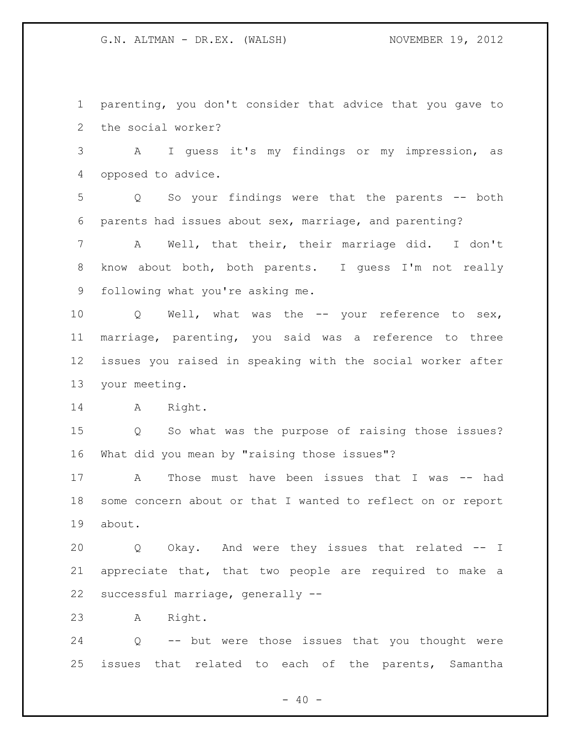parenting, you don't consider that advice that you gave to the social worker?

 A I guess it's my findings or my impression, as opposed to advice.

 Q So your findings were that the parents -- both parents had issues about sex, marriage, and parenting?

 A Well, that their, their marriage did. I don't know about both, both parents. I guess I'm not really following what you're asking me.

 Q Well, what was the -- your reference to sex, marriage, parenting, you said was a reference to three issues you raised in speaking with the social worker after your meeting.

A Right.

 Q So what was the purpose of raising those issues? What did you mean by "raising those issues"?

 A Those must have been issues that I was -- had some concern about or that I wanted to reflect on or report about.

 Q Okay. And were they issues that related -- I appreciate that, that two people are required to make a successful marriage, generally --

A Right.

 Q -- but were those issues that you thought were issues that related to each of the parents, Samantha

 $- 40 -$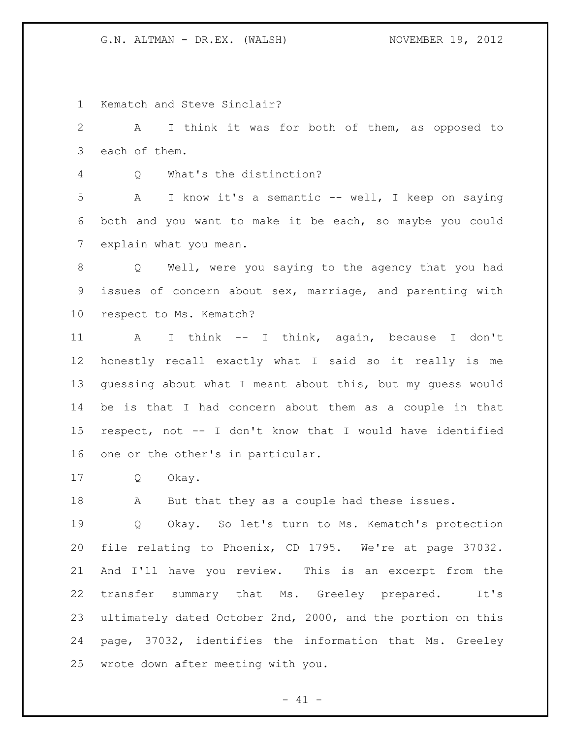Kematch and Steve Sinclair?

 A I think it was for both of them, as opposed to each of them.

Q What's the distinction?

 A I know it's a semantic -- well, I keep on saying both and you want to make it be each, so maybe you could explain what you mean.

 Q Well, were you saying to the agency that you had issues of concern about sex, marriage, and parenting with respect to Ms. Kematch?

 A I think -- I think, again, because I don't honestly recall exactly what I said so it really is me guessing about what I meant about this, but my guess would be is that I had concern about them as a couple in that respect, not -- I don't know that I would have identified one or the other's in particular.

Q Okay.

A But that they as a couple had these issues.

 Q Okay. So let's turn to Ms. Kematch's protection file relating to Phoenix, CD 1795. We're at page 37032. And I'll have you review. This is an excerpt from the transfer summary that Ms. Greeley prepared. It's ultimately dated October 2nd, 2000, and the portion on this page, 37032, identifies the information that Ms. Greeley wrote down after meeting with you.

 $- 41 -$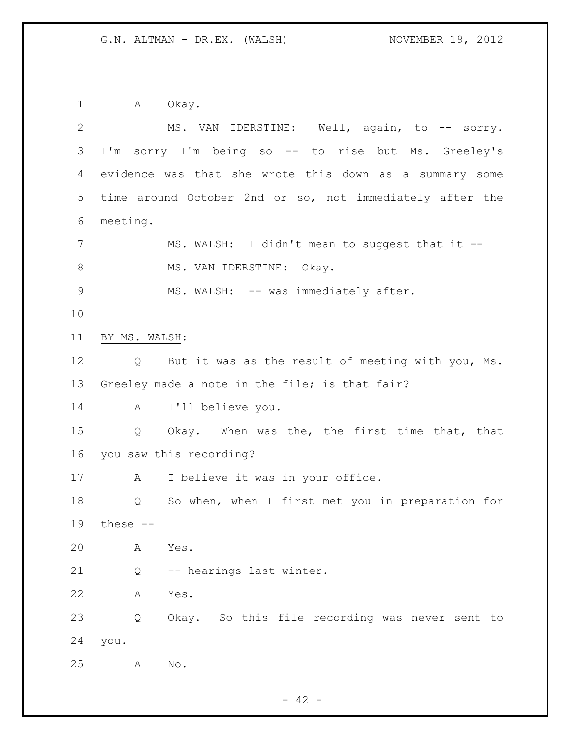1 A Okay. 2 MS. VAN IDERSTINE: Well, again, to -- sorry. I'm sorry I'm being so -- to rise but Ms. Greeley's evidence was that she wrote this down as a summary some time around October 2nd or so, not immediately after the meeting. 7 MS. WALSH: I didn't mean to suggest that it --8 MS. VAN IDERSTINE: Okay. 9 MS. WALSH: -- was immediately after. BY MS. WALSH: Q But it was as the result of meeting with you, Ms. Greeley made a note in the file; is that fair? A I'll believe you. Q Okay. When was the, the first time that, that you saw this recording? 17 A I believe it was in your office. Q So when, when I first met you in preparation for these -- A Yes. Q -- hearings last winter. A Yes. Q Okay. So this file recording was never sent to you. A No.

 $- 42 -$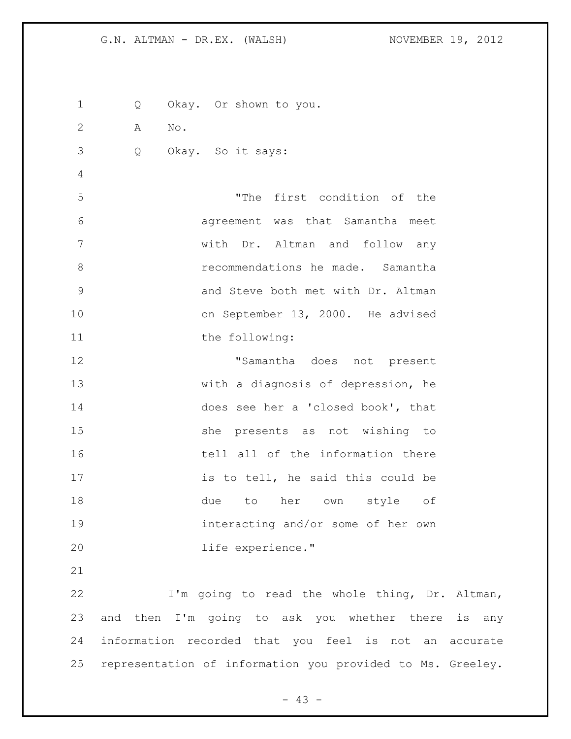Q Okay. Or shown to you. A No. Q Okay. So it says: "The first condition of the agreement was that Samantha meet with Dr. Altman and follow any recommendations he made. Samantha and Steve both met with Dr. Altman on September 13, 2000. He advised 11 the following: "Samantha does not present with a diagnosis of depression, he does see her a 'closed book', that she presents as not wishing to 16 tell all of the information there 17 is to tell, he said this could be due to her own style of interacting and/or some of her own life experience." I'm going to read the whole thing, Dr. Altman, and then I'm going to ask you whether there is any information recorded that you feel is not an accurate

 $- 43 -$ 

representation of information you provided to Ms. Greeley.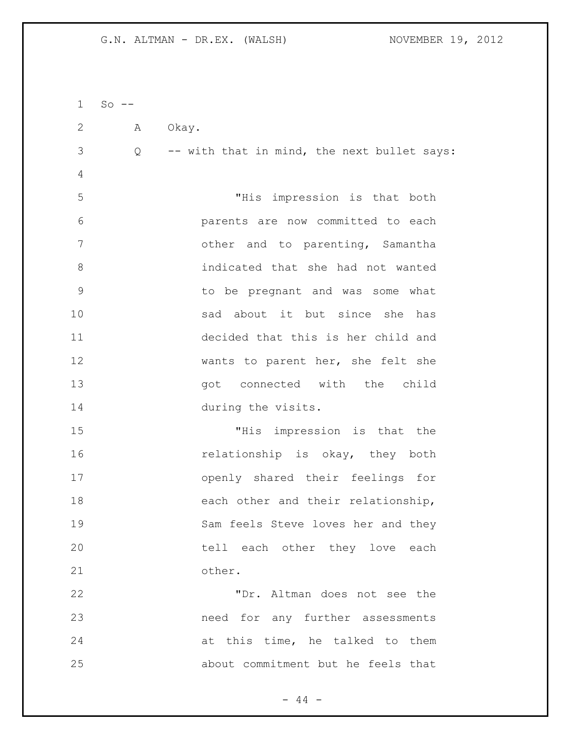| 1  | $So$ -- |                                               |
|----|---------|-----------------------------------------------|
| 2  | Α       | Okay.                                         |
| 3  |         | Q -- with that in mind, the next bullet says: |
| 4  |         |                                               |
| 5  |         | "His impression is that both                  |
| 6  |         | parents are now committed to each             |
| 7  |         | other and to parenting, Samantha              |
| 8  |         | indicated that she had not wanted             |
| 9  |         | to be pregnant and was some what              |
| 10 |         | sad about it but since she has                |
| 11 |         | decided that this is her child and            |
| 12 |         | wants to parent her, she felt she             |
| 13 |         | got connected with the child                  |
| 14 |         | during the visits.                            |
| 15 |         | "His impression is that the                   |
| 16 |         | relationship is okay, they both               |
| 17 |         | openly shared their feelings for              |
| 18 |         | each other and their relationship,            |
| 19 |         | Sam feels Steve loves her and they            |
| 20 |         | tell each other they love each                |
| 21 |         | other.                                        |
| 22 |         | "Dr. Altman does not see the                  |
| 23 |         | need for any further assessments              |
| 24 |         | at this time, he talked to them               |
| 25 |         | about commitment but he feels that            |

- 44 -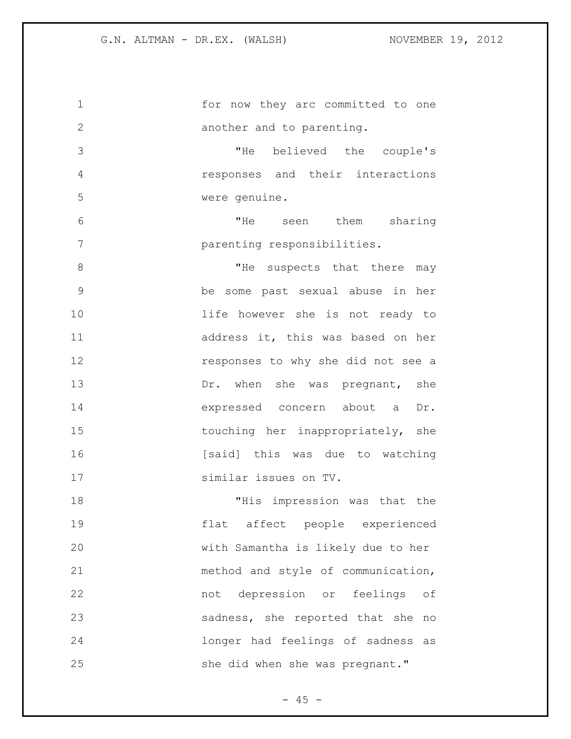| 1             | for now they arc committed to one    |
|---------------|--------------------------------------|
| $\mathbf{2}$  | another and to parenting.            |
| 3             | "He<br>believed the couple's         |
| 4             | responses and their interactions     |
| 5             | were genuine.                        |
| 6             | "He<br>seen them<br>sharing          |
| 7             | parenting responsibilities.          |
| 8             | "He<br>suspects that there<br>may    |
| $\mathcal{G}$ | be some past sexual abuse in her     |
| 10            | life however she is not ready to     |
| 11            | address it, this was based on her    |
| 12            | responses to why she did not see a   |
| 13            | Dr. when she was pregnant, she       |
| 14            | expressed concern about a<br>Dr.     |
| 15            | touching her inappropriately, she    |
| 16            | [said] this was due to watching      |
| 17            | similar issues on TV.                |
| 18            | impression was that the<br>"His      |
| 19            | flat affect people experienced       |
| 20            | with Samantha is likely due to her   |
| 21            | method and style of communication,   |
| 22            | not depression or feelings of        |
| 23            | sadness, she reported that she<br>no |
| 24            | longer had feelings of sadness<br>as |
| 25            | she did when she was pregnant."      |

- 45 -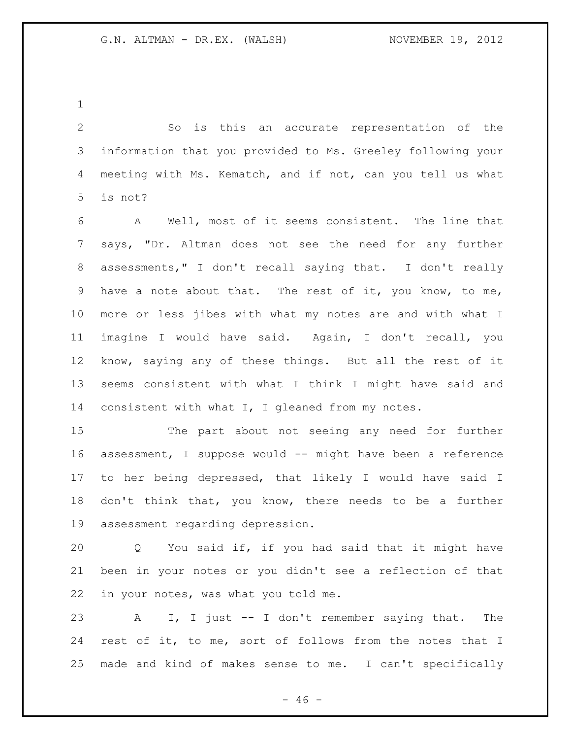So is this an accurate representation of the information that you provided to Ms. Greeley following your meeting with Ms. Kematch, and if not, can you tell us what is not?

 A Well, most of it seems consistent. The line that says, "Dr. Altman does not see the need for any further assessments," I don't recall saying that. I don't really have a note about that. The rest of it, you know, to me, more or less jibes with what my notes are and with what I imagine I would have said. Again, I don't recall, you know, saying any of these things. But all the rest of it seems consistent with what I think I might have said and consistent with what I, I gleaned from my notes.

 The part about not seeing any need for further assessment, I suppose would -- might have been a reference to her being depressed, that likely I would have said I don't think that, you know, there needs to be a further assessment regarding depression.

 Q You said if, if you had said that it might have been in your notes or you didn't see a reflection of that in your notes, was what you told me.

 A I, I just -- I don't remember saying that. The rest of it, to me, sort of follows from the notes that I made and kind of makes sense to me. I can't specifically

 $- 46 -$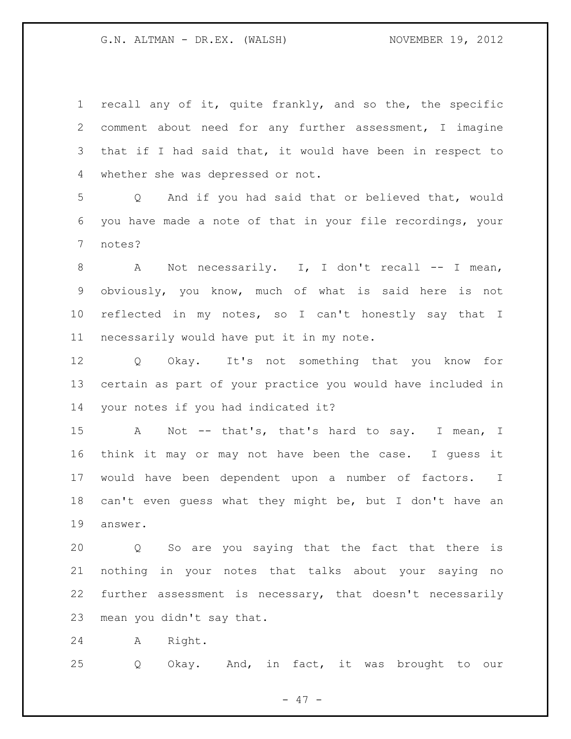recall any of it, quite frankly, and so the, the specific comment about need for any further assessment, I imagine that if I had said that, it would have been in respect to whether she was depressed or not.

 Q And if you had said that or believed that, would you have made a note of that in your file recordings, your notes?

8 A Not necessarily. I, I don't recall -- I mean, obviously, you know, much of what is said here is not reflected in my notes, so I can't honestly say that I necessarily would have put it in my note.

 Q Okay. It's not something that you know for certain as part of your practice you would have included in your notes if you had indicated it?

15 A Not -- that's, that's hard to say. I mean, I think it may or may not have been the case. I guess it would have been dependent upon a number of factors. I can't even guess what they might be, but I don't have an answer.

 Q So are you saying that the fact that there is nothing in your notes that talks about your saying no further assessment is necessary, that doesn't necessarily mean you didn't say that.

A Right.

Q Okay. And, in fact, it was brought to our

- 47 -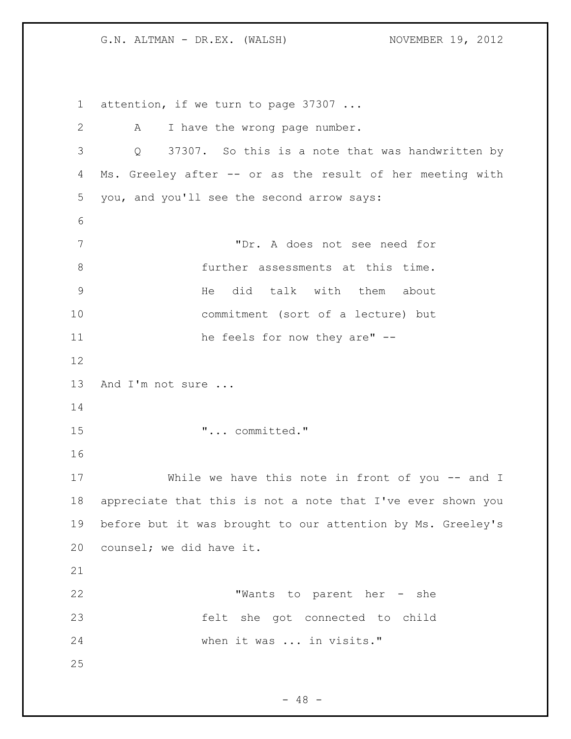1 attention, if we turn to page 37307 ... 2 A I have the wrong page number. Q 37307. So this is a note that was handwritten by Ms. Greeley after -- or as the result of her meeting with you, and you'll see the second arrow says: "Dr. A does not see need for further assessments at this time. He did talk with them about commitment (sort of a lecture) but 11 he feels for now they are" -- 13 And I'm not sure ... "... committed." 17 While we have this note in front of you -- and I appreciate that this is not a note that I've ever shown you before but it was brought to our attention by Ms. Greeley's counsel; we did have it. "Wants to parent her - she felt she got connected to child when it was ... in visits." 

 $- 48 -$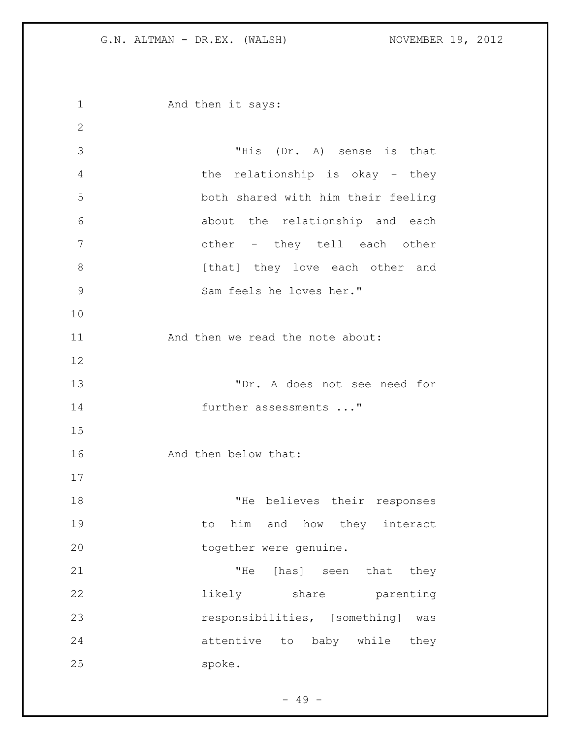1 And then it says: "His (Dr. A) sense is that the relationship is okay - they both shared with him their feeling about the relationship and each other - they tell each other 8 [that] they love each other and Sam feels he loves her." 11 And then we read the note about: "Dr. A does not see need for 14 further assessments ..." And then below that: 18 THe believes their responses 19 to him and how they interact 20 together were genuine. 21 THe [has] seen that they likely share parenting responsibilities, [something] was attentive to baby while they spoke.

 $- 49 -$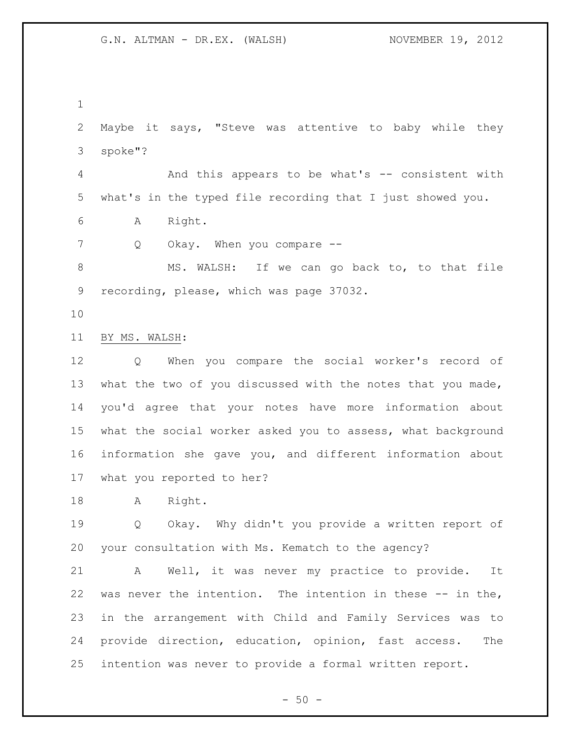Maybe it says, "Steve was attentive to baby while they spoke"?

 And this appears to be what's -- consistent with what's in the typed file recording that I just showed you.

A Right.

7 Q Okay. When you compare --

8 MS. WALSH: If we can go back to, to that file recording, please, which was page 37032.

BY MS. WALSH:

 Q When you compare the social worker's record of what the two of you discussed with the notes that you made, you'd agree that your notes have more information about what the social worker asked you to assess, what background information she gave you, and different information about what you reported to her?

A Right.

 Q Okay. Why didn't you provide a written report of your consultation with Ms. Kematch to the agency?

 A Well, it was never my practice to provide. It 22 was never the intention. The intention in these  $-$ - in the, in the arrangement with Child and Family Services was to provide direction, education, opinion, fast access. The intention was never to provide a formal written report.

 $-50 -$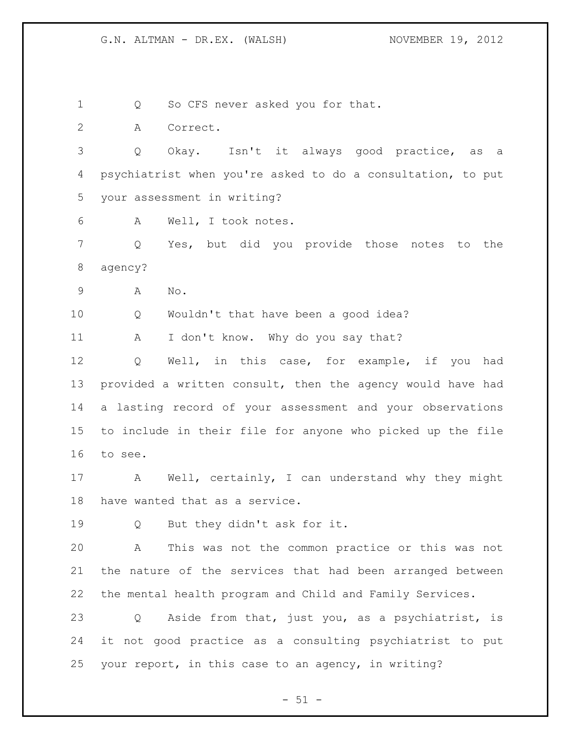1 Q So CFS never asked you for that. A Correct. Q Okay. Isn't it always good practice, as a psychiatrist when you're asked to do a consultation, to put your assessment in writing? A Well, I took notes. Q Yes, but did you provide those notes to the agency? A No. Q Wouldn't that have been a good idea? 11 A I don't know. Why do you say that? Q Well, in this case, for example, if you had provided a written consult, then the agency would have had a lasting record of your assessment and your observations to include in their file for anyone who picked up the file to see. 17 A Well, certainly, I can understand why they might have wanted that as a service. Q But they didn't ask for it. A This was not the common practice or this was not the nature of the services that had been arranged between the mental health program and Child and Family Services. Q Aside from that, just you, as a psychiatrist, is it not good practice as a consulting psychiatrist to put your report, in this case to an agency, in writing?

 $- 51 -$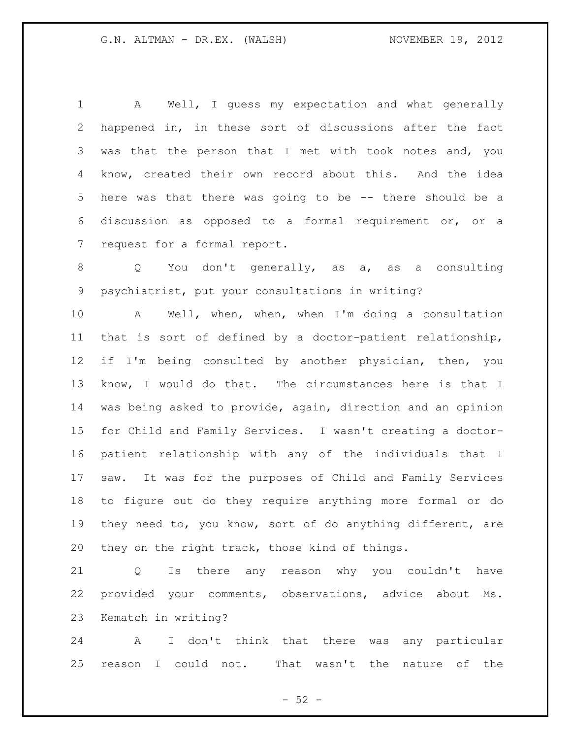A Well, I guess my expectation and what generally happened in, in these sort of discussions after the fact was that the person that I met with took notes and, you know, created their own record about this. And the idea here was that there was going to be -- there should be a discussion as opposed to a formal requirement or, or a request for a formal report.

 Q You don't generally, as a, as a consulting psychiatrist, put your consultations in writing?

 A Well, when, when, when I'm doing a consultation that is sort of defined by a doctor-patient relationship, if I'm being consulted by another physician, then, you know, I would do that. The circumstances here is that I was being asked to provide, again, direction and an opinion for Child and Family Services. I wasn't creating a doctor- patient relationship with any of the individuals that I saw. It was for the purposes of Child and Family Services to figure out do they require anything more formal or do they need to, you know, sort of do anything different, are they on the right track, those kind of things.

 Q Is there any reason why you couldn't have provided your comments, observations, advice about Ms. Kematch in writing?

 A I don't think that there was any particular reason I could not. That wasn't the nature of the

 $-52 -$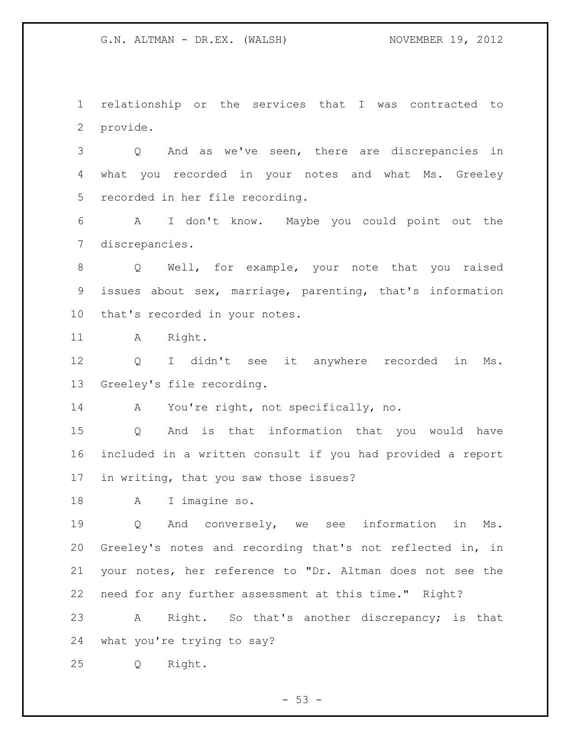relationship or the services that I was contracted to provide.

 Q And as we've seen, there are discrepancies in what you recorded in your notes and what Ms. Greeley recorded in her file recording.

 A I don't know. Maybe you could point out the discrepancies.

 Q Well, for example, your note that you raised issues about sex, marriage, parenting, that's information that's recorded in your notes.

11 A Right.

 Q I didn't see it anywhere recorded in Ms. Greeley's file recording.

A You're right, not specifically, no.

 Q And is that information that you would have included in a written consult if you had provided a report in writing, that you saw those issues?

A I imagine so.

 Q And conversely, we see information in Ms. Greeley's notes and recording that's not reflected in, in your notes, her reference to "Dr. Altman does not see the need for any further assessment at this time." Right?

 A Right. So that's another discrepancy; is that what you're trying to say?

Q Right.

 $-53 -$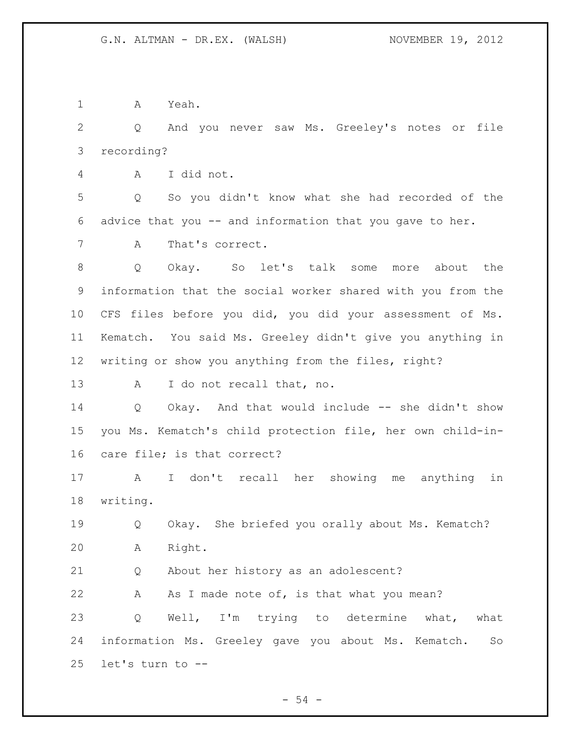A Yeah.

 Q And you never saw Ms. Greeley's notes or file recording?

A I did not.

 Q So you didn't know what she had recorded of the advice that you -- and information that you gave to her.

A That's correct.

 Q Okay. So let's talk some more about the information that the social worker shared with you from the CFS files before you did, you did your assessment of Ms. Kematch. You said Ms. Greeley didn't give you anything in writing or show you anything from the files, right?

A I do not recall that, no.

 Q Okay. And that would include -- she didn't show you Ms. Kematch's child protection file, her own child-in-care file; is that correct?

 A I don't recall her showing me anything in writing.

 Q Okay. She briefed you orally about Ms. Kematch? A Right.

Q About her history as an adolescent?

22 A As I made note of, is that what you mean? Q Well, I'm trying to determine what, what information Ms. Greeley gave you about Ms. Kematch. So let's turn to --

 $-54 -$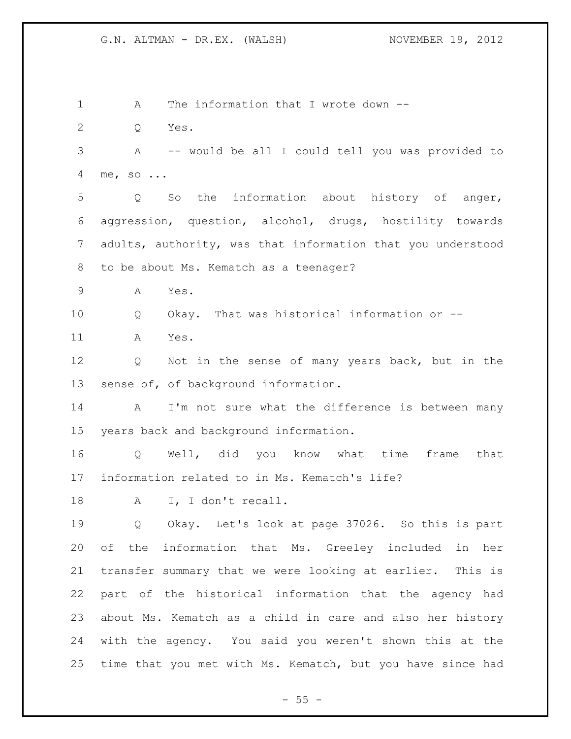1 A The information that I wrote down -- Q Yes. A -- would be all I could tell you was provided to me, so ... Q So the information about history of anger, aggression, question, alcohol, drugs, hostility towards adults, authority, was that information that you understood to be about Ms. Kematch as a teenager? A Yes. 10 0 Okay. That was historical information or -- A Yes. Q Not in the sense of many years back, but in the sense of, of background information. A I'm not sure what the difference is between many years back and background information. Q Well, did you know what time frame that information related to in Ms. Kematch's life? 18 A I, I don't recall. Q Okay. Let's look at page 37026. So this is part of the information that Ms. Greeley included in her transfer summary that we were looking at earlier. This is part of the historical information that the agency had about Ms. Kematch as a child in care and also her history with the agency. You said you weren't shown this at the time that you met with Ms. Kematch, but you have since had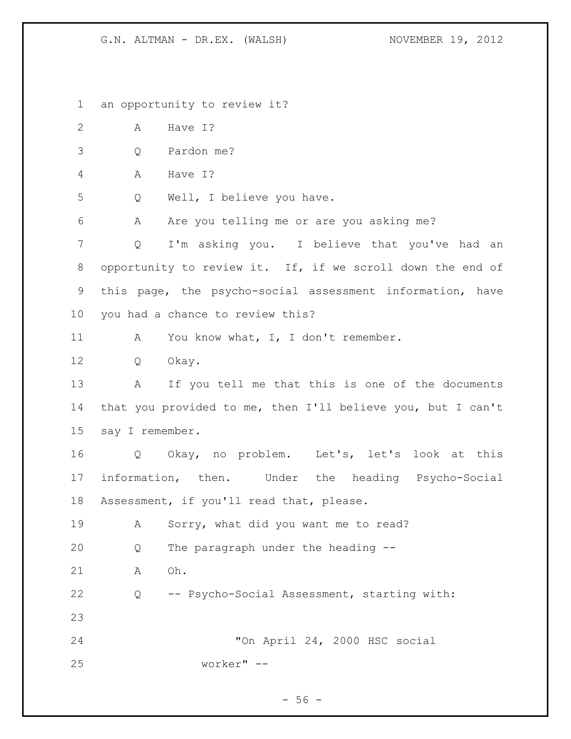an opportunity to review it? 2 A Have I? Q Pardon me? A Have I? Q Well, I believe you have. A Are you telling me or are you asking me? Q I'm asking you. I believe that you've had an 8 opportunity to review it. If, if we scroll down the end of this page, the psycho-social assessment information, have you had a chance to review this? 11 A You know what, I, I don't remember. Q Okay. A If you tell me that this is one of the documents that you provided to me, then I'll believe you, but I can't say I remember. Q Okay, no problem. Let's, let's look at this information, then. Under the heading Psycho-Social Assessment, if you'll read that, please. A Sorry, what did you want me to read? Q The paragraph under the heading -- A Oh. Q -- Psycho-Social Assessment, starting with: "On April 24, 2000 HSC social worker" --

 $- 56 -$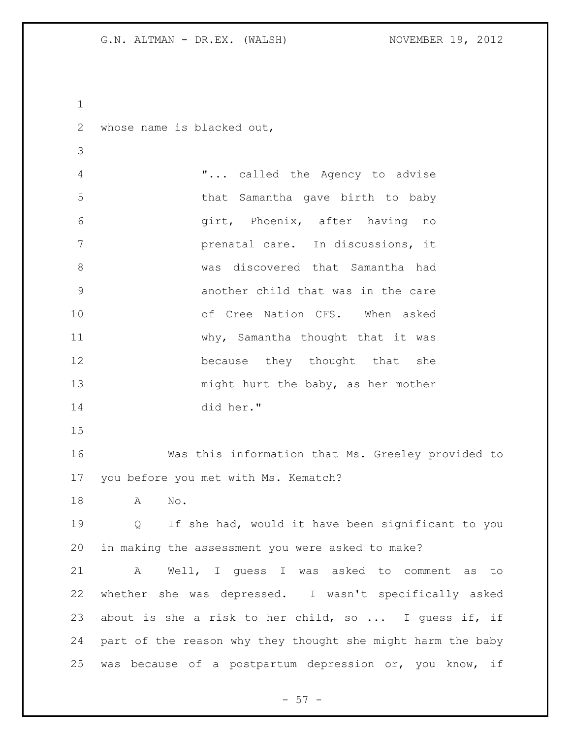whose name is blacked out,

 "... called the Agency to advise that Samantha gave birth to baby girt, Phoenix, after having no prenatal care. In discussions, it was discovered that Samantha had another child that was in the care of Cree Nation CFS. When asked 11 why, Samantha thought that it was **because** they thought that she 13 might hurt the baby, as her mother did her."

 Was this information that Ms. Greeley provided to you before you met with Ms. Kematch?

A No.

 Q If she had, would it have been significant to you in making the assessment you were asked to make?

 A Well, I guess I was asked to comment as to whether she was depressed. I wasn't specifically asked about is she a risk to her child, so ... I guess if, if part of the reason why they thought she might harm the baby was because of a postpartum depression or, you know, if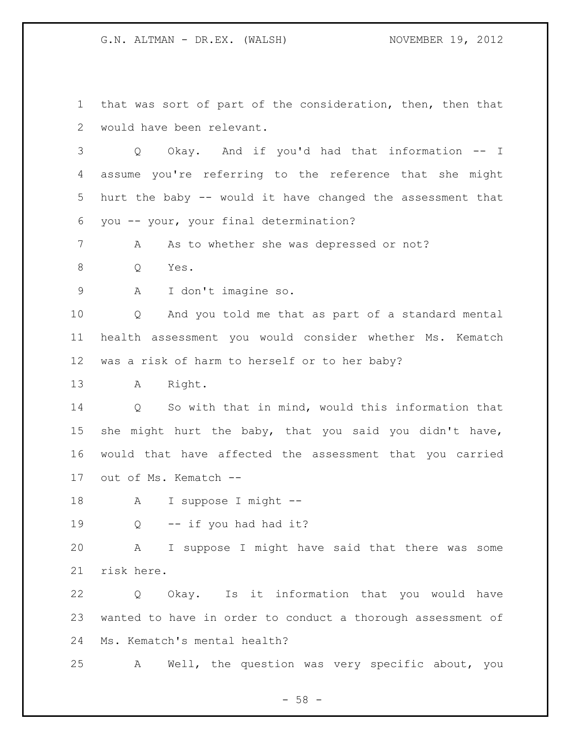that was sort of part of the consideration, then, then that would have been relevant.

 Q Okay. And if you'd had that information -- I assume you're referring to the reference that she might hurt the baby -- would it have changed the assessment that you -- your, your final determination?

7 A As to whether she was depressed or not?

Q Yes.

A I don't imagine so.

 Q And you told me that as part of a standard mental health assessment you would consider whether Ms. Kematch was a risk of harm to herself or to her baby?

A Right.

 Q So with that in mind, would this information that she might hurt the baby, that you said you didn't have, would that have affected the assessment that you carried out of Ms. Kematch --

A I suppose I might --

19 O -- if you had had it?

 A I suppose I might have said that there was some risk here.

 Q Okay. Is it information that you would have wanted to have in order to conduct a thorough assessment of Ms. Kematch's mental health?

A Well, the question was very specific about, you

- 58 -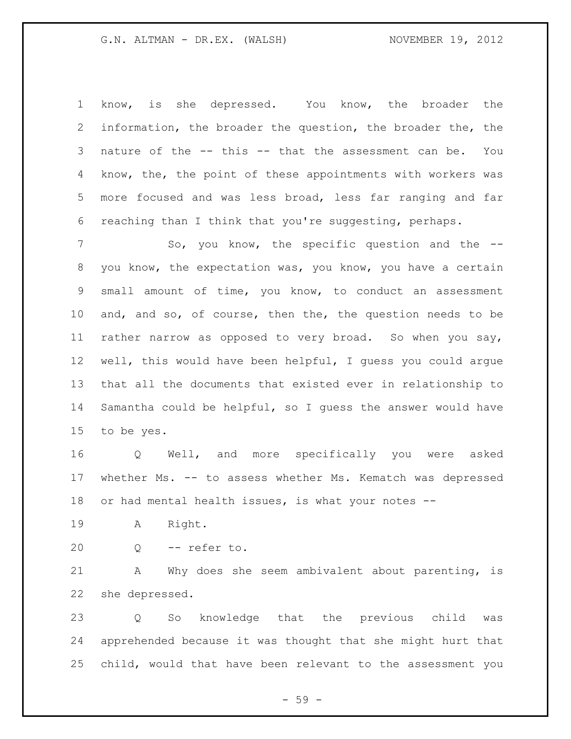know, is she depressed. You know, the broader the information, the broader the question, the broader the, the nature of the -- this -- that the assessment can be. You know, the, the point of these appointments with workers was more focused and was less broad, less far ranging and far reaching than I think that you're suggesting, perhaps.

7 So, you know, the specific question and the -- you know, the expectation was, you know, you have a certain small amount of time, you know, to conduct an assessment and, and so, of course, then the, the question needs to be rather narrow as opposed to very broad. So when you say, well, this would have been helpful, I guess you could argue that all the documents that existed ever in relationship to Samantha could be helpful, so I guess the answer would have to be yes.

 Q Well, and more specifically you were asked whether Ms. -- to assess whether Ms. Kematch was depressed 18 or had mental health issues, is what your notes --

A Right.

Q -- refer to.

 A Why does she seem ambivalent about parenting, is she depressed.

 Q So knowledge that the previous child was apprehended because it was thought that she might hurt that child, would that have been relevant to the assessment you

 $-59 -$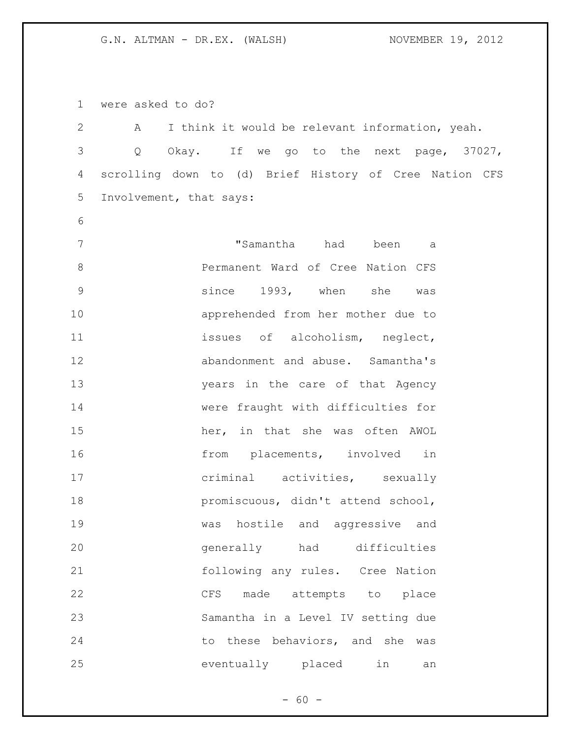were asked to do?

| $\overline{2}$ | Α | I think it would be relevant information, yeah. |      |                                    |              |                                                        |
|----------------|---|-------------------------------------------------|------|------------------------------------|--------------|--------------------------------------------------------|
| $\mathfrak{Z}$ | Q |                                                 |      |                                    |              | Okay. If we go to the next page, 37027,                |
| $\overline{4}$ |   |                                                 |      |                                    |              | scrolling down to (d) Brief History of Cree Nation CFS |
| 5              |   | Involvement, that says:                         |      |                                    |              |                                                        |
| 6              |   |                                                 |      |                                    |              |                                                        |
| 7              |   |                                                 |      | "Samantha had been                 |              | а                                                      |
| $\,8\,$        |   |                                                 |      | Permanent Ward of Cree Nation CFS  |              |                                                        |
| $\mathsf 9$    |   |                                                 |      | since 1993, when she               |              | was                                                    |
| 10             |   |                                                 |      | apprehended from her mother due to |              |                                                        |
| 11             |   |                                                 |      | issues of alcoholism, neglect,     |              |                                                        |
| 12             |   |                                                 |      | abandonment and abuse. Samantha's  |              |                                                        |
| 13             |   |                                                 |      | years in the care of that Agency   |              |                                                        |
| 14             |   |                                                 |      | were fraught with difficulties for |              |                                                        |
| 15             |   |                                                 |      | her, in that she was often AWOL    |              |                                                        |
| 16             |   |                                                 |      | from placements, involved          |              | in                                                     |
| 17             |   |                                                 |      | criminal activities, sexually      |              |                                                        |
| 18             |   |                                                 |      | promiscuous, didn't attend school, |              |                                                        |
| 19             |   | was                                             |      | hostile and aggressive and         |              |                                                        |
| 20             |   | qenerally                                       |      | had                                | difficulties |                                                        |
| 21             |   |                                                 |      | following any rules. Cree Nation   |              |                                                        |
| 22             |   | CFS                                             | made | attempts to place                  |              |                                                        |
| 23             |   |                                                 |      | Samantha in a Level IV setting due |              |                                                        |
| 24             |   |                                                 |      | to these behaviors, and she        |              | was                                                    |
| 25             |   |                                                 |      | eventually placed                  | in           | an                                                     |

- 60 -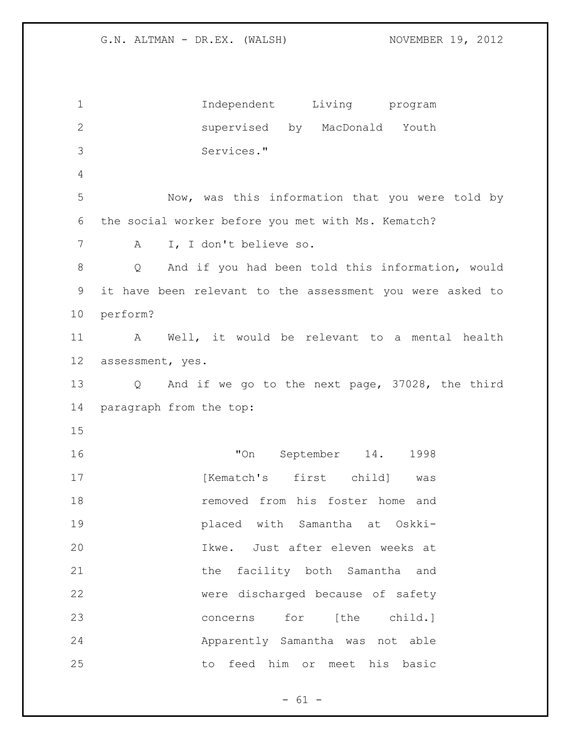Independent Living program supervised by MacDonald Youth Services." Now, was this information that you were told by the social worker before you met with Ms. Kematch? A I, I don't believe so. Q And if you had been told this information, would it have been relevant to the assessment you were asked to perform? A Well, it would be relevant to a mental health assessment, yes. Q And if we go to the next page, 37028, the third paragraph from the top: "On September 14. 1998 17 The Mematch's first child] was removed from his foster home and placed with Samantha at Oskki- Ikwe. Just after eleven weeks at the facility both Samantha and were discharged because of safety concerns for [the child.] Apparently Samantha was not able to feed him or meet his basic

 $- 61 -$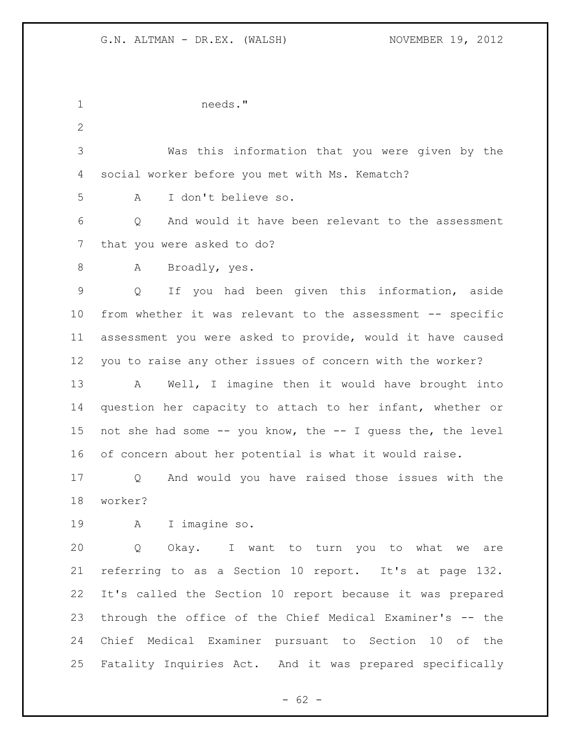needs." Was this information that you were given by the social worker before you met with Ms. Kematch? A I don't believe so. Q And would it have been relevant to the assessment that you were asked to do? 8 A Broadly, yes. Q If you had been given this information, aside from whether it was relevant to the assessment -- specific assessment you were asked to provide, would it have caused you to raise any other issues of concern with the worker? A Well, I imagine then it would have brought into question her capacity to attach to her infant, whether or not she had some -- you know, the -- I guess the, the level of concern about her potential is what it would raise. Q And would you have raised those issues with the worker? A I imagine so. Q Okay. I want to turn you to what we are referring to as a Section 10 report. It's at page 132. It's called the Section 10 report because it was prepared through the office of the Chief Medical Examiner's -- the Chief Medical Examiner pursuant to Section 10 of the Fatality Inquiries Act. And it was prepared specifically

 $- 62 -$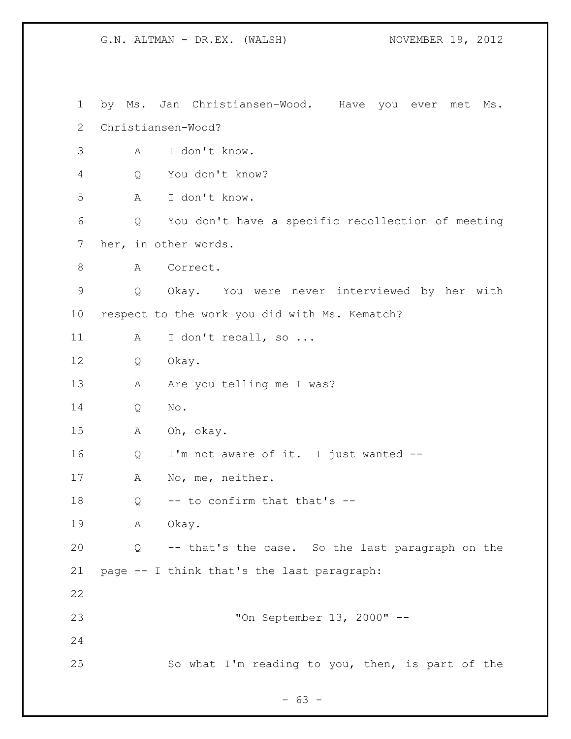by Ms. Jan Christiansen-Wood. Have you ever met Ms. Christiansen-Wood? A I don't know. Q You don't know? A I don't know. Q You don't have a specific recollection of meeting her, in other words. 8 A Correct. Q Okay. You were never interviewed by her with respect to the work you did with Ms. Kematch? 11 A I don't recall, so ... Q Okay. 13 A Are you telling me I was? Q No. A Oh, okay. Q I'm not aware of it. I just wanted -- 17 A No, me, neither.  $Q \rightarrow -\infty$  confirm that that's  $-\infty$  A Okay. Q -- that's the case. So the last paragraph on the page -- I think that's the last paragraph: "On September 13, 2000" -- So what I'm reading to you, then, is part of the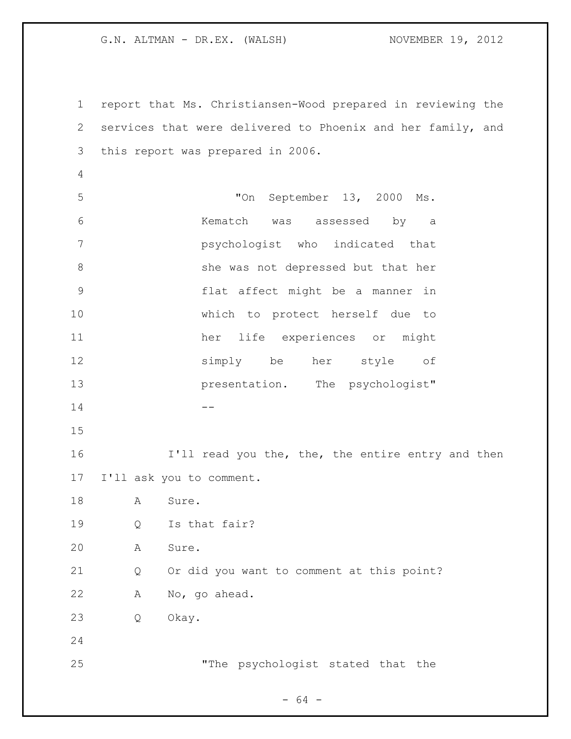report that Ms. Christiansen-Wood prepared in reviewing the services that were delivered to Phoenix and her family, and this report was prepared in 2006. "On September 13, 2000 Ms. Kematch was assessed by a psychologist who indicated that 8 she was not depressed but that her flat affect might be a manner in which to protect herself due to her life experiences or might simply be her style of **presentation**. The psychologist" -- **I'll read you the, the, the entire entry and then**  I'll ask you to comment. 18 A Sure. Q Is that fair? A Sure. Q Or did you want to comment at this point? A No, go ahead. Q Okay. "The psychologist stated that the

 $- 64 -$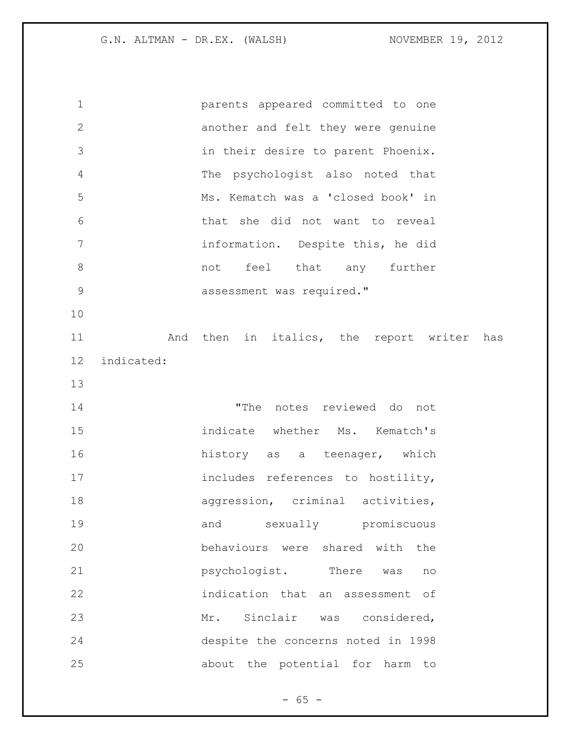parents appeared committed to one another and felt they were genuine in their desire to parent Phoenix. The psychologist also noted that Ms. Kematch was a 'closed book' in that she did not want to reveal information. Despite this, he did 8 and that any further **assessment** was required." 11 and then in italics, the report writer has indicated: "The notes reviewed do not indicate whether Ms. Kematch's **history** as a teenager, which 17 includes references to hostility, 18 aggression, criminal activities, and sexually promiscuous behaviours were shared with the **psychologist**. There was no indication that an assessment of Mr. Sinclair was considered, despite the concerns noted in 1998 about the potential for harm to

 $- 65 -$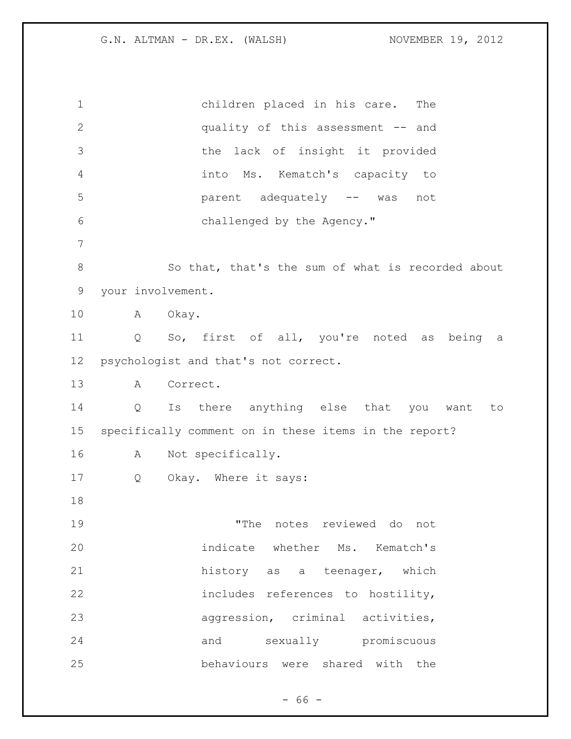children placed in his care. The quality of this assessment -- and the lack of insight it provided into Ms. Kematch's capacity to parent adequately -- was not challenged by the Agency." So that, that's the sum of what is recorded about your involvement. A Okay. Q So, first of all, you're noted as being a psychologist and that's not correct. A Correct. Q Is there anything else that you want to specifically comment on in these items in the report? A Not specifically. 17 Q Okay. Where it says: "The notes reviewed do not indicate whether Ms. Kematch's 21 history as a teenager, which includes references to hostility, aggression, criminal activities, and sexually promiscuous behaviours were shared with the

 $- 66 -$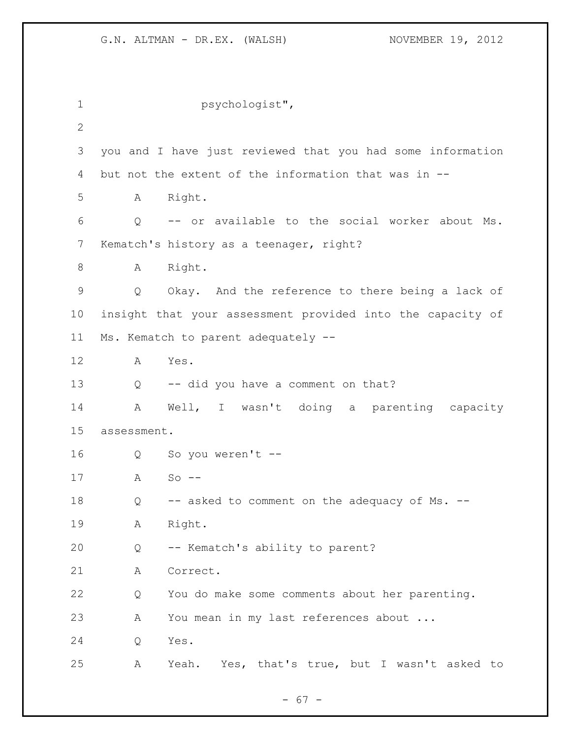| $\mathbf 1$     |             | psychologist",                                             |
|-----------------|-------------|------------------------------------------------------------|
| $\mathbf{2}$    |             |                                                            |
| 3               |             | you and I have just reviewed that you had some information |
| 4               |             | but not the extent of the information that was in --       |
| 5               | Α           | Right.                                                     |
| 6               | Q           | -- or available to the social worker about Ms.             |
| 7               |             | Kematch's history as a teenager, right?                    |
| 8               | Α           | Right.                                                     |
| 9               | Q           | Okay. And the reference to there being a lack of           |
| 10 <sub>o</sub> |             | insight that your assessment provided into the capacity of |
| 11              |             | Ms. Kematch to parent adequately --                        |
| 12              | A           | Yes.                                                       |
| 13              | Q           | -- did you have a comment on that?                         |
| 14              | Α           | Well, I wasn't doing a parenting capacity                  |
| 15              | assessment. |                                                            |
| 16              | Q           | So you weren't --                                          |
| 17              | A           | $So$ --                                                    |
| 18              | Q           | -- asked to comment on the adequacy of Ms. --              |
| 19              | Α           | Right.                                                     |
| 20              | Q           | -- Kematch's ability to parent?                            |
| 21              | Α           | Correct.                                                   |
| 22              | Q           | You do make some comments about her parenting.             |
| 23              | Α           | You mean in my last references about                       |
| 24              | Q           | Yes.                                                       |
| 25              | А           | Yes, that's true, but I wasn't asked to<br>Yeah.           |

- 67 -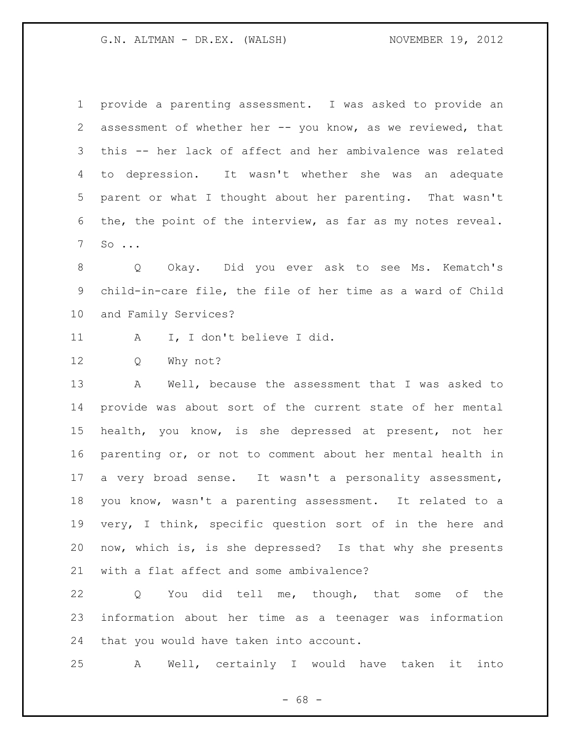provide a parenting assessment. I was asked to provide an 2 assessment of whether her -- you know, as we reviewed, that this -- her lack of affect and her ambivalence was related to depression. It wasn't whether she was an adequate parent or what I thought about her parenting. That wasn't the, the point of the interview, as far as my notes reveal. So ...

 Q Okay. Did you ever ask to see Ms. Kematch's child-in-care file, the file of her time as a ward of Child and Family Services?

11 A I, I don't believe I did.

Q Why not?

 A Well, because the assessment that I was asked to provide was about sort of the current state of her mental health, you know, is she depressed at present, not her parenting or, or not to comment about her mental health in a very broad sense. It wasn't a personality assessment, you know, wasn't a parenting assessment. It related to a very, I think, specific question sort of in the here and now, which is, is she depressed? Is that why she presents with a flat affect and some ambivalence?

 Q You did tell me, though, that some of the information about her time as a teenager was information that you would have taken into account.

A Well, certainly I would have taken it into

- 68 -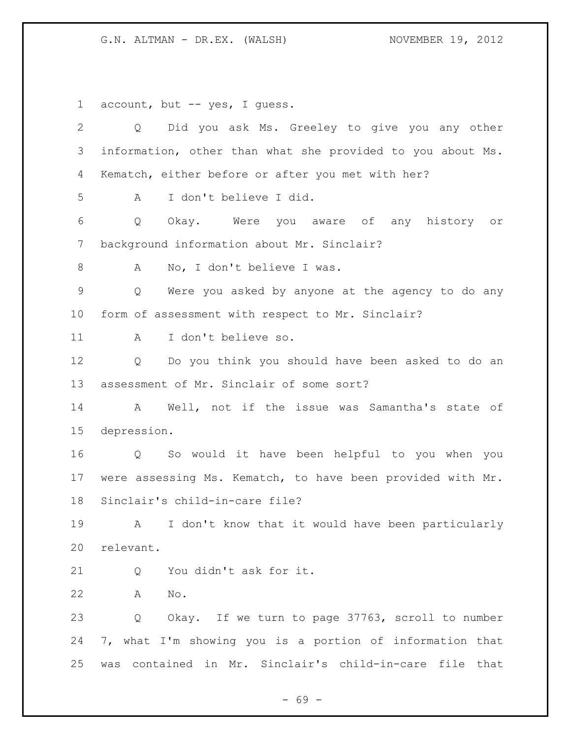account, but -- yes, I guess. Q Did you ask Ms. Greeley to give you any other information, other than what she provided to you about Ms. Kematch, either before or after you met with her? A I don't believe I did. Q Okay. Were you aware of any history or background information about Mr. Sinclair? 8 A No, I don't believe I was. Q Were you asked by anyone at the agency to do any form of assessment with respect to Mr. Sinclair? A I don't believe so. Q Do you think you should have been asked to do an assessment of Mr. Sinclair of some sort? A Well, not if the issue was Samantha's state of depression. Q So would it have been helpful to you when you were assessing Ms. Kematch, to have been provided with Mr. Sinclair's child-in-care file? A I don't know that it would have been particularly relevant. 21 0 You didn't ask for it. A No. Q Okay. If we turn to page 37763, scroll to number 7, what I'm showing you is a portion of information that was contained in Mr. Sinclair's child-in-care file that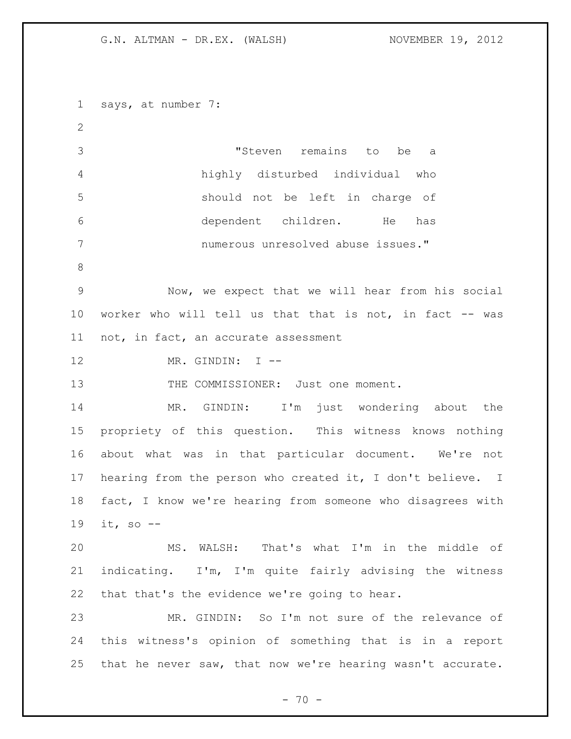says, at number 7: "Steven remains to be a highly disturbed individual who should not be left in charge of dependent children. He has numerous unresolved abuse issues." Now, we expect that we will hear from his social worker who will tell us that that is not, in fact -- was not, in fact, an accurate assessment 12 MR. GINDIN: I --13 THE COMMISSIONER: Just one moment. MR. GINDIN: I'm just wondering about the propriety of this question. This witness knows nothing about what was in that particular document. We're not hearing from the person who created it, I don't believe. I fact, I know we're hearing from someone who disagrees with it, so -- MS. WALSH: That's what I'm in the middle of indicating. I'm, I'm quite fairly advising the witness that that's the evidence we're going to hear. MR. GINDIN: So I'm not sure of the relevance of this witness's opinion of something that is in a report that he never saw, that now we're hearing wasn't accurate.

 $- 70 -$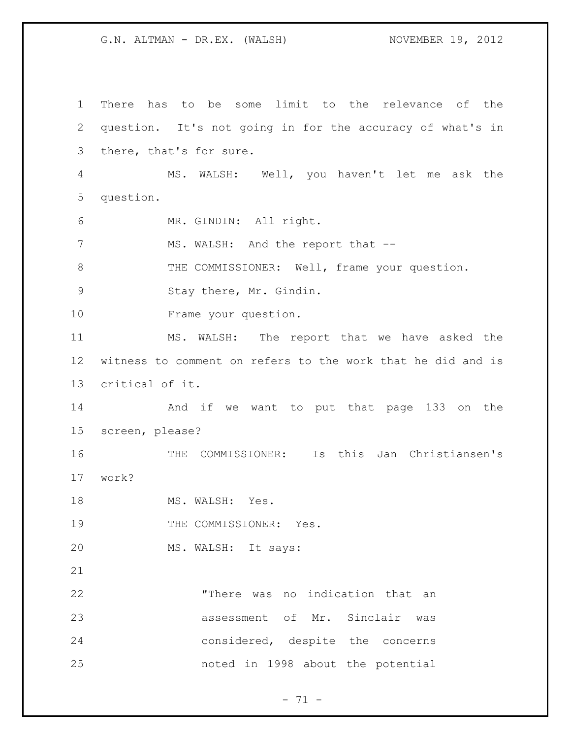There has to be some limit to the relevance of the question. It's not going in for the accuracy of what's in there, that's for sure. MS. WALSH: Well, you haven't let me ask the question. MR. GINDIN: All right. 7 MS. WALSH: And the report that --8 THE COMMISSIONER: Well, frame your question. 9 Stay there, Mr. Gindin. Frame your question. MS. WALSH: The report that we have asked the witness to comment on refers to the work that he did and is critical of it. And if we want to put that page 133 on the screen, please? THE COMMISSIONER: Is this Jan Christiansen's work? 18 MS. WALSH: Yes. 19 THE COMMISSIONER: Yes. MS. WALSH: It says: "There was no indication that an assessment of Mr. Sinclair was considered, despite the concerns noted in 1998 about the potential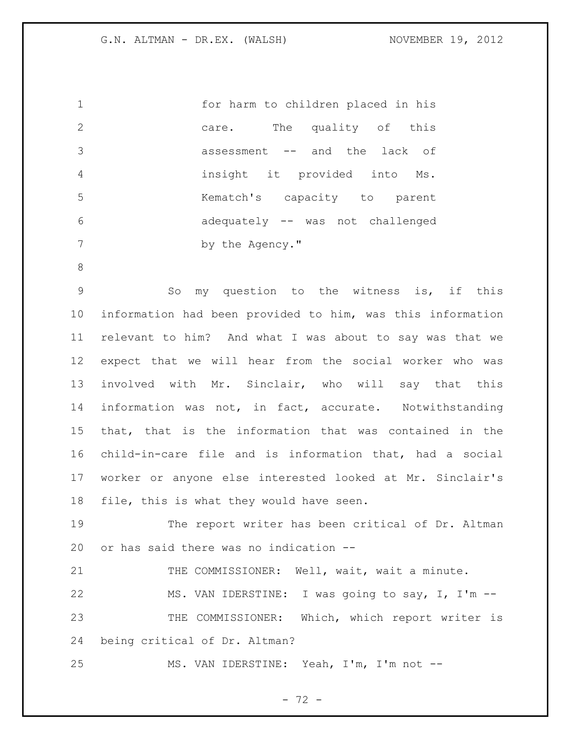| $\overline{1}$ | for harm to children placed in his |
|----------------|------------------------------------|
| 2              | The quality of this<br>care.       |
| -3             | assessment -- and the lack of      |
| 4              | insight it provided into Ms.       |
| .5             | Kematch's capacity to parent       |
| 6              | adequately -- was not challenged   |
|                | by the Agency."                    |

 So my question to the witness is, if this information had been provided to him, was this information relevant to him? And what I was about to say was that we expect that we will hear from the social worker who was involved with Mr. Sinclair, who will say that this information was not, in fact, accurate. Notwithstanding that, that is the information that was contained in the child-in-care file and is information that, had a social worker or anyone else interested looked at Mr. Sinclair's file, this is what they would have seen.

 The report writer has been critical of Dr. Altman or has said there was no indication --

21 THE COMMISSIONER: Well, wait, wait a minute.

22 MS. VAN IDERSTINE: I was going to say, I, I'm -- THE COMMISSIONER: Which, which report writer is being critical of Dr. Altman?

MS. VAN IDERSTINE: Yeah, I'm, I'm not --

- 72 -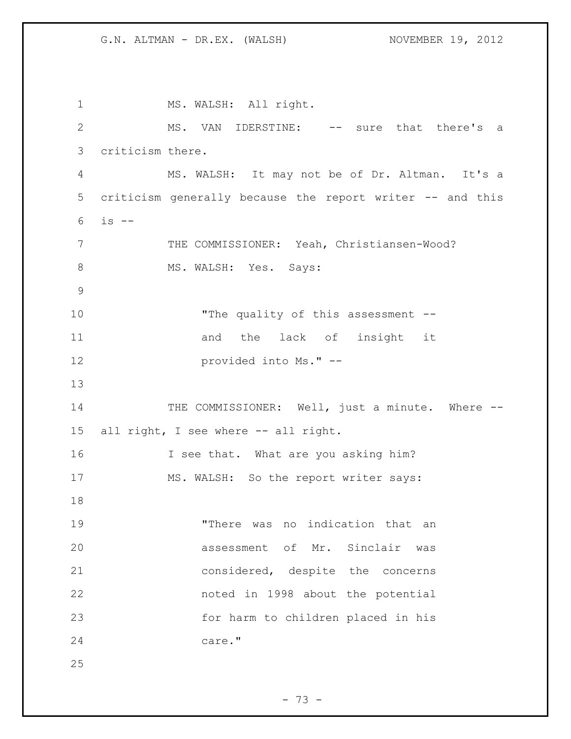1 MS. WALSH: All right. 2 MS. VAN IDERSTINE: -- sure that there's a 3 criticism there. 4 MS. WALSH: It may not be of Dr. Altman. It's a 5 criticism generally because the report writer -- and this 6 is -- 7 THE COMMISSIONER: Yeah, Christiansen-Wood? 8 MS. WALSH: Yes. Says: 9 10 The quality of this assessment --11 and the lack of insight it 12 provided into Ms." -- 13 14 THE COMMISSIONER: Well, just a minute. Where --15 all right, I see where -- all right. 16 I see that. What are you asking him? 17 MS. WALSH: So the report writer says: 18 19 "There was no indication that an 20 assessment of Mr. Sinclair was 21 considered, despite the concerns 22 noted in 1998 about the potential 23 for harm to children placed in his 24 care." 25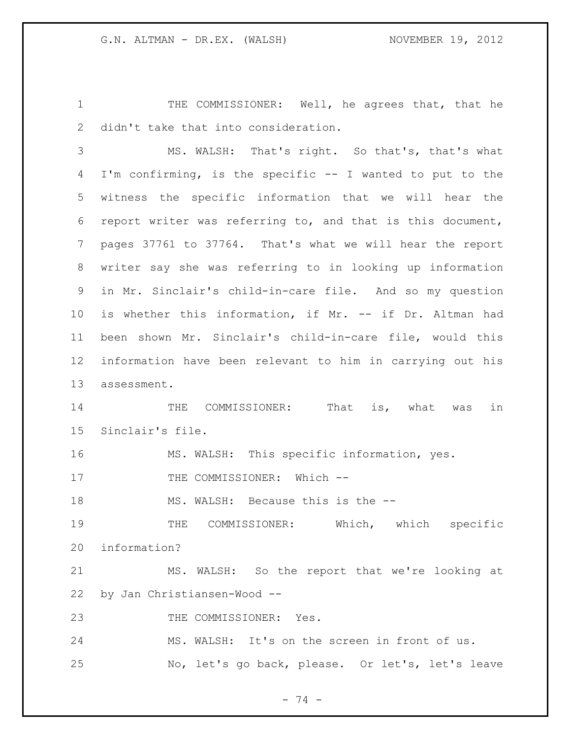1 THE COMMISSIONER: Well, he agrees that, that he didn't take that into consideration.

 MS. WALSH: That's right. So that's, that's what I'm confirming, is the specific -- I wanted to put to the witness the specific information that we will hear the report writer was referring to, and that is this document, pages 37761 to 37764. That's what we will hear the report writer say she was referring to in looking up information in Mr. Sinclair's child-in-care file. And so my question is whether this information, if Mr. -- if Dr. Altman had been shown Mr. Sinclair's child-in-care file, would this information have been relevant to him in carrying out his assessment.

 THE COMMISSIONER: That is, what was in Sinclair's file.

MS. WALSH: This specific information, yes.

17 THE COMMISSIONER: Which --

18 MS. WALSH: Because this is the --

 THE COMMISSIONER: Which, which specific information?

 MS. WALSH: So the report that we're looking at by Jan Christiansen-Wood --

23 THE COMMISSIONER: Yes.

MS. WALSH: It's on the screen in front of us.

No, let's go back, please. Or let's, let's leave

- 74 -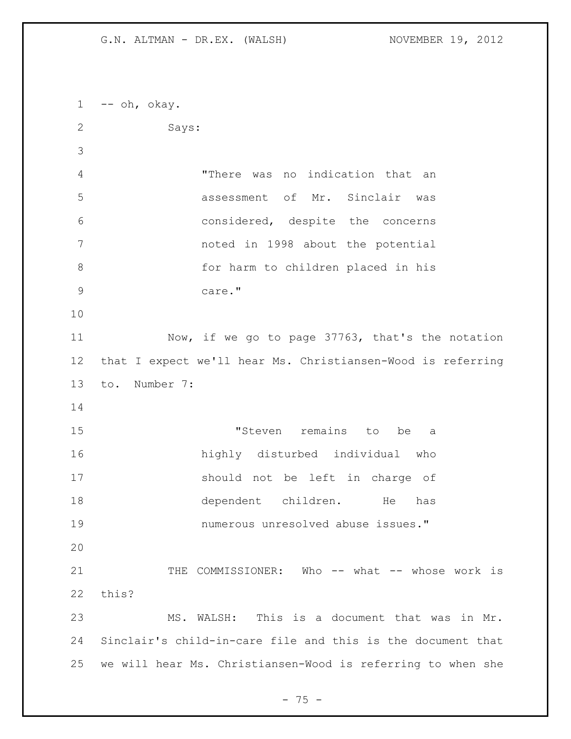--  $oh$ ,  $okay$ . Says: "There was no indication that an assessment of Mr. Sinclair was considered, despite the concerns noted in 1998 about the potential for harm to children placed in his care." Now, if we go to page 37763, that's the notation that I expect we'll hear Ms. Christiansen-Wood is referring to. Number 7: "Steven remains to be a highly disturbed individual who should not be left in charge of dependent children. He has numerous unresolved abuse issues." THE COMMISSIONER: Who -- what -- whose work is this? MS. WALSH: This is a document that was in Mr. Sinclair's child-in-care file and this is the document that we will hear Ms. Christiansen-Wood is referring to when she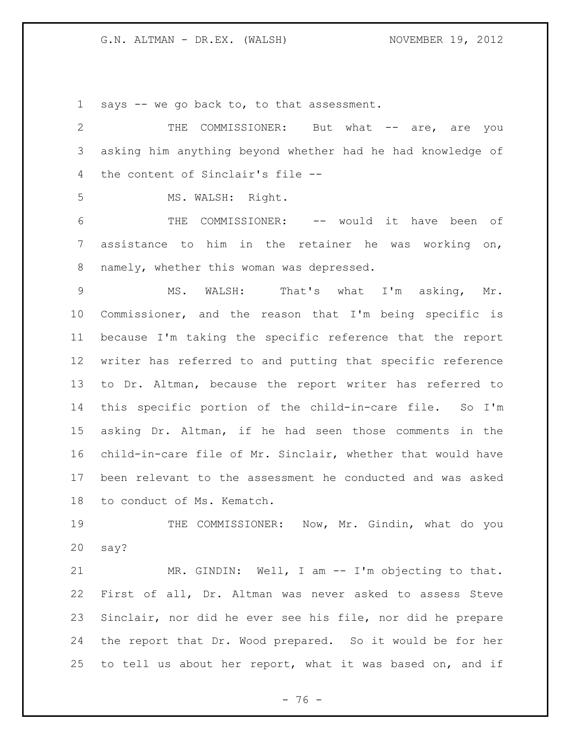says -- we go back to, to that assessment.

2 THE COMMISSIONER: But what -- are, are you asking him anything beyond whether had he had knowledge of the content of Sinclair's file --

MS. WALSH: Right.

 THE COMMISSIONER: -- would it have been of assistance to him in the retainer he was working on, 8 namely, whether this woman was depressed.

 MS. WALSH: That's what I'm asking, Mr. Commissioner, and the reason that I'm being specific is because I'm taking the specific reference that the report writer has referred to and putting that specific reference to Dr. Altman, because the report writer has referred to this specific portion of the child-in-care file. So I'm asking Dr. Altman, if he had seen those comments in the child-in-care file of Mr. Sinclair, whether that would have been relevant to the assessment he conducted and was asked to conduct of Ms. Kematch.

19 THE COMMISSIONER: Now, Mr. Gindin, what do you say?

 MR. GINDIN: Well, I am -- I'm objecting to that. First of all, Dr. Altman was never asked to assess Steve Sinclair, nor did he ever see his file, nor did he prepare the report that Dr. Wood prepared. So it would be for her to tell us about her report, what it was based on, and if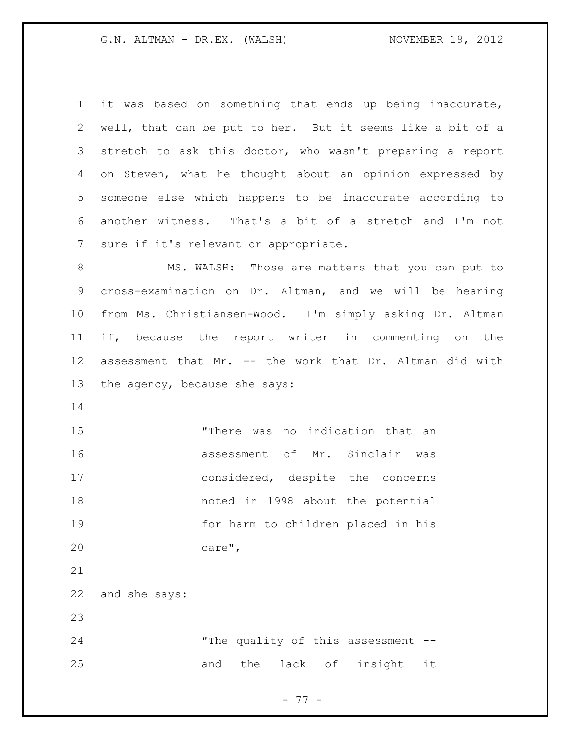it was based on something that ends up being inaccurate, well, that can be put to her. But it seems like a bit of a stretch to ask this doctor, who wasn't preparing a report on Steven, what he thought about an opinion expressed by someone else which happens to be inaccurate according to another witness. That's a bit of a stretch and I'm not sure if it's relevant or appropriate. MS. WALSH: Those are matters that you can put to cross-examination on Dr. Altman, and we will be hearing

 from Ms. Christiansen-Wood. I'm simply asking Dr. Altman if, because the report writer in commenting on the assessment that Mr. -- the work that Dr. Altman did with the agency, because she says:

 "There was no indication that an assessment of Mr. Sinclair was considered, despite the concerns noted in 1998 about the potential for harm to children placed in his care",

and she says:

 "The quality of this assessment -- 25 and the lack of insight it

- 77 -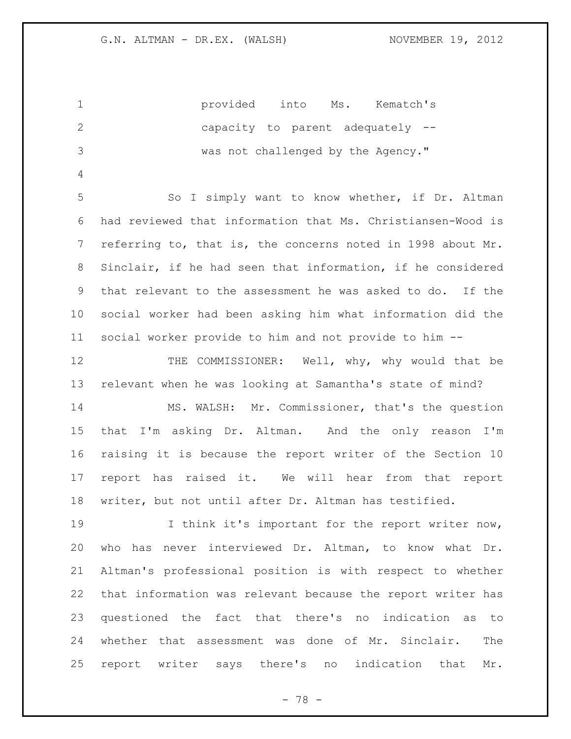provided into Ms. Kematch's capacity to parent adequately -- was not challenged by the Agency." So I simply want to know whether, if Dr. Altman had reviewed that information that Ms. Christiansen-Wood is referring to, that is, the concerns noted in 1998 about Mr. Sinclair, if he had seen that information, if he considered that relevant to the assessment he was asked to do. If the social worker had been asking him what information did the social worker provide to him and not provide to him -- THE COMMISSIONER: Well, why, why would that be relevant when he was looking at Samantha's state of mind? MS. WALSH: Mr. Commissioner, that's the question that I'm asking Dr. Altman. And the only reason I'm raising it is because the report writer of the Section 10 report has raised it. We will hear from that report writer, but not until after Dr. Altman has testified. 19 I think it's important for the report writer now, who has never interviewed Dr. Altman, to know what Dr. Altman's professional position is with respect to whether that information was relevant because the report writer has questioned the fact that there's no indication as to whether that assessment was done of Mr. Sinclair. The report writer says there's no indication that Mr.

- 78 -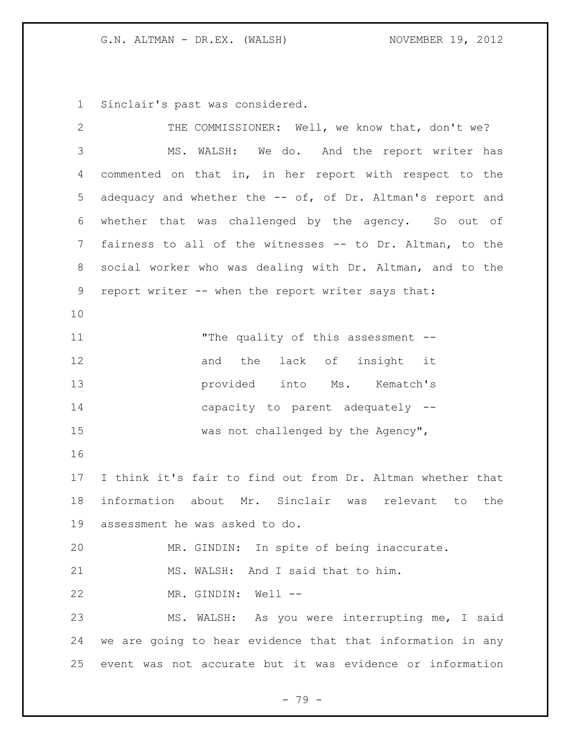Sinclair's past was considered.

| $\overline{2}$  | THE COMMISSIONER: Well, we know that, don't we?            |
|-----------------|------------------------------------------------------------|
| 3               | MS. WALSH: We do. And the report writer has                |
| 4               | commented on that in, in her report with respect to the    |
| 5               | adequacy and whether the -- of, of Dr. Altman's report and |
| 6               | whether that was challenged by the agency. So out of       |
| $7\phantom{.0}$ | fairness to all of the witnesses -- to Dr. Altman, to the  |
| 8               | social worker who was dealing with Dr. Altman, and to the  |
| $\mathsf 9$     | report writer -- when the report writer says that:         |
| 10              |                                                            |
| 11              | "The quality of this assessment --                         |
| 12              | and the lack of insight it                                 |
| 13              | provided into Ms. Kematch's                                |
| 14              | capacity to parent adequately --                           |
| 15              | was not challenged by the Agency",                         |
| 16              |                                                            |
| 17              | I think it's fair to find out from Dr. Altman whether that |
| 18              | information about Mr. Sinclair was relevant to the         |
| 19              | assessment he was asked to do.                             |
| 20              | MR. GINDIN: In spite of being inaccurate.                  |
| 21              | MS. WALSH: And I said that to him.                         |
| 22              | MR. GINDIN: Well --                                        |
| 23              | MS. WALSH: As you were interrupting me, I said             |
| 24              | we are going to hear evidence that that information in any |
| 25              | event was not accurate but it was evidence or information  |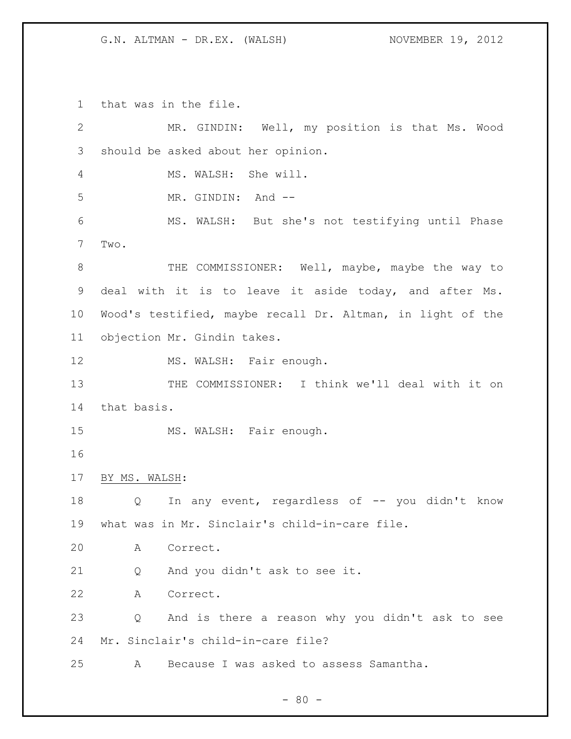that was in the file. MR. GINDIN: Well, my position is that Ms. Wood should be asked about her opinion. MS. WALSH: She will. 5 MR. GINDIN: And -- MS. WALSH: But she's not testifying until Phase Two. 8 THE COMMISSIONER: Well, maybe, maybe the way to deal with it is to leave it aside today, and after Ms. Wood's testified, maybe recall Dr. Altman, in light of the objection Mr. Gindin takes. 12 MS. WALSH: Fair enough. 13 THE COMMISSIONER: I think we'll deal with it on that basis. 15 MS. WALSH: Fair enough. BY MS. WALSH: 18 Q In any event, regardless of -- you didn't know what was in Mr. Sinclair's child-in-care file. A Correct. Q And you didn't ask to see it. A Correct. Q And is there a reason why you didn't ask to see Mr. Sinclair's child-in-care file? A Because I was asked to assess Samantha.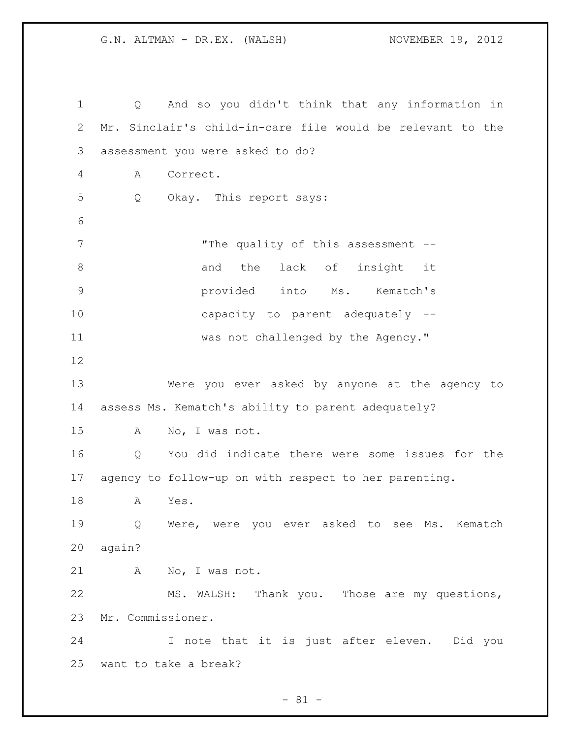Q And so you didn't think that any information in Mr. Sinclair's child-in-care file would be relevant to the assessment you were asked to do? A Correct. Q Okay. This report says: 7 The quality of this assessment --8 and the lack of insight it provided into Ms. Kematch's capacity to parent adequately -- was not challenged by the Agency." Were you ever asked by anyone at the agency to assess Ms. Kematch's ability to parent adequately? A No, I was not. Q You did indicate there were some issues for the agency to follow-up on with respect to her parenting. A Yes. Q Were, were you ever asked to see Ms. Kematch again? A No, I was not. MS. WALSH: Thank you. Those are my questions, Mr. Commissioner. I note that it is just after eleven. Did you want to take a break?

 $- 81 -$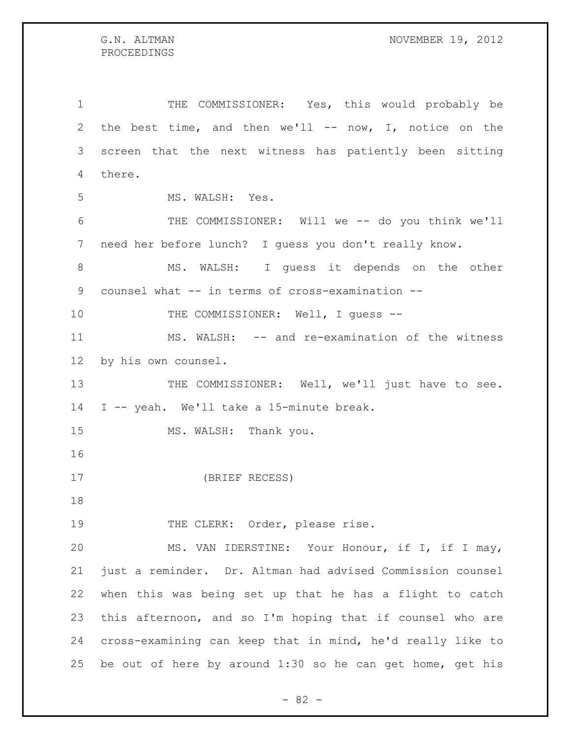THE COMMISSIONER: Yes, this would probably be the best time, and then we'll -- now, I, notice on the screen that the next witness has patiently been sitting there. MS. WALSH: Yes. THE COMMISSIONER: Will we -- do you think we'll need her before lunch? I guess you don't really know. 8 MS. WALSH: I guess it depends on the other counsel what -- in terms of cross-examination -- 10 THE COMMISSIONER: Well, I guess -- MS. WALSH: -- and re-examination of the witness by his own counsel. 13 THE COMMISSIONER: Well, we'll just have to see. I -- yeah. We'll take a 15-minute break. 15 MS. WALSH: Thank you. (BRIEF RECESS) 19 THE CLERK: Order, please rise. MS. VAN IDERSTINE: Your Honour, if I, if I may, just a reminder. Dr. Altman had advised Commission counsel when this was being set up that he has a flight to catch this afternoon, and so I'm hoping that if counsel who are cross-examining can keep that in mind, he'd really like to

be out of here by around 1:30 so he can get home, get his

- 82 -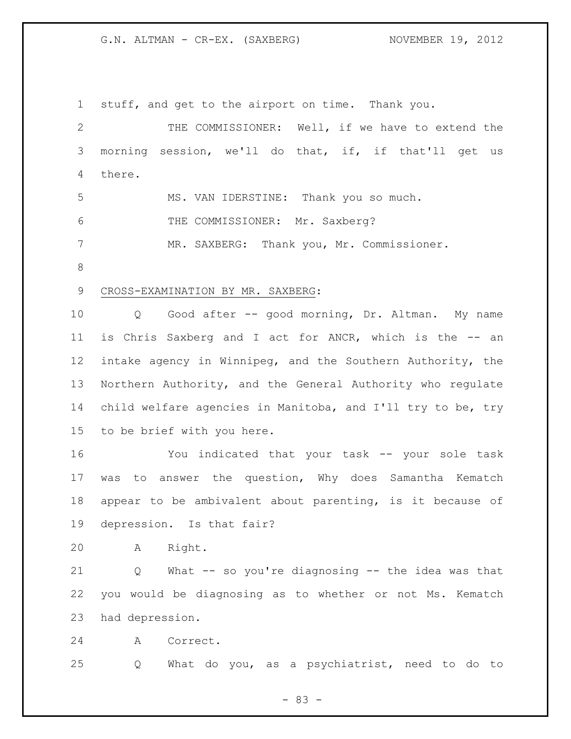stuff, and get to the airport on time. Thank you. THE COMMISSIONER: Well, if we have to extend the morning session, we'll do that, if, if that'll get us there. MS. VAN IDERSTINE: Thank you so much. THE COMMISSIONER: Mr. Saxberg? MR. SAXBERG: Thank you, Mr. Commissioner. CROSS-EXAMINATION BY MR. SAXBERG: Q Good after -- good morning, Dr. Altman. My name is Chris Saxberg and I act for ANCR, which is the -- an intake agency in Winnipeg, and the Southern Authority, the Northern Authority, and the General Authority who regulate child welfare agencies in Manitoba, and I'll try to be, try to be brief with you here. You indicated that your task -- your sole task was to answer the question, Why does Samantha Kematch appear to be ambivalent about parenting, is it because of depression. Is that fair? A Right. Q What -- so you're diagnosing -- the idea was that you would be diagnosing as to whether or not Ms. Kematch had depression.

A Correct.

Q What do you, as a psychiatrist, need to do to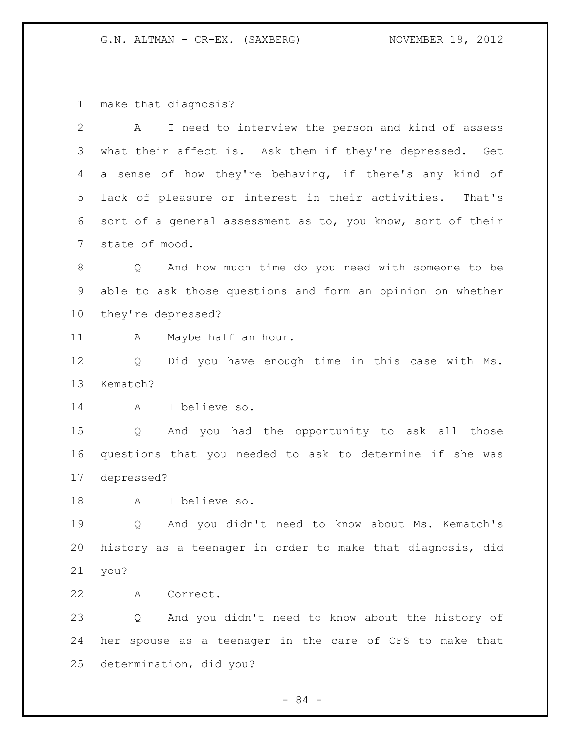make that diagnosis?

| $\mathbf{2}$    | I need to interview the person and kind of assess<br>A                |  |
|-----------------|-----------------------------------------------------------------------|--|
| 3               | what their affect is. Ask them if they're depressed. Get              |  |
| 4               | a sense of how they're behaving, if there's any kind of               |  |
| 5               | lack of pleasure or interest in their activities. That's              |  |
| 6               | sort of a general assessment as to, you know, sort of their           |  |
| $7\phantom{.0}$ | state of mood.                                                        |  |
| 8               | And how much time do you need with someone to be<br>$Q \qquad \qquad$ |  |
| 9               | able to ask those questions and form an opinion on whether            |  |
| 10 <sub>o</sub> | they're depressed?                                                    |  |
| 11              | Α<br>Maybe half an hour.                                              |  |
| 12              | Did you have enough time in this case with Ms.<br>Q                   |  |
| 13              | Kematch?                                                              |  |
| 14              | I believe so.<br>A                                                    |  |
| 15              | And you had the opportunity to ask all those<br>Q                     |  |
| 16              | questions that you needed to ask to determine if she was              |  |
| 17              | depressed?                                                            |  |
| 18              | I believe so.<br>A                                                    |  |
| 19              | And you didn't need to know about Ms. Kematch's<br>Q                  |  |
| 20              | history as a teenager in order to make that diagnosis, did            |  |
| 21              | you?                                                                  |  |
| 22              | Correct.<br>A                                                         |  |
| 23              | And you didn't need to know about the history of<br>Q                 |  |
| 24              | her spouse as a teenager in the care of CFS to make that              |  |
| 25              | determination, did you?                                               |  |
|                 |                                                                       |  |

- 84 -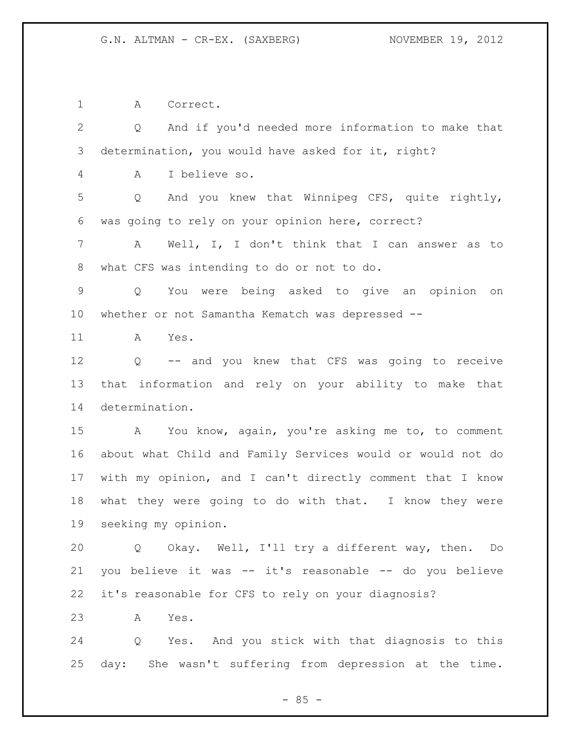A Correct.

 Q And if you'd needed more information to make that determination, you would have asked for it, right? A I believe so. Q And you knew that Winnipeg CFS, quite rightly, was going to rely on your opinion here, correct? A Well, I, I don't think that I can answer as to what CFS was intending to do or not to do. Q You were being asked to give an opinion on whether or not Samantha Kematch was depressed -- A Yes. Q -- and you knew that CFS was going to receive that information and rely on your ability to make that determination. A You know, again, you're asking me to, to comment about what Child and Family Services would or would not do with my opinion, and I can't directly comment that I know what they were going to do with that. I know they were seeking my opinion. Q Okay. Well, I'll try a different way, then. Do you believe it was -- it's reasonable -- do you believe it's reasonable for CFS to rely on your diagnosis? A Yes. Q Yes. And you stick with that diagnosis to this day: She wasn't suffering from depression at the time.

 $- 85 -$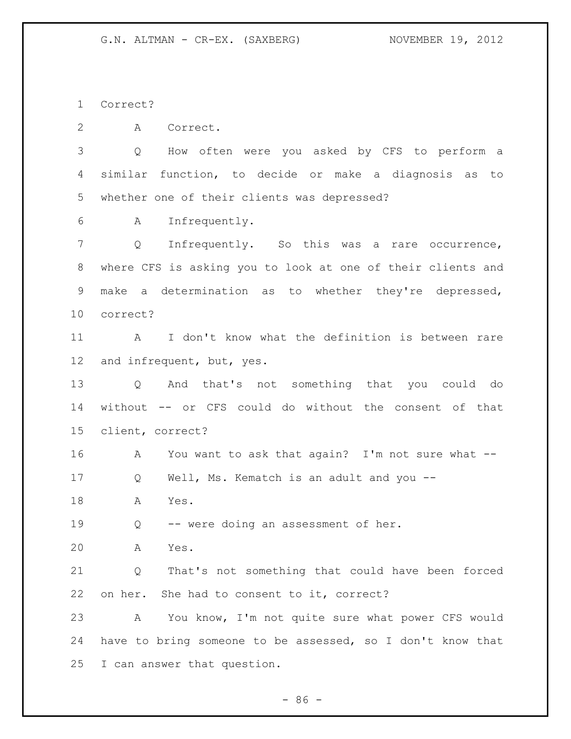Correct?

A Correct.

 Q How often were you asked by CFS to perform a similar function, to decide or make a diagnosis as to whether one of their clients was depressed?

A Infrequently.

 Q Infrequently. So this was a rare occurrence, where CFS is asking you to look at one of their clients and make a determination as to whether they're depressed, correct?

 A I don't know what the definition is between rare and infrequent, but, yes.

 Q And that's not something that you could do without -- or CFS could do without the consent of that client, correct?

A You want to ask that again? I'm not sure what --

Q Well, Ms. Kematch is an adult and you --

A Yes.

Q -- were doing an assessment of her.

A Yes.

 Q That's not something that could have been forced on her. She had to consent to it, correct?

 A You know, I'm not quite sure what power CFS would have to bring someone to be assessed, so I don't know that I can answer that question.

 $-86 -$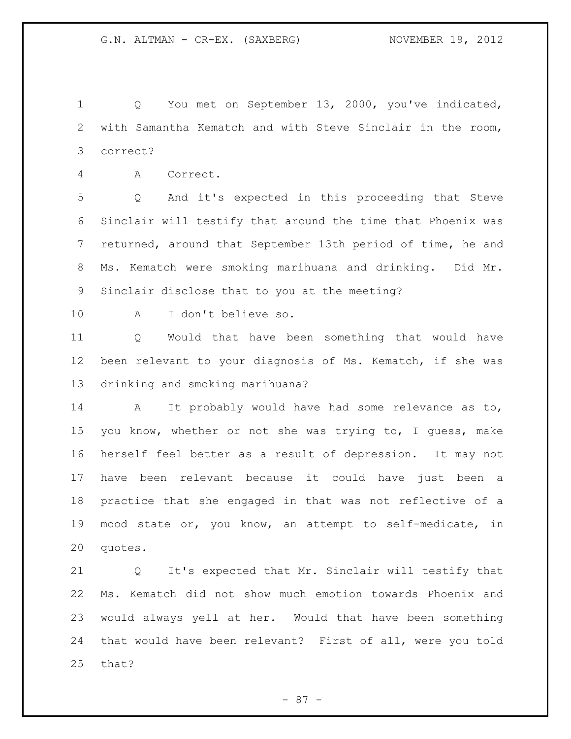Q You met on September 13, 2000, you've indicated, with Samantha Kematch and with Steve Sinclair in the room, correct?

A Correct.

 Q And it's expected in this proceeding that Steve Sinclair will testify that around the time that Phoenix was returned, around that September 13th period of time, he and Ms. Kematch were smoking marihuana and drinking. Did Mr. Sinclair disclose that to you at the meeting?

A I don't believe so.

 Q Would that have been something that would have been relevant to your diagnosis of Ms. Kematch, if she was drinking and smoking marihuana?

 A It probably would have had some relevance as to, you know, whether or not she was trying to, I guess, make herself feel better as a result of depression. It may not have been relevant because it could have just been a practice that she engaged in that was not reflective of a mood state or, you know, an attempt to self-medicate, in quotes.

 Q It's expected that Mr. Sinclair will testify that Ms. Kematch did not show much emotion towards Phoenix and would always yell at her. Would that have been something that would have been relevant? First of all, were you told that?

- 87 -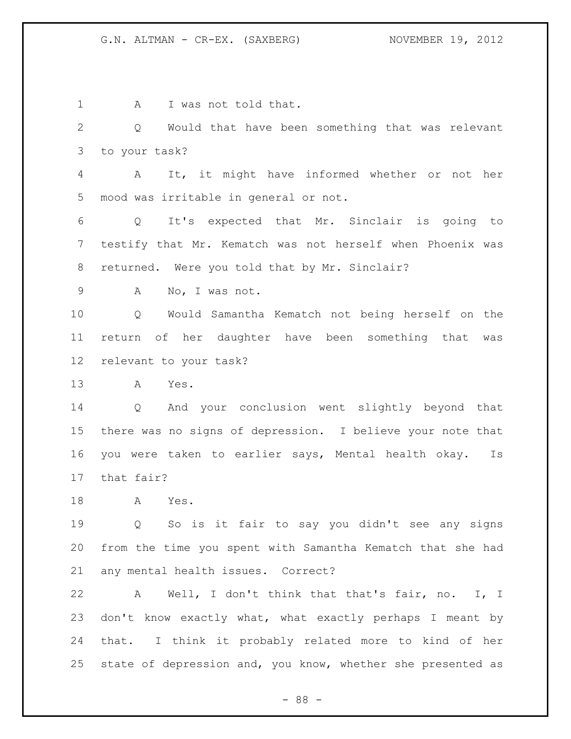1 A I was not told that. Q Would that have been something that was relevant to your task? A It, it might have informed whether or not her mood was irritable in general or not. Q It's expected that Mr. Sinclair is going to testify that Mr. Kematch was not herself when Phoenix was returned. Were you told that by Mr. Sinclair? A No, I was not. Q Would Samantha Kematch not being herself on the return of her daughter have been something that was relevant to your task? A Yes. Q And your conclusion went slightly beyond that there was no signs of depression. I believe your note that you were taken to earlier says, Mental health okay. Is that fair? A Yes. Q So is it fair to say you didn't see any signs from the time you spent with Samantha Kematch that she had any mental health issues. Correct? A Well, I don't think that that's fair, no. I, I don't know exactly what, what exactly perhaps I meant by that. I think it probably related more to kind of her state of depression and, you know, whether she presented as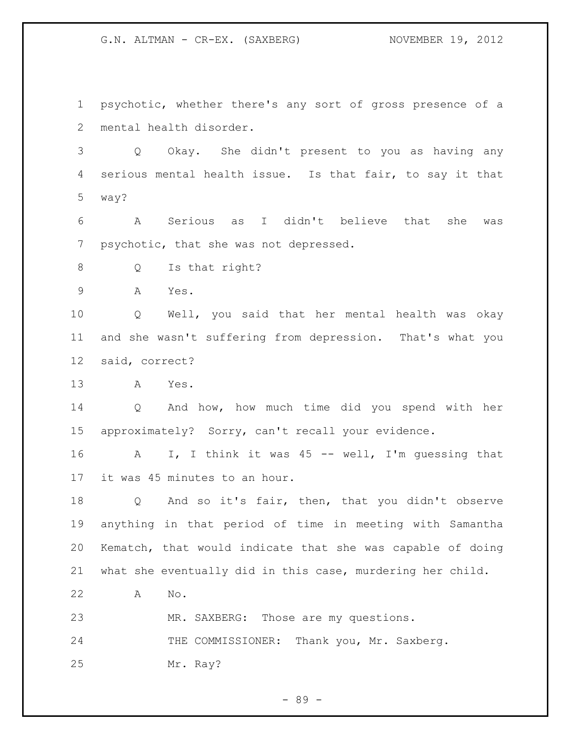psychotic, whether there's any sort of gross presence of a mental health disorder.

 Q Okay. She didn't present to you as having any serious mental health issue. Is that fair, to say it that way?

 A Serious as I didn't believe that she was psychotic, that she was not depressed.

Q Is that right?

A Yes.

 Q Well, you said that her mental health was okay and she wasn't suffering from depression. That's what you said, correct?

A Yes.

 Q And how, how much time did you spend with her approximately? Sorry, can't recall your evidence.

 A I, I think it was 45 -- well, I'm guessing that it was 45 minutes to an hour.

 Q And so it's fair, then, that you didn't observe anything in that period of time in meeting with Samantha Kematch, that would indicate that she was capable of doing what she eventually did in this case, murdering her child.

A No.

MR. SAXBERG: Those are my questions.

24 THE COMMISSIONER: Thank you, Mr. Saxberg.

Mr. Ray?

- 89 -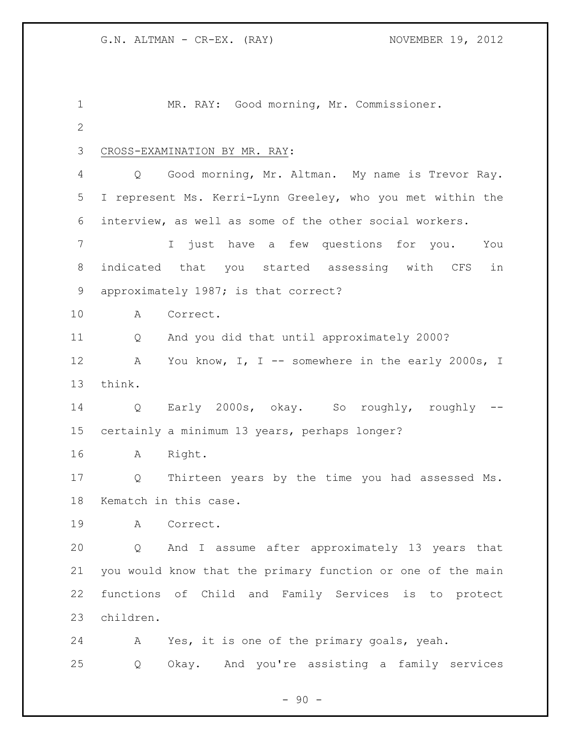| 1           |           | MR. RAY: Good morning, Mr. Commissioner.                    |
|-------------|-----------|-------------------------------------------------------------|
| $\mathbf 2$ |           |                                                             |
| 3           |           | CROSS-EXAMINATION BY MR. RAY:                               |
| 4           | Q         | Good morning, Mr. Altman. My name is Trevor Ray.            |
| 5           |           | I represent Ms. Kerri-Lynn Greeley, who you met within the  |
| 6           |           | interview, as well as some of the other social workers.     |
| 7           |           | I just have a few questions for you.<br>You                 |
| $8\,$       |           | indicated that you started assessing with CFS<br>in         |
| 9           |           | approximately 1987; is that correct?                        |
| 10          | A         | Correct.                                                    |
| 11          | Q         | And you did that until approximately 2000?                  |
| 12          | A         | You know, I, I -- somewhere in the early 2000s, I           |
| 13          | think.    |                                                             |
| 14          | Q         | Early 2000s, okay. So roughly, roughly --                   |
| 15          |           | certainly a minimum 13 years, perhaps longer?               |
| 16          | A         | Right.                                                      |
| 17          | Q         | Thirteen years by the time you had assessed Ms.             |
| 18          |           | Kematch in this case.                                       |
| 19          | A         | Correct.                                                    |
| 20          | Q         | And I assume after approximately 13 years that              |
| 21          |           | you would know that the primary function or one of the main |
| 22          |           | functions of Child and Family Services is to protect        |
| 23          | children. |                                                             |
| 24          | A         | Yes, it is one of the primary goals, yeah.                  |
| 25          | Q         | Okay. And you're assisting a family services                |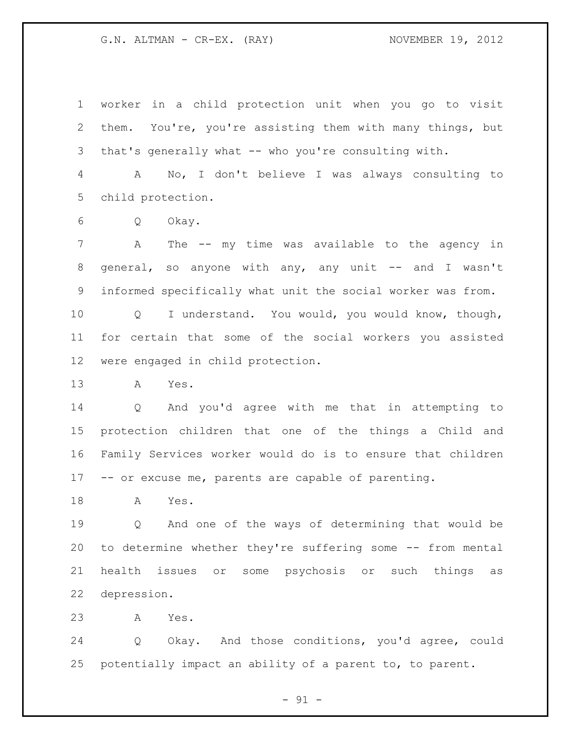worker in a child protection unit when you go to visit them. You're, you're assisting them with many things, but that's generally what -- who you're consulting with.

 A No, I don't believe I was always consulting to child protection.

Q Okay.

 A The -- my time was available to the agency in 8 general, so anyone with any, any unit -- and I wasn't informed specifically what unit the social worker was from.

 Q I understand. You would, you would know, though, for certain that some of the social workers you assisted were engaged in child protection.

A Yes.

 Q And you'd agree with me that in attempting to protection children that one of the things a Child and Family Services worker would do is to ensure that children -- or excuse me, parents are capable of parenting.

A Yes.

 Q And one of the ways of determining that would be to determine whether they're suffering some -- from mental health issues or some psychosis or such things as depression.

A Yes.

 Q Okay. And those conditions, you'd agree, could potentially impact an ability of a parent to, to parent.

 $- 91 -$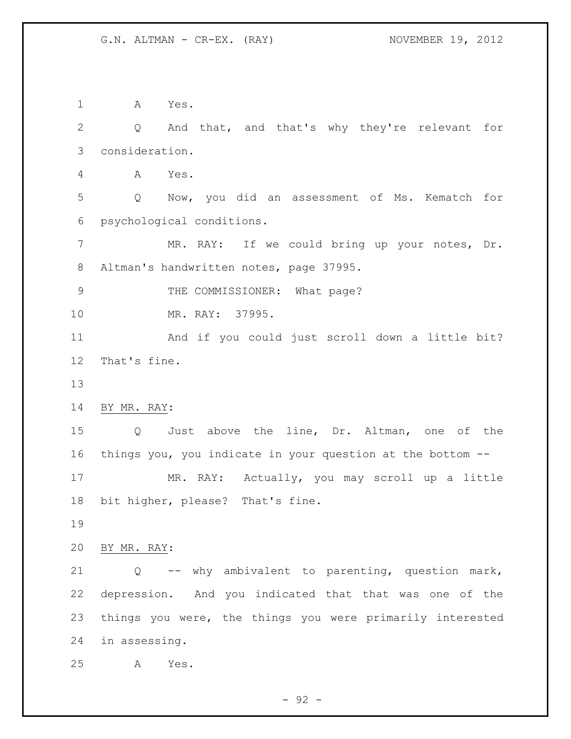A Yes. Q And that, and that's why they're relevant for consideration. A Yes. Q Now, you did an assessment of Ms. Kematch for psychological conditions. 7 MR. RAY: If we could bring up your notes, Dr. Altman's handwritten notes, page 37995. 9 THE COMMISSIONER: What page? MR. RAY: 37995. And if you could just scroll down a little bit? That's fine. BY MR. RAY: Q Just above the line, Dr. Altman, one of the things you, you indicate in your question at the bottom -- MR. RAY: Actually, you may scroll up a little bit higher, please? That's fine. BY MR. RAY: Q -- why ambivalent to parenting, question mark, depression. And you indicated that that was one of the things you were, the things you were primarily interested in assessing. A Yes.

 $-92 -$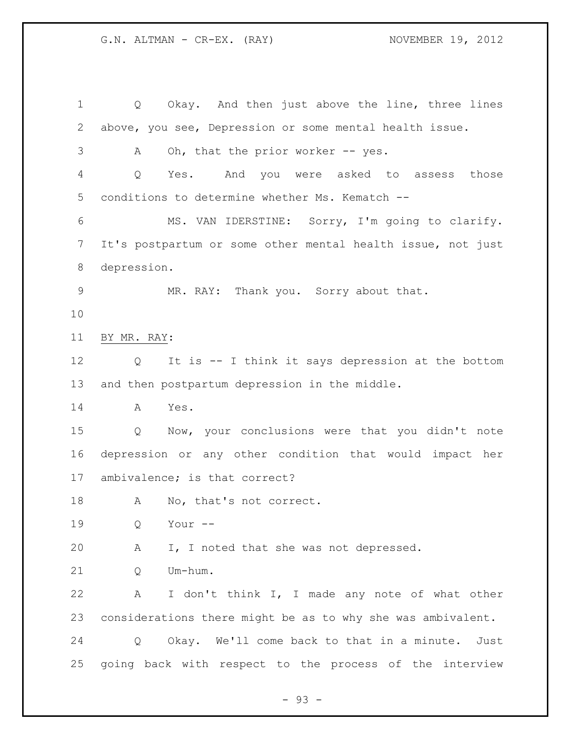Q Okay. And then just above the line, three lines above, you see, Depression or some mental health issue. 3 A Oh, that the prior worker -- yes. Q Yes. And you were asked to assess those conditions to determine whether Ms. Kematch -- MS. VAN IDERSTINE: Sorry, I'm going to clarify. It's postpartum or some other mental health issue, not just depression. MR. RAY: Thank you. Sorry about that. BY MR. RAY: Q It is -- I think it says depression at the bottom and then postpartum depression in the middle. A Yes. Q Now, your conclusions were that you didn't note depression or any other condition that would impact her ambivalence; is that correct? 18 A No, that's not correct. Q Your -- A I, I noted that she was not depressed. Q Um-hum. A I don't think I, I made any note of what other considerations there might be as to why she was ambivalent. Q Okay. We'll come back to that in a minute. Just going back with respect to the process of the interview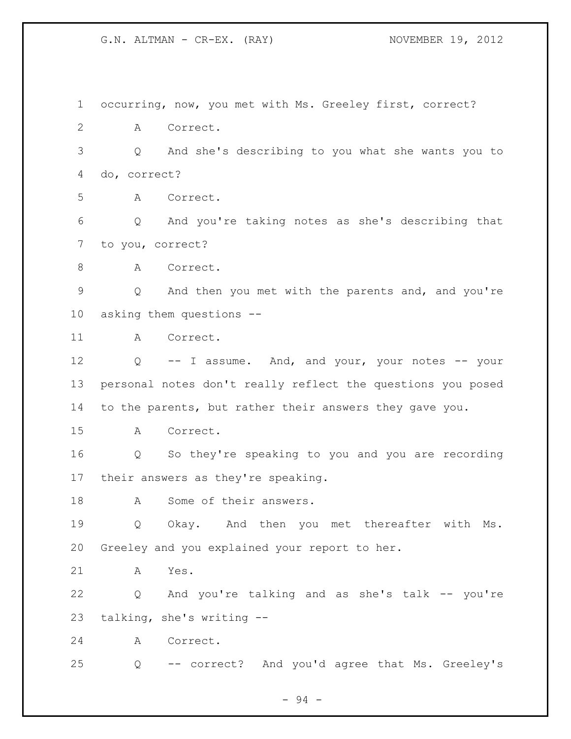occurring, now, you met with Ms. Greeley first, correct? A Correct. Q And she's describing to you what she wants you to do, correct? A Correct. Q And you're taking notes as she's describing that to you, correct? 8 A Correct. Q And then you met with the parents and, and you're asking them questions -- A Correct. 12 Q -- I assume. And, and your, your notes -- your personal notes don't really reflect the questions you posed to the parents, but rather their answers they gave you. A Correct. Q So they're speaking to you and you are recording their answers as they're speaking. 18 A Some of their answers. Q Okay. And then you met thereafter with Ms. Greeley and you explained your report to her. A Yes. Q And you're talking and as she's talk -- you're talking, she's writing -- A Correct. Q -- correct? And you'd agree that Ms. Greeley's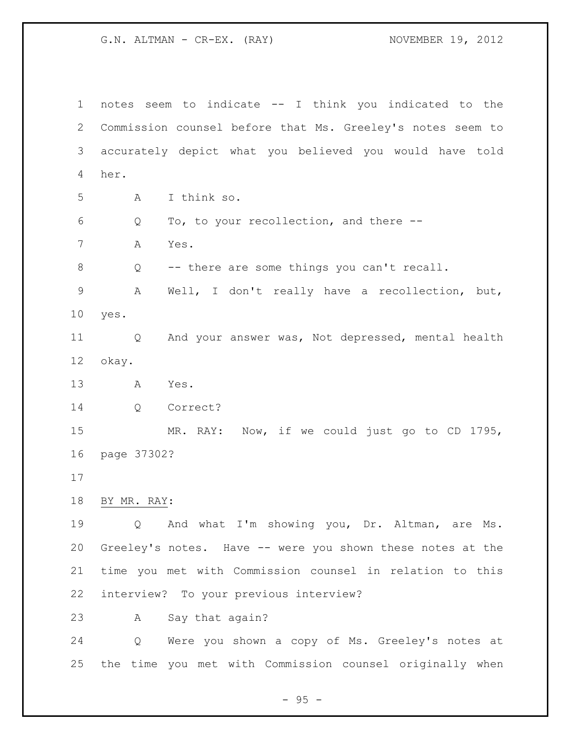notes seem to indicate -- I think you indicated to the Commission counsel before that Ms. Greeley's notes seem to accurately depict what you believed you would have told her. A I think so. Q To, to your recollection, and there -- A Yes. Q -- there are some things you can't recall. A Well, I don't really have a recollection, but, yes. Q And your answer was, Not depressed, mental health okay. A Yes. Q Correct? MR. RAY: Now, if we could just go to CD 1795, page 37302? BY MR. RAY: Q And what I'm showing you, Dr. Altman, are Ms. Greeley's notes. Have -- were you shown these notes at the time you met with Commission counsel in relation to this interview? To your previous interview? A Say that again? Q Were you shown a copy of Ms. Greeley's notes at the time you met with Commission counsel originally when

 $- 95 -$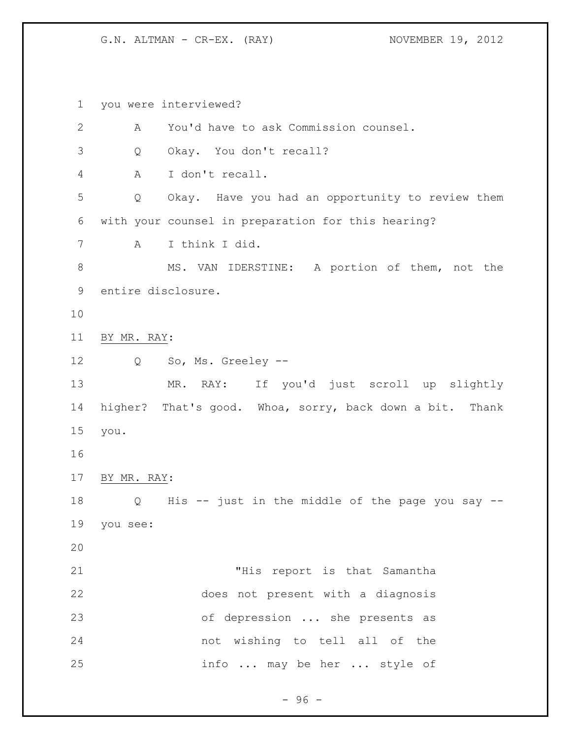you were interviewed? A You'd have to ask Commission counsel. Q Okay. You don't recall? A I don't recall. Q Okay. Have you had an opportunity to review them with your counsel in preparation for this hearing? A I think I did. 8 MS. VAN IDERSTINE: A portion of them, not the entire disclosure. BY MR. RAY: Q So, Ms. Greeley -- MR. RAY: If you'd just scroll up slightly higher? That's good. Whoa, sorry, back down a bit. Thank you. BY MR. RAY: Q His -- just in the middle of the page you say -- you see: "His report is that Samantha does not present with a diagnosis of depression ... she presents as not wishing to tell all of the info ... may be her ... style of

 $-96 -$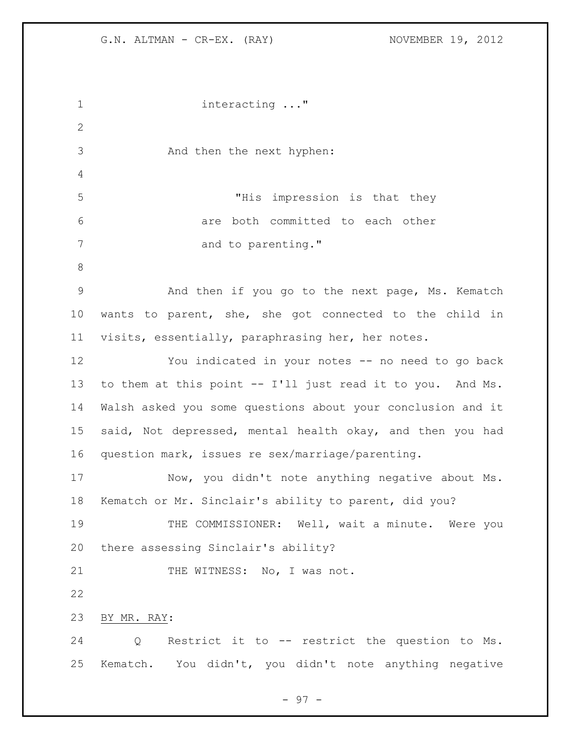```
1 interacting ..."
2
3 And then the next hyphen:
4
5 "His impression is that they 
6 are both committed to each other 
7 and to parenting."
8
9 And then if you go to the next page, Ms. Kematch 
10 wants to parent, she, she got connected to the child in 
11 visits, essentially, paraphrasing her, her notes. 
12 You indicated in your notes -- no need to go back 
13 to them at this point -- I'll just read it to you. And Ms.
14 Walsh asked you some questions about your conclusion and it 
15 said, Not depressed, mental health okay, and then you had 
16 question mark, issues re sex/marriage/parenting. 
17 Now, you didn't note anything negative about Ms. 
18 Kematch or Mr. Sinclair's ability to parent, did you?
19 THE COMMISSIONER: Well, wait a minute. Were you 
20 there assessing Sinclair's ability?
21 THE WITNESS: No, I was not.
22
23 BY MR. RAY: 
24 Q Restrict it to -- restrict the question to Ms. 
25 Kematch. You didn't, you didn't note anything negative
```
- 97 -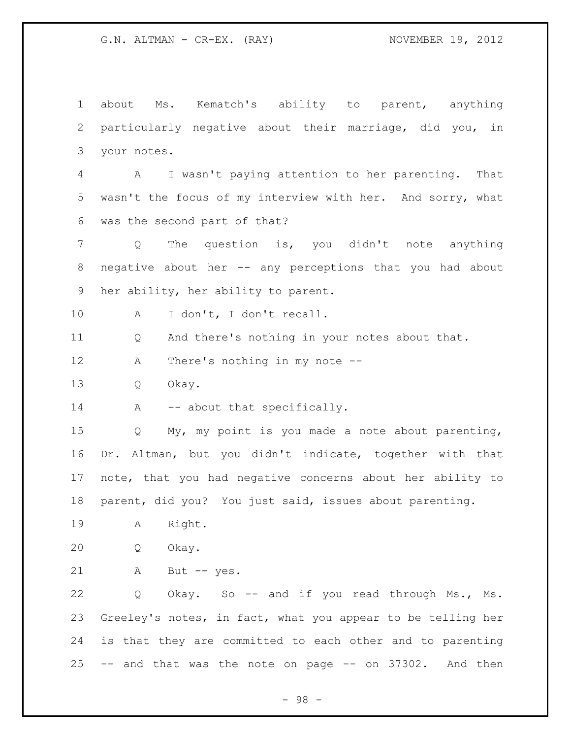about Ms. Kematch's ability to parent, anything particularly negative about their marriage, did you, in your notes. A I wasn't paying attention to her parenting. That wasn't the focus of my interview with her. And sorry, what was the second part of that? Q The question is, you didn't note anything negative about her -- any perceptions that you had about her ability, her ability to parent. A I don't, I don't recall. Q And there's nothing in your notes about that. A There's nothing in my note -- Q Okay. 14 A -- about that specifically. Q My, my point is you made a note about parenting, Dr. Altman, but you didn't indicate, together with that note, that you had negative concerns about her ability to parent, did you? You just said, issues about parenting. A Right. Q Okay. A But -- yes. Q Okay. So -- and if you read through Ms., Ms. Greeley's notes, in fact, what you appear to be telling her is that they are committed to each other and to parenting -- and that was the note on page -- on 37302. And then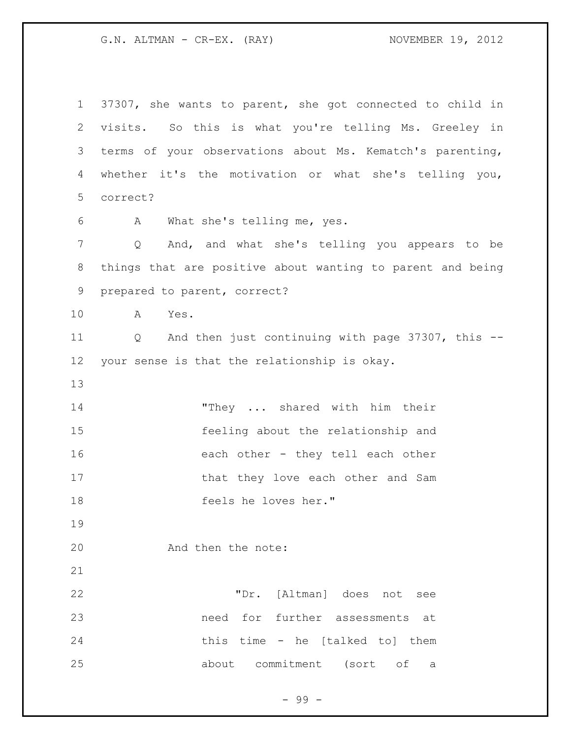37307, she wants to parent, she got connected to child in visits. So this is what you're telling Ms. Greeley in terms of your observations about Ms. Kematch's parenting, whether it's the motivation or what she's telling you, correct? A What she's telling me, yes. Q And, and what she's telling you appears to be things that are positive about wanting to parent and being prepared to parent, correct? A Yes. Q And then just continuing with page 37307, this -- your sense is that the relationship is okay. 14 "They ... shared with him their feeling about the relationship and 16 each other - they tell each other 17 that they love each other and Sam feels he loves her." And then the note: "Dr. [Altman] does not see need for further assessments at this time - he [talked to] them about commitment (sort of a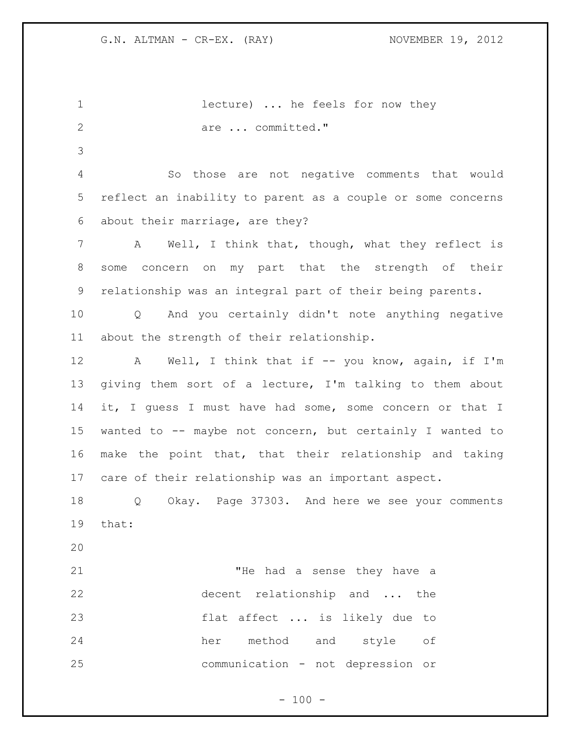| $\mathbf 1$  | lecture)  he feels for now they                             |
|--------------|-------------------------------------------------------------|
| $\mathbf{2}$ | are  committed."                                            |
| 3            |                                                             |
| 4            | So those are not negative comments that would               |
| 5            | reflect an inability to parent as a couple or some concerns |
| 6            | about their marriage, are they?                             |
| 7            | Well, I think that, though, what they reflect is<br>A       |
| 8            | concern on my part that the strength of their<br>some       |
| 9            | relationship was an integral part of their being parents.   |
| 10           | Q And you certainly didn't note anything negative           |
| 11           | about the strength of their relationship.                   |
| 12           | A Well, I think that if -- you know, again, if I'm          |
| 13           | giving them sort of a lecture, I'm talking to them about    |
| 14           | it, I guess I must have had some, some concern or that I    |
| 15           | wanted to -- maybe not concern, but certainly I wanted to   |
| 16           | make the point that, that their relationship and taking     |
| 17           | care of their relationship was an important aspect.         |
| 18           | Okay. Page 37303. And here we see your comments<br>Q        |
| 19           | that:                                                       |
| 20           |                                                             |
| 21           | "He had a sense they have a                                 |
| 22           | decent relationship and  the                                |
| 23           | flat affect  is likely due to                               |
| 24           | her method and style<br>of                                  |
|              |                                                             |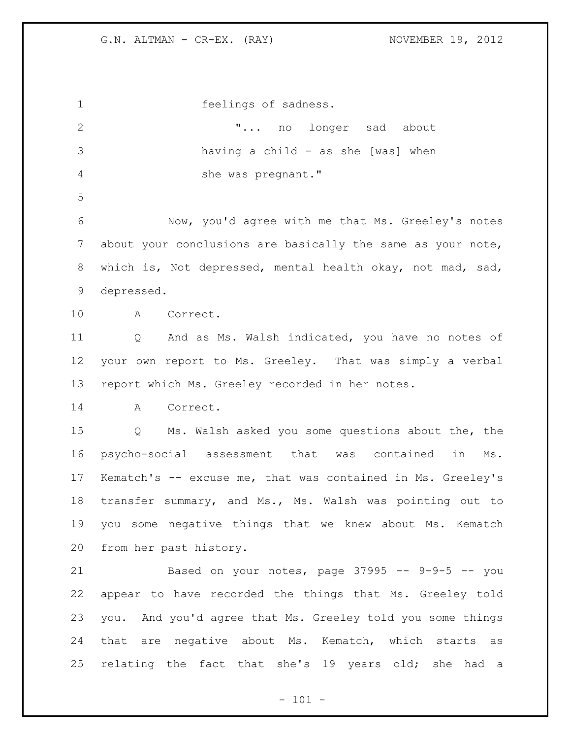feelings of sadness. 2 T... no longer sad about having a child - as she [was] when she was pregnant." Now, you'd agree with me that Ms. Greeley's notes about your conclusions are basically the same as your note, which is, Not depressed, mental health okay, not mad, sad, depressed. A Correct. Q And as Ms. Walsh indicated, you have no notes of your own report to Ms. Greeley. That was simply a verbal report which Ms. Greeley recorded in her notes. A Correct. Q Ms. Walsh asked you some questions about the, the psycho-social assessment that was contained in Ms. Kematch's -- excuse me, that was contained in Ms. Greeley's transfer summary, and Ms., Ms. Walsh was pointing out to you some negative things that we knew about Ms. Kematch from her past history. Based on your notes, page 37995 -- 9-9-5 -- you appear to have recorded the things that Ms. Greeley told you. And you'd agree that Ms. Greeley told you some things that are negative about Ms. Kematch, which starts as relating the fact that she's 19 years old; she had a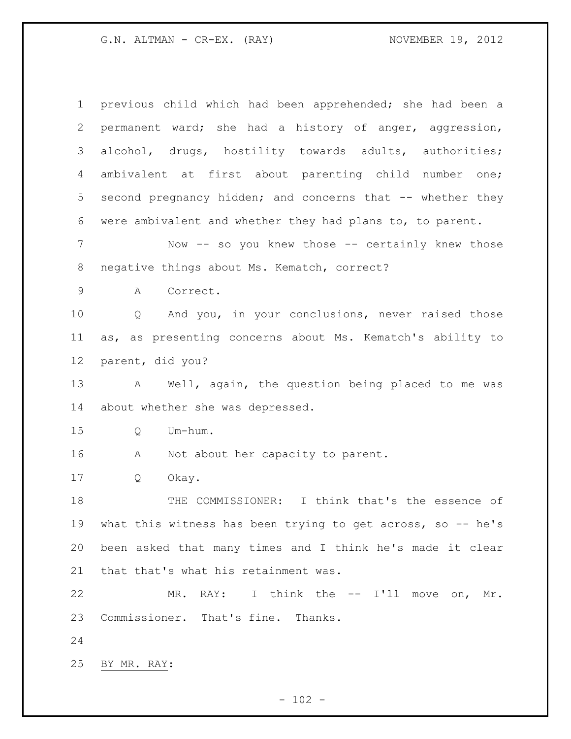previous child which had been apprehended; she had been a permanent ward; she had a history of anger, aggression, alcohol, drugs, hostility towards adults, authorities; ambivalent at first about parenting child number one; second pregnancy hidden; and concerns that -- whether they were ambivalent and whether they had plans to, to parent. 7 Now -- so you knew those -- certainly knew those negative things about Ms. Kematch, correct? A Correct. Q And you, in your conclusions, never raised those as, as presenting concerns about Ms. Kematch's ability to parent, did you? A Well, again, the question being placed to me was about whether she was depressed. Q Um-hum. 16 A Not about her capacity to parent. Q Okay. THE COMMISSIONER: I think that's the essence of what this witness has been trying to get across, so -- he's been asked that many times and I think he's made it clear that that's what his retainment was. MR. RAY: I think the -- I'll move on, Mr. Commissioner. That's fine. Thanks. BY MR. RAY: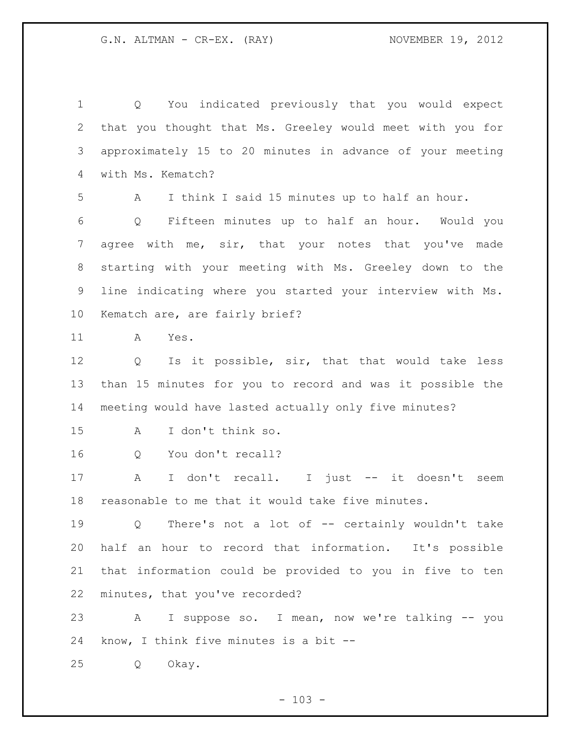Q You indicated previously that you would expect that you thought that Ms. Greeley would meet with you for approximately 15 to 20 minutes in advance of your meeting with Ms. Kematch? A I think I said 15 minutes up to half an hour. Q Fifteen minutes up to half an hour. Would you 7 agree with me, sir, that your notes that you've made starting with your meeting with Ms. Greeley down to the line indicating where you started your interview with Ms. Kematch are, are fairly brief? A Yes. Q Is it possible, sir, that that would take less than 15 minutes for you to record and was it possible the meeting would have lasted actually only five minutes? A I don't think so. Q You don't recall? A I don't recall. I just -- it doesn't seem reasonable to me that it would take five minutes. Q There's not a lot of -- certainly wouldn't take half an hour to record that information. It's possible that information could be provided to you in five to ten minutes, that you've recorded? A I suppose so. I mean, now we're talking -- you know, I think five minutes is a bit -- Q Okay.

 $- 103 -$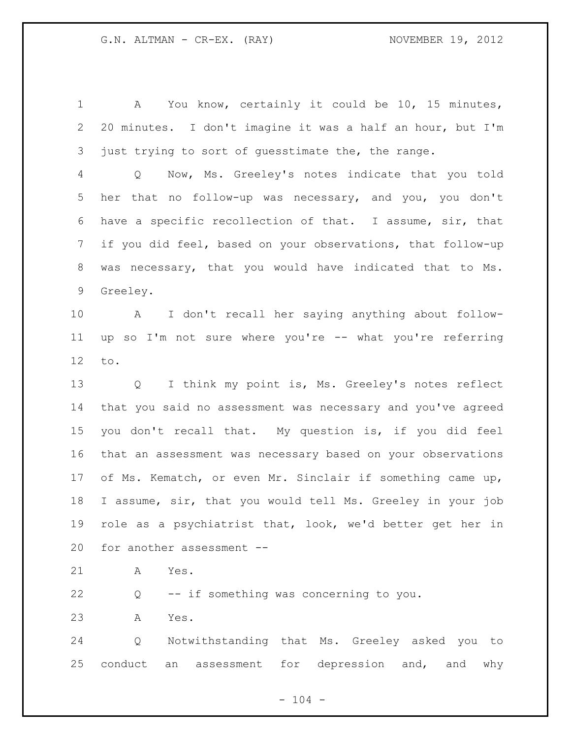A You know, certainly it could be 10, 15 minutes, 20 minutes. I don't imagine it was a half an hour, but I'm just trying to sort of guesstimate the, the range. Q Now, Ms. Greeley's notes indicate that you told her that no follow-up was necessary, and you, you don't have a specific recollection of that. I assume, sir, that if you did feel, based on your observations, that follow-up was necessary, that you would have indicated that to Ms. Greeley. A I don't recall her saying anything about follow- up so I'm not sure where you're -- what you're referring to. Q I think my point is, Ms. Greeley's notes reflect that you said no assessment was necessary and you've agreed you don't recall that. My question is, if you did feel that an assessment was necessary based on your observations of Ms. Kematch, or even Mr. Sinclair if something came up, I assume, sir, that you would tell Ms. Greeley in your job role as a psychiatrist that, look, we'd better get her in for another assessment -- A Yes. Q -- if something was concerning to you.

A Yes.

 Q Notwithstanding that Ms. Greeley asked you to conduct an assessment for depression and, and why

 $- 104 -$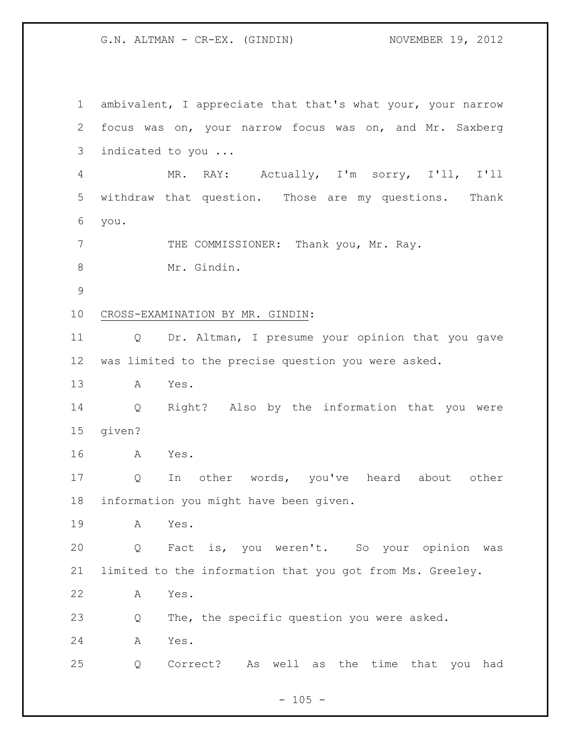G.N. ALTMAN - CR-EX. (GINDIN) NOVEMBER 19, 2012

 ambivalent, I appreciate that that's what your, your narrow focus was on, your narrow focus was on, and Mr. Saxberg indicated to you ... MR. RAY: Actually, I'm sorry, I'll, I'll withdraw that question. Those are my questions. Thank you. 7 THE COMMISSIONER: Thank you, Mr. Ray. 8 Mr. Gindin. CROSS-EXAMINATION BY MR. GINDIN: Q Dr. Altman, I presume your opinion that you gave was limited to the precise question you were asked. A Yes. Q Right? Also by the information that you were given? A Yes. Q In other words, you've heard about other information you might have been given. A Yes. Q Fact is, you weren't. So your opinion was limited to the information that you got from Ms. Greeley. A Yes. Q The, the specific question you were asked. A Yes. Q Correct? As well as the time that you had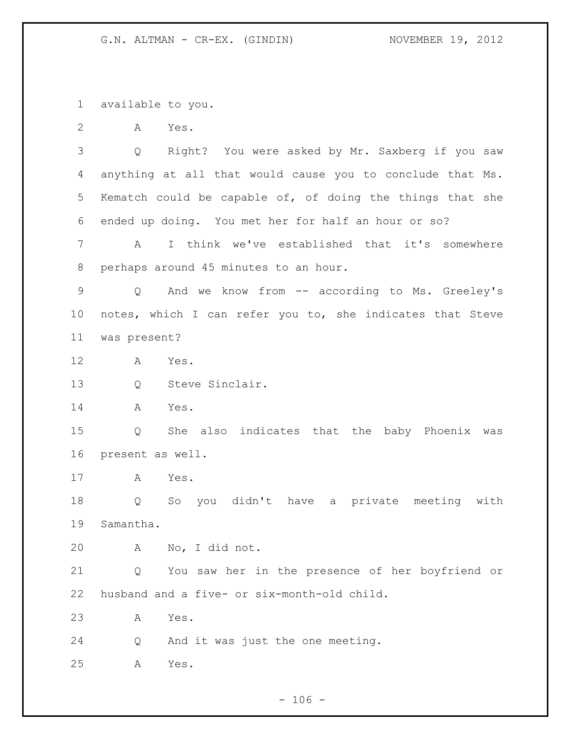available to you.

A Yes.

 Q Right? You were asked by Mr. Saxberg if you saw anything at all that would cause you to conclude that Ms. Kematch could be capable of, of doing the things that she ended up doing. You met her for half an hour or so?

 A I think we've established that it's somewhere perhaps around 45 minutes to an hour.

 Q And we know from -- according to Ms. Greeley's notes, which I can refer you to, she indicates that Steve was present?

- A Yes.
- Q Steve Sinclair.

A Yes.

 Q She also indicates that the baby Phoenix was present as well.

A Yes.

 Q So you didn't have a private meeting with Samantha.

A No, I did not.

 Q You saw her in the presence of her boyfriend or husband and a five- or six-month-old child.

A Yes.

Q And it was just the one meeting.

A Yes.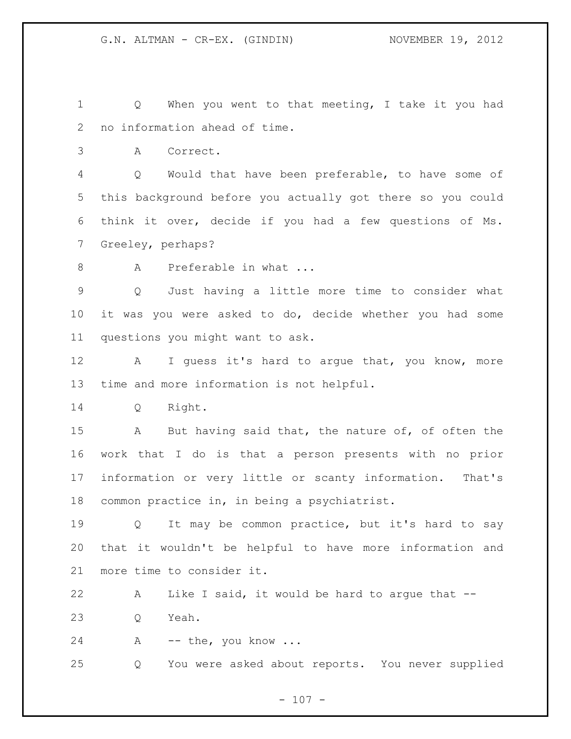Q When you went to that meeting, I take it you had no information ahead of time.

A Correct.

 Q Would that have been preferable, to have some of this background before you actually got there so you could think it over, decide if you had a few questions of Ms. Greeley, perhaps?

8 A Preferable in what ...

 Q Just having a little more time to consider what it was you were asked to do, decide whether you had some questions you might want to ask.

12 A I guess it's hard to argue that, you know, more time and more information is not helpful.

Q Right.

 A But having said that, the nature of, of often the work that I do is that a person presents with no prior information or very little or scanty information. That's common practice in, in being a psychiatrist.

 Q It may be common practice, but it's hard to say that it wouldn't be helpful to have more information and more time to consider it.

 A Like I said, it would be hard to argue that -- Q Yeah.

A -- the, you know ...

Q You were asked about reports. You never supplied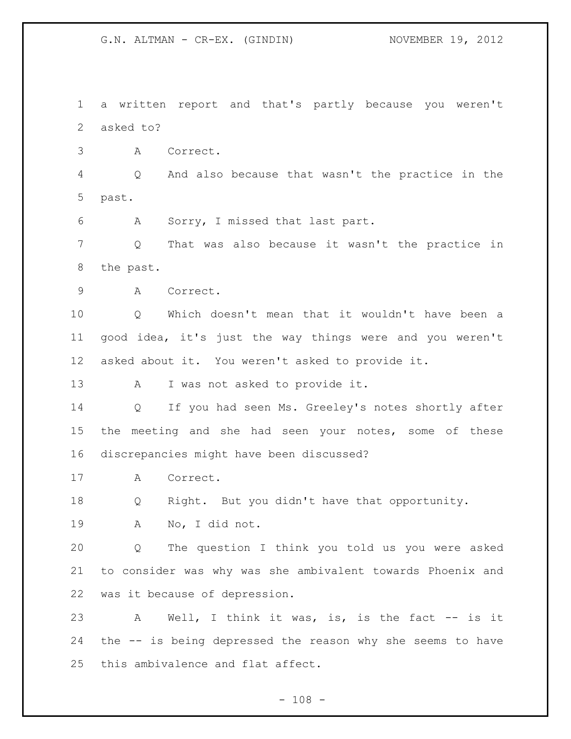G.N. ALTMAN - CR-EX. (GINDIN) NOVEMBER 19, 2012

 a written report and that's partly because you weren't asked to?

A Correct.

 Q And also because that wasn't the practice in the past.

A Sorry, I missed that last part.

 Q That was also because it wasn't the practice in the past.

A Correct.

 Q Which doesn't mean that it wouldn't have been a good idea, it's just the way things were and you weren't asked about it. You weren't asked to provide it.

A I was not asked to provide it.

 Q If you had seen Ms. Greeley's notes shortly after the meeting and she had seen your notes, some of these discrepancies might have been discussed?

A Correct.

Q Right. But you didn't have that opportunity.

A No, I did not.

 Q The question I think you told us you were asked to consider was why was she ambivalent towards Phoenix and was it because of depression.

23 A Well, I think it was, is, is the fact -- is it the -- is being depressed the reason why she seems to have this ambivalence and flat affect.

 $- 108 -$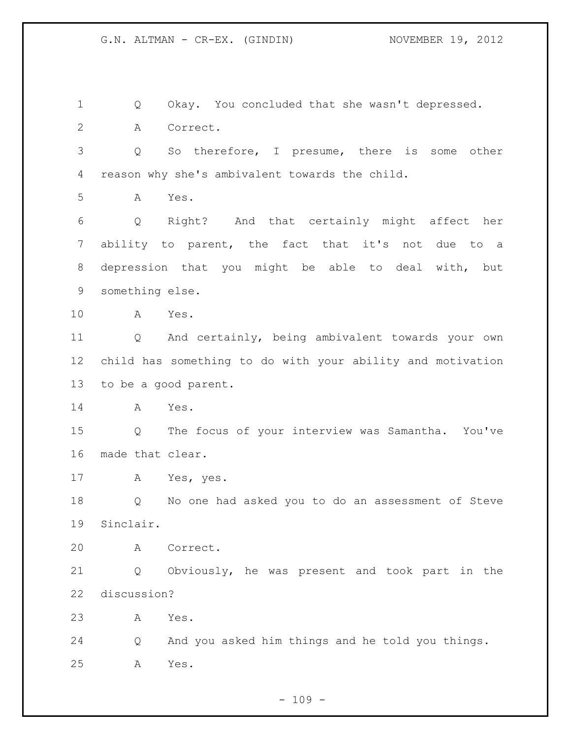Q Okay. You concluded that she wasn't depressed. A Correct. Q So therefore, I presume, there is some other reason why she's ambivalent towards the child. A Yes. Q Right? And that certainly might affect her ability to parent, the fact that it's not due to a depression that you might be able to deal with, but something else. A Yes. Q And certainly, being ambivalent towards your own child has something to do with your ability and motivation to be a good parent. A Yes. Q The focus of your interview was Samantha. You've made that clear. A Yes, yes. Q No one had asked you to do an assessment of Steve Sinclair. A Correct. Q Obviously, he was present and took part in the discussion? A Yes. Q And you asked him things and he told you things. A Yes.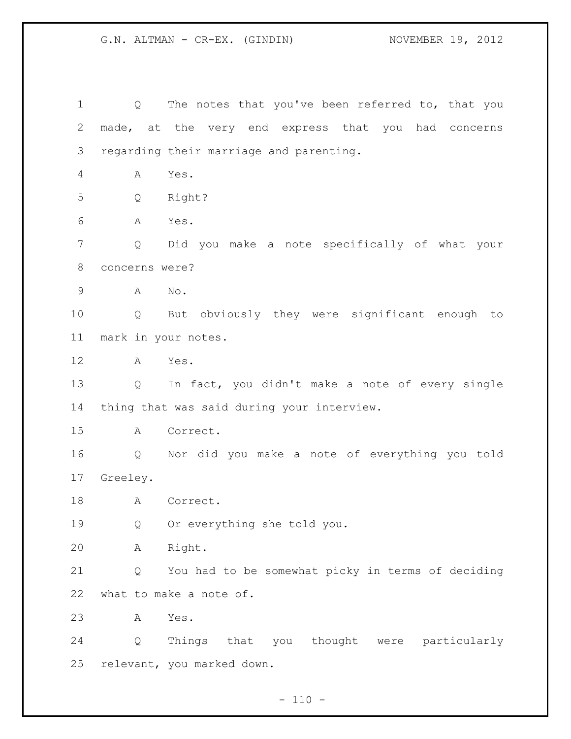1 Q The notes that you've been referred to, that you made, at the very end express that you had concerns regarding their marriage and parenting. A Yes. Q Right? A Yes. Q Did you make a note specifically of what your concerns were? A No. Q But obviously they were significant enough to mark in your notes. A Yes. Q In fact, you didn't make a note of every single thing that was said during your interview. A Correct. Q Nor did you make a note of everything you told Greeley. 18 A Correct. Q Or everything she told you. A Right. Q You had to be somewhat picky in terms of deciding what to make a note of. A Yes. Q Things that you thought were particularly relevant, you marked down.

 $- 110 -$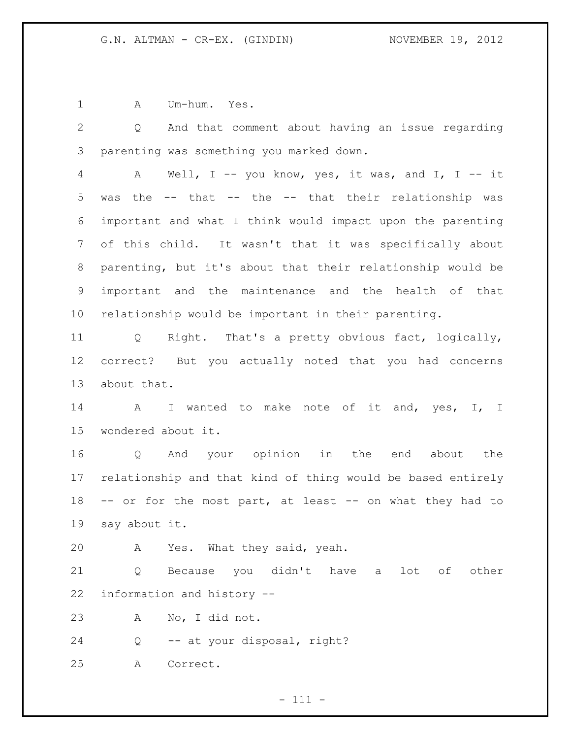A Um-hum. Yes.

 Q And that comment about having an issue regarding parenting was something you marked down.

 A Well, I -- you know, yes, it was, and I, I -- it was the -- that -- the -- that their relationship was important and what I think would impact upon the parenting of this child. It wasn't that it was specifically about parenting, but it's about that their relationship would be important and the maintenance and the health of that relationship would be important in their parenting.

 Q Right. That's a pretty obvious fact, logically, correct? But you actually noted that you had concerns about that.

14 A I wanted to make note of it and, yes, I, I wondered about it.

 Q And your opinion in the end about the relationship and that kind of thing would be based entirely -- or for the most part, at least -- on what they had to say about it.

A Yes. What they said, yeah.

 Q Because you didn't have a lot of other information and history --

A No, I did not.

Q -- at your disposal, right?

A Correct.

 $- 111 -$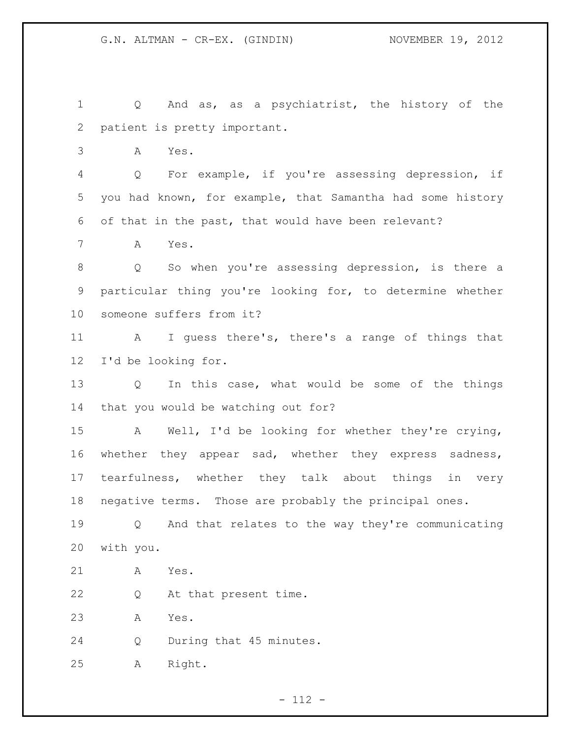Q And as, as a psychiatrist, the history of the patient is pretty important.

A Yes.

 Q For example, if you're assessing depression, if you had known, for example, that Samantha had some history of that in the past, that would have been relevant?

A Yes.

 Q So when you're assessing depression, is there a particular thing you're looking for, to determine whether someone suffers from it?

 A I guess there's, there's a range of things that I'd be looking for.

 Q In this case, what would be some of the things that you would be watching out for?

 A Well, I'd be looking for whether they're crying, whether they appear sad, whether they express sadness, tearfulness, whether they talk about things in very negative terms. Those are probably the principal ones.

 Q And that relates to the way they're communicating with you.

A Yes.

Q At that present time.

A Yes.

Q During that 45 minutes.

A Right.

 $- 112 -$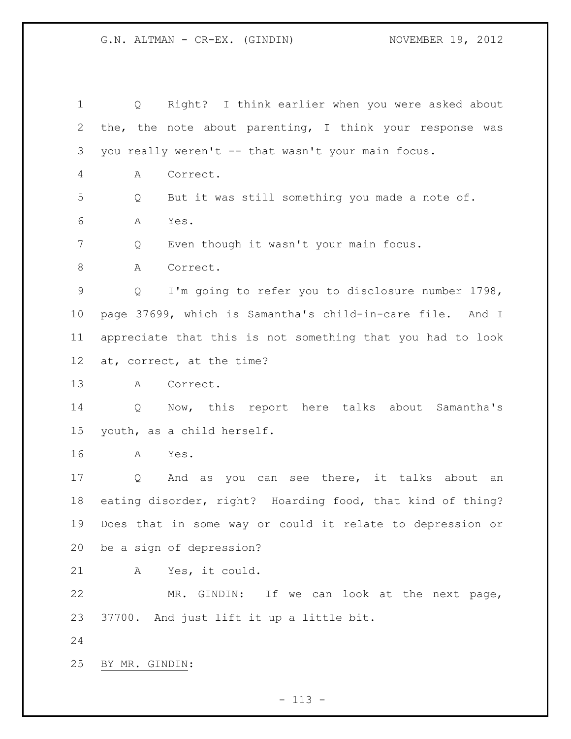Q Right? I think earlier when you were asked about the, the note about parenting, I think your response was you really weren't -- that wasn't your main focus. A Correct. Q But it was still something you made a note of. A Yes. 7 Q Even though it wasn't your main focus. 8 A Correct. Q I'm going to refer you to disclosure number 1798, page 37699, which is Samantha's child-in-care file. And I appreciate that this is not something that you had to look at, correct, at the time? A Correct. Q Now, this report here talks about Samantha's youth, as a child herself. A Yes. Q And as you can see there, it talks about an eating disorder, right? Hoarding food, that kind of thing? Does that in some way or could it relate to depression or be a sign of depression? A Yes, it could. MR. GINDIN: If we can look at the next page, 37700. And just lift it up a little bit. BY MR. GINDIN: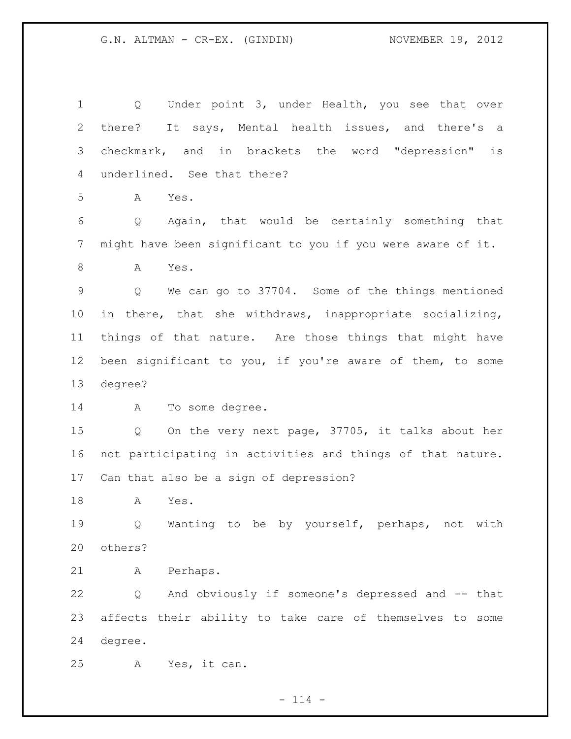1 Q Under point 3, under Health, you see that over there? It says, Mental health issues, and there's a checkmark, and in brackets the word "depression" is underlined. See that there? A Yes. Q Again, that would be certainly something that might have been significant to you if you were aware of it. A Yes. Q We can go to 37704. Some of the things mentioned in there, that she withdraws, inappropriate socializing, things of that nature. Are those things that might have been significant to you, if you're aware of them, to some degree? A To some degree. Q On the very next page, 37705, it talks about her not participating in activities and things of that nature. Can that also be a sign of depression? A Yes. Q Wanting to be by yourself, perhaps, not with others? A Perhaps. Q And obviously if someone's depressed and -- that affects their ability to take care of themselves to some degree. A Yes, it can.

 $- 114 -$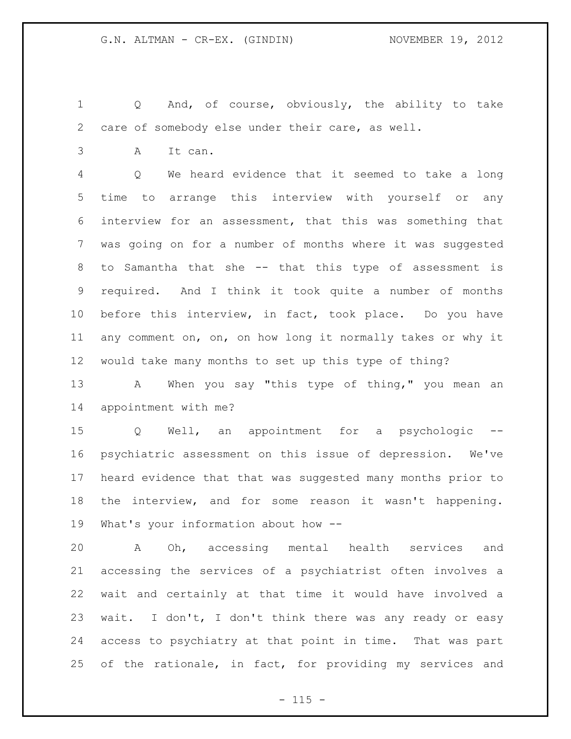Q And, of course, obviously, the ability to take care of somebody else under their care, as well.

A It can.

 Q We heard evidence that it seemed to take a long time to arrange this interview with yourself or any interview for an assessment, that this was something that was going on for a number of months where it was suggested to Samantha that she -- that this type of assessment is required. And I think it took quite a number of months before this interview, in fact, took place. Do you have any comment on, on, on how long it normally takes or why it would take many months to set up this type of thing?

13 A When you say "this type of thing," you mean an appointment with me?

 Q Well, an appointment for a psychologic -- psychiatric assessment on this issue of depression. We've heard evidence that that was suggested many months prior to the interview, and for some reason it wasn't happening. What's your information about how --

 A Oh, accessing mental health services and accessing the services of a psychiatrist often involves a wait and certainly at that time it would have involved a wait. I don't, I don't think there was any ready or easy access to psychiatry at that point in time. That was part of the rationale, in fact, for providing my services and

 $- 115 -$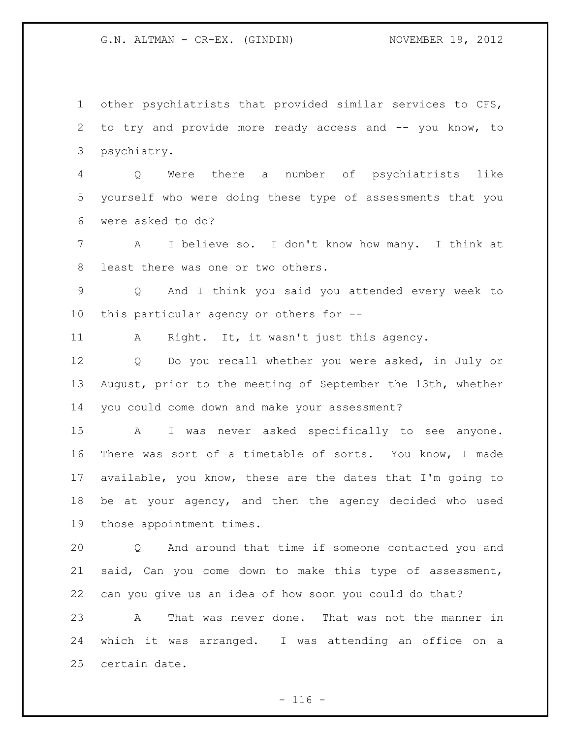G.N. ALTMAN - CR-EX. (GINDIN) NOVEMBER 19, 2012

 other psychiatrists that provided similar services to CFS, to try and provide more ready access and -- you know, to psychiatry.

 Q Were there a number of psychiatrists like yourself who were doing these type of assessments that you were asked to do?

 A I believe so. I don't know how many. I think at least there was one or two others.

 Q And I think you said you attended every week to this particular agency or others for --

A Right. It, it wasn't just this agency.

 Q Do you recall whether you were asked, in July or August, prior to the meeting of September the 13th, whether you could come down and make your assessment?

 A I was never asked specifically to see anyone. There was sort of a timetable of sorts. You know, I made available, you know, these are the dates that I'm going to be at your agency, and then the agency decided who used those appointment times.

 Q And around that time if someone contacted you and said, Can you come down to make this type of assessment, can you give us an idea of how soon you could do that?

 A That was never done. That was not the manner in which it was arranged. I was attending an office on a certain date.

 $- 116 -$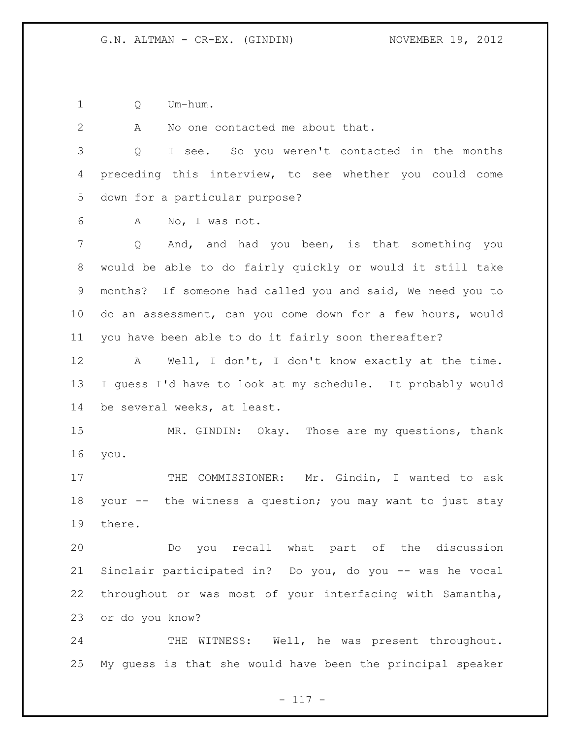Q Um-hum.

A No one contacted me about that.

 Q I see. So you weren't contacted in the months preceding this interview, to see whether you could come down for a particular purpose?

A No, I was not.

 Q And, and had you been, is that something you would be able to do fairly quickly or would it still take months? If someone had called you and said, We need you to do an assessment, can you come down for a few hours, would you have been able to do it fairly soon thereafter?

 A Well, I don't, I don't know exactly at the time. I guess I'd have to look at my schedule. It probably would be several weeks, at least.

 MR. GINDIN: Okay. Those are my questions, thank you.

17 THE COMMISSIONER: Mr. Gindin, I wanted to ask your -- the witness a question; you may want to just stay there.

 Do you recall what part of the discussion Sinclair participated in? Do you, do you -- was he vocal throughout or was most of your interfacing with Samantha, or do you know?

24 THE WITNESS: Well, he was present throughout. My guess is that she would have been the principal speaker

 $- 117 -$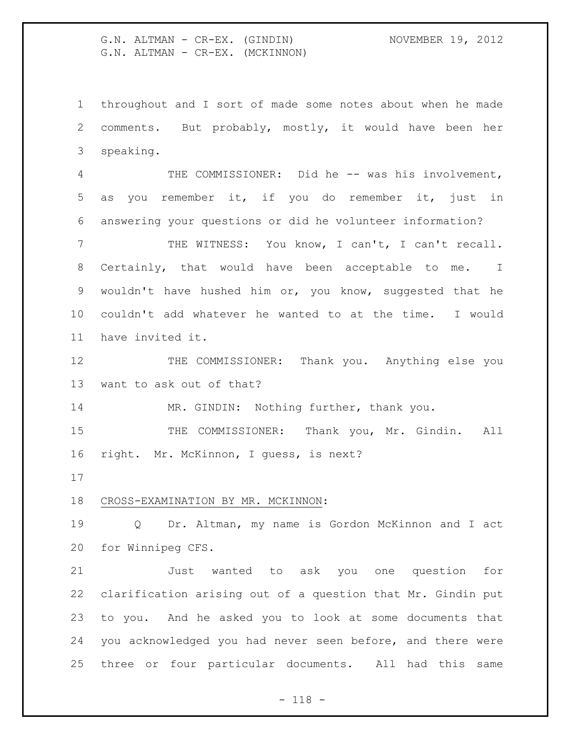G.N. ALTMAN - CR-EX. (GINDIN) NOVEMBER 19, 2012 G.N. ALTMAN - CR-EX. (MCKINNON)

 throughout and I sort of made some notes about when he made comments. But probably, mostly, it would have been her speaking.

4 THE COMMISSIONER: Did he -- was his involvement, as you remember it, if you do remember it, just in answering your questions or did he volunteer information?

 THE WITNESS: You know, I can't, I can't recall. Certainly, that would have been acceptable to me. I wouldn't have hushed him or, you know, suggested that he couldn't add whatever he wanted to at the time. I would have invited it.

 THE COMMISSIONER: Thank you. Anything else you want to ask out of that?

14 MR. GINDIN: Nothing further, thank you.

15 THE COMMISSIONER: Thank you, Mr. Gindin. All right. Mr. McKinnon, I guess, is next?

### CROSS-EXAMINATION BY MR. MCKINNON:

 Q Dr. Altman, my name is Gordon McKinnon and I act for Winnipeg CFS.

 Just wanted to ask you one question for clarification arising out of a question that Mr. Gindin put to you. And he asked you to look at some documents that you acknowledged you had never seen before, and there were three or four particular documents. All had this same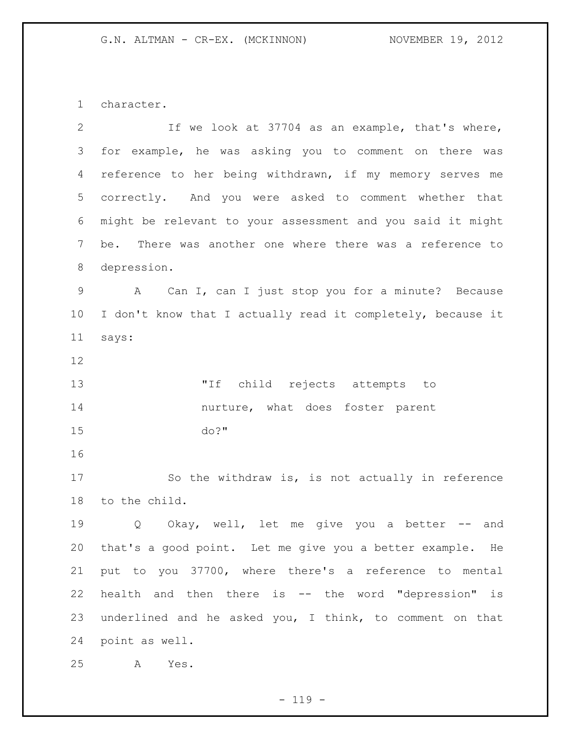character.

| $\overline{2}$ | If we look at 37704 as an example, that's where,            |
|----------------|-------------------------------------------------------------|
| 3              | for example, he was asking you to comment on there was      |
| 4              | reference to her being withdrawn, if my memory serves me    |
| 5              | correctly. And you were asked to comment whether that       |
| 6              | might be relevant to your assessment and you said it might  |
| 7              | There was another one where there was a reference to<br>be. |
| 8              | depression.                                                 |
| $\mathsf 9$    | A Can I, can I just stop you for a minute? Because          |
| 10             | I don't know that I actually read it completely, because it |
| 11             | says:                                                       |
| 12             |                                                             |
| 13             | "If child rejects attempts to                               |
| 14             | nurture, what does foster parent                            |
| 15             | $do?$ "                                                     |
| 16             |                                                             |
| 17             | So the withdraw is, is not actually in reference            |
| 18             | to the child.                                               |
| 19             | Okay, well, let me give you a better -- and<br>Q            |
| 20             | that's a good point. Let me give you a better example. He   |
| 21             | put to you 37700, where there's a reference to mental       |
| 22             | health and then there is -- the word "depression" is        |
| 23             | underlined and he asked you, I think, to comment on that    |
| 24             | point as well.                                              |
| 25             | Yes.<br>Α                                                   |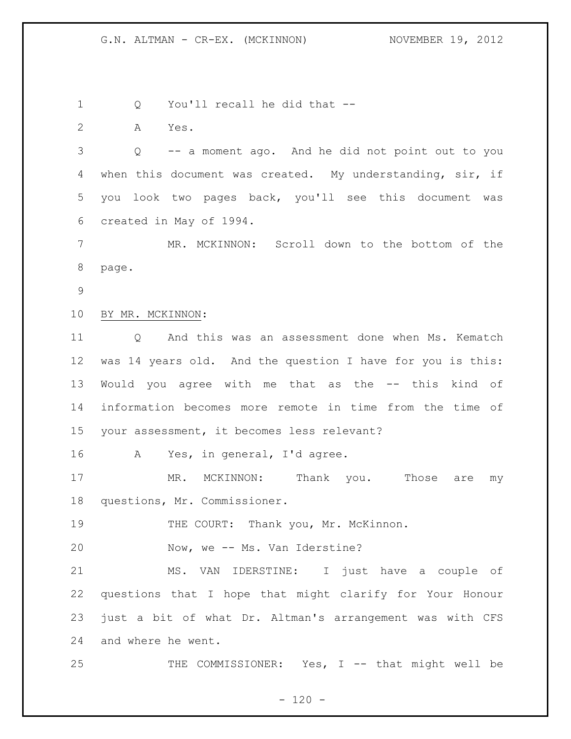Q You'll recall he did that --

A Yes.

 Q -- a moment ago. And he did not point out to you when this document was created. My understanding, sir, if you look two pages back, you'll see this document was created in May of 1994.

 MR. MCKINNON: Scroll down to the bottom of the page.

## BY MR. MCKINNON:

 Q And this was an assessment done when Ms. Kematch was 14 years old. And the question I have for you is this: Would you agree with me that as the -- this kind of information becomes more remote in time from the time of your assessment, it becomes less relevant?

A Yes, in general, I'd agree.

17 MR. MCKINNON: Thank you. Those are my questions, Mr. Commissioner.

19 THE COURT: Thank you, Mr. McKinnon.

20 Now, we -- Ms. Van Iderstine?

 MS. VAN IDERSTINE: I just have a couple of questions that I hope that might clarify for Your Honour just a bit of what Dr. Altman's arrangement was with CFS and where he went.

THE COMMISSIONER: Yes, I -- that might well be

 $- 120 -$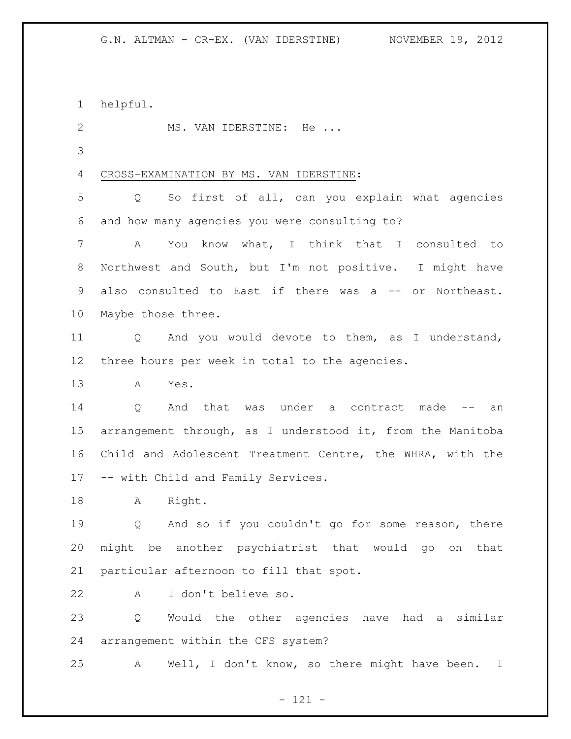helpful.

2 MS. VAN IDERSTINE: He ...

# CROSS-EXAMINATION BY MS. VAN IDERSTINE:

 Q So first of all, can you explain what agencies and how many agencies you were consulting to?

 A You know what, I think that I consulted to Northwest and South, but I'm not positive. I might have also consulted to East if there was a -- or Northeast. Maybe those three.

 Q And you would devote to them, as I understand, three hours per week in total to the agencies.

A Yes.

 Q And that was under a contract made -- an arrangement through, as I understood it, from the Manitoba Child and Adolescent Treatment Centre, the WHRA, with the -- with Child and Family Services.

18 A Right.

 Q And so if you couldn't go for some reason, there might be another psychiatrist that would go on that particular afternoon to fill that spot.

A I don't believe so.

 Q Would the other agencies have had a similar arrangement within the CFS system?

A Well, I don't know, so there might have been. I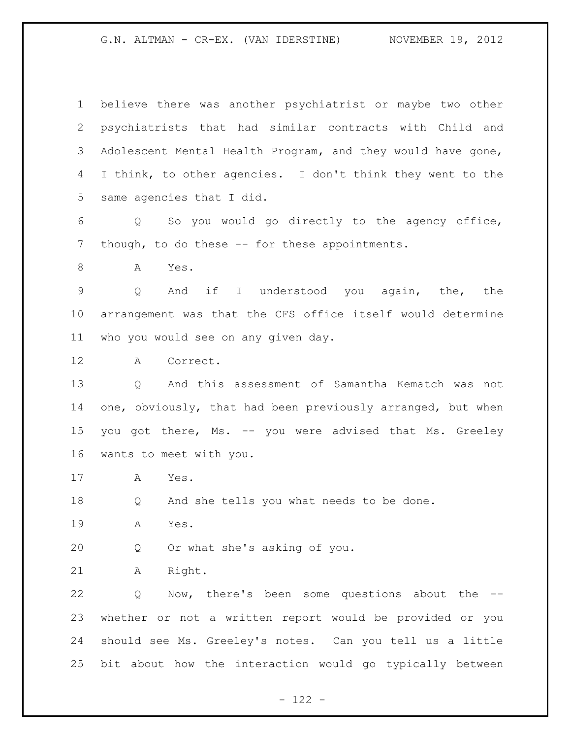believe there was another psychiatrist or maybe two other psychiatrists that had similar contracts with Child and Adolescent Mental Health Program, and they would have gone, I think, to other agencies. I don't think they went to the same agencies that I did.

 Q So you would go directly to the agency office, 7 though, to do these -- for these appointments.

A Yes.

 Q And if I understood you again, the, the arrangement was that the CFS office itself would determine who you would see on any given day.

A Correct.

 Q And this assessment of Samantha Kematch was not one, obviously, that had been previously arranged, but when 15 you got there, Ms. -- you were advised that Ms. Greeley wants to meet with you.

A Yes.

Q And she tells you what needs to be done.

A Yes.

Q Or what she's asking of you.

A Right.

 Q Now, there's been some questions about the -- whether or not a written report would be provided or you should see Ms. Greeley's notes. Can you tell us a little bit about how the interaction would go typically between

- 122 -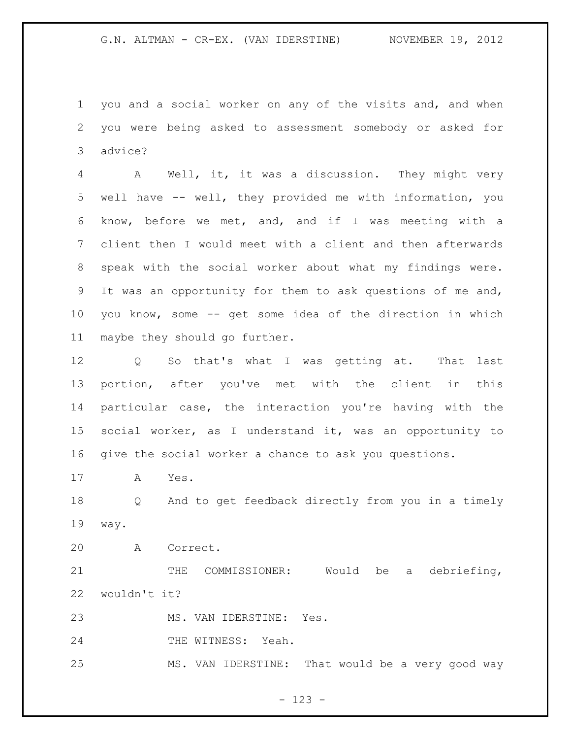you and a social worker on any of the visits and, and when you were being asked to assessment somebody or asked for advice?

 A Well, it, it was a discussion. They might very well have -- well, they provided me with information, you know, before we met, and, and if I was meeting with a client then I would meet with a client and then afterwards speak with the social worker about what my findings were. It was an opportunity for them to ask questions of me and, you know, some -- get some idea of the direction in which maybe they should go further.

 Q So that's what I was getting at. That last portion, after you've met with the client in this particular case, the interaction you're having with the social worker, as I understand it, was an opportunity to give the social worker a chance to ask you questions.

A Yes.

 Q And to get feedback directly from you in a timely way.

A Correct.

21 THE COMMISSIONER: Would be a debriefing, wouldn't it?

MS. VAN IDERSTINE: Yes.

24 THE WITNESS: Yeah.

MS. VAN IDERSTINE: That would be a very good way

- 123 -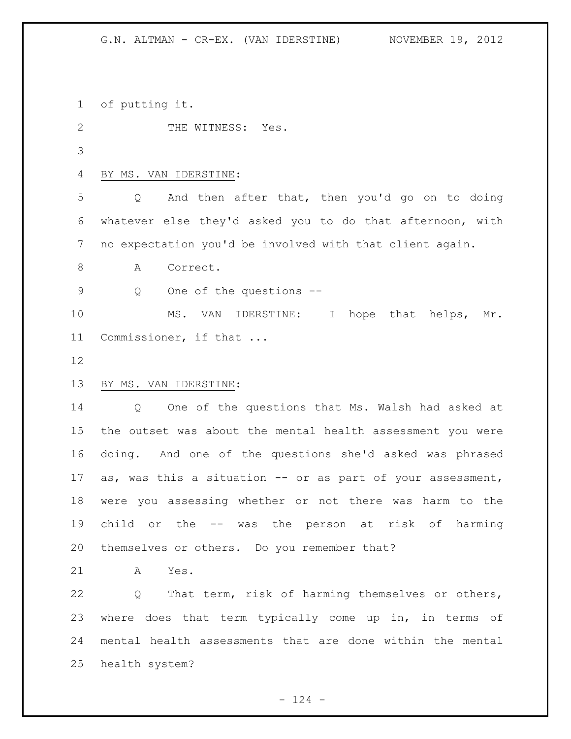of putting it.

2 THE WITNESS: Yes.

# BY MS. VAN IDERSTINE:

 Q And then after that, then you'd go on to doing whatever else they'd asked you to do that afternoon, with no expectation you'd be involved with that client again.

8 A Correct.

Q One of the questions --

10 MS. VAN IDERSTINE: I hope that helps, Mr. Commissioner, if that ...

## BY MS. VAN IDERSTINE:

 Q One of the questions that Ms. Walsh had asked at the outset was about the mental health assessment you were doing. And one of the questions she'd asked was phrased 17 as, was this a situation -- or as part of your assessment, were you assessing whether or not there was harm to the child or the -- was the person at risk of harming themselves or others. Do you remember that?

A Yes.

 Q That term, risk of harming themselves or others, where does that term typically come up in, in terms of mental health assessments that are done within the mental health system?

 $- 124 -$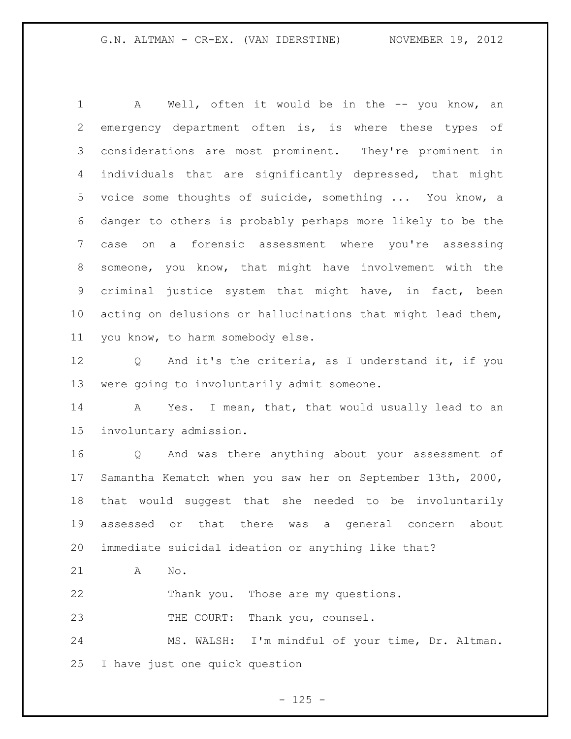1 A Well, often it would be in the -- you know, an emergency department often is, is where these types of considerations are most prominent. They're prominent in individuals that are significantly depressed, that might voice some thoughts of suicide, something ... You know, a danger to others is probably perhaps more likely to be the case on a forensic assessment where you're assessing someone, you know, that might have involvement with the criminal justice system that might have, in fact, been acting on delusions or hallucinations that might lead them, you know, to harm somebody else.

 Q And it's the criteria, as I understand it, if you were going to involuntarily admit someone.

14 A Yes. I mean, that, that would usually lead to an involuntary admission.

 Q And was there anything about your assessment of Samantha Kematch when you saw her on September 13th, 2000, that would suggest that she needed to be involuntarily assessed or that there was a general concern about immediate suicidal ideation or anything like that?

A No.

Thank you. Those are my questions.

23 THE COURT: Thank you, counsel.

 MS. WALSH: I'm mindful of your time, Dr. Altman. I have just one quick question

 $- 125 -$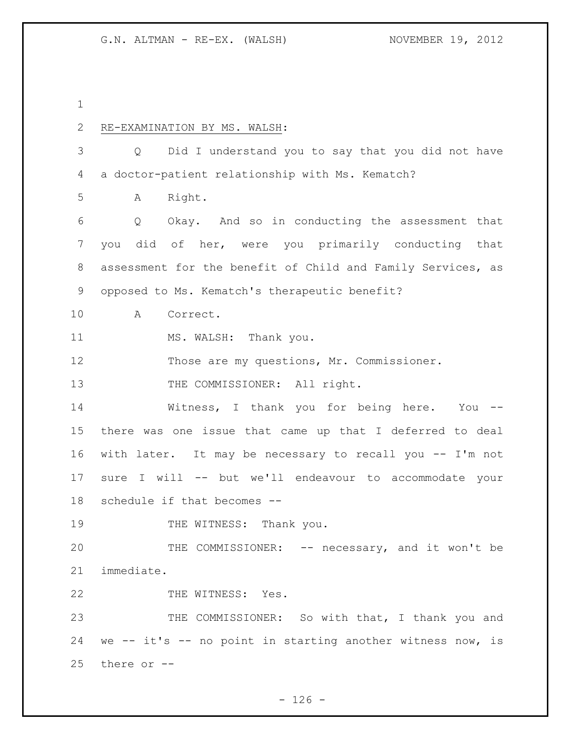RE-EXAMINATION BY MS. WALSH: Q Did I understand you to say that you did not have a doctor-patient relationship with Ms. Kematch? A Right. Q Okay. And so in conducting the assessment that you did of her, were you primarily conducting that assessment for the benefit of Child and Family Services, as opposed to Ms. Kematch's therapeutic benefit? A Correct. 11 MS. WALSH: Thank you. 12 Those are my questions, Mr. Commissioner. 13 THE COMMISSIONER: All right. Witness, I thank you for being here. You -- there was one issue that came up that I deferred to deal with later. It may be necessary to recall you -- I'm not sure I will -- but we'll endeavour to accommodate your schedule if that becomes -- 19 THE WITNESS: Thank you. 20 THE COMMISSIONER: -- necessary, and it won't be immediate. 22 THE WITNESS: Yes. 23 THE COMMISSIONER: So with that, I thank you and we -- it's -- no point in starting another witness now, is there or --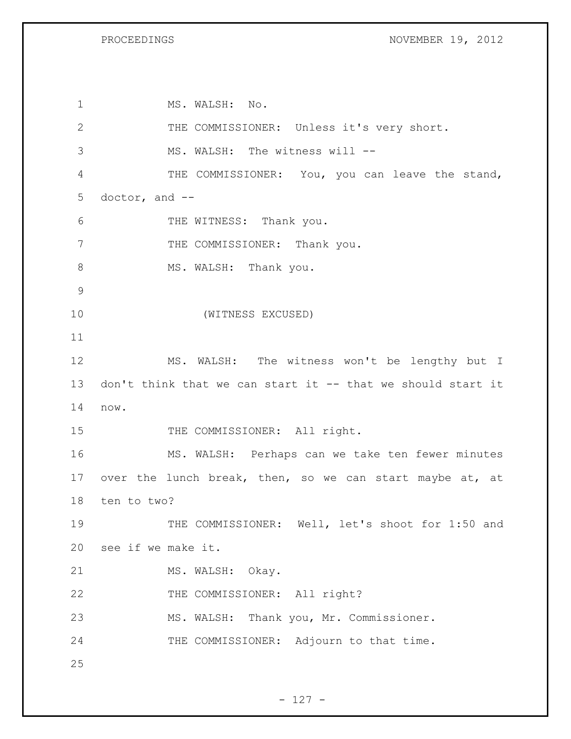PROCEEDINGS NOVEMBER 19, 2012

1 MS. WALSH: No. 2 THE COMMISSIONER: Unless it's very short. 3 MS. WALSH: The witness will -- 4 THE COMMISSIONER: You, you can leave the stand, 5 doctor, and -- 6 THE WITNESS: Thank you. 7 THE COMMISSIONER: Thank you. 8 MS. WALSH: Thank you. 9 10 (WITNESS EXCUSED) 11 12 MS. WALSH: The witness won't be lengthy but I 13 don't think that we can start it -- that we should start it 14 now. 15 THE COMMISSIONER: All right. 16 MS. WALSH: Perhaps can we take ten fewer minutes 17 over the lunch break, then, so we can start maybe at, at 18 ten to two? 19 THE COMMISSIONER: Well, let's shoot for 1:50 and 20 see if we make it. 21 MS. WALSH: Okay. 22 THE COMMISSIONER: All right? 23 MS. WALSH: Thank you, Mr. Commissioner. 24 THE COMMISSIONER: Adjourn to that time. 25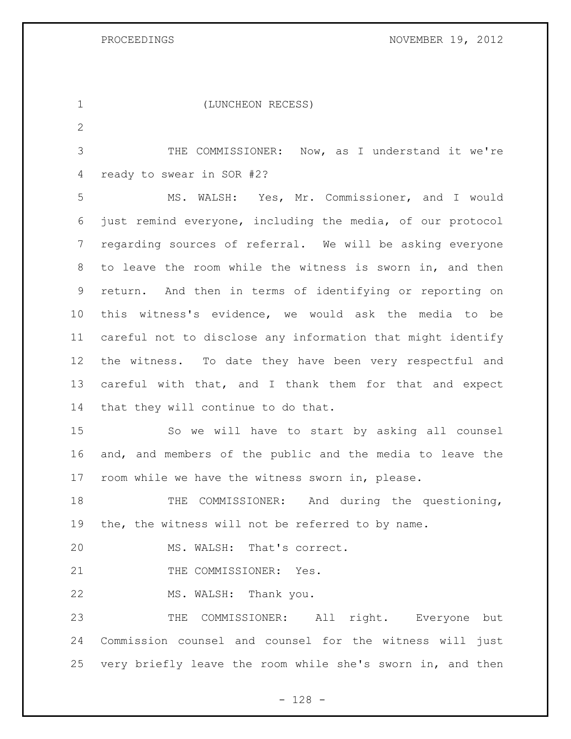PROCEEDINGS NOVEMBER 19, 2012

| $\mathbf 1$     | (LUNCHEON RECESS)                                             |
|-----------------|---------------------------------------------------------------|
| $\mathbf{2}$    |                                                               |
| 3               | THE COMMISSIONER: Now, as I understand it we're               |
| 4               | ready to swear in SOR #2?                                     |
| 5               | MS. WALSH: Yes, Mr. Commissioner, and I would                 |
| 6               | just remind everyone, including the media, of our protocol    |
| $7\phantom{.0}$ | regarding sources of referral. We will be asking everyone     |
| 8               | to leave the room while the witness is sworn in, and then     |
| 9               | return. And then in terms of identifying or reporting on      |
| 10              | this witness's evidence, we would ask the media to be         |
| 11              | careful not to disclose any information that might identify   |
| 12              | the witness. To date they have been very respectful and       |
| 13              | careful with that, and I thank them for that and expect       |
| 14              | that they will continue to do that.                           |
| 15              | So we will have to start by asking all counsel                |
| 16              | and, and members of the public and the media to leave the     |
| 17              | room while we have the witness sworn in, please.              |
| 18              | And during the questioning,<br>COMMISSIONER:<br>THE           |
|                 | 19 the, the witness will not be referred to by name.          |
| 20              | MS. WALSH: That's correct.                                    |
| 21              | THE COMMISSIONER: Yes.                                        |
| 22              | MS. WALSH: Thank you.                                         |
| 23              | THE COMMISSIONER: All right. Everyone but                     |
| 24              | Commission counsel and counsel for the witness will just      |
|                 | 25 very briefly leave the room while she's sworn in, and then |

- 128 -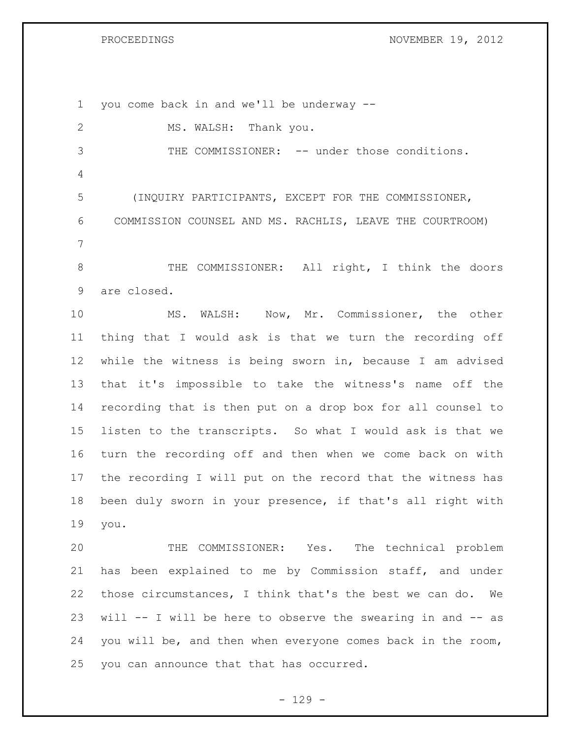PROCEEDINGS NOVEMBER 19, 2012

 you come back in and we'll be underway -- 2 MS. WALSH: Thank you. 3 THE COMMISSIONER: -- under those conditions. (INQUIRY PARTICIPANTS, EXCEPT FOR THE COMMISSIONER, COMMISSION COUNSEL AND MS. RACHLIS, LEAVE THE COURTROOM) THE COMMISSIONER: All right, I think the doors are closed. MS. WALSH: Now, Mr. Commissioner, the other thing that I would ask is that we turn the recording off while the witness is being sworn in, because I am advised that it's impossible to take the witness's name off the recording that is then put on a drop box for all counsel to listen to the transcripts. So what I would ask is that we turn the recording off and then when we come back on with the recording I will put on the record that the witness has been duly sworn in your presence, if that's all right with you. THE COMMISSIONER: Yes. The technical problem has been explained to me by Commission staff, and under those circumstances, I think that's the best we can do. We will -- I will be here to observe the swearing in and -- as you will be, and then when everyone comes back in the room, you can announce that that has occurred.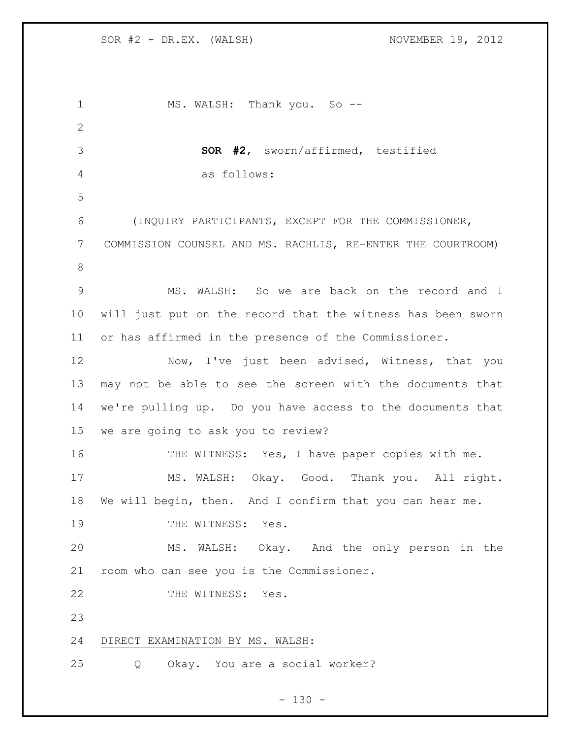| 1               | MS. WALSH: Thank you. So --                                 |
|-----------------|-------------------------------------------------------------|
| $\overline{2}$  |                                                             |
| 3               | <b>SOR #2,</b> sworn/affirmed, testified                    |
| 4               | as follows:                                                 |
| 5               |                                                             |
| 6               | (INQUIRY PARTICIPANTS, EXCEPT FOR THE COMMISSIONER,         |
| 7               | COMMISSION COUNSEL AND MS. RACHLIS, RE-ENTER THE COURTROOM) |
| 8               |                                                             |
| $\overline{9}$  | MS. WALSH: So we are back on the record and I               |
| 10              | will just put on the record that the witness has been sworn |
| 11              | or has affirmed in the presence of the Commissioner.        |
| 12              | Now, I've just been advised, Witness, that you              |
| 13              | may not be able to see the screen with the documents that   |
| 14              | we're pulling up. Do you have access to the documents that  |
| 15 <sub>1</sub> | we are going to ask you to review?                          |
| 16              | THE WITNESS: Yes, I have paper copies with me.              |
| 17              | MS. WALSH: Okay. Good. Thank you. All right.                |
| 18              | We will begin, then. And I confirm that you can hear me.    |
| 19              | THE WITNESS: Yes.                                           |
| 20              | MS. WALSH: Okay. And the only person in the                 |
| 21              | room who can see you is the Commissioner.                   |
| 22              | THE WITNESS: Yes.                                           |
| 23              |                                                             |
| 24              | DIRECT EXAMINATION BY MS. WALSH:                            |
| 25              | Okay. You are a social worker?<br>Q                         |

- 130 -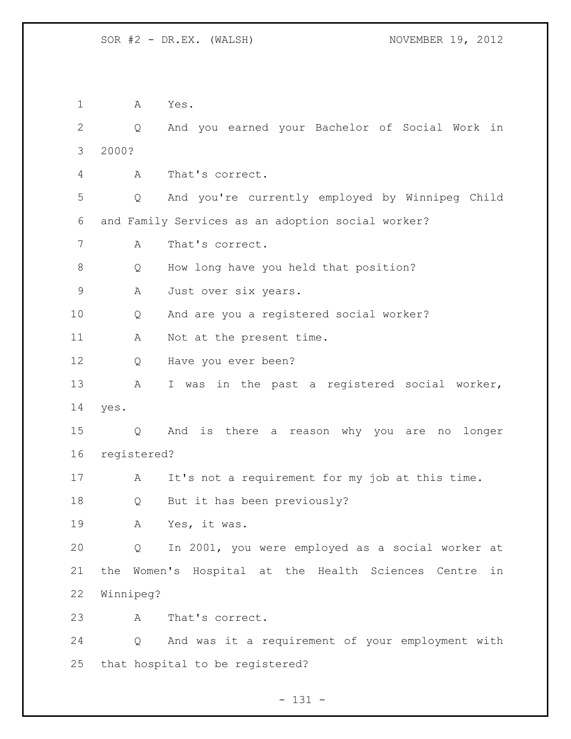A Yes. Q And you earned your Bachelor of Social Work in 2000? A That's correct. Q And you're currently employed by Winnipeg Child and Family Services as an adoption social worker? A That's correct. Q How long have you held that position? 9 A Just over six years. Q And are you a registered social worker? 11 A Not at the present time. Q Have you ever been? A I was in the past a registered social worker, yes. Q And is there a reason why you are no longer registered? 17 A It's not a requirement for my job at this time. Q But it has been previously? A Yes, it was. Q In 2001, you were employed as a social worker at the Women's Hospital at the Health Sciences Centre in Winnipeg? A That's correct. Q And was it a requirement of your employment with that hospital to be registered?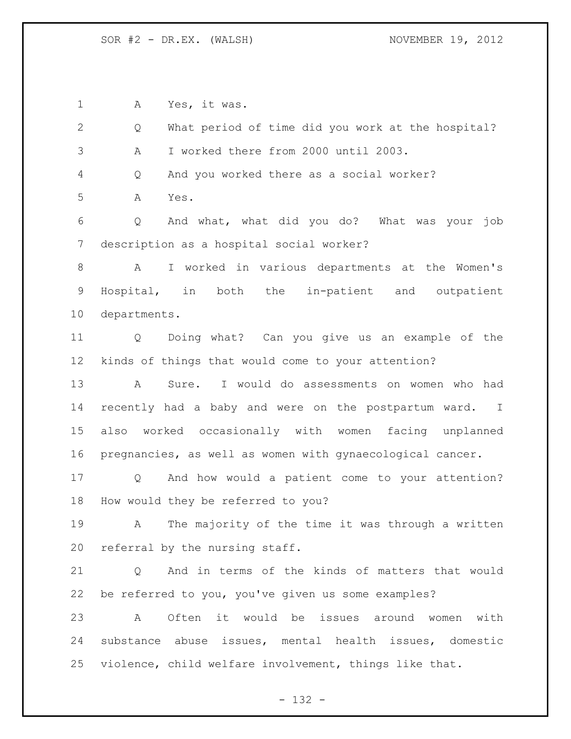A Yes, it was.

| $\overline{2}$ | What period of time did you work at the hospital?<br>Q               |
|----------------|----------------------------------------------------------------------|
| 3              | I worked there from 2000 until 2003.<br>Α                            |
| 4              | And you worked there as a social worker?<br>Q                        |
| 5              | Α<br>Yes.                                                            |
| 6              | Q<br>And what, what did you do? What was your job                    |
| 7              | description as a hospital social worker?                             |
| 8              | I worked in various departments at the Women's<br>A                  |
| 9              | Hospital, in both the in-patient and outpatient                      |
| 10             | departments.                                                         |
| 11             | Doing what? Can you give us an example of the<br>$Q \qquad \qquad$   |
| 12             | kinds of things that would come to your attention?                   |
| 13             | Sure. I would do assessments on women who had<br>$\mathbf{A}$        |
| 14             | recently had a baby and were on the postpartum ward. I               |
| 15             | also worked occasionally with women facing unplanned                 |
| 16             | pregnancies, as well as women with gynaecological cancer.            |
| 17             | And how would a patient come to your attention?<br>$Q \qquad \qquad$ |
| 18             | How would they be referred to you?                                   |
| 19             | The majority of the time it was through a written<br>A               |
| 20             | referral by the nursing staff.                                       |
| 21             | And in terms of the kinds of matters that would<br>Q                 |
| 22             | be referred to you, you've given us some examples?                   |
| 23             | Often it would be issues around<br>Α<br>with<br>women                |
| 24             | substance abuse issues, mental health issues, domestic               |
| 25             | violence, child welfare involvement, things like that.               |

- 132 -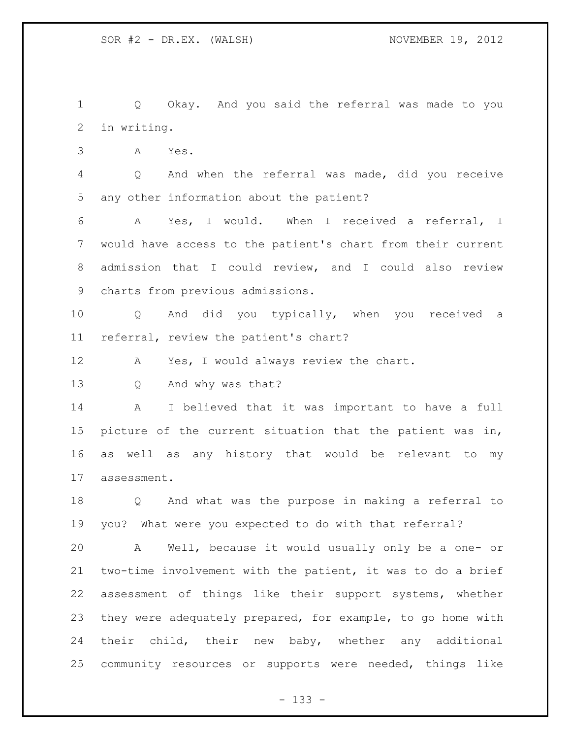Q Okay. And you said the referral was made to you in writing.

A Yes.

 Q And when the referral was made, did you receive any other information about the patient?

 A Yes, I would. When I received a referral, I would have access to the patient's chart from their current admission that I could review, and I could also review charts from previous admissions.

 Q And did you typically, when you received a referral, review the patient's chart?

12 A Yes, I would always review the chart.

Q And why was that?

 A I believed that it was important to have a full picture of the current situation that the patient was in, as well as any history that would be relevant to my assessment.

 Q And what was the purpose in making a referral to you? What were you expected to do with that referral?

 A Well, because it would usually only be a one- or two-time involvement with the patient, it was to do a brief assessment of things like their support systems, whether they were adequately prepared, for example, to go home with their child, their new baby, whether any additional community resources or supports were needed, things like

- 133 -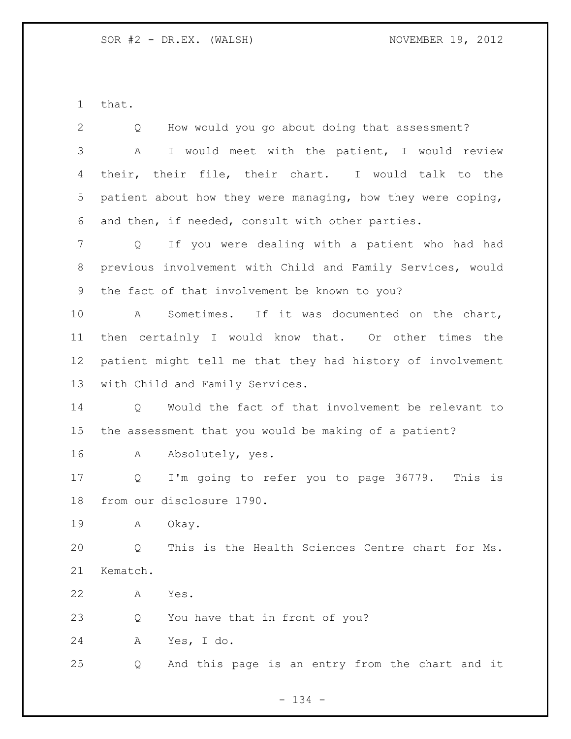that.

 Q How would you go about doing that assessment? A I would meet with the patient, I would review their, their file, their chart. I would talk to the patient about how they were managing, how they were coping, and then, if needed, consult with other parties. Q If you were dealing with a patient who had had previous involvement with Child and Family Services, would the fact of that involvement be known to you? A Sometimes. If it was documented on the chart, then certainly I would know that. Or other times the patient might tell me that they had history of involvement with Child and Family Services. Q Would the fact of that involvement be relevant to the assessment that you would be making of a patient? 16 A Absolutely, yes. Q I'm going to refer you to page 36779. This is from our disclosure 1790. A Okay. Q This is the Health Sciences Centre chart for Ms. Kematch. A Yes. Q You have that in front of you? A Yes, I do. Q And this page is an entry from the chart and it

- 134 -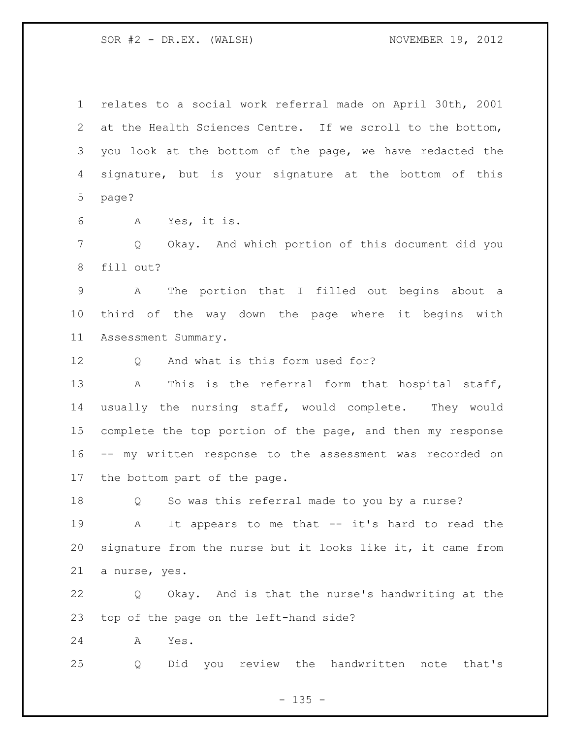relates to a social work referral made on April 30th, 2001 at the Health Sciences Centre. If we scroll to the bottom, you look at the bottom of the page, we have redacted the signature, but is your signature at the bottom of this page?

A Yes, it is.

 Q Okay. And which portion of this document did you fill out?

 A The portion that I filled out begins about a third of the way down the page where it begins with Assessment Summary.

12 O And what is this form used for?

13 A This is the referral form that hospital staff, usually the nursing staff, would complete. They would 15 complete the top portion of the page, and then my response -- my written response to the assessment was recorded on the bottom part of the page.

Q So was this referral made to you by a nurse?

 A It appears to me that -- it's hard to read the signature from the nurse but it looks like it, it came from a nurse, yes.

 Q Okay. And is that the nurse's handwriting at the top of the page on the left-hand side?

A Yes.

Q Did you review the handwritten note that's

 $- 135 -$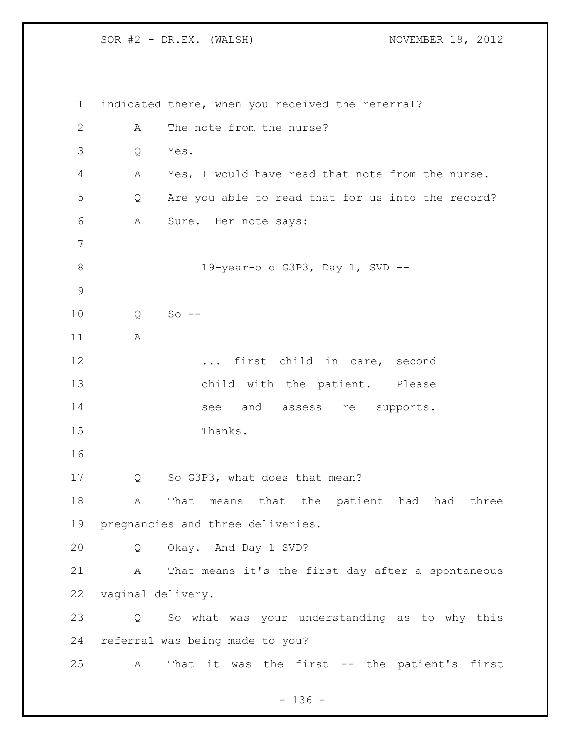indicated there, when you received the referral? 2 A The note from the nurse? Q Yes. A Yes, I would have read that note from the nurse. Q Are you able to read that for us into the record? A Sure. Her note says: 19-year-old G3P3, Day 1, SVD -- Q So -- A **...** first child in care, second child with the patient. Please 14 see and assess re supports. Thanks. Q So G3P3, what does that mean? A That means that the patient had had three pregnancies and three deliveries. Q Okay. And Day 1 SVD? A That means it's the first day after a spontaneous vaginal delivery. Q So what was your understanding as to why this referral was being made to you? A That it was the first -- the patient's first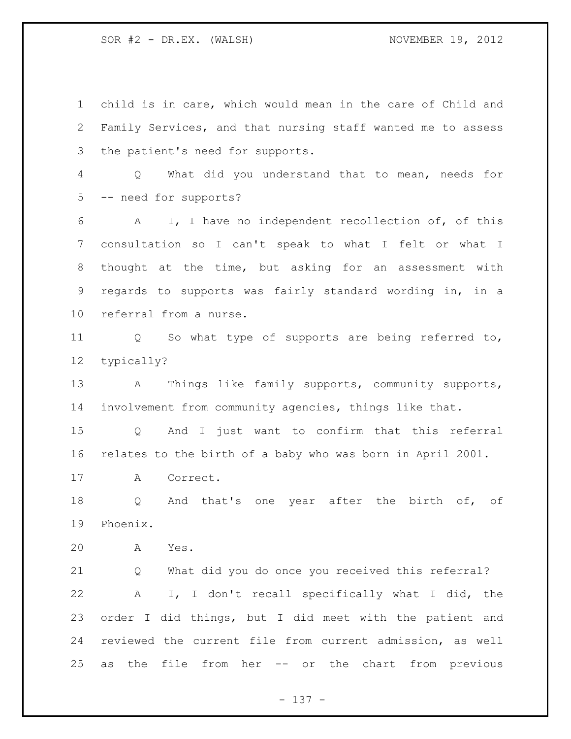child is in care, which would mean in the care of Child and Family Services, and that nursing staff wanted me to assess the patient's need for supports. Q What did you understand that to mean, needs for -- need for supports? A I, I have no independent recollection of, of this consultation so I can't speak to what I felt or what I thought at the time, but asking for an assessment with regards to supports was fairly standard wording in, in a referral from a nurse. Q So what type of supports are being referred to, typically? A Things like family supports, community supports, involvement from community agencies, things like that. Q And I just want to confirm that this referral relates to the birth of a baby who was born in April 2001. A Correct. Q And that's one year after the birth of, of Phoenix. A Yes. Q What did you do once you received this referral? A I, I don't recall specifically what I did, the order I did things, but I did meet with the patient and reviewed the current file from current admission, as well as the file from her -- or the chart from previous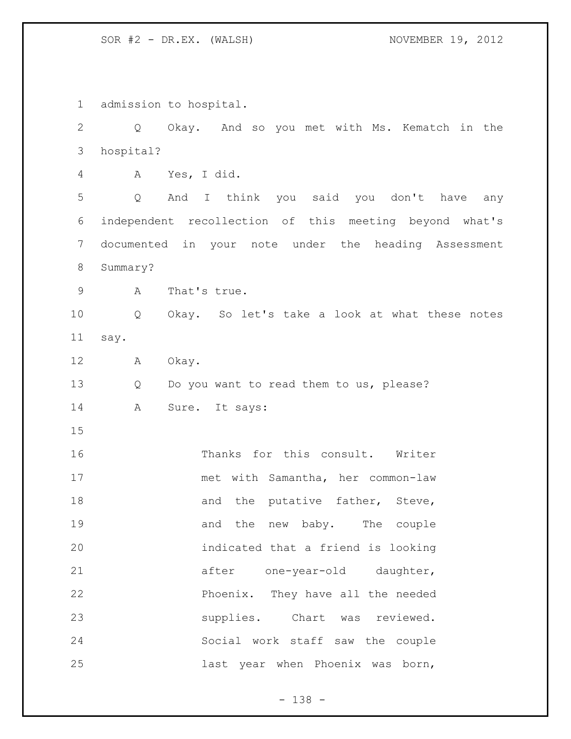admission to hospital. Q Okay. And so you met with Ms. Kematch in the hospital? A Yes, I did. Q And I think you said you don't have any independent recollection of this meeting beyond what's documented in your note under the heading Assessment Summary? A That's true. Q Okay. So let's take a look at what these notes say. A Okay. 13 Q Do you want to read them to us, please? 14 A Sure. It says: Thanks for this consult. Writer met with Samantha, her common-law 18 and the putative father, Steve, 19 and the new baby. The couple indicated that a friend is looking 21 after one-year-old daughter, Phoenix. They have all the needed supplies. Chart was reviewed. Social work staff saw the couple last year when Phoenix was born,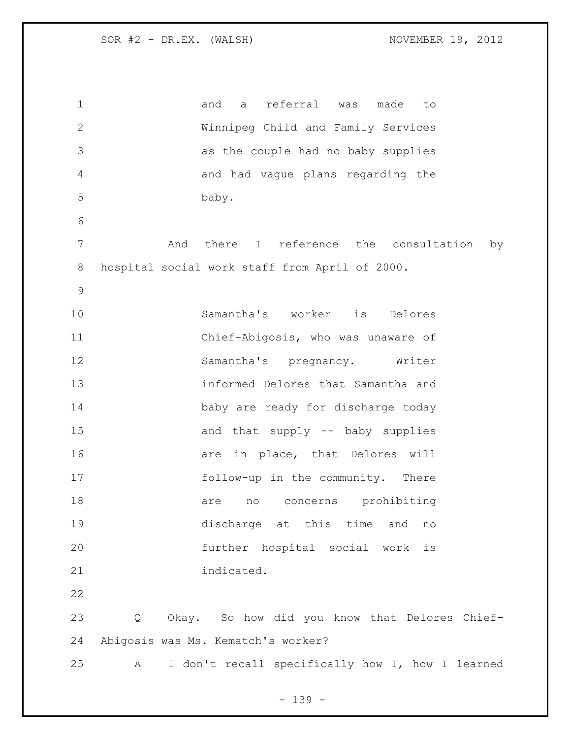| $\mathbf 1$  | referral<br>and<br>made<br>was<br>a<br>to             |
|--------------|-------------------------------------------------------|
| $\mathbf{2}$ | Winnipeg Child and Family Services                    |
| 3            | as the couple had no baby supplies                    |
| 4            | and had vague plans regarding the                     |
| 5            | baby.                                                 |
| 6            |                                                       |
| 7            | And there I reference the consultation<br>by          |
| 8            | hospital social work staff from April of 2000.        |
| $\mathsf{S}$ |                                                       |
| 10           | Samantha's worker is Delores                          |
| 11           | Chief-Abigosis, who was unaware of                    |
| 12           | Samantha's pregnancy. Writer                          |
| 13           | informed Delores that Samantha and                    |
| 14           | baby are ready for discharge today                    |
| 15           | and that supply -- baby supplies                      |
| 16           | are in place, that Delores will                       |
| 17           | follow-up in the community. There                     |
| 18           | concerns prohibiting<br>are<br>no                     |
| 19           | discharge at this time<br>and<br>no                   |
| 20           | further hospital social work<br>$\dot{\mathbf{1}}$ s  |
| 21           | indicated.                                            |
| 22           |                                                       |
| 23           | Okay. So how did you know that Delores Chief-<br>Q    |
| 24           | Abigosis was Ms. Kematch's worker?                    |
| 25           | I don't recall specifically how I, how I learned<br>A |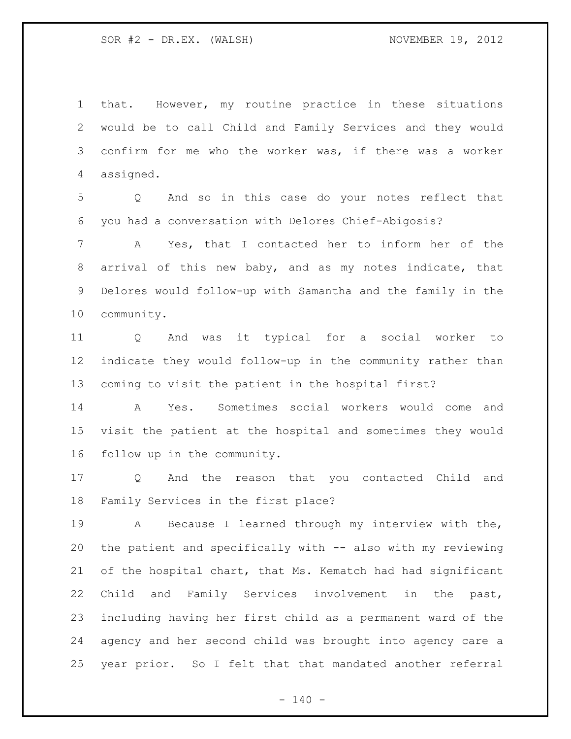that. However, my routine practice in these situations would be to call Child and Family Services and they would confirm for me who the worker was, if there was a worker assigned.

 Q And so in this case do your notes reflect that you had a conversation with Delores Chief-Abigosis?

 A Yes, that I contacted her to inform her of the arrival of this new baby, and as my notes indicate, that Delores would follow-up with Samantha and the family in the community.

 Q And was it typical for a social worker to indicate they would follow-up in the community rather than coming to visit the patient in the hospital first?

 A Yes. Sometimes social workers would come and visit the patient at the hospital and sometimes they would follow up in the community.

 Q And the reason that you contacted Child and Family Services in the first place?

 A Because I learned through my interview with the, the patient and specifically with -- also with my reviewing of the hospital chart, that Ms. Kematch had had significant Child and Family Services involvement in the past, including having her first child as a permanent ward of the agency and her second child was brought into agency care a year prior. So I felt that that mandated another referral

 $- 140 -$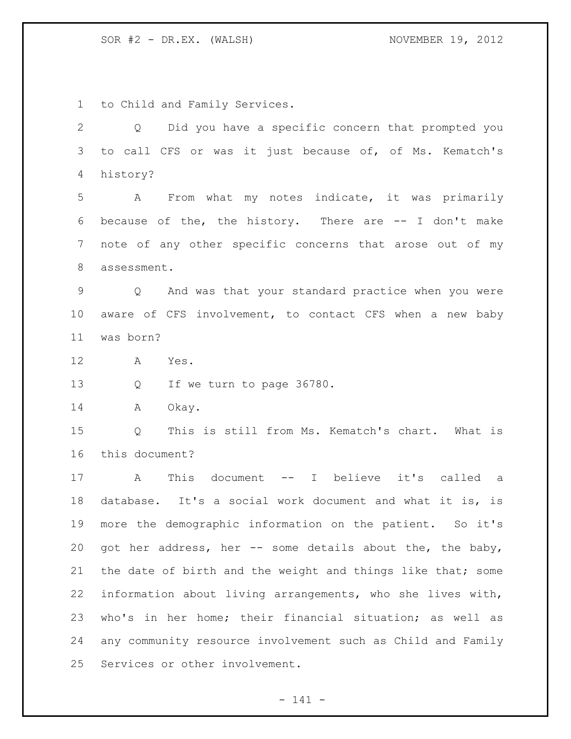to Child and Family Services.

 Q Did you have a specific concern that prompted you to call CFS or was it just because of, of Ms. Kematch's history?

 A From what my notes indicate, it was primarily because of the, the history. There are -- I don't make note of any other specific concerns that arose out of my assessment.

 Q And was that your standard practice when you were aware of CFS involvement, to contact CFS when a new baby was born?

A Yes.

Q If we turn to page 36780.

14 A Okay.

 Q This is still from Ms. Kematch's chart. What is this document?

 A This document -- I believe it's called a database. It's a social work document and what it is, is more the demographic information on the patient. So it's got her address, her -- some details about the, the baby, 21 the date of birth and the weight and things like that; some information about living arrangements, who she lives with, who's in her home; their financial situation; as well as any community resource involvement such as Child and Family Services or other involvement.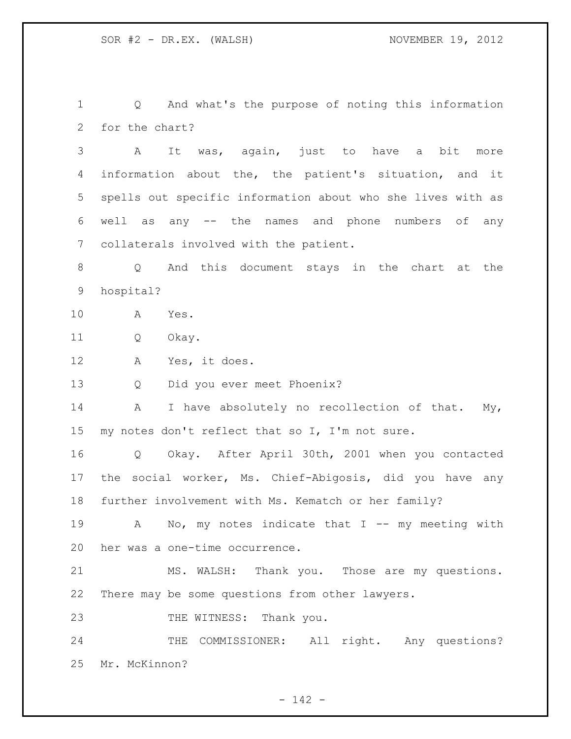Q And what's the purpose of noting this information for the chart?

 A It was, again, just to have a bit more information about the, the patient's situation, and it spells out specific information about who she lives with as well as any -- the names and phone numbers of any collaterals involved with the patient.

 Q And this document stays in the chart at the hospital?

A Yes.

Q Okay.

A Yes, it does.

Q Did you ever meet Phoenix?

14 A I have absolutely no recollection of that. My, my notes don't reflect that so I, I'm not sure.

 Q Okay. After April 30th, 2001 when you contacted the social worker, Ms. Chief-Abigosis, did you have any further involvement with Ms. Kematch or her family?

19 A No, my notes indicate that I -- my meeting with her was a one-time occurrence.

 MS. WALSH: Thank you. Those are my questions. There may be some questions from other lawyers.

23 THE WITNESS: Thank you.

24 THE COMMISSIONER: All right. Any questions? Mr. McKinnon?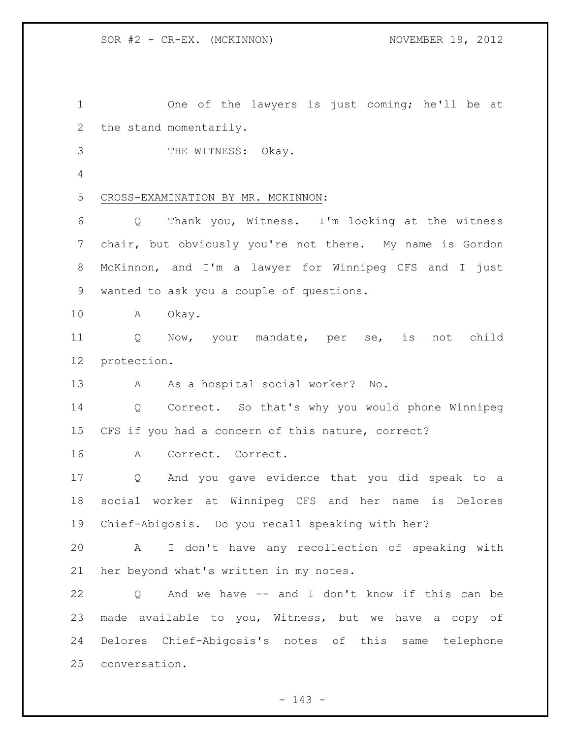One of the lawyers is just coming; he'll be at the stand momentarily. 3 THE WITNESS: Okay. CROSS-EXAMINATION BY MR. MCKINNON: Q Thank you, Witness. I'm looking at the witness chair, but obviously you're not there. My name is Gordon McKinnon, and I'm a lawyer for Winnipeg CFS and I just wanted to ask you a couple of questions. A Okay. Q Now, your mandate, per se, is not child protection. A As a hospital social worker? No. Q Correct. So that's why you would phone Winnipeg CFS if you had a concern of this nature, correct? A Correct. Correct. Q And you gave evidence that you did speak to a social worker at Winnipeg CFS and her name is Delores Chief-Abigosis. Do you recall speaking with her? A I don't have any recollection of speaking with her beyond what's written in my notes. Q And we have -- and I don't know if this can be made available to you, Witness, but we have a copy of Delores Chief-Abigosis's notes of this same telephone conversation.

 $- 143 -$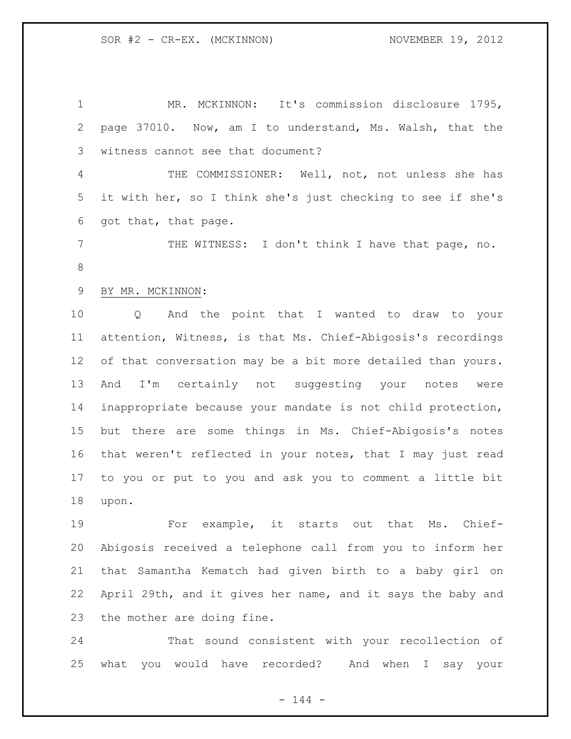MR. MCKINNON: It's commission disclosure 1795, page 37010. Now, am I to understand, Ms. Walsh, that the witness cannot see that document? THE COMMISSIONER: Well, not, not unless she has it with her, so I think she's just checking to see if she's got that, that page. THE WITNESS: I don't think I have that page, no. BY MR. MCKINNON: Q And the point that I wanted to draw to your attention, Witness, is that Ms. Chief-Abigosis's recordings of that conversation may be a bit more detailed than yours. And I'm certainly not suggesting your notes were inappropriate because your mandate is not child protection, but there are some things in Ms. Chief-Abigosis's notes that weren't reflected in your notes, that I may just read to you or put to you and ask you to comment a little bit upon. For example, it starts out that Ms. Chief-

 Abigosis received a telephone call from you to inform her that Samantha Kematch had given birth to a baby girl on April 29th, and it gives her name, and it says the baby and the mother are doing fine.

 That sound consistent with your recollection of what you would have recorded? And when I say your

 $- 144 -$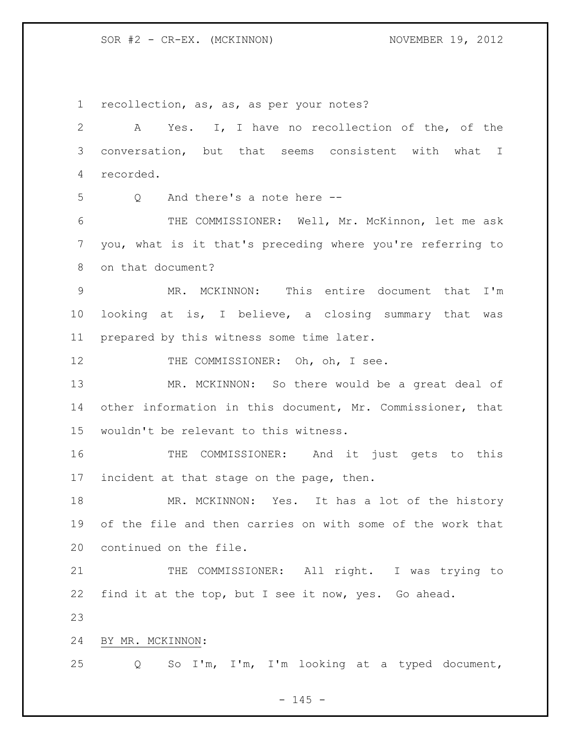SOR #2 - CR-EX. (MCKINNON) NOVEMBER 19, 2012

 recollection, as, as, as per your notes? A Yes. I, I have no recollection of the, of the conversation, but that seems consistent with what I recorded. Q And there's a note here -- THE COMMISSIONER: Well, Mr. McKinnon, let me ask you, what is it that's preceding where you're referring to on that document? MR. MCKINNON: This entire document that I'm looking at is, I believe, a closing summary that was prepared by this witness some time later. 12 THE COMMISSIONER: Oh, oh, I see. MR. MCKINNON: So there would be a great deal of other information in this document, Mr. Commissioner, that wouldn't be relevant to this witness. THE COMMISSIONER: And it just gets to this 17 incident at that stage on the page, then. MR. MCKINNON: Yes. It has a lot of the history of the file and then carries on with some of the work that continued on the file. 21 THE COMMISSIONER: All right. I was trying to find it at the top, but I see it now, yes. Go ahead. BY MR. MCKINNON: Q So I'm, I'm, I'm looking at a typed document,

 $- 145 -$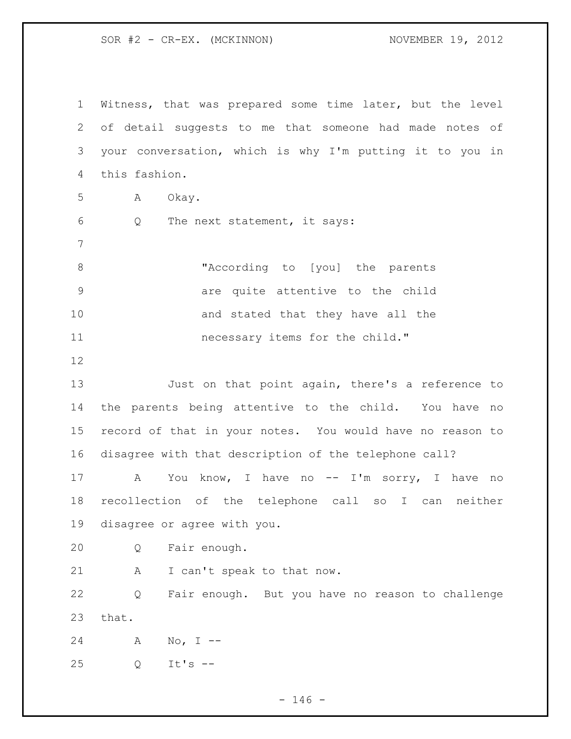SOR #2 - CR-EX. (MCKINNON) NOVEMBER 19, 2012

 Witness, that was prepared some time later, but the level of detail suggests to me that someone had made notes of your conversation, which is why I'm putting it to you in this fashion. A Okay. Q The next statement, it says: "According to [you] the parents are quite attentive to the child 10 and stated that they have all the **necessary items for the child."**  Just on that point again, there's a reference to the parents being attentive to the child. You have no record of that in your notes. You would have no reason to disagree with that description of the telephone call? 17 A You know, I have no -- I'm sorry, I have no recollection of the telephone call so I can neither disagree or agree with you. Q Fair enough. 21 A I can't speak to that now. Q Fair enough. But you have no reason to challenge that. A No, I -- Q It's --

 $- 146 -$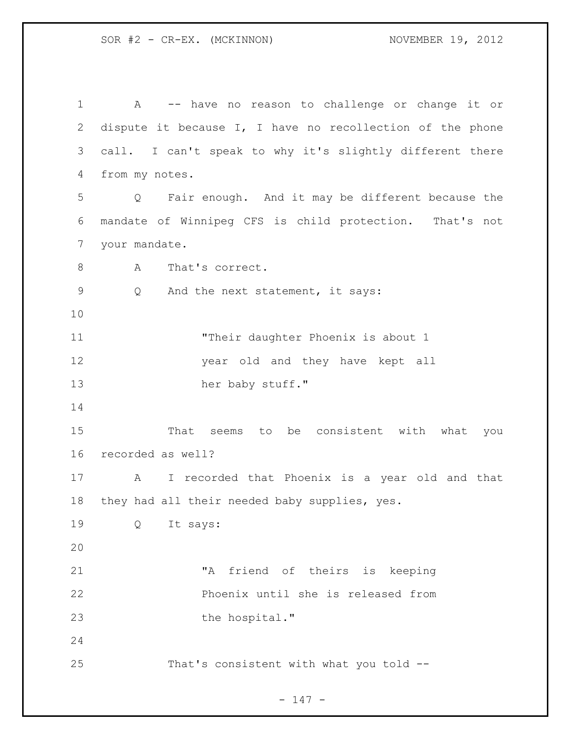A -- have no reason to challenge or change it or dispute it because I, I have no recollection of the phone call. I can't speak to why it's slightly different there from my notes. Q Fair enough. And it may be different because the mandate of Winnipeg CFS is child protection. That's not your mandate. 8 A That's correct. Q And the next statement, it says: 11 Their daughter Phoenix is about 1 year old and they have kept all 13 her baby stuff." That seems to be consistent with what you recorded as well? A I recorded that Phoenix is a year old and that they had all their needed baby supplies, yes. Q It says: "A friend of theirs is keeping Phoenix until she is released from 23 the hospital." That's consistent with what you told --

- 147 -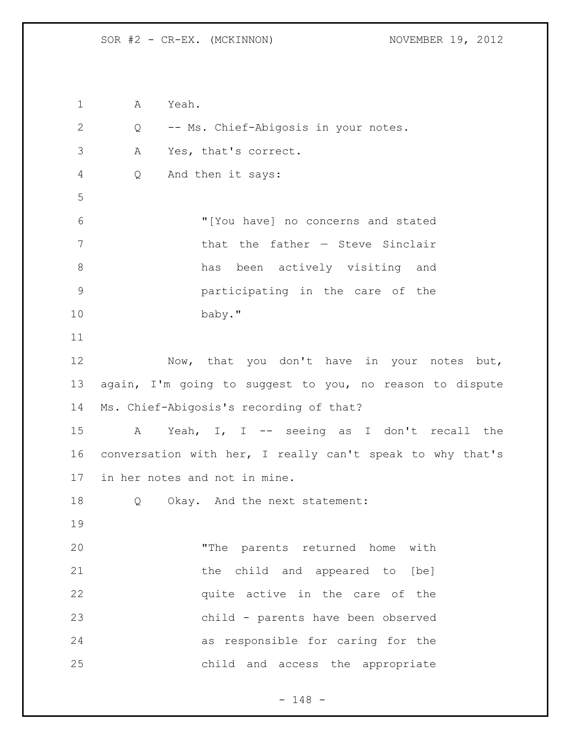A Yeah. Q -- Ms. Chief-Abigosis in your notes. A Yes, that's correct. Q And then it says: "[You have] no concerns and stated that the father — Steve Sinclair has been actively visiting and participating in the care of the baby." 12 Now, that you don't have in your notes but, again, I'm going to suggest to you, no reason to dispute Ms. Chief-Abigosis's recording of that? A Yeah, I, I -- seeing as I don't recall the conversation with her, I really can't speak to why that's in her notes and not in mine. Q Okay. And the next statement: "The parents returned home with 21 the child and appeared to [be] **b** quite active in the care of the child - parents have been observed as responsible for caring for the child and access the appropriate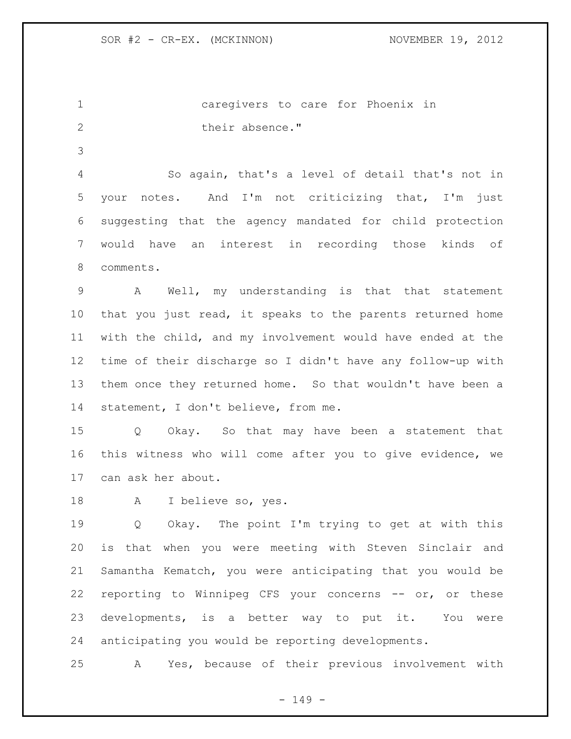caregivers to care for Phoenix in 2 their absence."

 So again, that's a level of detail that's not in your notes. And I'm not criticizing that, I'm just suggesting that the agency mandated for child protection would have an interest in recording those kinds of comments.

 A Well, my understanding is that that statement that you just read, it speaks to the parents returned home with the child, and my involvement would have ended at the time of their discharge so I didn't have any follow-up with them once they returned home. So that wouldn't have been a statement, I don't believe, from me.

 Q Okay. So that may have been a statement that this witness who will come after you to give evidence, we can ask her about.

A I believe so, yes.

 Q Okay. The point I'm trying to get at with this is that when you were meeting with Steven Sinclair and Samantha Kematch, you were anticipating that you would be reporting to Winnipeg CFS your concerns -- or, or these developments, is a better way to put it. You were anticipating you would be reporting developments.

A Yes, because of their previous involvement with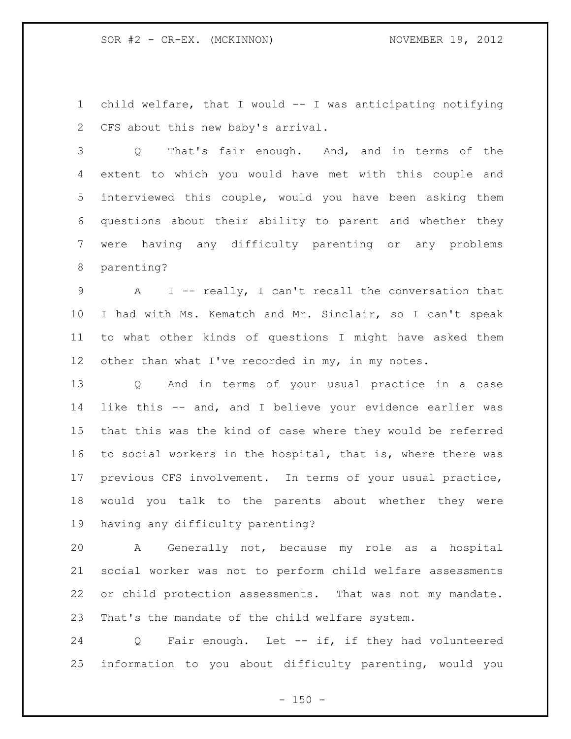child welfare, that I would -- I was anticipating notifying CFS about this new baby's arrival.

 Q That's fair enough. And, and in terms of the extent to which you would have met with this couple and interviewed this couple, would you have been asking them questions about their ability to parent and whether they were having any difficulty parenting or any problems parenting?

 A I -- really, I can't recall the conversation that I had with Ms. Kematch and Mr. Sinclair, so I can't speak to what other kinds of questions I might have asked them 12 other than what I've recorded in my, in my notes.

 Q And in terms of your usual practice in a case like this -- and, and I believe your evidence earlier was that this was the kind of case where they would be referred to social workers in the hospital, that is, where there was previous CFS involvement. In terms of your usual practice, would you talk to the parents about whether they were having any difficulty parenting?

 A Generally not, because my role as a hospital social worker was not to perform child welfare assessments or child protection assessments. That was not my mandate. That's the mandate of the child welfare system.

 Q Fair enough. Let -- if, if they had volunteered information to you about difficulty parenting, would you

 $- 150 -$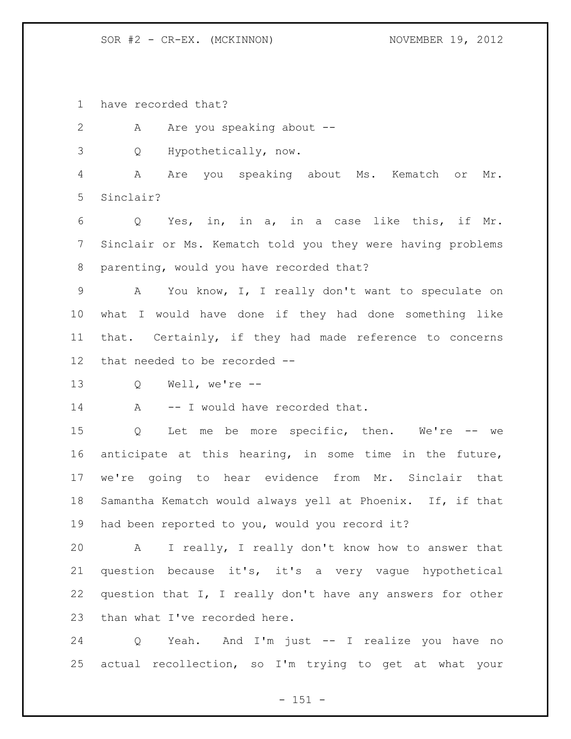SOR #2 - CR-EX. (MCKINNON) NOVEMBER 19, 2012

have recorded that?

2 A Are you speaking about --

Q Hypothetically, now.

 A Are you speaking about Ms. Kematch or Mr. Sinclair?

 Q Yes, in, in a, in a case like this, if Mr. Sinclair or Ms. Kematch told you they were having problems parenting, would you have recorded that?

 A You know, I, I really don't want to speculate on what I would have done if they had done something like that. Certainly, if they had made reference to concerns that needed to be recorded --

Q Well, we're --

14 A -- I would have recorded that.

 Q Let me be more specific, then. We're -- we anticipate at this hearing, in some time in the future, we're going to hear evidence from Mr. Sinclair that Samantha Kematch would always yell at Phoenix. If, if that had been reported to you, would you record it?

 A I really, I really don't know how to answer that question because it's, it's a very vague hypothetical question that I, I really don't have any answers for other 23 than what I've recorded here.

 Q Yeah. And I'm just -- I realize you have no actual recollection, so I'm trying to get at what your

 $- 151 -$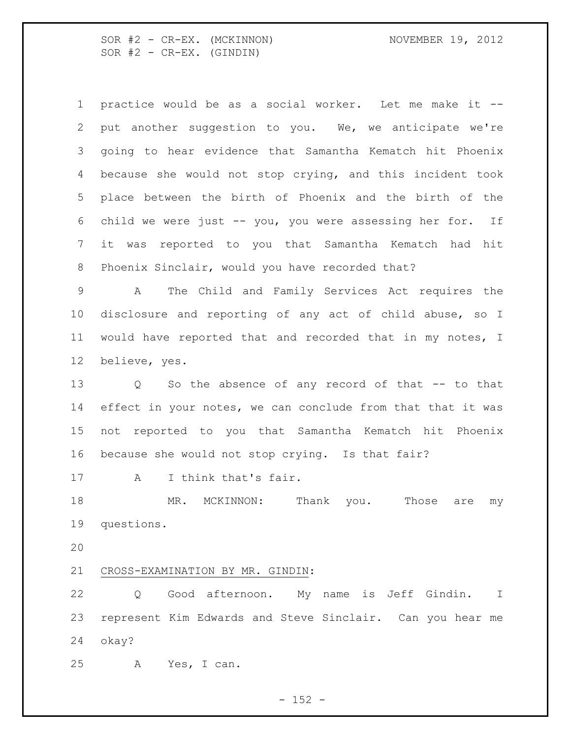SOR #2 - CR-EX. (MCKINNON) NOVEMBER 19, 2012  $SOR$   $#2$  -  $CR-EX.$  (GINDIN)

 practice would be as a social worker. Let me make it -- put another suggestion to you. We, we anticipate we're going to hear evidence that Samantha Kematch hit Phoenix because she would not stop crying, and this incident took place between the birth of Phoenix and the birth of the child we were just -- you, you were assessing her for. If it was reported to you that Samantha Kematch had hit Phoenix Sinclair, would you have recorded that?

 A The Child and Family Services Act requires the disclosure and reporting of any act of child abuse, so I would have reported that and recorded that in my notes, I believe, yes.

 Q So the absence of any record of that -- to that 14 effect in your notes, we can conclude from that that it was not reported to you that Samantha Kematch hit Phoenix because she would not stop crying. Is that fair?

A I think that's fair.

 MR. MCKINNON: Thank you. Those are my questions.

CROSS-EXAMINATION BY MR. GINDIN:

 Q Good afternoon. My name is Jeff Gindin. I represent Kim Edwards and Steve Sinclair. Can you hear me okay?

A Yes, I can.

 $- 152 -$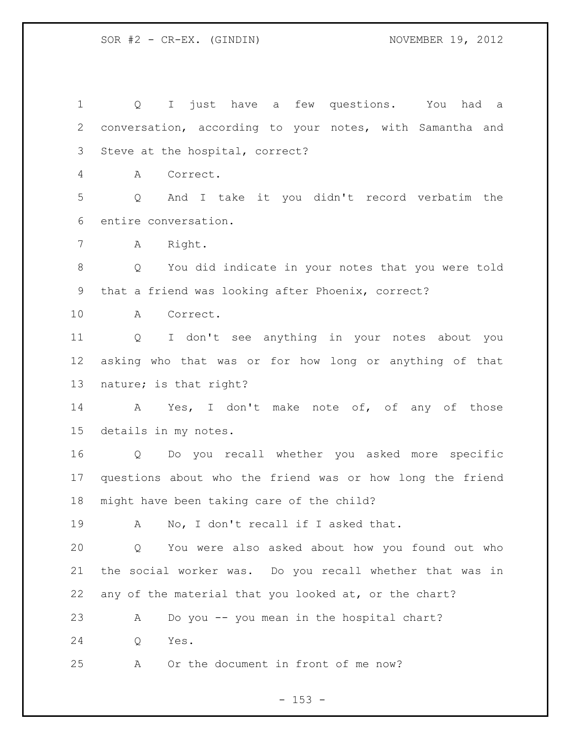Q I just have a few questions. You had a conversation, according to your notes, with Samantha and Steve at the hospital, correct? A Correct. Q And I take it you didn't record verbatim the entire conversation. A Right. Q You did indicate in your notes that you were told that a friend was looking after Phoenix, correct? A Correct. Q I don't see anything in your notes about you asking who that was or for how long or anything of that nature; is that right? A Yes, I don't make note of, of any of those details in my notes. Q Do you recall whether you asked more specific questions about who the friend was or how long the friend might have been taking care of the child? A No, I don't recall if I asked that. Q You were also asked about how you found out who the social worker was. Do you recall whether that was in any of the material that you looked at, or the chart? A Do you -- you mean in the hospital chart? Q Yes. A Or the document in front of me now?

 $- 153 -$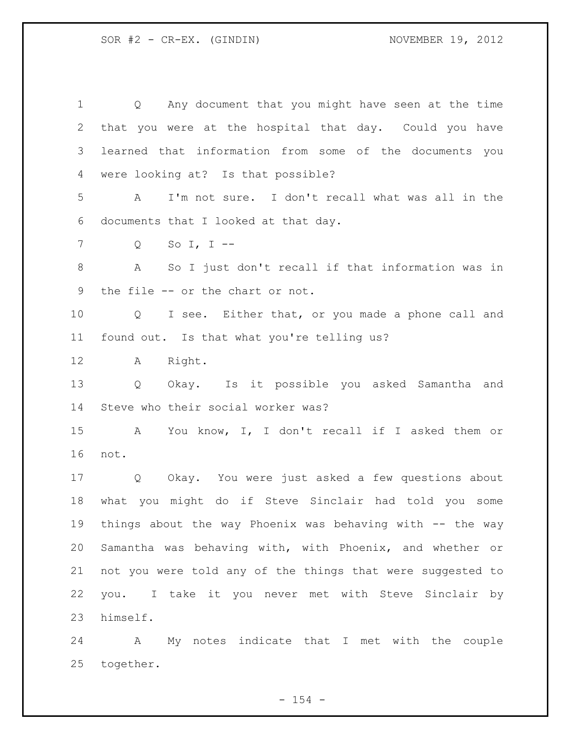Q Any document that you might have seen at the time that you were at the hospital that day. Could you have learned that information from some of the documents you were looking at? Is that possible? A I'm not sure. I don't recall what was all in the documents that I looked at that day. Q So I, I -- A So I just don't recall if that information was in the file -- or the chart or not. Q I see. Either that, or you made a phone call and found out. Is that what you're telling us? A Right. Q Okay. Is it possible you asked Samantha and Steve who their social worker was? A You know, I, I don't recall if I asked them or not. Q Okay. You were just asked a few questions about what you might do if Steve Sinclair had told you some things about the way Phoenix was behaving with -- the way Samantha was behaving with, with Phoenix, and whether or not you were told any of the things that were suggested to you. I take it you never met with Steve Sinclair by himself.

 A My notes indicate that I met with the couple together.

 $- 154 -$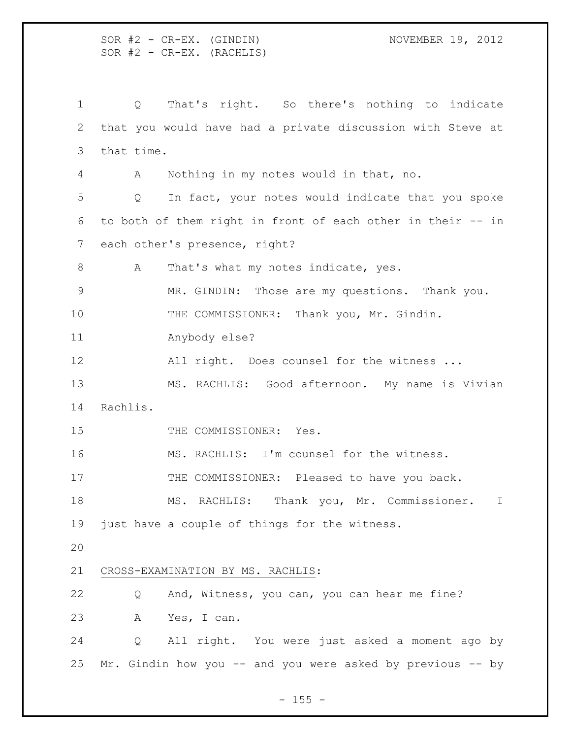SOR #2 - CR-EX. (GINDIN) NOVEMBER 19, 2012  $SOR$   $#2$  -  $CR-EX.$  (RACHLIS) Q That's right. So there's nothing to indicate that you would have had a private discussion with Steve at that time. A Nothing in my notes would in that, no. Q In fact, your notes would indicate that you spoke to both of them right in front of each other in their -- in each other's presence, right? 8 A That's what my notes indicate, yes. MR. GINDIN: Those are my questions. Thank you. THE COMMISSIONER: Thank you, Mr. Gindin. Anybody else? 12 All right. Does counsel for the witness ... MS. RACHLIS: Good afternoon. My name is Vivian Rachlis. 15 THE COMMISSIONER: Yes. MS. RACHLIS: I'm counsel for the witness. 17 THE COMMISSIONER: Pleased to have you back. MS. RACHLIS: Thank you, Mr. Commissioner. I just have a couple of things for the witness. CROSS-EXAMINATION BY MS. RACHLIS: Q And, Witness, you can, you can hear me fine? A Yes, I can. Q All right. You were just asked a moment ago by Mr. Gindin how you -- and you were asked by previous -- by

 $- 155 -$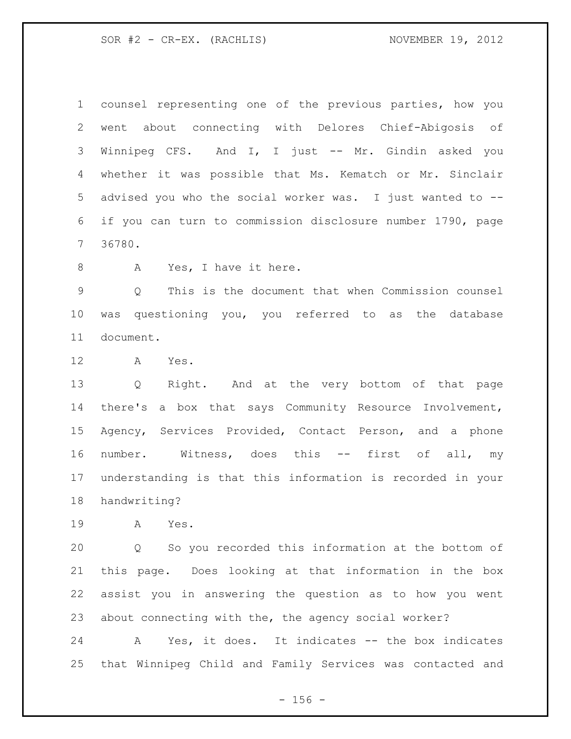SOR #2 - CR-EX. (RACHLIS) NOVEMBER 19, 2012

 counsel representing one of the previous parties, how you went about connecting with Delores Chief-Abigosis of Winnipeg CFS. And I, I just -- Mr. Gindin asked you whether it was possible that Ms. Kematch or Mr. Sinclair advised you who the social worker was. I just wanted to -- if you can turn to commission disclosure number 1790, page 36780.

8 A Yes, I have it here.

 Q This is the document that when Commission counsel was questioning you, you referred to as the database document.

A Yes.

 Q Right. And at the very bottom of that page there's a box that says Community Resource Involvement, Agency, Services Provided, Contact Person, and a phone number. Witness, does this -- first of all, my understanding is that this information is recorded in your handwriting?

A Yes.

 Q So you recorded this information at the bottom of this page. Does looking at that information in the box assist you in answering the question as to how you went about connecting with the, the agency social worker?

 A Yes, it does. It indicates -- the box indicates that Winnipeg Child and Family Services was contacted and

 $- 156 -$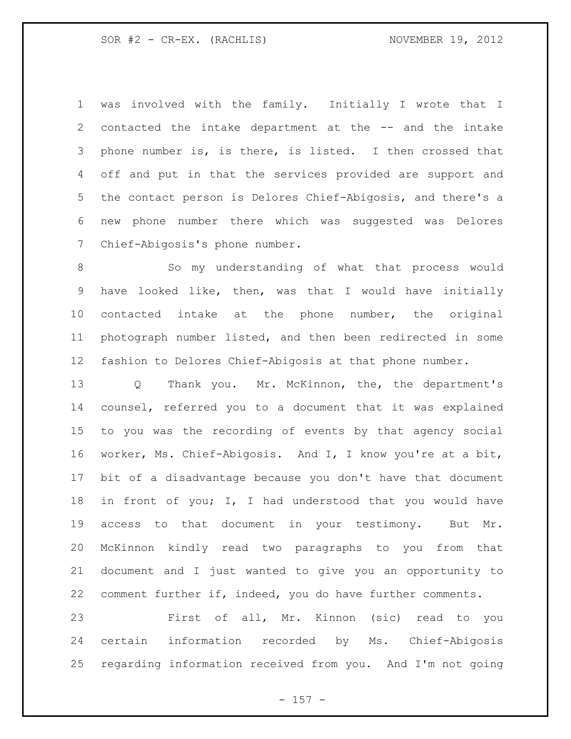was involved with the family. Initially I wrote that I contacted the intake department at the -- and the intake phone number is, is there, is listed. I then crossed that off and put in that the services provided are support and the contact person is Delores Chief-Abigosis, and there's a new phone number there which was suggested was Delores Chief-Abigosis's phone number.

8 So my understanding of what that process would have looked like, then, was that I would have initially contacted intake at the phone number, the original photograph number listed, and then been redirected in some fashion to Delores Chief-Abigosis at that phone number.

 Q Thank you. Mr. McKinnon, the, the department's counsel, referred you to a document that it was explained to you was the recording of events by that agency social worker, Ms. Chief-Abigosis. And I, I know you're at a bit, bit of a disadvantage because you don't have that document in front of you; I, I had understood that you would have access to that document in your testimony. But Mr. McKinnon kindly read two paragraphs to you from that document and I just wanted to give you an opportunity to comment further if, indeed, you do have further comments.

 First of all, Mr. Kinnon (sic) read to you certain information recorded by Ms. Chief-Abigosis regarding information received from you. And I'm not going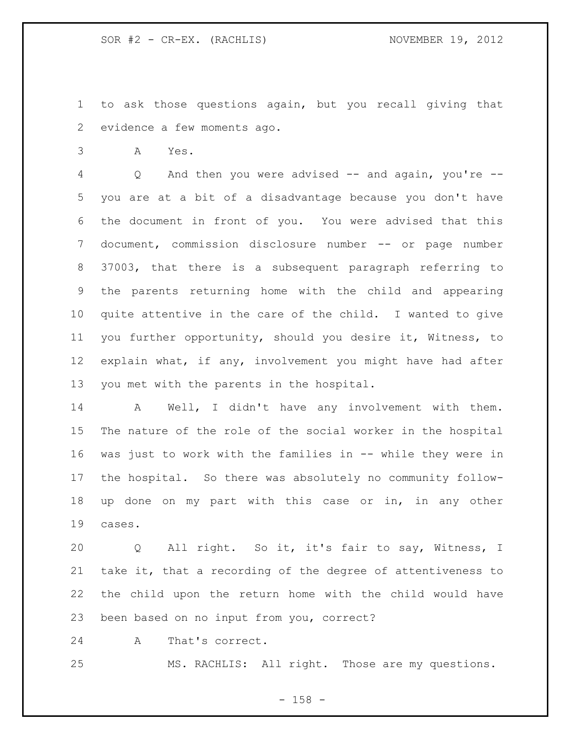to ask those questions again, but you recall giving that evidence a few moments ago.

A Yes.

 Q And then you were advised -- and again, you're -- you are at a bit of a disadvantage because you don't have the document in front of you. You were advised that this document, commission disclosure number -- or page number 37003, that there is a subsequent paragraph referring to the parents returning home with the child and appearing quite attentive in the care of the child. I wanted to give you further opportunity, should you desire it, Witness, to explain what, if any, involvement you might have had after you met with the parents in the hospital.

 A Well, I didn't have any involvement with them. The nature of the role of the social worker in the hospital was just to work with the families in -- while they were in the hospital. So there was absolutely no community follow- up done on my part with this case or in, in any other cases.

 Q All right. So it, it's fair to say, Witness, I take it, that a recording of the degree of attentiveness to the child upon the return home with the child would have been based on no input from you, correct?

A That's correct.

MS. RACHLIS: All right. Those are my questions.

- 158 -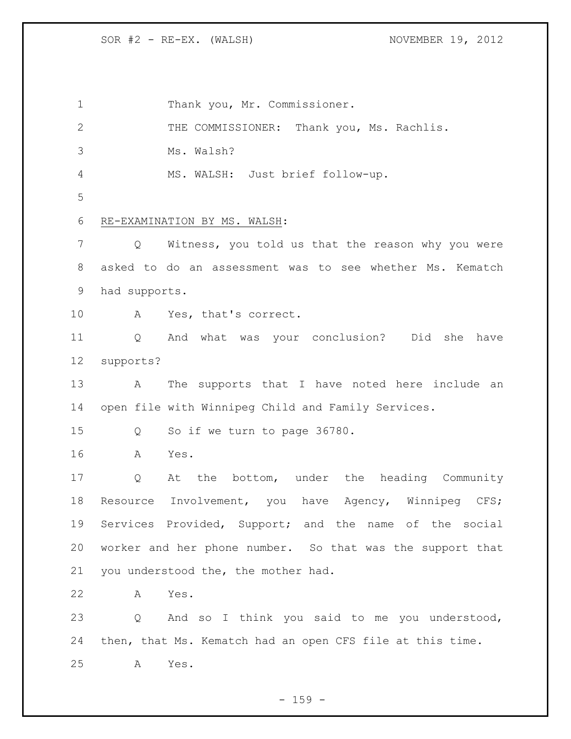SOR #2 - RE-EX. (WALSH) NOVEMBER 19, 2012

1 Thank you, Mr. Commissioner. 2 THE COMMISSIONER: Thank you, Ms. Rachlis. Ms. Walsh? MS. WALSH: Just brief follow-up. RE-EXAMINATION BY MS. WALSH: Q Witness, you told us that the reason why you were asked to do an assessment was to see whether Ms. Kematch had supports. A Yes, that's correct. Q And what was your conclusion? Did she have supports? A The supports that I have noted here include an open file with Winnipeg Child and Family Services. Q So if we turn to page 36780. A Yes. Q At the bottom, under the heading Community 18 Resource Involvement, you have Agency, Winnipeg CFS; Services Provided, Support; and the name of the social worker and her phone number. So that was the support that you understood the, the mother had. A Yes. Q And so I think you said to me you understood, then, that Ms. Kematch had an open CFS file at this time. A Yes.

 $- 159 -$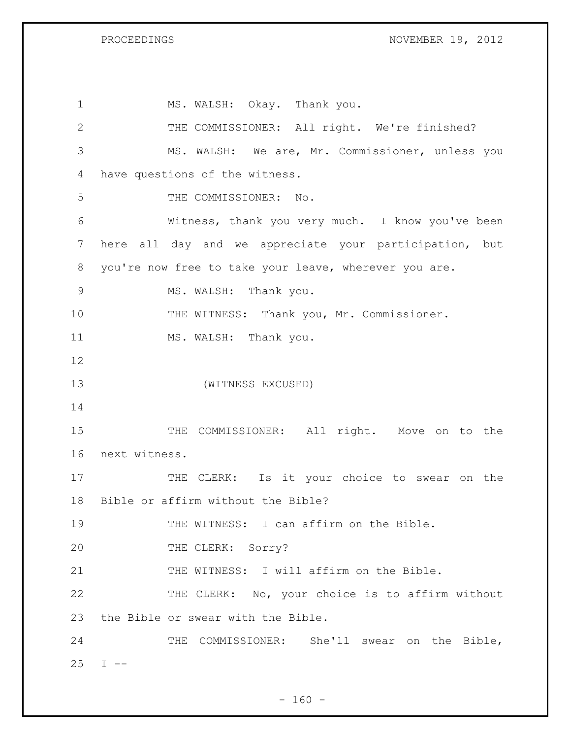PROCEEDINGS NOVEMBER 19, 2012

| $\mathbf 1$   | MS. WALSH: Okay. Thank you.                            |
|---------------|--------------------------------------------------------|
| $\mathbf{2}$  | THE COMMISSIONER: All right. We're finished?           |
| 3             | MS. WALSH: We are, Mr. Commissioner, unless you        |
| 4             | have questions of the witness.                         |
| 5             | THE COMMISSIONER: No.                                  |
| 6             | Witness, thank you very much. I know you've been       |
| 7             | here all day and we appreciate your participation, but |
| 8             | you're now free to take your leave, wherever you are.  |
| $\mathcal{G}$ | MS. WALSH: Thank you.                                  |
| 10            | THE WITNESS: Thank you, Mr. Commissioner.              |
| 11            | MS. WALSH: Thank you.                                  |
| 12            |                                                        |
| 13            | (WITNESS EXCUSED)                                      |
| 14            |                                                        |
| 15            | COMMISSIONER: All right. Move on to the<br>THE         |
| 16            | next witness.                                          |
| 17            | CLERK: Is it your choice to swear on the<br>THE        |
| 18            | Bible or affirm without the Bible?                     |
| 19            | THE WITNESS: I can affirm on the Bible.                |
| 20            | THE CLERK: Sorry?                                      |
| 21            | THE WITNESS: I will affirm on the Bible.               |
| 22            | THE CLERK: No, your choice is to affirm without        |
| 23            | the Bible or swear with the Bible.                     |
| 24            | COMMISSIONER: She'll swear on the Bible,<br>THE        |
| 25            | $I$ $-$                                                |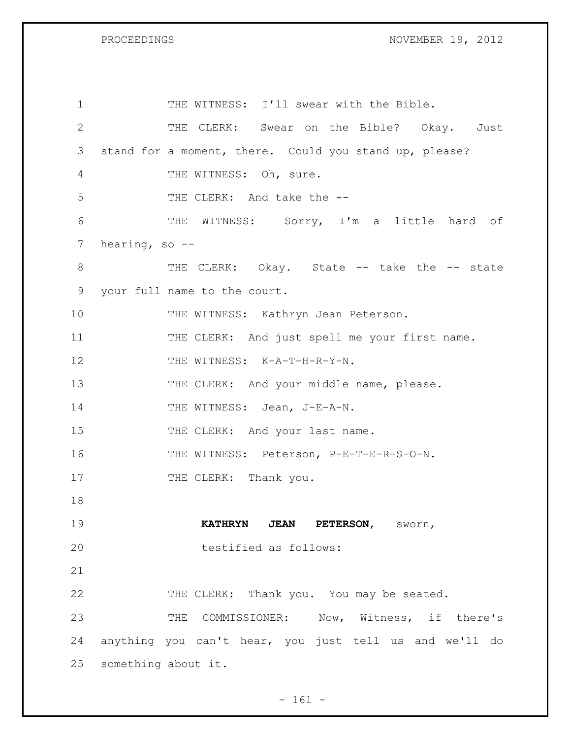PROCEEDINGS NOVEMBER 19, 2012

| $\mathbf 1$           | THE WITNESS: I'll swear with the Bible.                |
|-----------------------|--------------------------------------------------------|
| $\mathbf{2}^{\prime}$ | THE CLERK: Swear on the Bible? Okay. Just              |
| 3                     | stand for a moment, there. Could you stand up, please? |
| 4                     | THE WITNESS: Oh, sure.                                 |
| 5                     | THE CLERK: And take the --                             |
| 6                     | THE WITNESS: Sorry, I'm a little hard of               |
| $7\phantom{.}$        | hearing, so $-$ -                                      |
| 8                     | THE CLERK: Okay. State -- take the -- state            |
| 9                     | your full name to the court.                           |
| 10                    | THE WITNESS: Kathryn Jean Peterson.                    |
| 11                    | THE CLERK: And just spell me your first name.          |
| 12                    | THE WITNESS: K-A-T-H-R-Y-N.                            |
| 13                    | THE CLERK: And your middle name, please.               |
| 14                    | THE WITNESS: Jean, J-E-A-N.                            |
| 15                    | THE CLERK: And your last name.                         |
| 16                    | THE WITNESS: Peterson, P-E-T-E-R-S-O-N.                |
| 17                    | THE CLERK: Thank you.                                  |
| 18                    |                                                        |
| 19                    | KATHRYN JEAN PETERSON, SWOYN,                          |
| 20                    | testified as follows:                                  |
| 21                    |                                                        |
| 22                    | THE CLERK: Thank you. You may be seated.               |
| 23                    | THE COMMISSIONER: Now, Witness, if there's             |
| 24                    | anything you can't hear, you just tell us and we'll do |
| 25                    | something about it.                                    |

- 161 -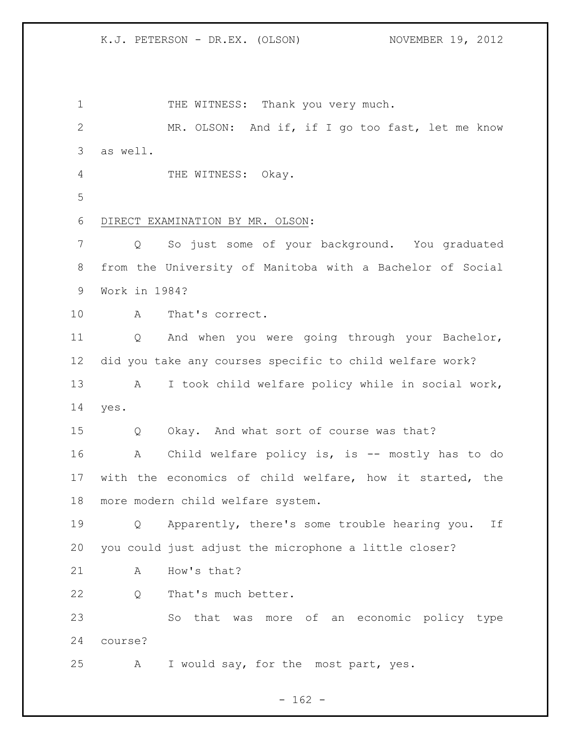1 THE WITNESS: Thank you very much. MR. OLSON: And if, if I go too fast, let me know as well. 4 THE WITNESS: Okay. DIRECT EXAMINATION BY MR. OLSON: Q So just some of your background. You graduated from the University of Manitoba with a Bachelor of Social Work in 1984? A That's correct. Q And when you were going through your Bachelor, did you take any courses specific to child welfare work? A I took child welfare policy while in social work, yes. Q Okay. And what sort of course was that? 16 A Child welfare policy is, is -- mostly has to do with the economics of child welfare, how it started, the more modern child welfare system. Q Apparently, there's some trouble hearing you. If you could just adjust the microphone a little closer? 21 A How's that? Q That's much better. So that was more of an economic policy type course? A I would say, for the most part, yes.

 $- 162 -$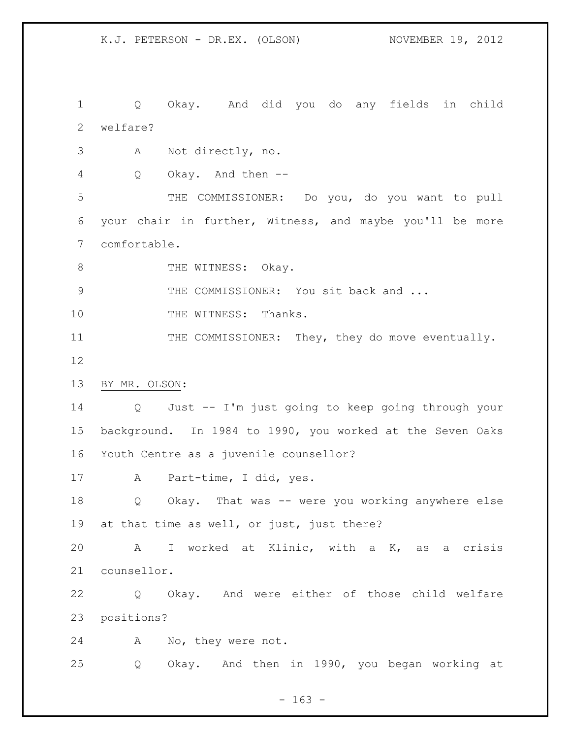Q Okay. And did you do any fields in child welfare?

- A Not directly, no.
- Q Okay. And then --

 THE COMMISSIONER: Do you, do you want to pull your chair in further, Witness, and maybe you'll be more comfortable.

8 THE WITNESS: Okay.

9 THE COMMISSIONER: You sit back and ...

10 THE WITNESS: Thanks.

11 THE COMMISSIONER: They, they do move eventually. 

BY MR. OLSON:

 Q Just -- I'm just going to keep going through your background. In 1984 to 1990, you worked at the Seven Oaks Youth Centre as a juvenile counsellor?

A Part-time, I did, yes.

 Q Okay. That was -- were you working anywhere else at that time as well, or just, just there?

 A I worked at Klinic, with a K, as a crisis counsellor.

 Q Okay. And were either of those child welfare positions?

A No, they were not.

Q Okay. And then in 1990, you began working at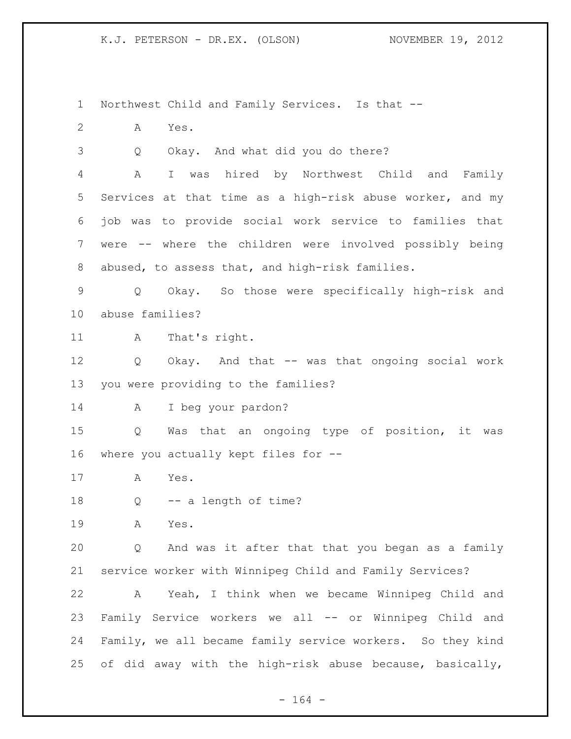Northwest Child and Family Services. Is that -- A Yes. Q Okay. And what did you do there? A I was hired by Northwest Child and Family Services at that time as a high-risk abuse worker, and my job was to provide social work service to families that were -- where the children were involved possibly being abused, to assess that, and high-risk families. Q Okay. So those were specifically high-risk and abuse families? 11 A That's right. Q Okay. And that -- was that ongoing social work you were providing to the families? A I beg your pardon? Q Was that an ongoing type of position, it was where you actually kept files for -- A Yes. 18 Q -- a length of time? A Yes. Q And was it after that that you began as a family service worker with Winnipeg Child and Family Services? A Yeah, I think when we became Winnipeg Child and Family Service workers we all -- or Winnipeg Child and Family, we all became family service workers. So they kind of did away with the high-risk abuse because, basically,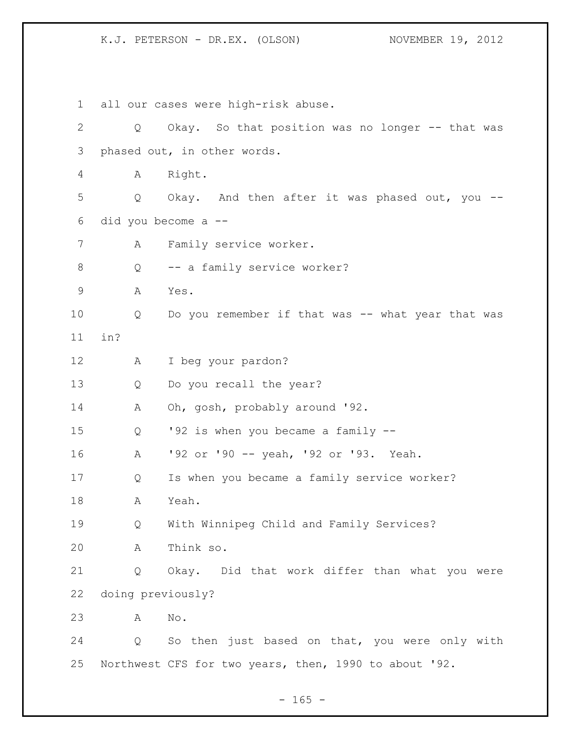all our cases were high-risk abuse. Q Okay. So that position was no longer -- that was phased out, in other words. A Right. Q Okay. And then after it was phased out, you -- did you become a -- A Family service worker. 8 O -- a family service worker? A Yes. Q Do you remember if that was -- what year that was in? A I beg your pardon? Q Do you recall the year? A Oh, gosh, probably around '92. Q '92 is when you became a family -- A '92 or '90 -- yeah, '92 or '93. Yeah. Q Is when you became a family service worker? A Yeah. Q With Winnipeg Child and Family Services? A Think so. Q Okay. Did that work differ than what you were doing previously? A No. Q So then just based on that, you were only with Northwest CFS for two years, then, 1990 to about '92.

 $- 165 -$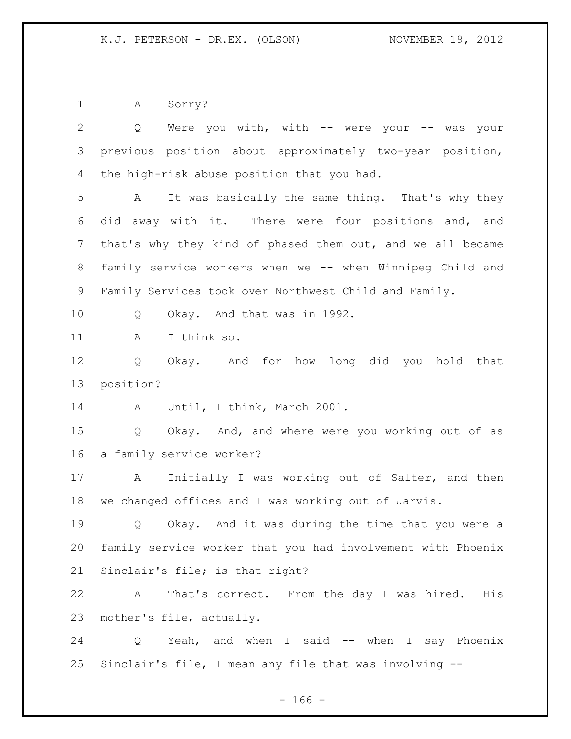A Sorry?

| $\mathbf{2}$   | Were you with, with -- were your -- was your<br>Q           |
|----------------|-------------------------------------------------------------|
| $\mathcal{S}$  | previous position about approximately two-year position,    |
| 4              | the high-risk abuse position that you had.                  |
| 5              | It was basically the same thing. That's why they<br>A       |
| 6              | did away with it. There were four positions and, and        |
| $\overline{7}$ | that's why they kind of phased them out, and we all became  |
| $8\,$          | family service workers when we -- when Winnipeg Child and   |
| $\mathsf 9$    | Family Services took over Northwest Child and Family.       |
| 10             | Okay. And that was in 1992.<br>Q                            |
| 11             | I think so.<br>A                                            |
| 12             | Okay. And for how long did you hold that<br>Q               |
| 13             | position?                                                   |
| 14             | Until, I think, March 2001.<br>Α                            |
| 15             | Okay. And, and where were you working out of as<br>Q        |
| 16             | a family service worker?                                    |
| 17             | Initially I was working out of Salter, and then<br>A        |
| 18             | we changed offices and I was working out of Jarvis.         |
| 19             | Okay. And it was during the time that you were a<br>Q       |
| 20             | family service worker that you had involvement with Phoenix |
| 21             | Sinclair's file; is that right?                             |
| 22             | Α<br>That's correct. From the day I was hired.<br>His       |
| 23             | mother's file, actually.                                    |
| 24             | Yeah, and when I said -- when I say Phoenix<br>Q            |
| 25             | Sinclair's file, I mean any file that was involving --      |

- 166 -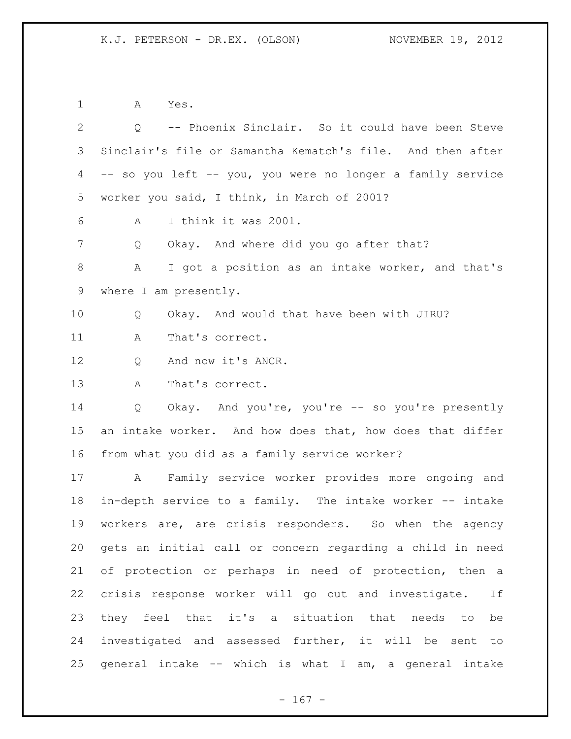A Yes.

| 2           | -- Phoenix Sinclair. So it could have been Steve<br>$Q_{\rm max}$ |
|-------------|-------------------------------------------------------------------|
| 3           | Sinclair's file or Samantha Kematch's file. And then after        |
| 4           | -- so you left -- you, you were no longer a family service        |
| 5           | worker you said, I think, in March of 2001?                       |
| 6           | I think it was 2001.<br>A                                         |
| 7           | Okay. And where did you go after that?<br>Q                       |
| $8\,$       | I got a position as an intake worker, and that's<br>A             |
| $\mathsf 9$ | where I am presently.                                             |
| 10          | Okay. And would that have been with JIRU?<br>Q                    |
| 11          | That's correct.<br>A                                              |
| 12          | And now it's ANCR.<br>Q                                           |
| 13          | That's correct.<br>A                                              |
| 14          | Okay. And you're, you're -- so you're presently<br>Q              |
| 15          | an intake worker. And how does that, how does that differ         |
| 16          | from what you did as a family service worker?                     |
| 17          | Family service worker provides more ongoing and<br>$\mathbb A$    |
| 18          | in-depth service to a family. The intake worker -- intake         |
| 19          | workers are, are crisis responders. So when the agency            |
| 20          | gets an initial call or concern regarding a child in need         |
| 21          | of protection or perhaps in need of protection, then a            |
| 22          | crisis response worker will go out and investigate.<br>If         |
| 23          | they feel that it's a situation that needs to<br>be               |
| 24          | investigated and assessed further, it will be sent to             |
| 25          | general intake -- which is what I am, a general intake            |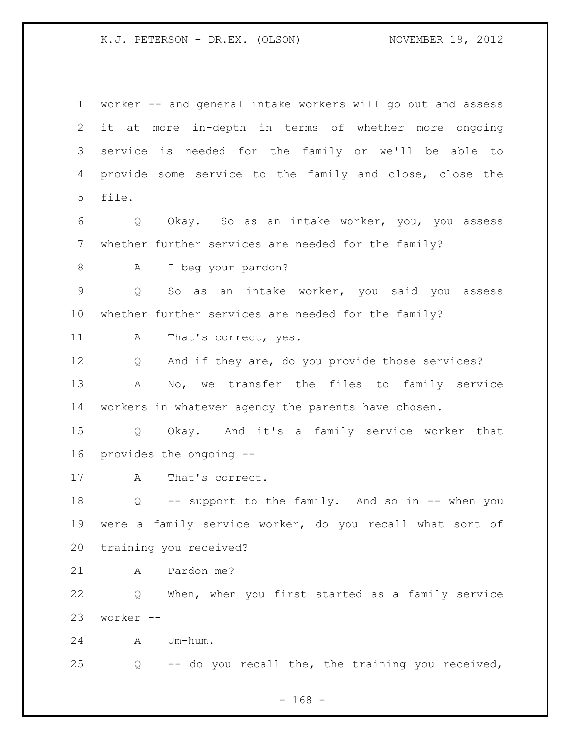worker -- and general intake workers will go out and assess it at more in-depth in terms of whether more ongoing service is needed for the family or we'll be able to provide some service to the family and close, close the file. Q Okay. So as an intake worker, you, you assess whether further services are needed for the family? A I beg your pardon? Q So as an intake worker, you said you assess whether further services are needed for the family? 11 A That's correct, yes. Q And if they are, do you provide those services? A No, we transfer the files to family service workers in whatever agency the parents have chosen. Q Okay. And it's a family service worker that provides the ongoing -- 17 A That's correct. Q -- support to the family. And so in -- when you were a family service worker, do you recall what sort of training you received? A Pardon me? Q When, when you first started as a family service worker -- A Um-hum. Q -- do you recall the, the training you received,

- 168 -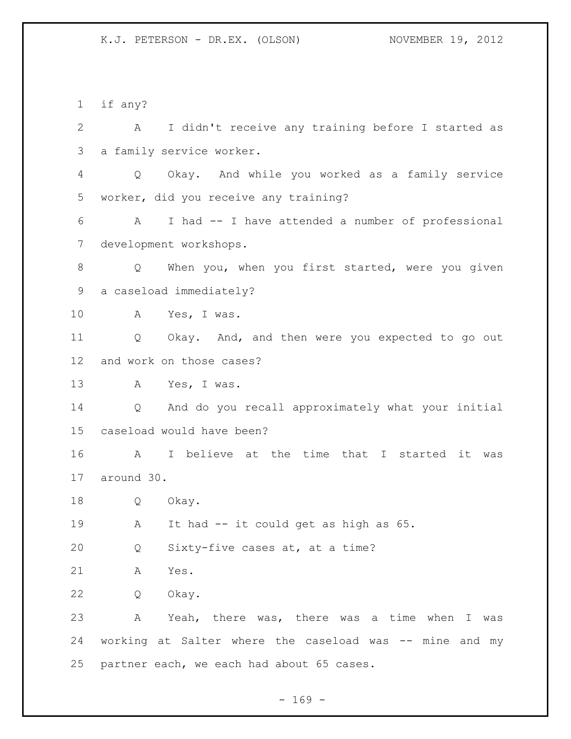if any? A I didn't receive any training before I started as a family service worker. Q Okay. And while you worked as a family service worker, did you receive any training? A I had -- I have attended a number of professional development workshops. Q When you, when you first started, were you given a caseload immediately? A Yes, I was. Q Okay. And, and then were you expected to go out and work on those cases? A Yes, I was. Q And do you recall approximately what your initial caseload would have been? A I believe at the time that I started it was around 30. Q Okay. A It had -- it could get as high as 65. Q Sixty-five cases at, at a time? A Yes. Q Okay. A Yeah, there was, there was a time when I was working at Salter where the caseload was -- mine and my partner each, we each had about 65 cases.

 $- 169 -$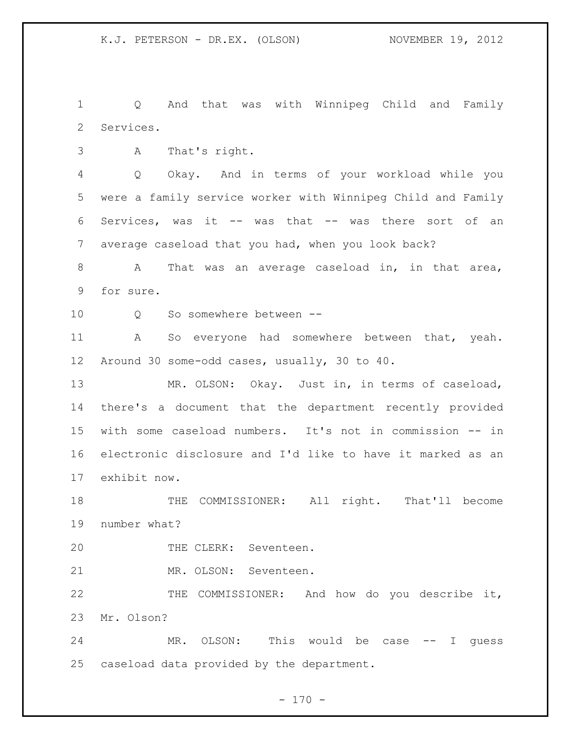Q And that was with Winnipeg Child and Family Services.

A That's right.

 Q Okay. And in terms of your workload while you were a family service worker with Winnipeg Child and Family Services, was it -- was that -- was there sort of an average caseload that you had, when you look back?

 A That was an average caseload in, in that area, for sure.

10 0 So somewhere between --

 A So everyone had somewhere between that, yeah. Around 30 some-odd cases, usually, 30 to 40.

 MR. OLSON: Okay. Just in, in terms of caseload, there's a document that the department recently provided with some caseload numbers. It's not in commission -- in electronic disclosure and I'd like to have it marked as an exhibit now.

 THE COMMISSIONER: All right. That'll become number what?

THE CLERK: Seventeen.

MR. OLSON: Seventeen.

 THE COMMISSIONER: And how do you describe it, Mr. Olson?

24 MR. OLSON: This would be case -- I guess caseload data provided by the department.

 $- 170 -$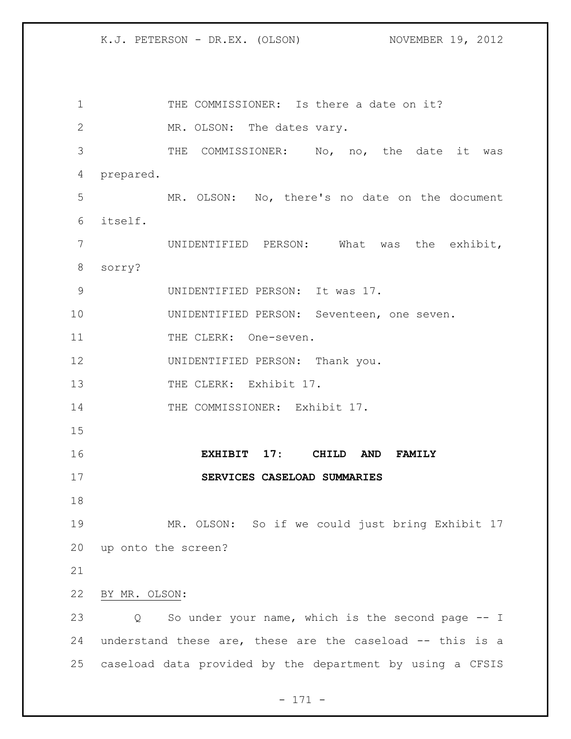1 THE COMMISSIONER: Is there a date on it? MR. OLSON: The dates vary. THE COMMISSIONER: No, no, the date it was prepared. MR. OLSON: No, there's no date on the document itself. UNIDENTIFIED PERSON: What was the exhibit, sorry? UNIDENTIFIED PERSON: It was 17. UNIDENTIFIED PERSON: Seventeen, one seven. 11 THE CLERK: One-seven. UNIDENTIFIED PERSON: Thank you. 13 THE CLERK: Exhibit 17. 14 THE COMMISSIONER: Exhibit 17. **EXHIBIT 17: CHILD AND FAMILY SERVICES CASELOAD SUMMARIES** MR. OLSON: So if we could just bring Exhibit 17 up onto the screen? BY MR. OLSON: Q So under your name, which is the second page -- I understand these are, these are the caseload -- this is a caseload data provided by the department by using a CFSIS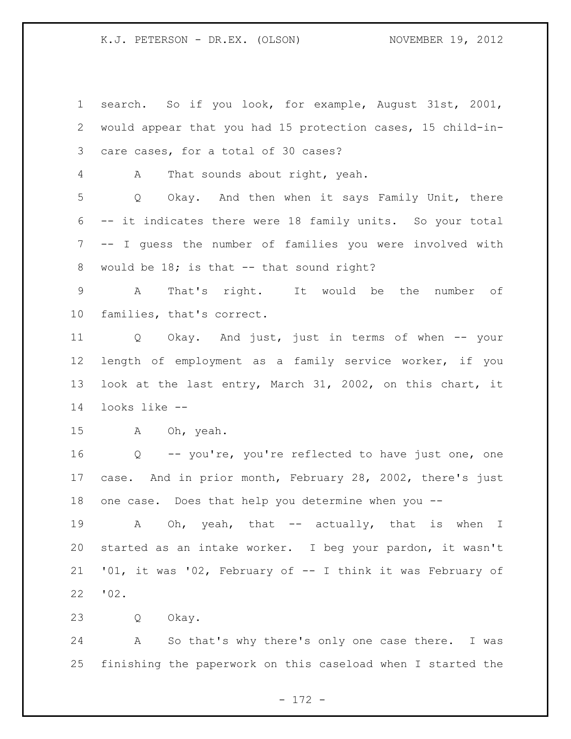search. So if you look, for example, August 31st, 2001, would appear that you had 15 protection cases, 15 child-in- care cases, for a total of 30 cases? A That sounds about right, yeah. Q Okay. And then when it says Family Unit, there -- it indicates there were 18 family units. So your total -- I guess the number of families you were involved with 8 would be 18; is that -- that sound right? A That's right. It would be the number of families, that's correct. Q Okay. And just, just in terms of when -- your length of employment as a family service worker, if you look at the last entry, March 31, 2002, on this chart, it looks like -- A Oh, yeah. Q -- you're, you're reflected to have just one, one case. And in prior month, February 28, 2002, there's just one case. Does that help you determine when you -- 19 A Oh, yeah, that -- actually, that is when I started as an intake worker. I beg your pardon, it wasn't '01, it was '02, February of -- I think it was February of '02. Q Okay.

 A So that's why there's only one case there. I was finishing the paperwork on this caseload when I started the

- 172 -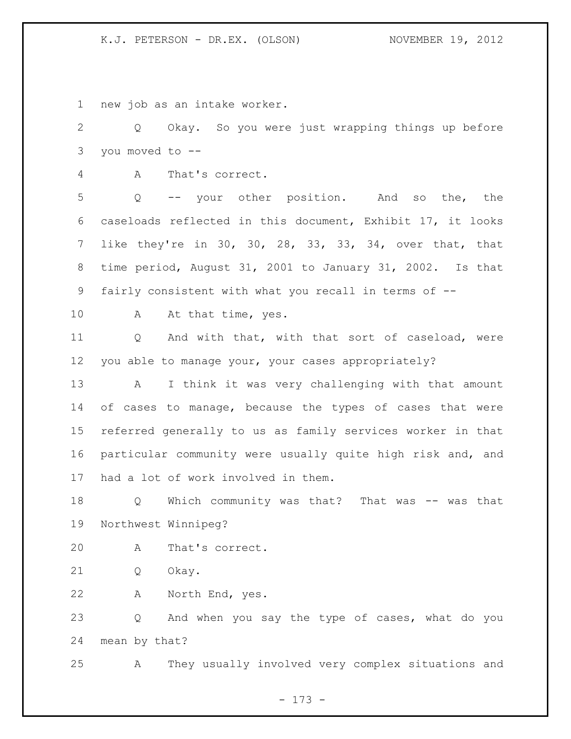new job as an intake worker.

 Q Okay. So you were just wrapping things up before you moved to --

A That's correct.

 Q -- your other position. And so the, the caseloads reflected in this document, Exhibit 17, it looks like they're in 30, 30, 28, 33, 33, 34, over that, that time period, August 31, 2001 to January 31, 2002. Is that fairly consistent with what you recall in terms of --

10 A At that time, yes.

 Q And with that, with that sort of caseload, were you able to manage your, your cases appropriately?

 A I think it was very challenging with that amount of cases to manage, because the types of cases that were referred generally to us as family services worker in that particular community were usually quite high risk and, and had a lot of work involved in them.

 Q Which community was that? That was -- was that Northwest Winnipeg?

A That's correct.

Q Okay.

A North End, yes.

 Q And when you say the type of cases, what do you mean by that?

A They usually involved very complex situations and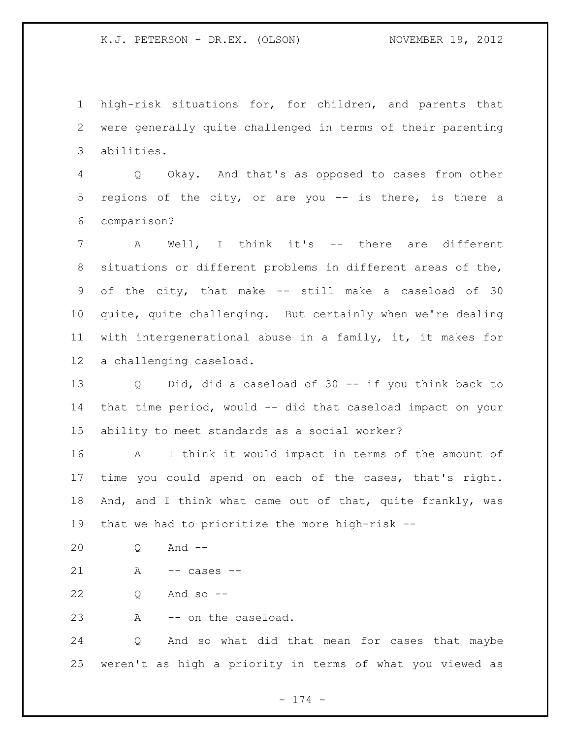high-risk situations for, for children, and parents that were generally quite challenged in terms of their parenting abilities.

 Q Okay. And that's as opposed to cases from other regions of the city, or are you -- is there, is there a comparison?

 A Well, I think it's -- there are different situations or different problems in different areas of the, of the city, that make -- still make a caseload of 30 quite, quite challenging. But certainly when we're dealing with intergenerational abuse in a family, it, it makes for a challenging caseload.

 Q Did, did a caseload of 30 -- if you think back to that time period, would -- did that caseload impact on your ability to meet standards as a social worker?

 A I think it would impact in terms of the amount of time you could spend on each of the cases, that's right. 18 And, and I think what came out of that, quite frankly, was that we had to prioritize the more high-risk --

Q And --

A -- cases --

Q And so --

A -- on the caseload.

 Q And so what did that mean for cases that maybe weren't as high a priority in terms of what you viewed as

- 174 -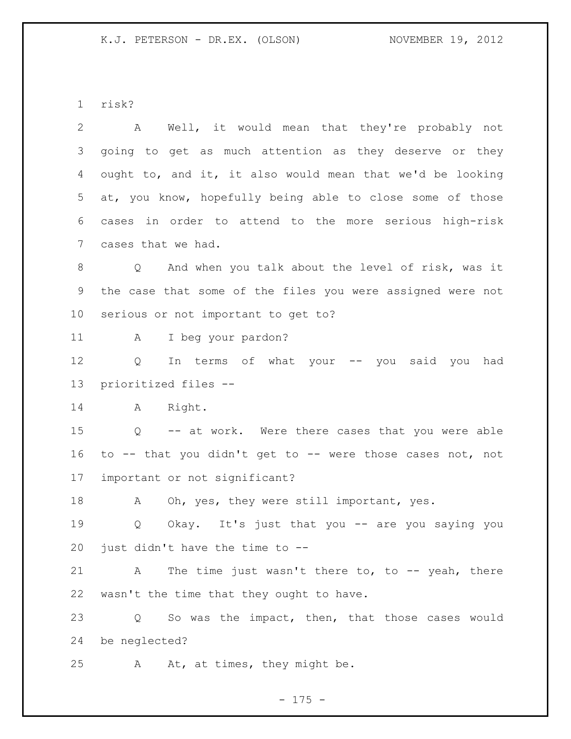risk?

| 2               | Well, it would mean that they're probably not<br>A         |
|-----------------|------------------------------------------------------------|
| 3               | going to get as much attention as they deserve or they     |
| 4               | ought to, and it, it also would mean that we'd be looking  |
| 5               | at, you know, hopefully being able to close some of those  |
| 6               | cases in order to attend to the more serious high-risk     |
| $7\phantom{.0}$ | cases that we had.                                         |
| 8               | Q And when you talk about the level of risk, was it        |
| 9               | the case that some of the files you were assigned were not |
| 10 <sub>1</sub> | serious or not important to get to?                        |
| 11              | I beg your pardon?<br>A                                    |
| 12              | In terms of what your -- you said you<br>Q<br>had          |
| 13              | prioritized files --                                       |
| 14              | A Right.                                                   |
| 15              | Q -- at work. Were there cases that you were able          |
| 16              | to -- that you didn't get to -- were those cases not, not  |
| 17              | important or not significant?                              |
| 18              | Oh, yes, they were still important, yes.<br>A              |
| 19              | Okay. It's just that you -- are you saying you<br>Q        |
| 20              | just didn't have the time to --                            |
| 21              | The time just wasn't there to, to $-$ - yeah, there<br>А   |
| 22              | wasn't the time that they ought to have.                   |
| 23              | So was the impact, then, that those cases would<br>Q       |
| 24              | be neglected?                                              |
| 25              | At, at times, they might be.<br>Α                          |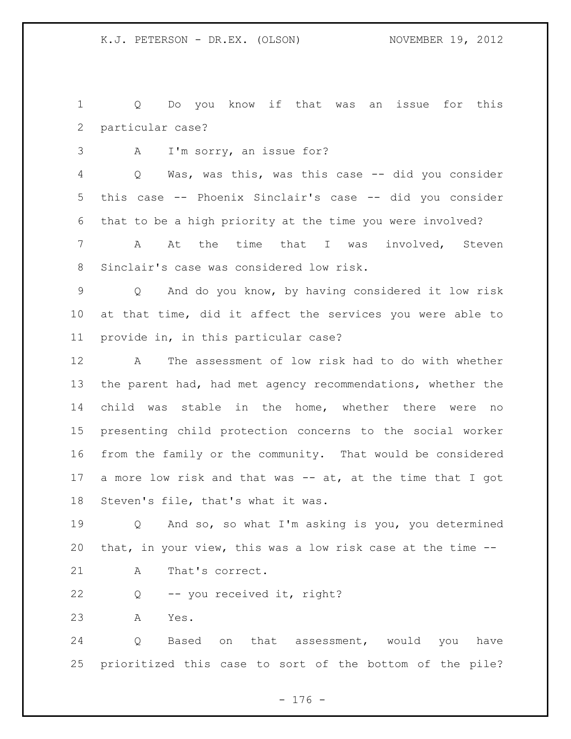Q Do you know if that was an issue for this particular case?

A I'm sorry, an issue for?

 Q Was, was this, was this case -- did you consider this case -- Phoenix Sinclair's case -- did you consider that to be a high priority at the time you were involved?

 A At the time that I was involved, Steven Sinclair's case was considered low risk.

 Q And do you know, by having considered it low risk at that time, did it affect the services you were able to provide in, in this particular case?

 A The assessment of low risk had to do with whether the parent had, had met agency recommendations, whether the child was stable in the home, whether there were no presenting child protection concerns to the social worker from the family or the community. That would be considered a more low risk and that was -- at, at the time that I got Steven's file, that's what it was.

19 0 And so, so what I'm asking is you, you determined that, in your view, this was a low risk case at the time --

- 21 A That's correct.
- Q -- you received it, right?

A Yes.

 Q Based on that assessment, would you have prioritized this case to sort of the bottom of the pile?

- 176 -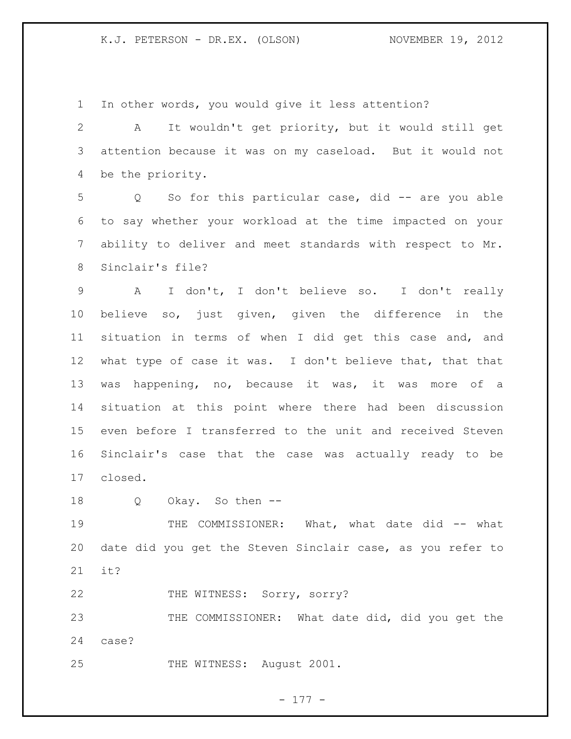In other words, you would give it less attention?

 A It wouldn't get priority, but it would still get attention because it was on my caseload. But it would not be the priority.

 Q So for this particular case, did -- are you able to say whether your workload at the time impacted on your ability to deliver and meet standards with respect to Mr. Sinclair's file?

 A I don't, I don't believe so. I don't really believe so, just given, given the difference in the situation in terms of when I did get this case and, and what type of case it was. I don't believe that, that that was happening, no, because it was, it was more of a situation at this point where there had been discussion even before I transferred to the unit and received Steven Sinclair's case that the case was actually ready to be closed.

Q Okay. So then --

19 THE COMMISSIONER: What, what date did -- what date did you get the Steven Sinclair case, as you refer to it?

22 THE WITNESS: Sorry, sorry?

23 THE COMMISSIONER: What date did, did you get the case?

25 THE WITNESS: August 2001.

- 177 -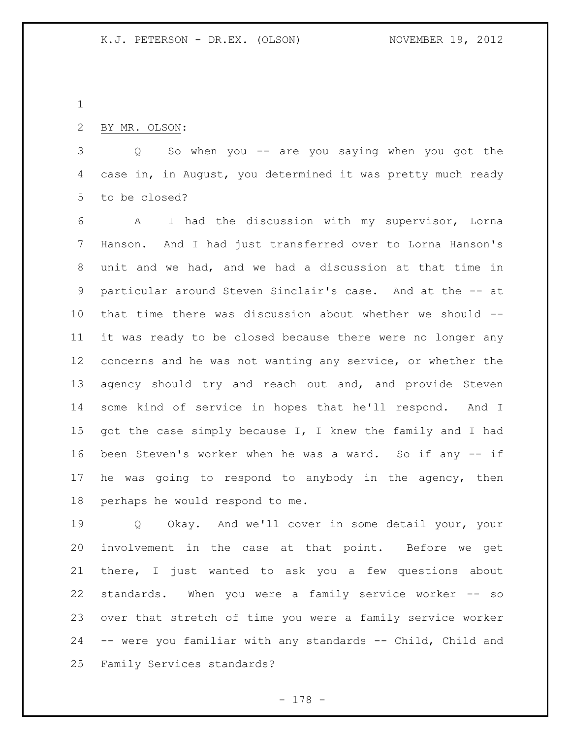## BY MR. OLSON:

 Q So when you -- are you saying when you got the case in, in August, you determined it was pretty much ready to be closed?

 A I had the discussion with my supervisor, Lorna Hanson. And I had just transferred over to Lorna Hanson's unit and we had, and we had a discussion at that time in particular around Steven Sinclair's case. And at the -- at that time there was discussion about whether we should -- it was ready to be closed because there were no longer any concerns and he was not wanting any service, or whether the 13 agency should try and reach out and, and provide Steven some kind of service in hopes that he'll respond. And I 15 got the case simply because I, I knew the family and I had been Steven's worker when he was a ward. So if any -- if he was going to respond to anybody in the agency, then perhaps he would respond to me.

 Q Okay. And we'll cover in some detail your, your involvement in the case at that point. Before we get there, I just wanted to ask you a few questions about standards. When you were a family service worker -- so over that stretch of time you were a family service worker -- were you familiar with any standards -- Child, Child and Family Services standards?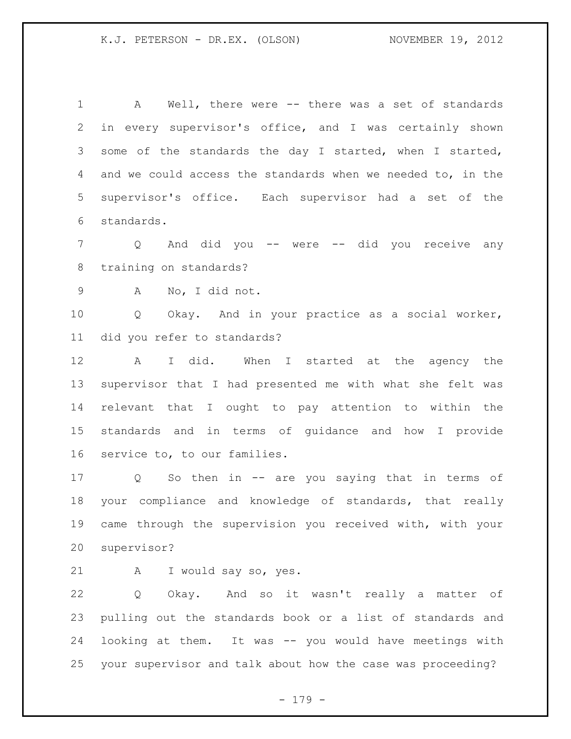A Well, there were -- there was a set of standards in every supervisor's office, and I was certainly shown some of the standards the day I started, when I started, and we could access the standards when we needed to, in the supervisor's office. Each supervisor had a set of the standards.

 Q And did you -- were -- did you receive any training on standards?

A No, I did not.

 Q Okay. And in your practice as a social worker, did you refer to standards?

 A I did. When I started at the agency the supervisor that I had presented me with what she felt was relevant that I ought to pay attention to within the standards and in terms of guidance and how I provide service to, to our families.

 Q So then in -- are you saying that in terms of your compliance and knowledge of standards, that really came through the supervision you received with, with your supervisor?

A I would say so, yes.

 Q Okay. And so it wasn't really a matter of pulling out the standards book or a list of standards and looking at them. It was -- you would have meetings with your supervisor and talk about how the case was proceeding?

- 179 -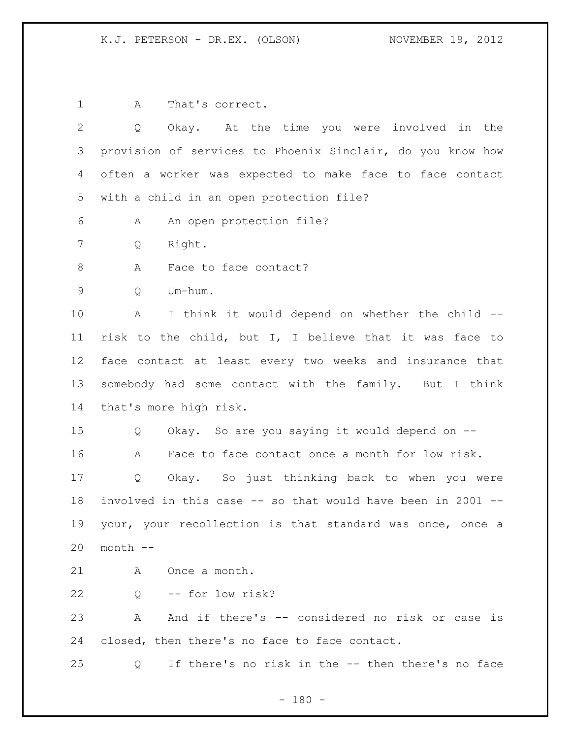A That's correct. Q Okay. At the time you were involved in the provision of services to Phoenix Sinclair, do you know how often a worker was expected to make face to face contact with a child in an open protection file? A An open protection file? Q Right. 8 A Face to face contact? Q Um-hum. A I think it would depend on whether the child -- risk to the child, but I, I believe that it was face to face contact at least every two weeks and insurance that somebody had some contact with the family. But I think that's more high risk. Q Okay. So are you saying it would depend on -- A Face to face contact once a month for low risk. Q Okay. So just thinking back to when you were involved in this case -- so that would have been in 2001 -- your, your recollection is that standard was once, once a month -- A Once a month. Q -- for low risk? A And if there's -- considered no risk or case is closed, then there's no face to face contact. Q If there's no risk in the -- then there's no face

 $- 180 -$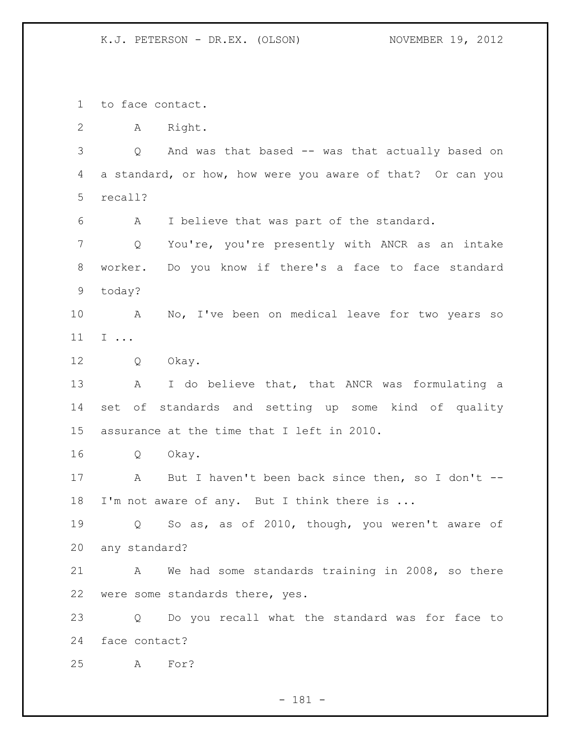to face contact.

A Right.

 Q And was that based -- was that actually based on a standard, or how, how were you aware of that? Or can you recall?

A I believe that was part of the standard.

 Q You're, you're presently with ANCR as an intake worker. Do you know if there's a face to face standard today?

 A No, I've been on medical leave for two years so I ...

Q Okay.

13 A I do believe that, that ANCR was formulating a set of standards and setting up some kind of quality assurance at the time that I left in 2010.

Q Okay.

 A But I haven't been back since then, so I don't -- 18 I'm not aware of any. But I think there is ...

 Q So as, as of 2010, though, you weren't aware of any standard?

 A We had some standards training in 2008, so there were some standards there, yes.

 Q Do you recall what the standard was for face to face contact?

A For?

- 181 -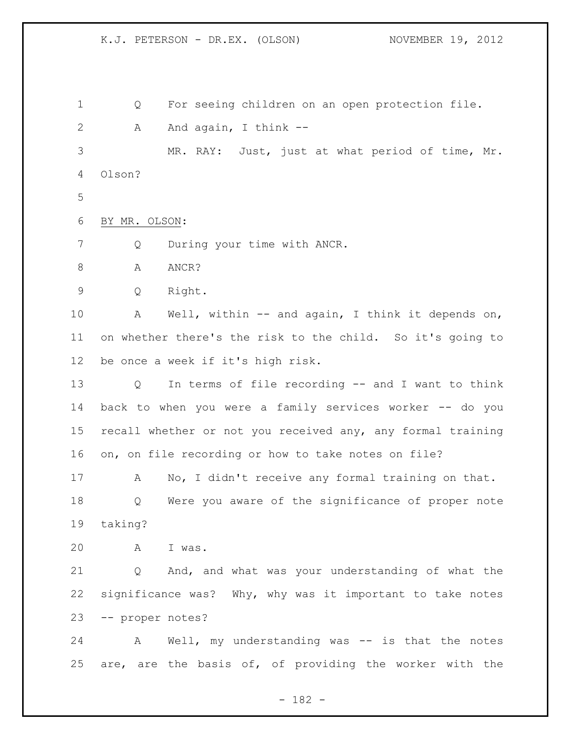K.J. PETERSON - DR.EX. (OLSON) NOVEMBER 19, 2012 Q For seeing children on an open protection file. 2 A And again, I think -- MR. RAY: Just, just at what period of time, Mr. Olson? BY MR. OLSON: Q During your time with ANCR. 8 A ANCR? Q Right. A Well, within -- and again, I think it depends on, on whether there's the risk to the child. So it's going to be once a week if it's high risk. Q In terms of file recording -- and I want to think back to when you were a family services worker -- do you recall whether or not you received any, any formal training on, on file recording or how to take notes on file? A No, I didn't receive any formal training on that. Q Were you aware of the significance of proper note taking? A I was. Q And, and what was your understanding of what the significance was? Why, why was it important to take notes -- proper notes? A Well, my understanding was -- is that the notes are, are the basis of, of providing the worker with the

- 182 -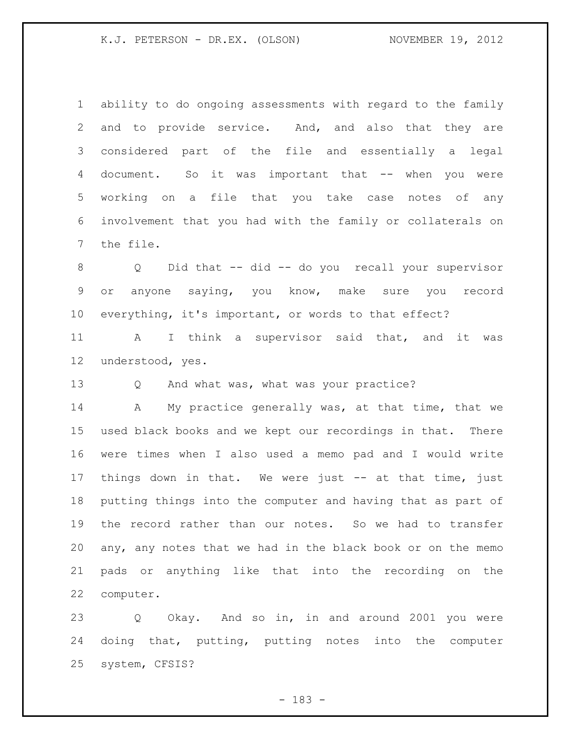ability to do ongoing assessments with regard to the family and to provide service. And, and also that they are considered part of the file and essentially a legal 4 document. So it was important that -- when you were working on a file that you take case notes of any involvement that you had with the family or collaterals on the file.

 Q Did that -- did -- do you recall your supervisor or anyone saying, you know, make sure you record everything, it's important, or words to that effect?

 A I think a supervisor said that, and it was understood, yes.

Q And what was, what was your practice?

14 A My practice generally was, at that time, that we used black books and we kept our recordings in that. There were times when I also used a memo pad and I would write things down in that. We were just -- at that time, just putting things into the computer and having that as part of the record rather than our notes. So we had to transfer any, any notes that we had in the black book or on the memo pads or anything like that into the recording on the computer.

 Q Okay. And so in, in and around 2001 you were doing that, putting, putting notes into the computer system, CFSIS?

- 183 -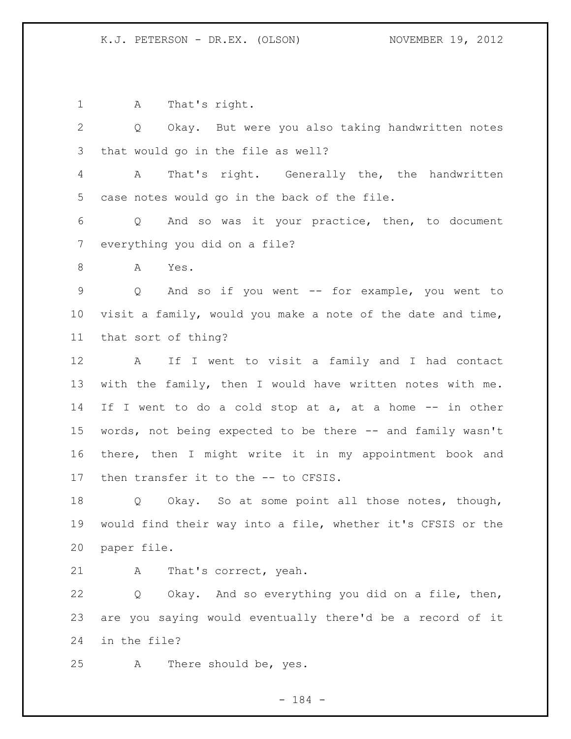A That's right. Q Okay. But were you also taking handwritten notes that would go in the file as well? A That's right. Generally the, the handwritten case notes would go in the back of the file. Q And so was it your practice, then, to document everything you did on a file? A Yes. Q And so if you went -- for example, you went to visit a family, would you make a note of the date and time, that sort of thing? A If I went to visit a family and I had contact with the family, then I would have written notes with me. 14 If I went to do a cold stop at a, at a home -- in other words, not being expected to be there -- and family wasn't there, then I might write it in my appointment book and then transfer it to the -- to CFSIS. Q Okay. So at some point all those notes, though, would find their way into a file, whether it's CFSIS or the paper file. A That's correct, yeah. Q Okay. And so everything you did on a file, then, are you saying would eventually there'd be a record of it in the file?

A There should be, yes.

- 184 -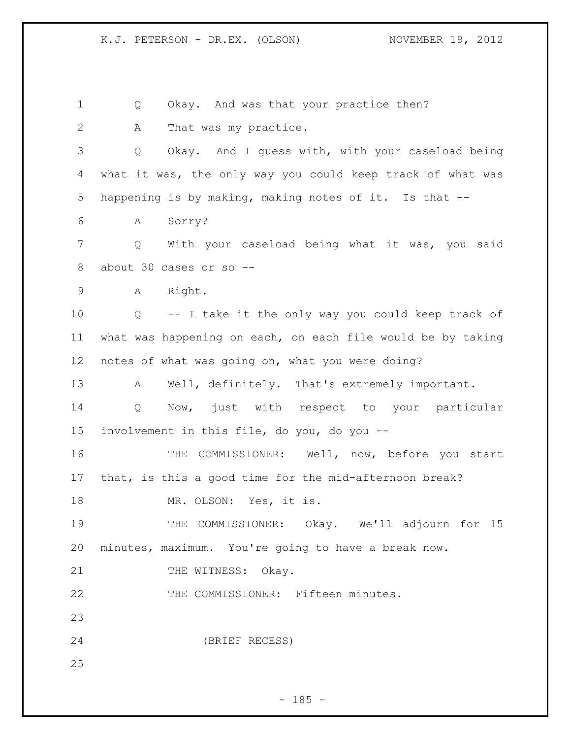Q Okay. And was that your practice then? 2 A That was my practice. Q Okay. And I guess with, with your caseload being what it was, the only way you could keep track of what was happening is by making, making notes of it. Is that -- A Sorry? Q With your caseload being what it was, you said about 30 cases or so -- A Right. Q -- I take it the only way you could keep track of what was happening on each, on each file would be by taking notes of what was going on, what you were doing? 13 A Well, definitely. That's extremely important. Q Now, just with respect to your particular involvement in this file, do you, do you -- 16 THE COMMISSIONER: Well, now, before you start that, is this a good time for the mid-afternoon break? 18 MR. OLSON: Yes, it is. THE COMMISSIONER: Okay. We'll adjourn for 15 minutes, maximum. You're going to have a break now. 21 THE WITNESS: Okay. THE COMMISSIONER: Fifteen minutes. (BRIEF RECESS) 

 $- 185 -$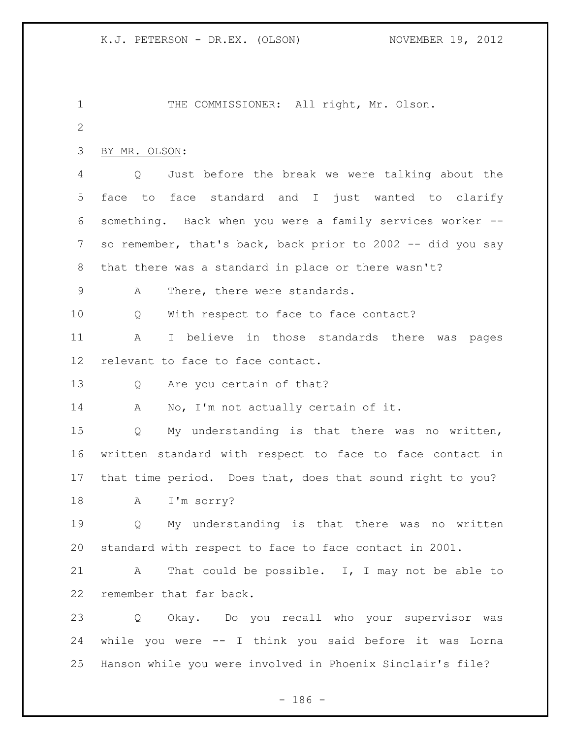THE COMMISSIONER: All right, Mr. Olson. BY MR. OLSON: Q Just before the break we were talking about the face to face standard and I just wanted to clarify something. Back when you were a family services worker -- so remember, that's back, back prior to 2002 -- did you say that there was a standard in place or there wasn't? A There, there were standards. 10 Q With respect to face to face contact? A I believe in those standards there was pages relevant to face to face contact. Q Are you certain of that? A No, I'm not actually certain of it. Q My understanding is that there was no written, written standard with respect to face to face contact in that time period. Does that, does that sound right to you? A I'm sorry? Q My understanding is that there was no written standard with respect to face to face contact in 2001. A That could be possible. I, I may not be able to remember that far back. Q Okay. Do you recall who your supervisor was while you were -- I think you said before it was Lorna Hanson while you were involved in Phoenix Sinclair's file?

- 186 -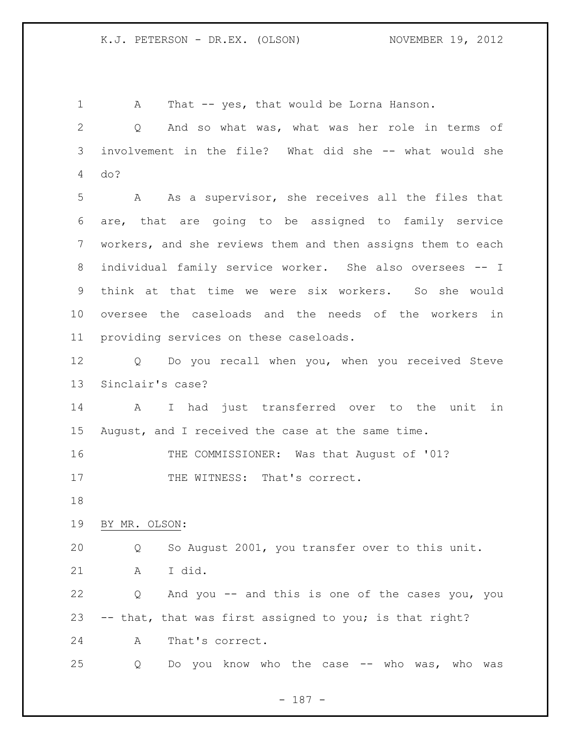| $\mathbf 1$  | That -- yes, that would be Lorna Hanson.<br>Α               |
|--------------|-------------------------------------------------------------|
| $\mathbf{2}$ | And so what was, what was her role in terms of<br>Q         |
| 3            | involvement in the file? What did she -- what would she     |
| 4            | do?                                                         |
| 5            | A As a supervisor, she receives all the files that          |
| 6            | are, that are going to be assigned to family service        |
| 7            | workers, and she reviews them and then assigns them to each |
| 8            | individual family service worker. She also oversees -- I    |
| 9            | think at that time we were six workers. So she would        |
| $10 \,$      | oversee the caseloads and the needs of the workers in       |
| 11           | providing services on these caseloads.                      |
| 12           | Q Do you recall when you, when you received Steve           |
| 13           | Sinclair's case?                                            |
| 14           | I had just transferred over to the unit in<br>$\mathbf{A}$  |
| 15           | August, and I received the case at the same time.           |
| 16           | THE COMMISSIONER: Was that August of '01?                   |
| 17           | THE WITNESS: That's correct.                                |
| 18           |                                                             |
| 19           | BY MR. OLSON:                                               |
| 20           | So August 2001, you transfer over to this unit.<br>Q        |
| 21           | I did.<br>A                                                 |
| 22           | And you -- and this is one of the cases you, you<br>Q       |
| 23           | -- that, that was first assigned to you; is that right?     |
| 24           | That's correct.<br>A                                        |
| 25           | Do you know who the case -- who was, who was<br>Q           |

- 187 -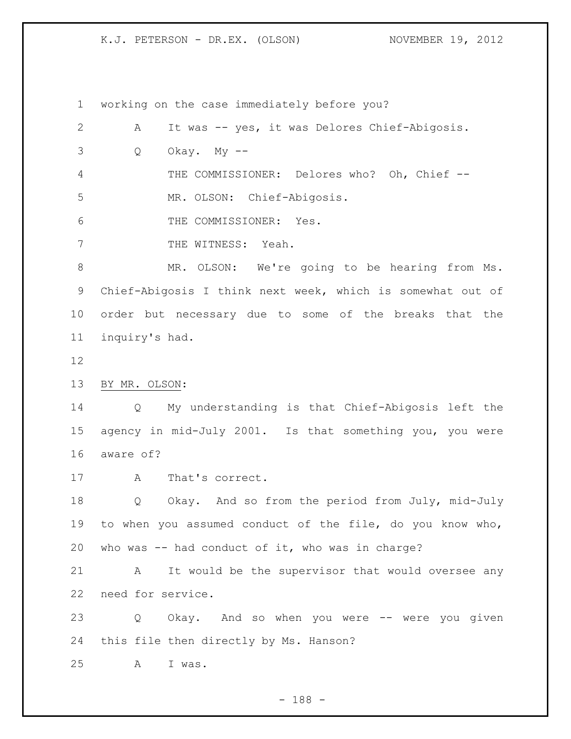working on the case immediately before you?

 A It was -- yes, it was Delores Chief-Abigosis.  $3 \qquad Q \qquad$  Okay. My  $-$  THE COMMISSIONER: Delores who? Oh, Chief -- MR. OLSON: Chief-Abigosis. THE COMMISSIONER: Yes. 7 THE WITNESS: Yeah. MR. OLSON: We're going to be hearing from Ms. Chief-Abigosis I think next week, which is somewhat out of order but necessary due to some of the breaks that the inquiry's had. BY MR. OLSON: Q My understanding is that Chief-Abigosis left the agency in mid-July 2001. Is that something you, you were aware of? A That's correct. Q Okay. And so from the period from July, mid-July to when you assumed conduct of the file, do you know who, who was -- had conduct of it, who was in charge? A It would be the supervisor that would oversee any need for service. Q Okay. And so when you were -- were you given this file then directly by Ms. Hanson? A I was.

- 188 -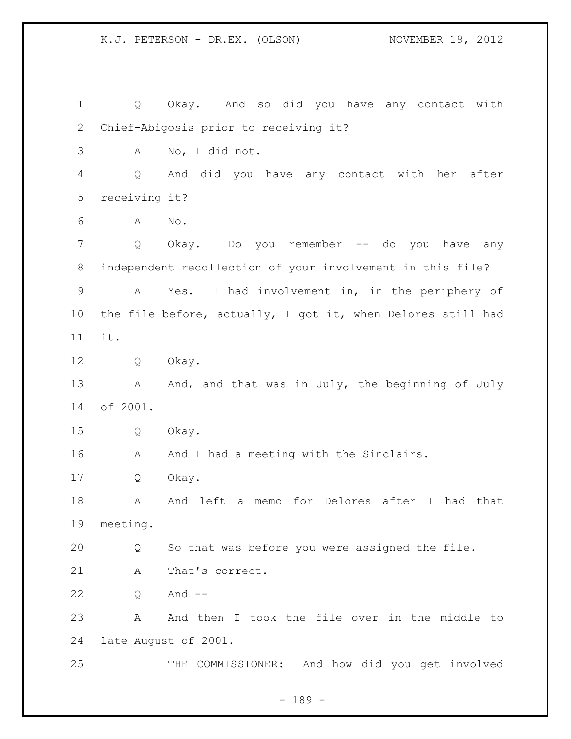Q Okay. And so did you have any contact with Chief-Abigosis prior to receiving it? A No, I did not. Q And did you have any contact with her after receiving it? A No. Q Okay. Do you remember -- do you have any independent recollection of your involvement in this file? A Yes. I had involvement in, in the periphery of the file before, actually, I got it, when Delores still had it. Q Okay. 13 A And, and that was in July, the beginning of July of 2001. Q Okay. 16 A And I had a meeting with the Sinclairs. Q Okay. 18 A And left a memo for Delores after I had that meeting. Q So that was before you were assigned the file. 21 A That's correct. Q And -- A And then I took the file over in the middle to late August of 2001. THE COMMISSIONER: And how did you get involved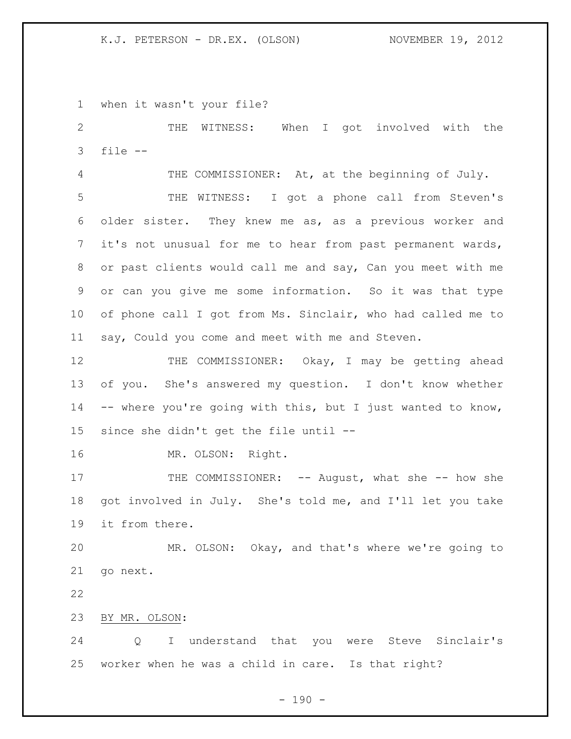when it wasn't your file?

 THE WITNESS: When I got involved with the file --

 THE COMMISSIONER: At, at the beginning of July. THE WITNESS: I got a phone call from Steven's older sister. They knew me as, as a previous worker and it's not unusual for me to hear from past permanent wards, or past clients would call me and say, Can you meet with me or can you give me some information. So it was that type of phone call I got from Ms. Sinclair, who had called me to say, Could you come and meet with me and Steven.

12 THE COMMISSIONER: Okay, I may be getting ahead of you. She's answered my question. I don't know whether -- where you're going with this, but I just wanted to know, since she didn't get the file until --

MR. OLSON: Right.

17 THE COMMISSIONER: -- August, what she -- how she got involved in July. She's told me, and I'll let you take it from there.

 MR. OLSON: Okay, and that's where we're going to go next.

BY MR. OLSON:

 Q I understand that you were Steve Sinclair's worker when he was a child in care. Is that right?

 $- 190 -$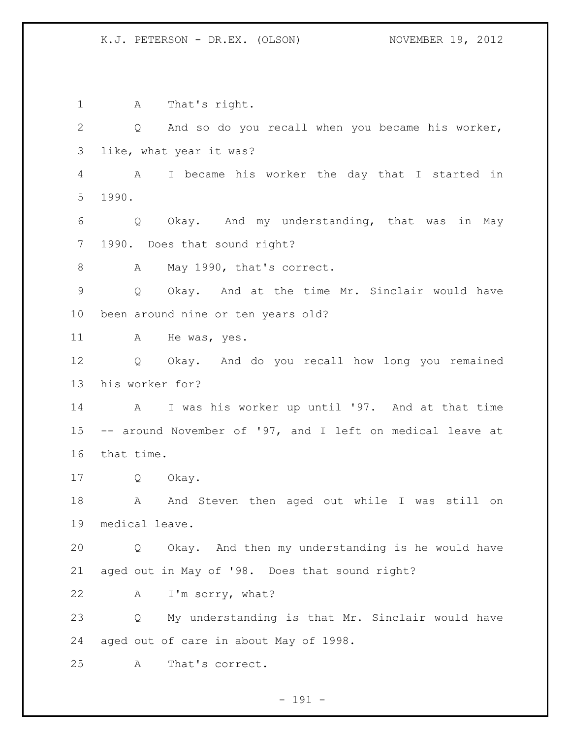A That's right. Q And so do you recall when you became his worker, like, what year it was? A I became his worker the day that I started in 1990. Q Okay. And my understanding, that was in May 1990. Does that sound right? 8 A May 1990, that's correct. Q Okay. And at the time Mr. Sinclair would have been around nine or ten years old? 11 A He was, yes. Q Okay. And do you recall how long you remained his worker for? A I was his worker up until '97. And at that time -- around November of '97, and I left on medical leave at that time. Q Okay. 18 A And Steven then aged out while I was still on medical leave. Q Okay. And then my understanding is he would have aged out in May of '98. Does that sound right? A I'm sorry, what? Q My understanding is that Mr. Sinclair would have aged out of care in about May of 1998. A That's correct.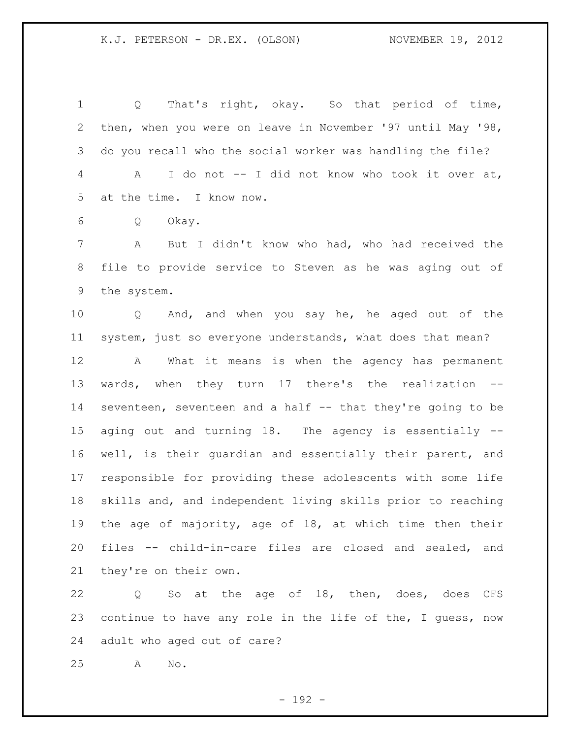Q That's right, okay. So that period of time, then, when you were on leave in November '97 until May '98, do you recall who the social worker was handling the file? A I do not -- I did not know who took it over at, at the time. I know now.

Q Okay.

 A But I didn't know who had, who had received the file to provide service to Steven as he was aging out of the system.

 Q And, and when you say he, he aged out of the system, just so everyone understands, what does that mean?

 A What it means is when the agency has permanent wards, when they turn 17 there's the realization -- seventeen, seventeen and a half -- that they're going to be aging out and turning 18. The agency is essentially -- well, is their guardian and essentially their parent, and responsible for providing these adolescents with some life skills and, and independent living skills prior to reaching the age of majority, age of 18, at which time then their files -- child-in-care files are closed and sealed, and they're on their own.

 Q So at the age of 18, then, does, does CFS continue to have any role in the life of the, I guess, now adult who aged out of care?

A No.

- 192 -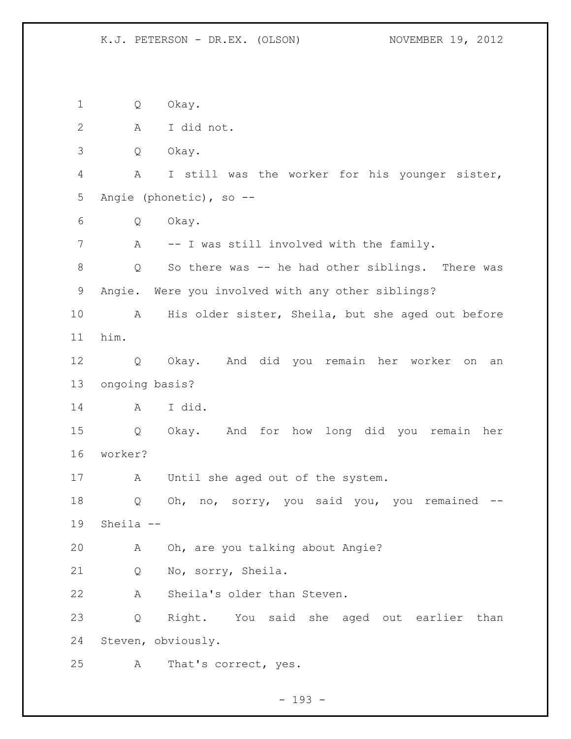Q Okay. A I did not. Q Okay. A I still was the worker for his younger sister, Angie (phonetic), so -- Q Okay. A -- I was still involved with the family. Q So there was -- he had other siblings. There was Angie. Were you involved with any other siblings? A His older sister, Sheila, but she aged out before him. Q Okay. And did you remain her worker on an ongoing basis? A I did. Q Okay. And for how long did you remain her worker? A Until she aged out of the system. Q Oh, no, sorry, you said you, you remained -- Sheila -- A Oh, are you talking about Angie? Q No, sorry, Sheila. A Sheila's older than Steven. Q Right. You said she aged out earlier than Steven, obviously. A That's correct, yes.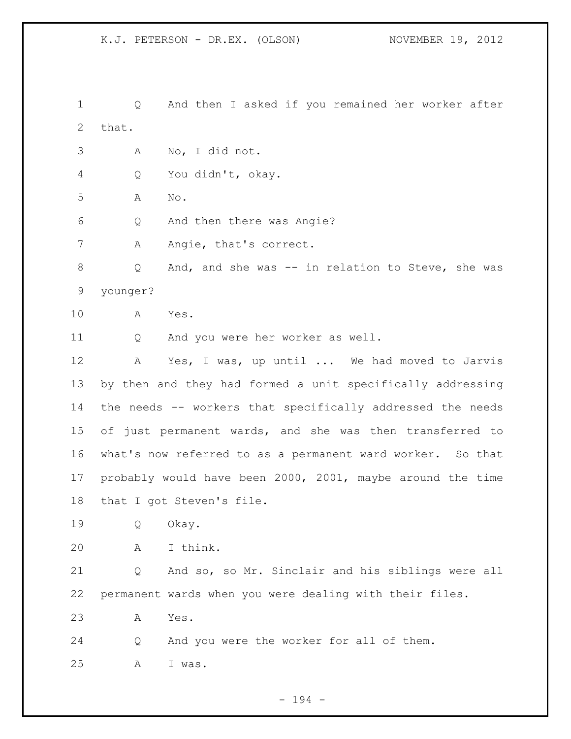Q And then I asked if you remained her worker after that. A No, I did not. Q You didn't, okay. A No. Q And then there was Angie? 7 A Angie, that's correct. Q And, and she was -- in relation to Steve, she was younger? A Yes. Q And you were her worker as well. A Yes, I was, up until ... We had moved to Jarvis by then and they had formed a unit specifically addressing the needs -- workers that specifically addressed the needs of just permanent wards, and she was then transferred to what's now referred to as a permanent ward worker. So that probably would have been 2000, 2001, maybe around the time that I got Steven's file. Q Okay. A I think. Q And so, so Mr. Sinclair and his siblings were all permanent wards when you were dealing with their files. A Yes. Q And you were the worker for all of them. A I was.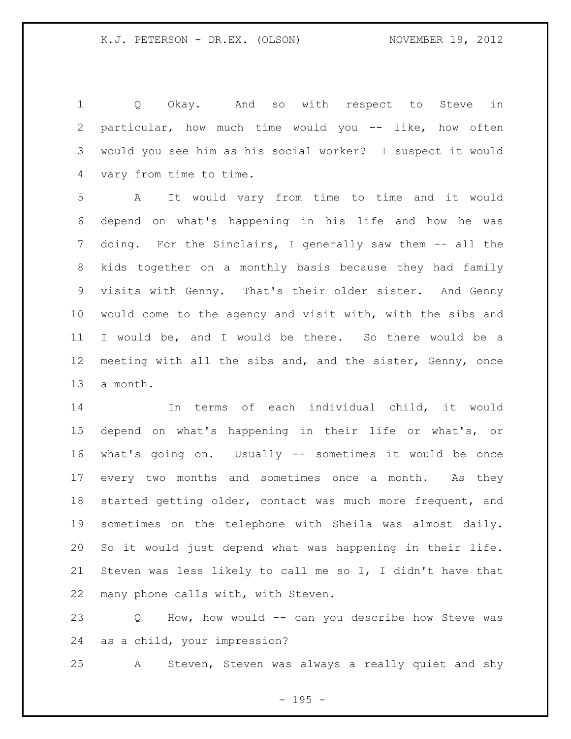Q Okay. And so with respect to Steve in particular, how much time would you -- like, how often would you see him as his social worker? I suspect it would vary from time to time.

 A It would vary from time to time and it would depend on what's happening in his life and how he was 7 doing. For the Sinclairs, I generally saw them -- all the kids together on a monthly basis because they had family visits with Genny. That's their older sister. And Genny would come to the agency and visit with, with the sibs and I would be, and I would be there. So there would be a meeting with all the sibs and, and the sister, Genny, once a month.

 In terms of each individual child, it would depend on what's happening in their life or what's, or what's going on. Usually -- sometimes it would be once 17 every two months and sometimes once a month. As they started getting older, contact was much more frequent, and sometimes on the telephone with Sheila was almost daily. So it would just depend what was happening in their life. Steven was less likely to call me so I, I didn't have that many phone calls with, with Steven.

 Q How, how would -- can you describe how Steve was as a child, your impression?

A Steven, Steven was always a really quiet and shy

 $- 195 -$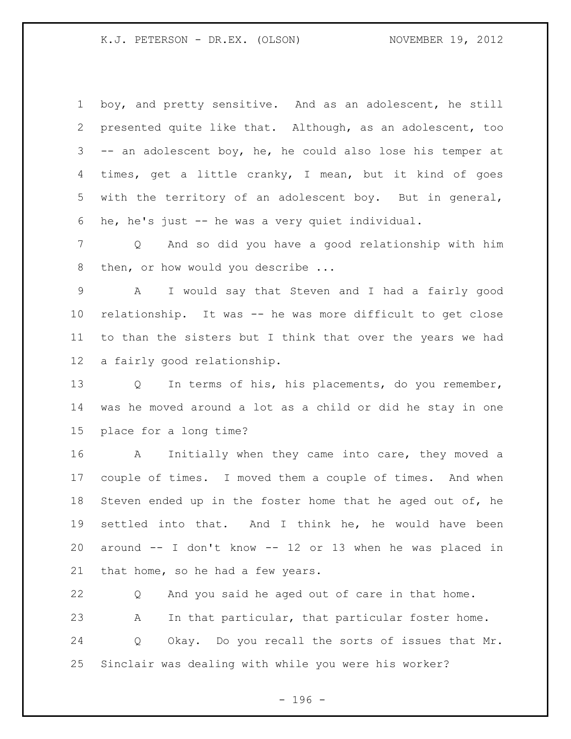boy, and pretty sensitive. And as an adolescent, he still presented quite like that. Although, as an adolescent, too -- an adolescent boy, he, he could also lose his temper at times, get a little cranky, I mean, but it kind of goes with the territory of an adolescent boy. But in general, he, he's just -- he was a very quiet individual.

 Q And so did you have a good relationship with him 8 then, or how would you describe ...

 A I would say that Steven and I had a fairly good relationship. It was -- he was more difficult to get close to than the sisters but I think that over the years we had a fairly good relationship.

 Q In terms of his, his placements, do you remember, was he moved around a lot as a child or did he stay in one place for a long time?

 A Initially when they came into care, they moved a couple of times. I moved them a couple of times. And when 18 Steven ended up in the foster home that he aged out of, he settled into that. And I think he, he would have been around -- I don't know -- 12 or 13 when he was placed in that home, so he had a few years.

 Q And you said he aged out of care in that home. A In that particular, that particular foster home. Q Okay. Do you recall the sorts of issues that Mr. Sinclair was dealing with while you were his worker?

- 196 -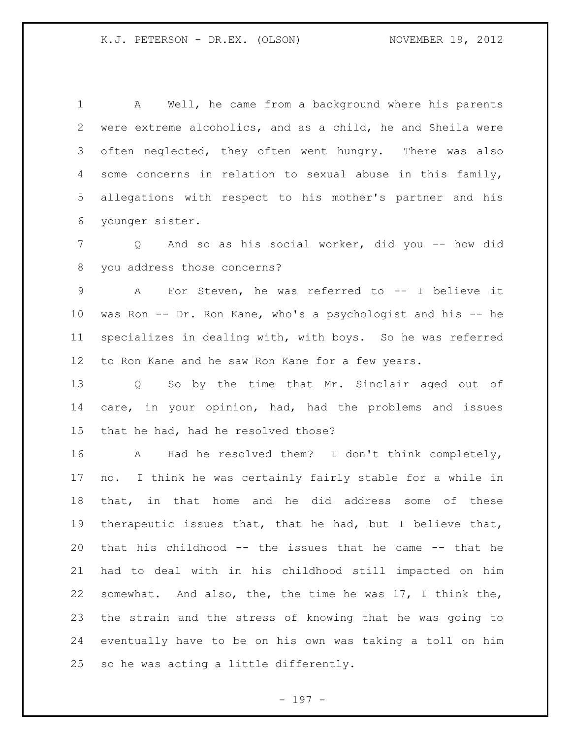A Well, he came from a background where his parents were extreme alcoholics, and as a child, he and Sheila were often neglected, they often went hungry. There was also some concerns in relation to sexual abuse in this family, allegations with respect to his mother's partner and his younger sister.

 Q And so as his social worker, did you -- how did you address those concerns?

 A For Steven, he was referred to -- I believe it was Ron -- Dr. Ron Kane, who's a psychologist and his -- he specializes in dealing with, with boys. So he was referred to Ron Kane and he saw Ron Kane for a few years.

 Q So by the time that Mr. Sinclair aged out of care, in your opinion, had, had the problems and issues that he had, had he resolved those?

 A Had he resolved them? I don't think completely, no. I think he was certainly fairly stable for a while in that, in that home and he did address some of these therapeutic issues that, that he had, but I believe that, that his childhood -- the issues that he came -- that he had to deal with in his childhood still impacted on him somewhat. And also, the, the time he was 17, I think the, the strain and the stress of knowing that he was going to eventually have to be on his own was taking a toll on him so he was acting a little differently.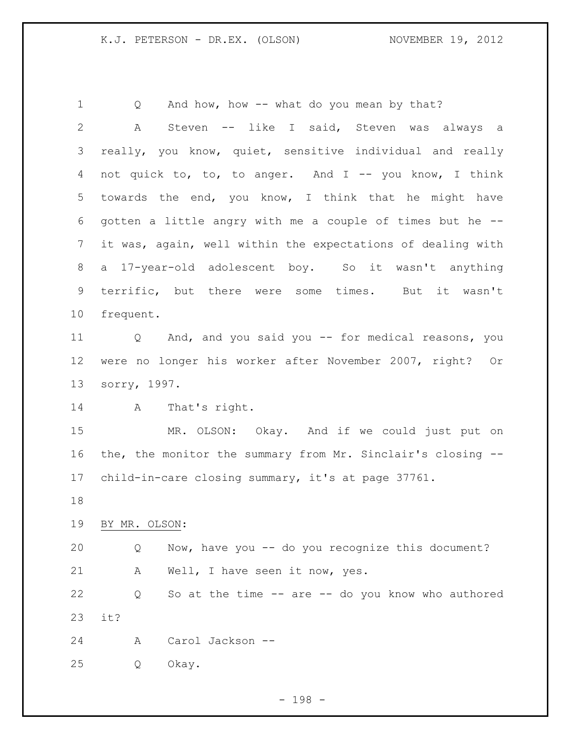1 Q And how, how -- what do you mean by that? A Steven -- like I said, Steven was always a really, you know, quiet, sensitive individual and really 4 not quick to, to, to anger. And I -- you know, I think towards the end, you know, I think that he might have gotten a little angry with me a couple of times but he -- it was, again, well within the expectations of dealing with a 17-year-old adolescent boy. So it wasn't anything terrific, but there were some times. But it wasn't frequent. Q And, and you said you -- for medical reasons, you were no longer his worker after November 2007, right? Or sorry, 1997. A That's right. MR. OLSON: Okay. And if we could just put on the, the monitor the summary from Mr. Sinclair's closing -- child-in-care closing summary, it's at page 37761. BY MR. OLSON: Q Now, have you -- do you recognize this document? A Well, I have seen it now, yes. Q So at the time -- are -- do you know who authored it? A Carol Jackson -- Q Okay.

- 198 -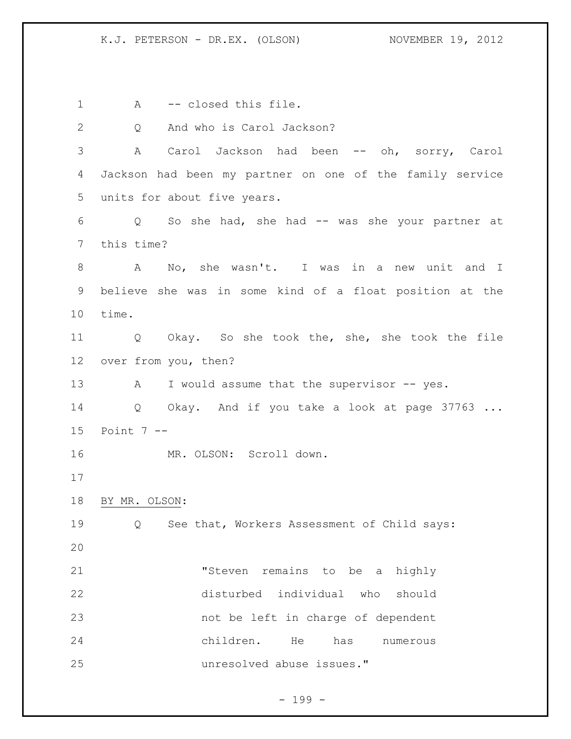1 A -- closed this file. 2 Q And who is Carol Jackson? A Carol Jackson had been -- oh, sorry, Carol Jackson had been my partner on one of the family service units for about five years. Q So she had, she had -- was she your partner at this time? A No, she wasn't. I was in a new unit and I believe she was in some kind of a float position at the time. Q Okay. So she took the, she, she took the file over from you, then? 13 A I would assume that the supervisor -- yes. 14 Q Okay. And if you take a look at page 37763 ... Point 7 -- 16 MR. OLSON: Scroll down. BY MR. OLSON: Q See that, Workers Assessment of Child says: "Steven remains to be a highly disturbed individual who should not be left in charge of dependent children. He has numerous unresolved abuse issues."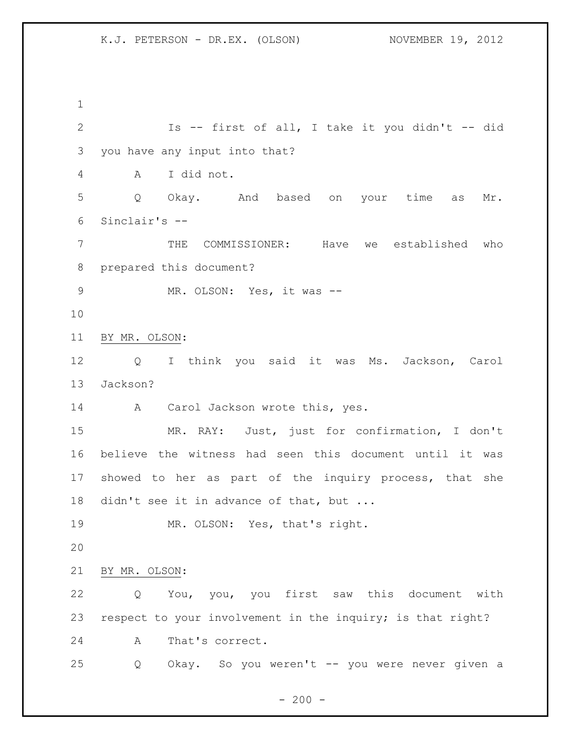Is -- first of all, I take it you didn't -- did you have any input into that? A I did not. Q Okay. And based on your time as Mr. Sinclair's -- THE COMMISSIONER: Have we established who prepared this document? 9 MR. OLSON: Yes, it was -- BY MR. OLSON: Q I think you said it was Ms. Jackson, Carol Jackson? 14 A Carol Jackson wrote this, yes. MR. RAY: Just, just for confirmation, I don't believe the witness had seen this document until it was showed to her as part of the inquiry process, that she 18 didn't see it in advance of that, but ... MR. OLSON: Yes, that's right. BY MR. OLSON: Q You, you, you first saw this document with respect to your involvement in the inquiry; is that right? A That's correct. Q Okay. So you weren't -- you were never given a

 $- 200 -$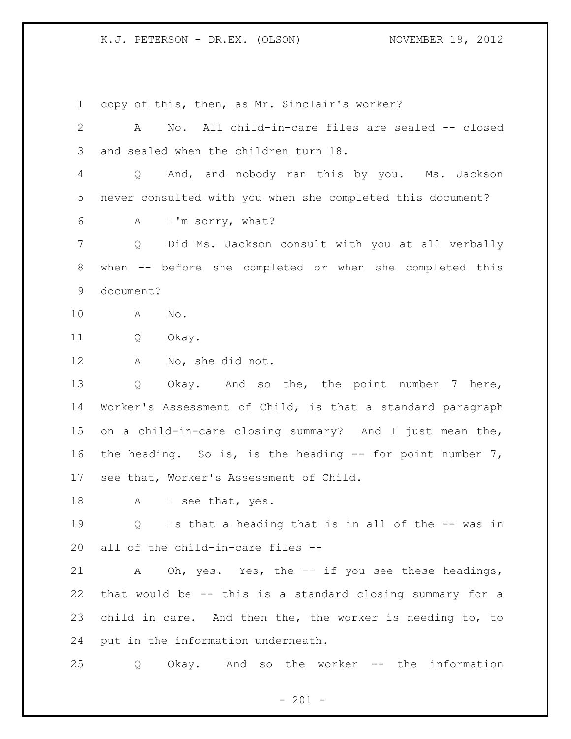copy of this, then, as Mr. Sinclair's worker? 2 A No. All child-in-care files are sealed -- closed and sealed when the children turn 18. Q And, and nobody ran this by you. Ms. Jackson never consulted with you when she completed this document? A I'm sorry, what? Q Did Ms. Jackson consult with you at all verbally when -- before she completed or when she completed this document? A No. Q Okay. A No, she did not. Q Okay. And so the, the point number 7 here, Worker's Assessment of Child, is that a standard paragraph on a child-in-care closing summary? And I just mean the, the heading. So is, is the heading -- for point number 7, see that, Worker's Assessment of Child. 18 A I see that, yes. Q Is that a heading that is in all of the -- was in all of the child-in-care files -- A Oh, yes. Yes, the -- if you see these headings, that would be -- this is a standard closing summary for a child in care. And then the, the worker is needing to, to put in the information underneath. Q Okay. And so the worker -- the information

 $- 201 -$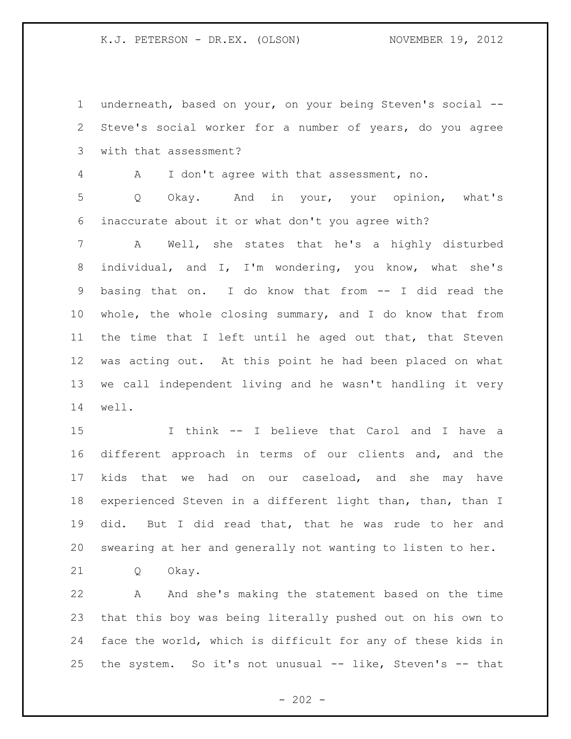underneath, based on your, on your being Steven's social -- Steve's social worker for a number of years, do you agree with that assessment?

A I don't agree with that assessment, no.

 Q Okay. And in your, your opinion, what's inaccurate about it or what don't you agree with?

 A Well, she states that he's a highly disturbed individual, and I, I'm wondering, you know, what she's basing that on. I do know that from -- I did read the whole, the whole closing summary, and I do know that from the time that I left until he aged out that, that Steven was acting out. At this point he had been placed on what we call independent living and he wasn't handling it very well.

 I think -- I believe that Carol and I have a different approach in terms of our clients and, and the kids that we had on our caseload, and she may have experienced Steven in a different light than, than, than I did. But I did read that, that he was rude to her and swearing at her and generally not wanting to listen to her.

Q Okay.

 A And she's making the statement based on the time that this boy was being literally pushed out on his own to face the world, which is difficult for any of these kids in the system. So it's not unusual -- like, Steven's -- that

 $- 202 -$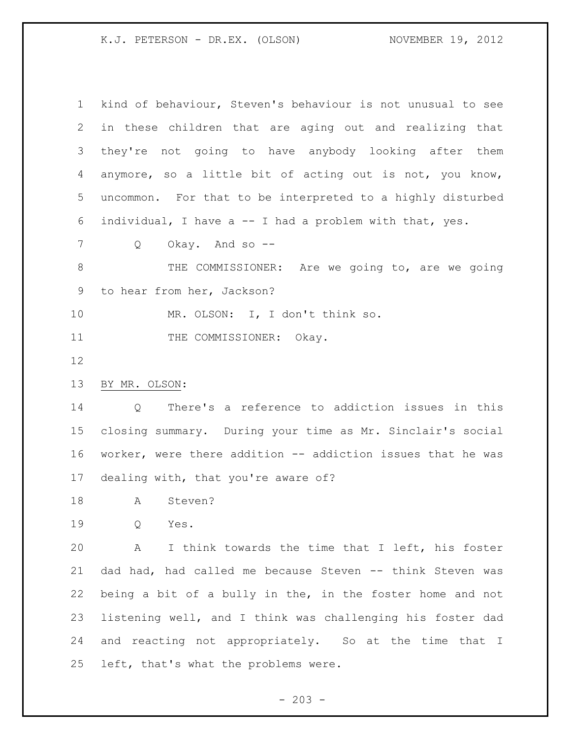| $\mathbf{1}$              | kind of behaviour, Steven's behaviour is not unusual to see |
|---------------------------|-------------------------------------------------------------|
| $\mathbf{2}^{\mathsf{I}}$ | in these children that are aging out and realizing that     |
| 3                         | they're not going to have anybody looking after them        |
| 4                         | anymore, so a little bit of acting out is not, you know,    |
| 5                         | uncommon. For that to be interpreted to a highly disturbed  |
| 6                         | individual, I have a -- I had a problem with that, yes.     |
| 7                         | Okay. And so --<br>Q                                        |
| 8                         | THE COMMISSIONER: Are we going to, are we going             |
| 9                         | to hear from her, Jackson?                                  |
| 10                        | MR. OLSON: I, I don't think so.                             |
| 11                        | THE COMMISSIONER: Okay.                                     |
| 12                        |                                                             |
| 13                        | BY MR. OLSON:                                               |
| 14                        | There's a reference to addiction issues in this<br>Q        |
| 15 <sub>1</sub>           | closing summary. During your time as Mr. Sinclair's social  |
| 16                        | worker, were there addition -- addiction issues that he was |
| 17                        | dealing with, that you're aware of?                         |
| 18                        | Steven?<br>A                                                |
| 19                        | Q<br>Yes.                                                   |
| 20                        | I think towards the time that I left, his foster<br>A       |
| 21                        | dad had, had called me because Steven -- think Steven was   |
| 22                        | being a bit of a bully in the, in the foster home and not   |
| 23                        | listening well, and I think was challenging his foster dad  |
| 24                        | and reacting not appropriately. So at the time that I       |
| 25                        | left, that's what the problems were.                        |
|                           |                                                             |

- 203 -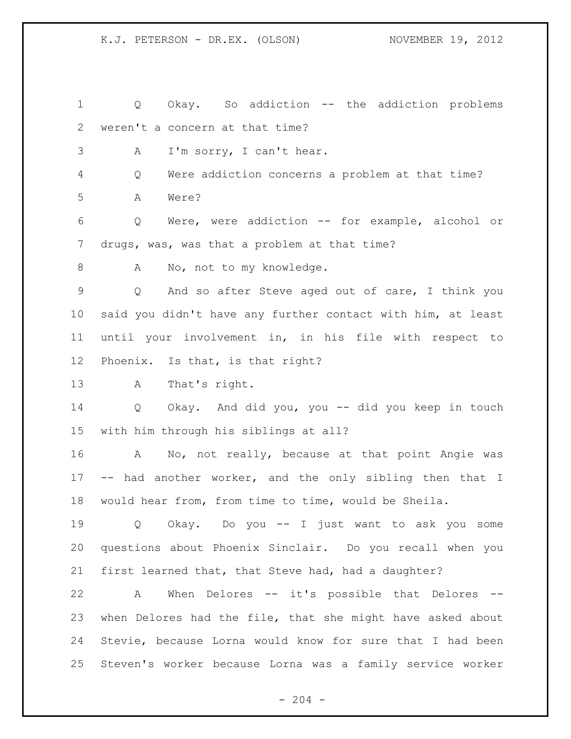Q Okay. So addiction -- the addiction problems weren't a concern at that time?

A I'm sorry, I can't hear.

 Q Were addiction concerns a problem at that time? A Were?

 Q Were, were addiction -- for example, alcohol or drugs, was, was that a problem at that time?

8 A No, not to my knowledge.

 Q And so after Steve aged out of care, I think you said you didn't have any further contact with him, at least until your involvement in, in his file with respect to Phoenix. Is that, is that right?

A That's right.

 Q Okay. And did you, you -- did you keep in touch with him through his siblings at all?

 A No, not really, because at that point Angie was -- had another worker, and the only sibling then that I would hear from, from time to time, would be Sheila.

 Q Okay. Do you -- I just want to ask you some questions about Phoenix Sinclair. Do you recall when you first learned that, that Steve had, had a daughter?

 A When Delores -- it's possible that Delores -- when Delores had the file, that she might have asked about Stevie, because Lorna would know for sure that I had been Steven's worker because Lorna was a family service worker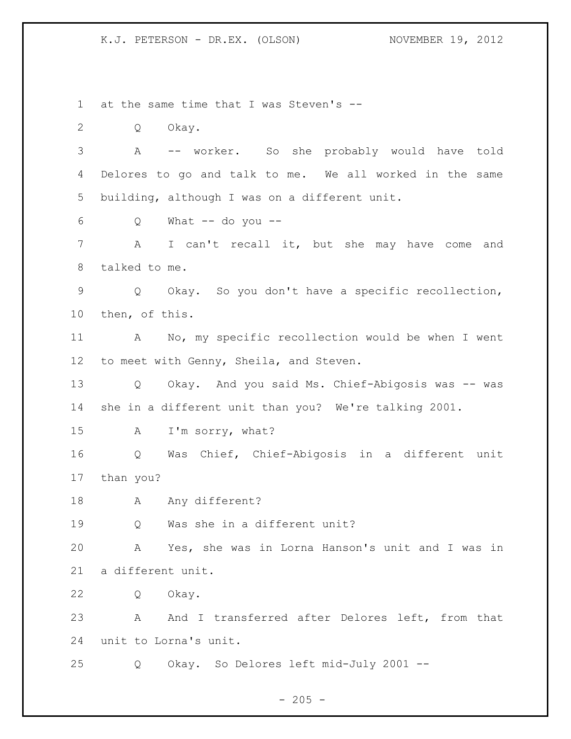at the same time that I was Steven's -- Q Okay. A -- worker. So she probably would have told Delores to go and talk to me. We all worked in the same building, although I was on a different unit. Q What  $-$  do you  $-$  A I can't recall it, but she may have come and talked to me. Q Okay. So you don't have a specific recollection, then, of this. A No, my specific recollection would be when I went 12 to meet with Genny, Sheila, and Steven. Q Okay. And you said Ms. Chief-Abigosis was -- was she in a different unit than you? We're talking 2001. A I'm sorry, what? Q Was Chief, Chief-Abigosis in a different unit than you? 18 A Any different? Q Was she in a different unit? A Yes, she was in Lorna Hanson's unit and I was in a different unit. Q Okay. 23 A And I transferred after Delores left, from that unit to Lorna's unit. Q Okay. So Delores left mid-July 2001 --

 $- 205 -$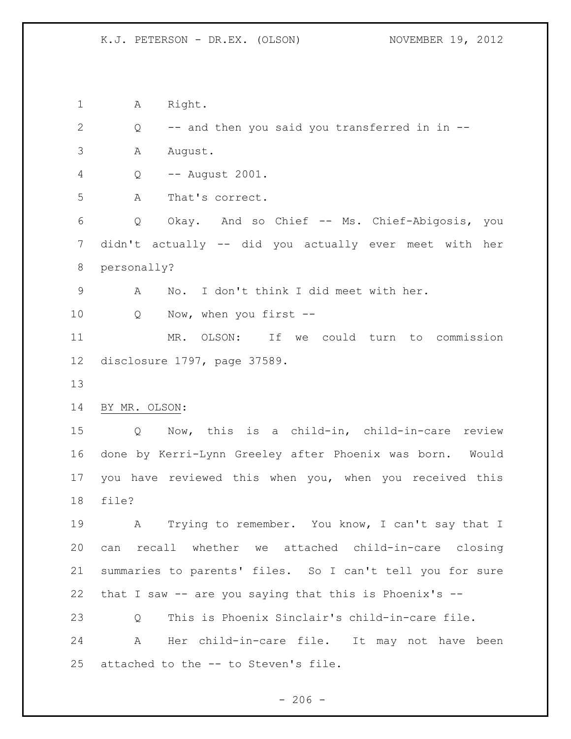1 A Right. Q -- and then you said you transferred in in -- A August. Q -- August 2001. A That's correct. Q Okay. And so Chief -- Ms. Chief-Abigosis, you didn't actually -- did you actually ever meet with her personally? A No. I don't think I did meet with her. 10 Q Now, when you first -- MR. OLSON: If we could turn to commission disclosure 1797, page 37589. BY MR. OLSON: Q Now, this is a child-in, child-in-care review done by Kerri-Lynn Greeley after Phoenix was born. Would you have reviewed this when you, when you received this file? A Trying to remember. You know, I can't say that I can recall whether we attached child-in-care closing summaries to parents' files. So I can't tell you for sure that I saw -- are you saying that this is Phoenix's -- Q This is Phoenix Sinclair's child-in-care file. A Her child-in-care file. It may not have been attached to the -- to Steven's file.

 $-206 -$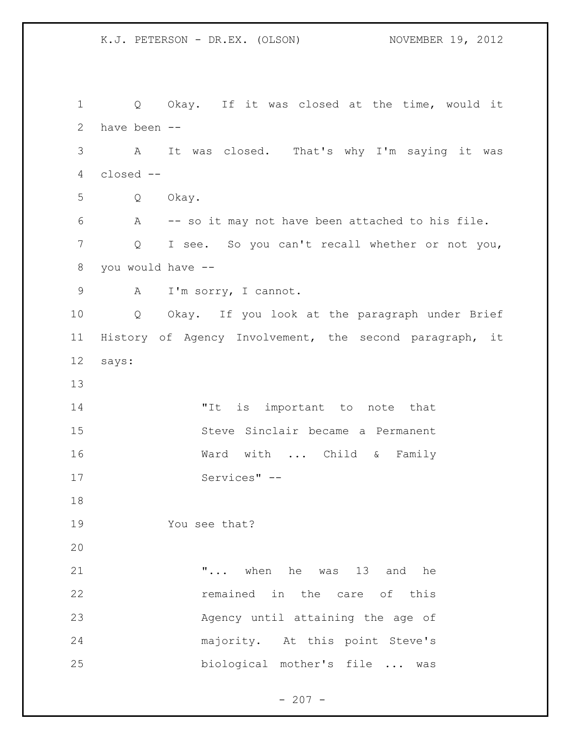Q Okay. If it was closed at the time, would it have been -- A It was closed. That's why I'm saying it was closed -- Q Okay. A -- so it may not have been attached to his file. Q I see. So you can't recall whether or not you, you would have -- A I'm sorry, I cannot. Q Okay. If you look at the paragraph under Brief History of Agency Involvement, the second paragraph, it says: 14 The list important to note that Steve Sinclair became a Permanent 16 Ward with ... Child & Family Services" -- You see that? **...** when he was 13 and he **12** remained in the care of this Agency until attaining the age of majority. At this point Steve's biological mother's file ... was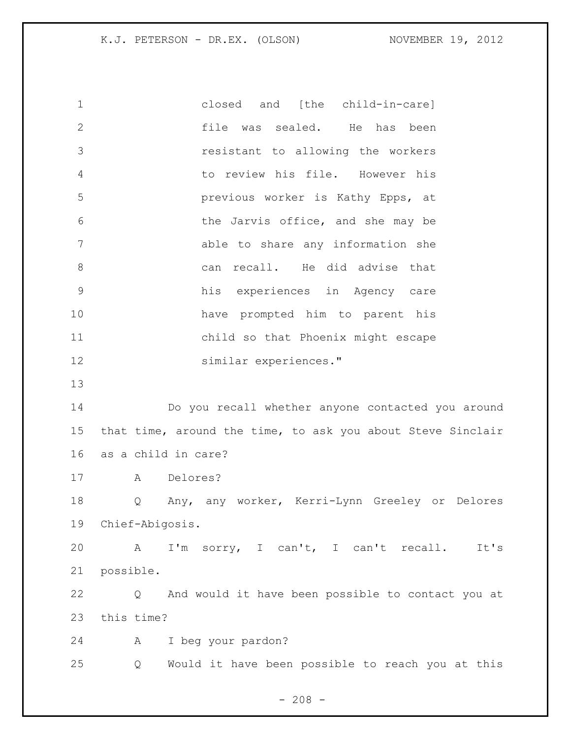closed and [the child-in-care] file was sealed. He has been resistant to allowing the workers to review his file. However his previous worker is Kathy Epps, at the Jarvis office, and she may be able to share any information she 8 can recall. He did advise that his experiences in Agency care have prompted him to parent his child so that Phoenix might escape similar experiences." Do you recall whether anyone contacted you around that time, around the time, to ask you about Steve Sinclair as a child in care? A Delores? Q Any, any worker, Kerri-Lynn Greeley or Delores Chief-Abigosis. A I'm sorry, I can't, I can't recall. It's possible. Q And would it have been possible to contact you at this time? A I beg your pardon? Q Would it have been possible to reach you at this

 $- 208 -$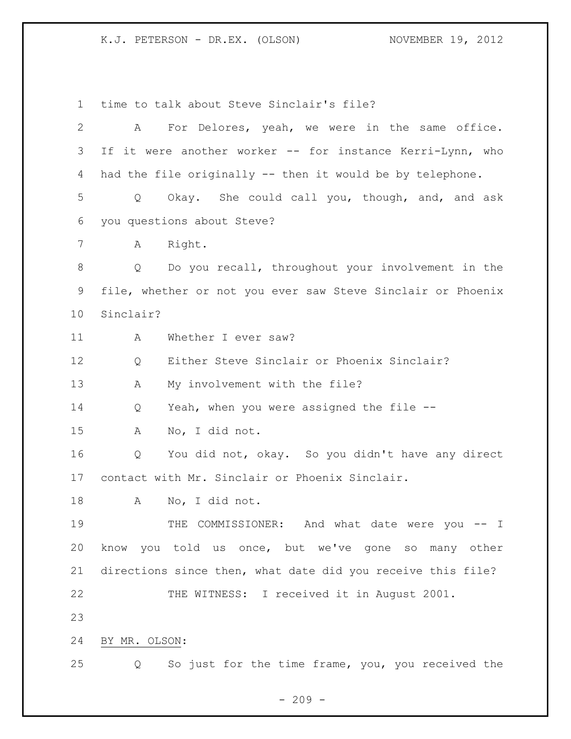time to talk about Steve Sinclair's file? A For Delores, yeah, we were in the same office. 3 If it were another worker -- for instance Kerri-Lynn, who had the file originally -- then it would be by telephone. Q Okay. She could call you, though, and, and ask you questions about Steve? A Right. Q Do you recall, throughout your involvement in the file, whether or not you ever saw Steve Sinclair or Phoenix Sinclair? 11 A Whether I ever saw? 12 O Either Steve Sinclair or Phoenix Sinclair? A My involvement with the file? Q Yeah, when you were assigned the file -- A No, I did not. Q You did not, okay. So you didn't have any direct contact with Mr. Sinclair or Phoenix Sinclair. A No, I did not. 19 THE COMMISSIONER: And what date were you -- I know you told us once, but we've gone so many other directions since then, what date did you receive this file? THE WITNESS: I received it in August 2001. BY MR. OLSON: Q So just for the time frame, you, you received the

 $-209 -$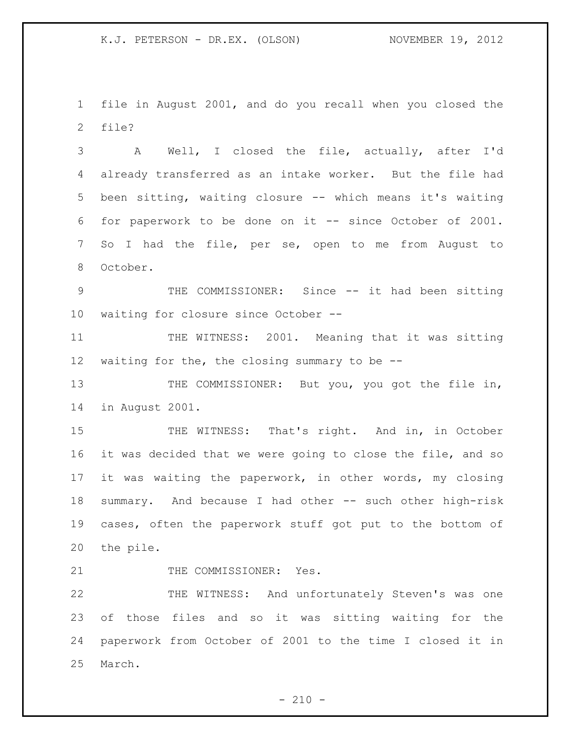file in August 2001, and do you recall when you closed the file?

 A Well, I closed the file, actually, after I'd already transferred as an intake worker. But the file had been sitting, waiting closure -- which means it's waiting for paperwork to be done on it -- since October of 2001. So I had the file, per se, open to me from August to October.

 THE COMMISSIONER: Since -- it had been sitting waiting for closure since October --

 THE WITNESS: 2001. Meaning that it was sitting waiting for the, the closing summary to be --

13 THE COMMISSIONER: But you, you got the file in, in August 2001.

15 THE WITNESS: That's right. And in, in October it was decided that we were going to close the file, and so it was waiting the paperwork, in other words, my closing summary. And because I had other -- such other high-risk cases, often the paperwork stuff got put to the bottom of the pile.

21 THE COMMISSIONER: Yes.

 THE WITNESS: And unfortunately Steven's was one of those files and so it was sitting waiting for the paperwork from October of 2001 to the time I closed it in March.

 $- 210 -$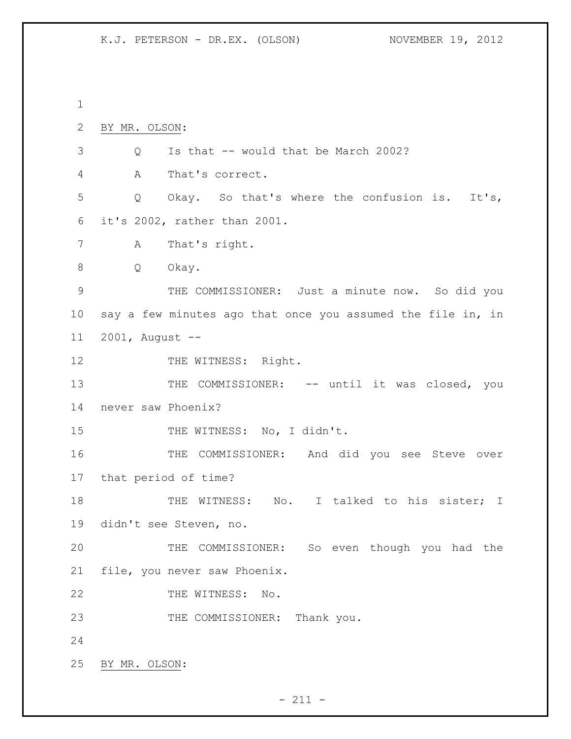BY MR. OLSON: Q Is that -- would that be March 2002? A That's correct. Q Okay. So that's where the confusion is. It's, it's 2002, rather than 2001. A That's right. Q Okay. THE COMMISSIONER: Just a minute now. So did you say a few minutes ago that once you assumed the file in, in 2001, August -- 12 THE WITNESS: Right. 13 THE COMMISSIONER: -- until it was closed, you never saw Phoenix? 15 THE WITNESS: No, I didn't. THE COMMISSIONER: And did you see Steve over that period of time? 18 THE WITNESS: No. I talked to his sister; I didn't see Steven, no. THE COMMISSIONER: So even though you had the file, you never saw Phoenix. 22 THE WITNESS: No. 23 THE COMMISSIONER: Thank you. BY MR. OLSON: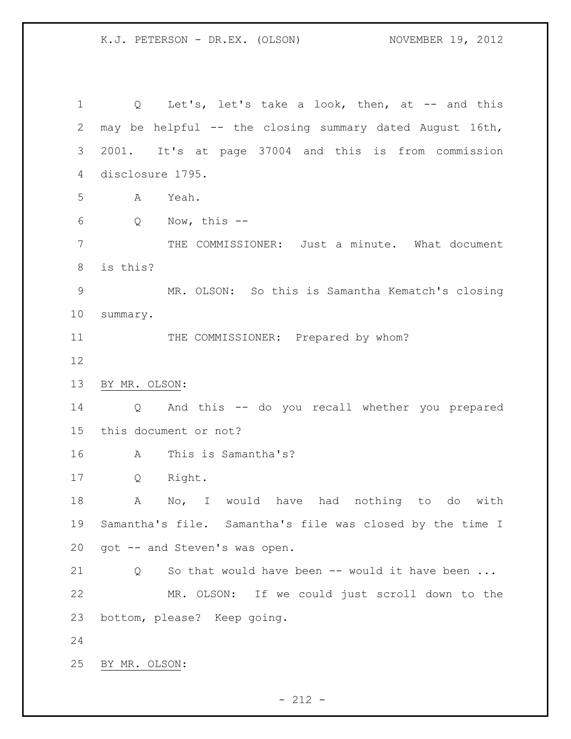1 Q Let's, let's take a look, then, at -- and this may be helpful -- the closing summary dated August 16th, 2001. It's at page 37004 and this is from commission disclosure 1795. A Yeah. Q Now, this -- THE COMMISSIONER: Just a minute. What document is this? MR. OLSON: So this is Samantha Kematch's closing summary. 11 THE COMMISSIONER: Prepared by whom? BY MR. OLSON: Q And this -- do you recall whether you prepared this document or not? A This is Samantha's? Q Right. A No, I would have had nothing to do with Samantha's file. Samantha's file was closed by the time I got -- and Steven's was open. 21 Q So that would have been -- would it have been ... MR. OLSON: If we could just scroll down to the bottom, please? Keep going. BY MR. OLSON:

 $- 212 -$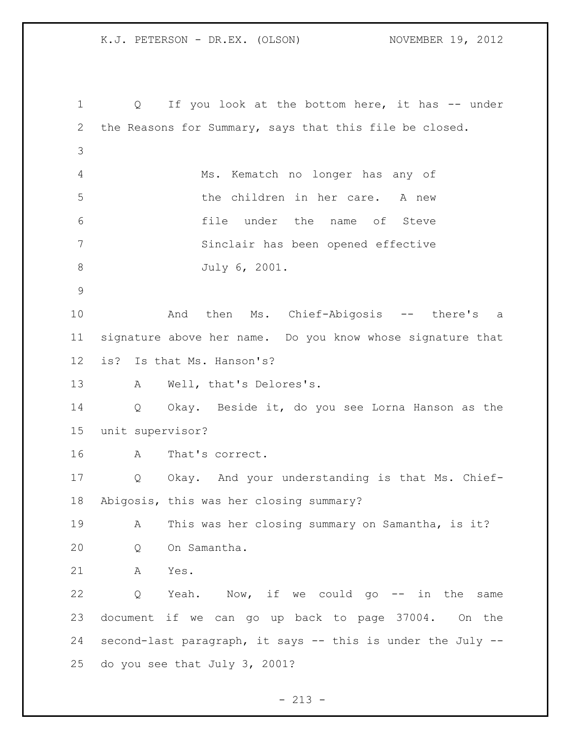1 Q If you look at the bottom here, it has -- under the Reasons for Summary, says that this file be closed. Ms. Kematch no longer has any of the children in her care. A new file under the name of Steve Sinclair has been opened effective July 6, 2001. 10 And then Ms. Chief-Abigosis -- there's a signature above her name. Do you know whose signature that is? Is that Ms. Hanson's? A Well, that's Delores's. Q Okay. Beside it, do you see Lorna Hanson as the unit supervisor? A That's correct. Q Okay. And your understanding is that Ms. Chief- Abigosis, this was her closing summary? A This was her closing summary on Samantha, is it? Q On Samantha. A Yes. Q Yeah. Now, if we could go -- in the same document if we can go up back to page 37004. On the second-last paragraph, it says -- this is under the July -- do you see that July 3, 2001?

 $- 213 -$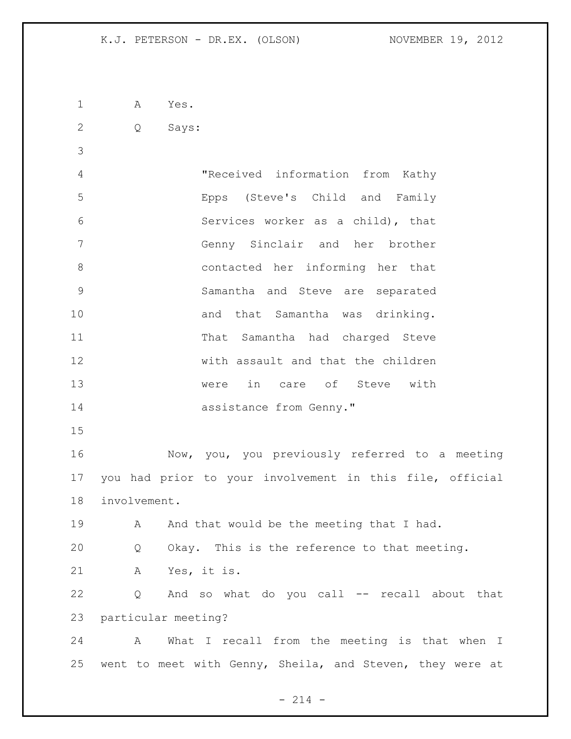A Yes.

Q Says:

 "Received information from Kathy Epps (Steve's Child and Family Services worker as a child), that Genny Sinclair and her brother contacted her informing her that Samantha and Steve are separated 10 and that Samantha was drinking. That Samantha had charged Steve with assault and that the children were in care of Steve with 14 assistance from Genny." 

 Now, you, you previously referred to a meeting you had prior to your involvement in this file, official involvement.

19 A And that would be the meeting that I had. Q Okay. This is the reference to that meeting. A Yes, it is.

 Q And so what do you call -- recall about that particular meeting?

 A What I recall from the meeting is that when I went to meet with Genny, Sheila, and Steven, they were at

 $- 214 -$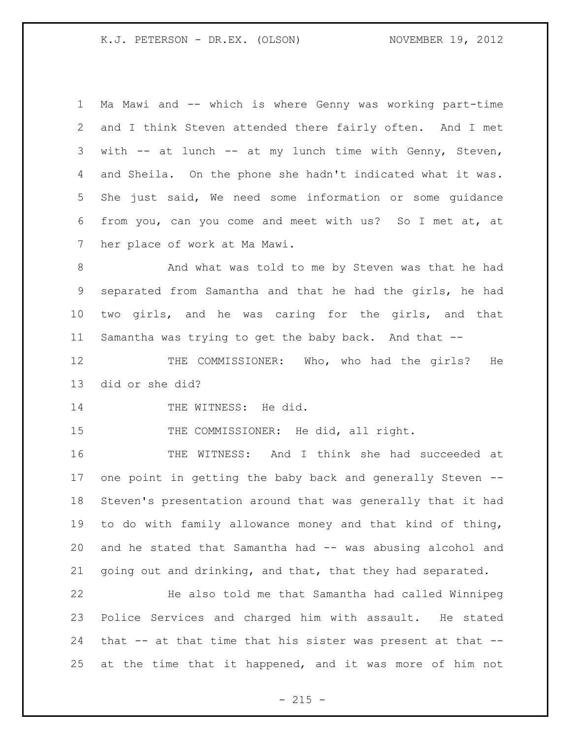Ma Mawi and -- which is where Genny was working part-time and I think Steven attended there fairly often. And I met with -- at lunch -- at my lunch time with Genny, Steven, and Sheila. On the phone she hadn't indicated what it was. She just said, We need some information or some guidance from you, can you come and meet with us? So I met at, at her place of work at Ma Mawi.

 And what was told to me by Steven was that he had separated from Samantha and that he had the girls, he had two girls, and he was caring for the girls, and that Samantha was trying to get the baby back. And that --

12 THE COMMISSIONER: Who, who had the girls? He did or she did?

14 THE WITNESS: He did.

15 THE COMMISSIONER: He did, all right.

 THE WITNESS: And I think she had succeeded at one point in getting the baby back and generally Steven -- Steven's presentation around that was generally that it had to do with family allowance money and that kind of thing, and he stated that Samantha had -- was abusing alcohol and going out and drinking, and that, that they had separated.

 He also told me that Samantha had called Winnipeg Police Services and charged him with assault. He stated that -- at that time that his sister was present at that -- at the time that it happened, and it was more of him not

 $- 215 -$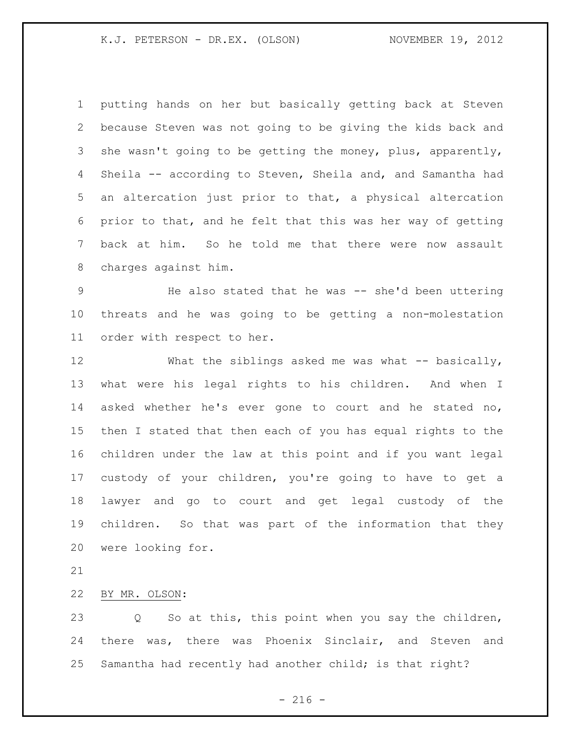putting hands on her but basically getting back at Steven because Steven was not going to be giving the kids back and 3 she wasn't going to be getting the money, plus, apparently, Sheila -- according to Steven, Sheila and, and Samantha had an altercation just prior to that, a physical altercation prior to that, and he felt that this was her way of getting back at him. So he told me that there were now assault charges against him.

 He also stated that he was -- she'd been uttering threats and he was going to be getting a non-molestation order with respect to her.

12 What the siblings asked me was what -- basically, what were his legal rights to his children. And when I asked whether he's ever gone to court and he stated no, then I stated that then each of you has equal rights to the children under the law at this point and if you want legal custody of your children, you're going to have to get a lawyer and go to court and get legal custody of the children. So that was part of the information that they were looking for.

BY MR. OLSON:

 Q So at this, this point when you say the children, there was, there was Phoenix Sinclair, and Steven and Samantha had recently had another child; is that right?

 $-216 -$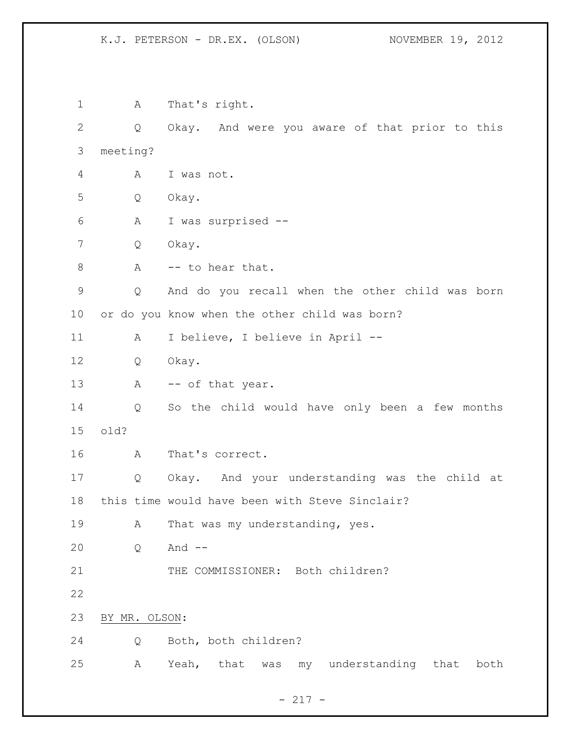A That's right. Q Okay. And were you aware of that prior to this meeting? A I was not. Q Okay. A I was surprised -- Q Okay. 8 A -- to hear that. Q And do you recall when the other child was born or do you know when the other child was born? A I believe, I believe in April -- Q Okay. 13 A -- of that year. Q So the child would have only been a few months old? A That's correct. Q Okay. And your understanding was the child at this time would have been with Steve Sinclair? 19 A That was my understanding, yes. Q And -- 21 THE COMMISSIONER: Both children? BY MR. OLSON: Q Both, both children? A Yeah, that was my understanding that both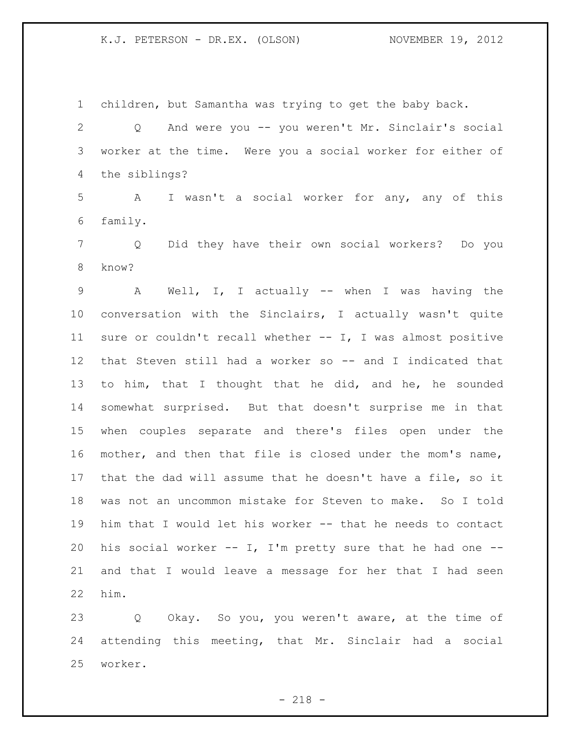children, but Samantha was trying to get the baby back. Q And were you -- you weren't Mr. Sinclair's social worker at the time. Were you a social worker for either of the siblings? A I wasn't a social worker for any, any of this family. Q Did they have their own social workers? Do you know? A Well, I, I actually -- when I was having the conversation with the Sinclairs, I actually wasn't quite sure or couldn't recall whether -- I, I was almost positive that Steven still had a worker so -- and I indicated that to him, that I thought that he did, and he, he sounded somewhat surprised. But that doesn't surprise me in that when couples separate and there's files open under the mother, and then that file is closed under the mom's name, that the dad will assume that he doesn't have a file, so it was not an uncommon mistake for Steven to make. So I told him that I would let his worker -- that he needs to contact 20 his social worker  $--$  I, I'm pretty sure that he had one  $--$  and that I would leave a message for her that I had seen him.

 Q Okay. So you, you weren't aware, at the time of attending this meeting, that Mr. Sinclair had a social worker.

 $- 218 -$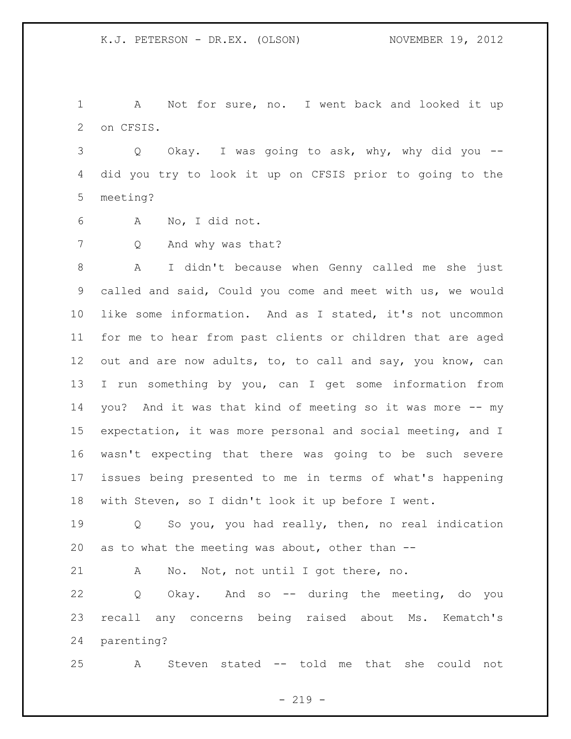A Not for sure, no. I went back and looked it up on CFSIS.

 Q Okay. I was going to ask, why, why did you -- did you try to look it up on CFSIS prior to going to the meeting?

A No, I did not.

Q And why was that?

 A I didn't because when Genny called me she just called and said, Could you come and meet with us, we would like some information. And as I stated, it's not uncommon for me to hear from past clients or children that are aged out and are now adults, to, to call and say, you know, can I run something by you, can I get some information from you? And it was that kind of meeting so it was more -- my expectation, it was more personal and social meeting, and I wasn't expecting that there was going to be such severe issues being presented to me in terms of what's happening with Steven, so I didn't look it up before I went.

 Q So you, you had really, then, no real indication as to what the meeting was about, other than --

A No. Not, not until I got there, no.

 Q Okay. And so -- during the meeting, do you recall any concerns being raised about Ms. Kematch's parenting?

A Steven stated -- told me that she could not

 $-219 -$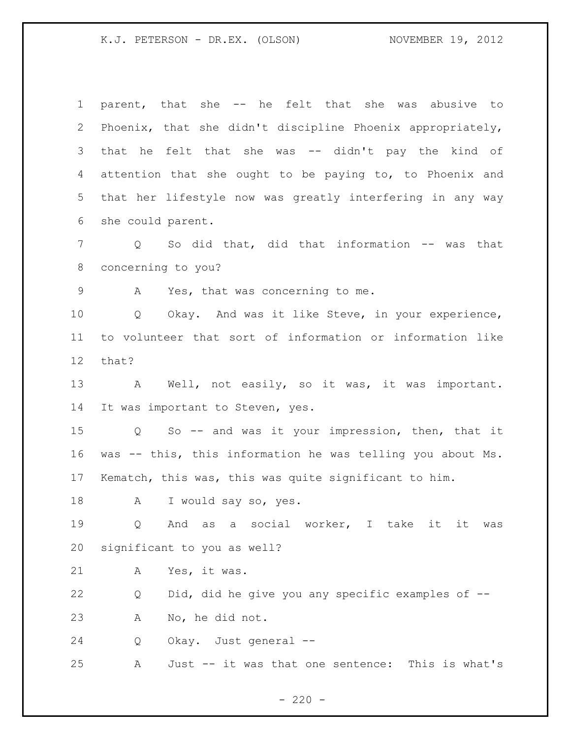parent, that she -- he felt that she was abusive to Phoenix, that she didn't discipline Phoenix appropriately, that he felt that she was -- didn't pay the kind of attention that she ought to be paying to, to Phoenix and that her lifestyle now was greatly interfering in any way she could parent. 7 Q So did that, did that information -- was that concerning to you? A Yes, that was concerning to me. Q Okay. And was it like Steve, in your experience, to volunteer that sort of information or information like that? 13 A Well, not easily, so it was, it was important. It was important to Steven, yes. Q So -- and was it your impression, then, that it was -- this, this information he was telling you about Ms. Kematch, this was, this was quite significant to him. 18 A I would say so, yes. Q And as a social worker, I take it it was significant to you as well? A Yes, it was. Q Did, did he give you any specific examples of -- A No, he did not. Q Okay. Just general -- A Just -- it was that one sentence: This is what's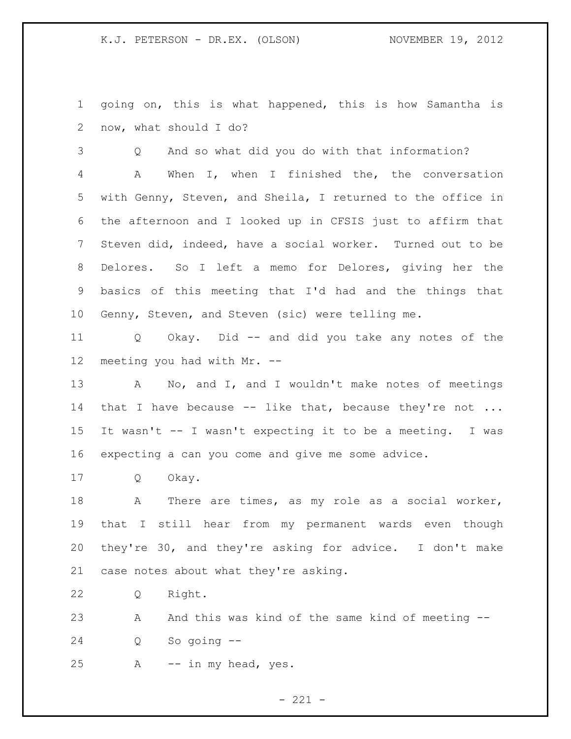going on, this is what happened, this is how Samantha is now, what should I do?

 Q And so what did you do with that information? A When I, when I finished the, the conversation with Genny, Steven, and Sheila, I returned to the office in the afternoon and I looked up in CFSIS just to affirm that Steven did, indeed, have a social worker. Turned out to be Delores. So I left a memo for Delores, giving her the basics of this meeting that I'd had and the things that Genny, Steven, and Steven (sic) were telling me.

 Q Okay. Did -- and did you take any notes of the meeting you had with Mr. --

 A No, and I, and I wouldn't make notes of meetings 14 that I have because -- like that, because they're not ... It wasn't -- I wasn't expecting it to be a meeting. I was expecting a can you come and give me some advice.

Q Okay.

 A There are times, as my role as a social worker, that I still hear from my permanent wards even though they're 30, and they're asking for advice. I don't make case notes about what they're asking.

Q Right.

23 A And this was kind of the same kind of meeting --Q So going --

A -- in my head, yes.

 $- 221 -$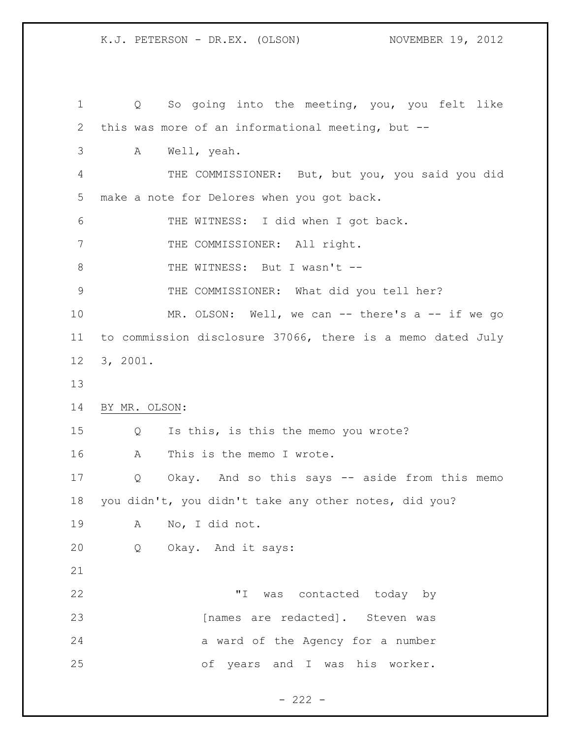Q So going into the meeting, you, you felt like this was more of an informational meeting, but -- A Well, yeah. THE COMMISSIONER: But, but you, you said you did make a note for Delores when you got back. THE WITNESS: I did when I got back. 7 THE COMMISSIONER: All right. 8 THE WITNESS: But I wasn't -- THE COMMISSIONER: What did you tell her? 10 MR. OLSON: Well, we can -- there's a -- if we go to commission disclosure 37066, there is a memo dated July 3, 2001. BY MR. OLSON: Q Is this, is this the memo you wrote? A This is the memo I wrote. Q Okay. And so this says -- aside from this memo you didn't, you didn't take any other notes, did you? A No, I did not. Q Okay. And it says: "I was contacted today by 23 [names are redacted]. Steven was 24 a ward of the Agency for a number of years and I was his worker.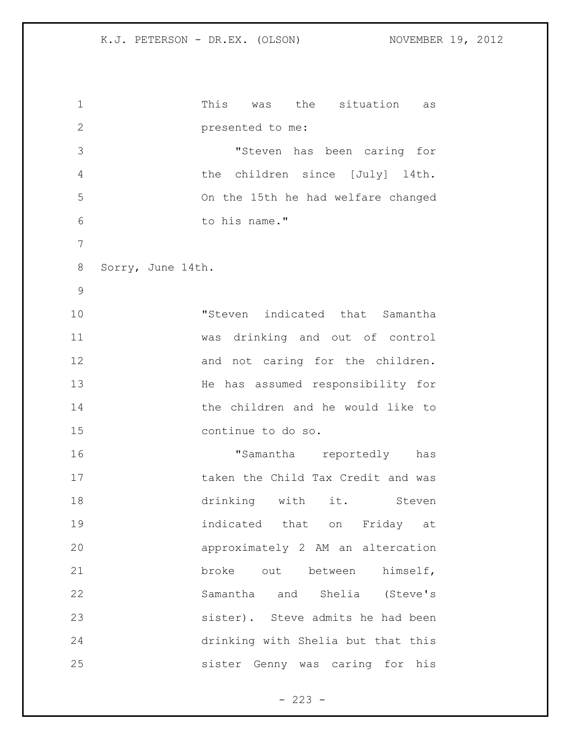```
1 This was the situation as 
2 presented to me:
3 "Steven has been caring for 
4 the children since [July] l4th. 
5 On the 15th he had welfare changed 
6 to his name."
7
8 Sorry, June 14th. 
9
10 "Steven indicated that Samantha 
11 was drinking and out of control 
12 and not caring for the children.
13 He has assumed responsibility for 
14 the children and he would like to 
15 continue to do so.
16 TSamantha reportedly has
17 taken the Child Tax Credit and was
18 drinking with it. Steven
19 indicated that on Friday at 
20 approximately 2 AM an altercation 
21 broke out between himself,
22 Samantha and Shelia (Steve's 
23 sister). Steve admits he had been 
24 drinking with Shelia but that this 
25 sister Genny was caring for his
```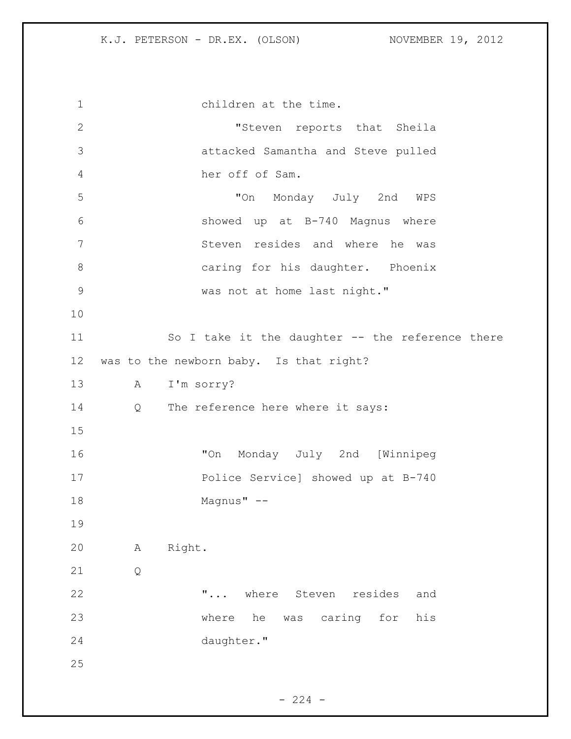1 children at the time. "Steven reports that Sheila attacked Samantha and Steve pulled her off of Sam. "On Monday July 2nd WPS showed up at B-740 Magnus where Steven resides and where he was caring for his daughter. Phoenix was not at home last night." So I take it the daughter -- the reference there was to the newborn baby. Is that right? A I'm sorry? 14 Q The reference here where it says: "On Monday July 2nd [Winnipeg Police Service] showed up at B-740 Magnus" -- A Right. Q **"...** where Steven resides and where he was caring for his daughter."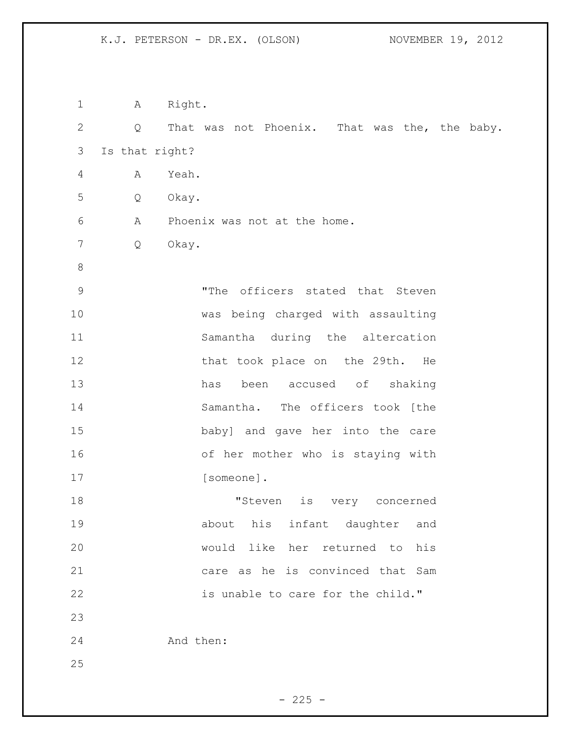| $\mathbf 1$  | A              | Right.                                        |
|--------------|----------------|-----------------------------------------------|
| $\mathbf{2}$ | Q              | That was not Phoenix. That was the, the baby. |
| 3            | Is that right? |                                               |
| 4            | A              | Yeah.                                         |
| 5            | Q              | Okay.                                         |
| 6            | Α              | Phoenix was not at the home.                  |
| 7            | Q              | Okay.                                         |
| $\,8\,$      |                |                                               |
| $\mathsf 9$  |                | "The officers stated that Steven              |
| 10           |                | was being charged with assaulting             |
| 11           |                | Samantha during the altercation               |
| 12           |                | that took place on the 29th.<br>He            |
| 13           |                | been accused of shaking<br>has                |
| 14           |                | Samantha. The officers took [the              |
| 15           |                | baby] and gave her into the care              |
| 16           |                | of her mother who is staying with             |
| 17           |                | [someone].                                    |
| 18           |                | "Steven<br>is very concerned                  |
| 19           |                | about his infant daughter and                 |
| 20           |                | would like her returned to his                |
| 21           |                | care as he is convinced that Sam              |
| 22           |                | is unable to care for the child."             |
| 23           |                |                                               |
| 24           |                | And then:                                     |
| 25           |                |                                               |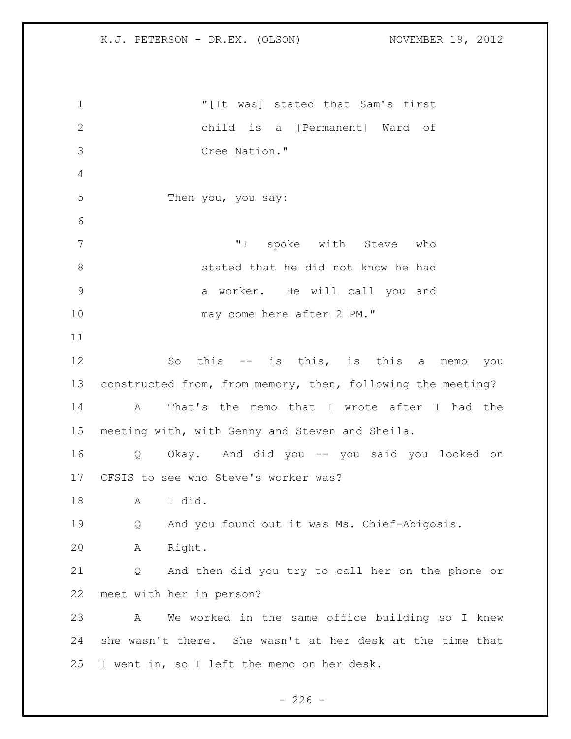"[It was] stated that Sam's first child is a [Permanent] Ward of Cree Nation." Then you, you say: "I spoke with Steve who stated that he did not know he had a worker. He will call you and 10 may come here after 2 PM." So this -- is this, is this a memo you constructed from, from memory, then, following the meeting? A That's the memo that I wrote after I had the meeting with, with Genny and Steven and Sheila. Q Okay. And did you -- you said you looked on CFSIS to see who Steve's worker was? A I did. Q And you found out it was Ms. Chief-Abigosis. A Right. Q And then did you try to call her on the phone or meet with her in person? A We worked in the same office building so I knew she wasn't there. She wasn't at her desk at the time that I went in, so I left the memo on her desk.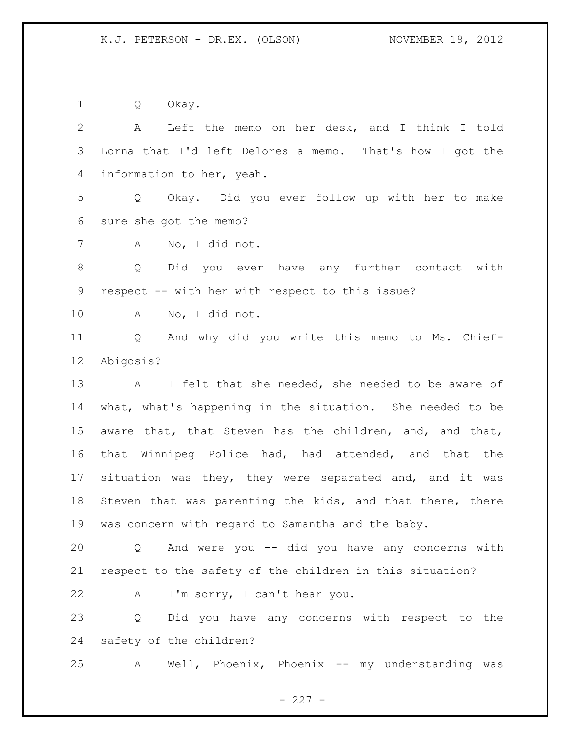Q Okay.

 A Left the memo on her desk, and I think I told Lorna that I'd left Delores a memo. That's how I got the information to her, yeah. Q Okay. Did you ever follow up with her to make sure she got the memo? A No, I did not. Q Did you ever have any further contact with respect -- with her with respect to this issue? A No, I did not. Q And why did you write this memo to Ms. Chief- Abigosis? 13 A I felt that she needed, she needed to be aware of what, what's happening in the situation. She needed to be aware that, that Steven has the children, and, and that, that Winnipeg Police had, had attended, and that the situation was they, they were separated and, and it was Steven that was parenting the kids, and that there, there was concern with regard to Samantha and the baby. Q And were you -- did you have any concerns with respect to the safety of the children in this situation? A I'm sorry, I can't hear you. Q Did you have any concerns with respect to the safety of the children? A Well, Phoenix, Phoenix -- my understanding was

 $- 227 -$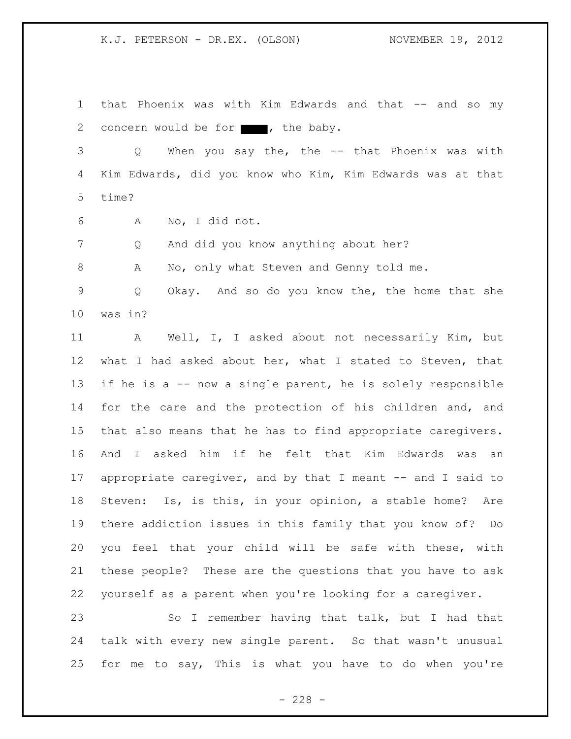that Phoenix was with Kim Edwards and that -- and so my 2 concern would be for  $\blacksquare$ , the baby.

 Q When you say the, the -- that Phoenix was with Kim Edwards, did you know who Kim, Kim Edwards was at that time?

A No, I did not.

Q And did you know anything about her?

8 A No, only what Steven and Genny told me.

 Q Okay. And so do you know the, the home that she was in?

 A Well, I, I asked about not necessarily Kim, but what I had asked about her, what I stated to Steven, that if he is a -- now a single parent, he is solely responsible 14 for the care and the protection of his children and, and that also means that he has to find appropriate caregivers. And I asked him if he felt that Kim Edwards was an appropriate caregiver, and by that I meant -- and I said to Steven: Is, is this, in your opinion, a stable home? Are there addiction issues in this family that you know of? Do you feel that your child will be safe with these, with these people? These are the questions that you have to ask yourself as a parent when you're looking for a caregiver.

 So I remember having that talk, but I had that talk with every new single parent. So that wasn't unusual for me to say, This is what you have to do when you're

 $- 228 -$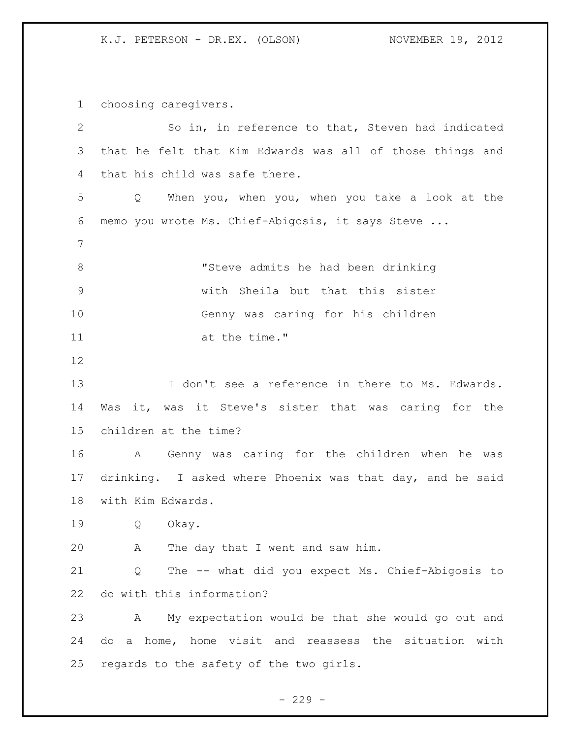choosing caregivers.

 So in, in reference to that, Steven had indicated that he felt that Kim Edwards was all of those things and that his child was safe there. Q When you, when you, when you take a look at the memo you wrote Ms. Chief-Abigosis, it says Steve ... "Steve admits he had been drinking with Sheila but that this sister Genny was caring for his children at the time." 13 I don't see a reference in there to Ms. Edwards. Was it, was it Steve's sister that was caring for the children at the time? A Genny was caring for the children when he was drinking. I asked where Phoenix was that day, and he said with Kim Edwards. Q Okay. A The day that I went and saw him. Q The -- what did you expect Ms. Chief-Abigosis to do with this information? A My expectation would be that she would go out and do a home, home visit and reassess the situation with regards to the safety of the two girls.

 $-229 -$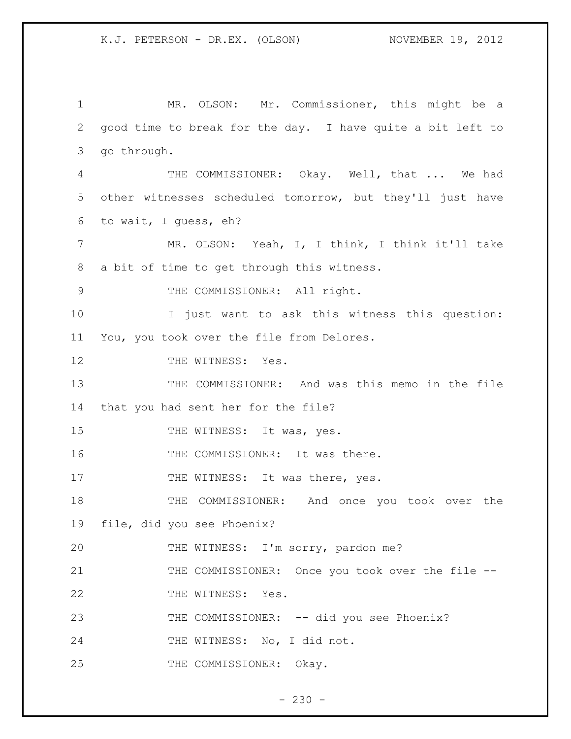1 MR. OLSON: Mr. Commissioner, this might be a 2 good time to break for the day. I have quite a bit left to 3 go through. 4 THE COMMISSIONER: Okay. Well, that ... We had 5 other witnesses scheduled tomorrow, but they'll just have 6 to wait, I guess, eh? 7 MR. OLSON: Yeah, I, I think, I think it'll take 8 a bit of time to get through this witness. 9 THE COMMISSIONER: All right. 10 I just want to ask this witness this question: 11 You, you took over the file from Delores. 12 THE WITNESS: Yes. 13 THE COMMISSIONER: And was this memo in the file 14 that you had sent her for the file? 15 THE WITNESS: It was, yes. 16 THE COMMISSIONER: It was there. 17 THE WITNESS: It was there, yes. 18 THE COMMISSIONER: And once you took over the 19 file, did you see Phoenix? 20 THE WITNESS: I'm sorry, pardon me? 21 THE COMMISSIONER: Once you took over the file --22 THE WITNESS: Yes. 23 THE COMMISSIONER: -- did you see Phoenix? 24 THE WITNESS: No, I did not. 25 THE COMMISSIONER: Okay.

 $- 230 -$